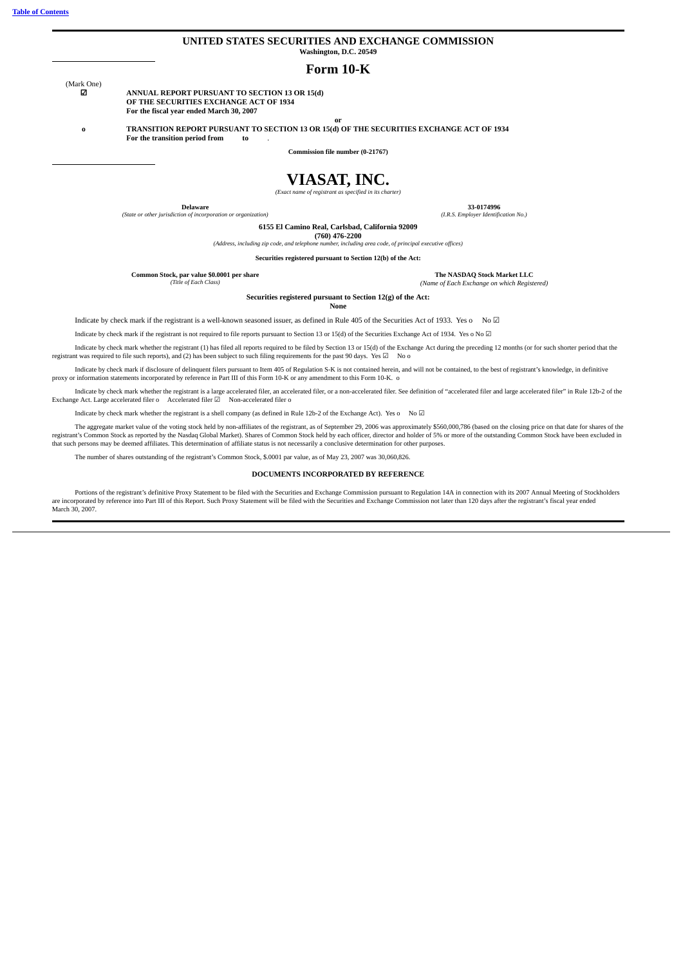| UNITED STATES SECURITIES AND EXCHANGE COMMISSION |  |  |  |  |  |  |
|--------------------------------------------------|--|--|--|--|--|--|
| Washington, D.C. 20549                           |  |  |  |  |  |  |

## **Form 10-K**

(Mark One)

☑ **ANNUAL REPORT PURSUANT TO SECTION 13 OR 15(d) OF THE SECURITIES EXCHANGE ACT OF 1934 For the fiscal year ended March 30, 2007**

**o TRANSITION REPORT PURSUANT TO SECTION 13 OR 15(d) OF THE SECURITIES EXCHANGE ACT OF 1934 For the transition period from to** .

**Commission file number (0-21767)**

**or**

## **VIASAT, INC.**

*(Exact name of registrant as specified in its charter)*

*(State or other jurisdiction of incorporation or organization) (I.R.S. Employer Identification No.)*

**Delaware 33-0174996**<br> **33-0174996**<br> *(I.R.S. Employer Identification No.)*<br> **1996** 

**6155 El Camino Real, Carlsbad, California 92009**

**(760) 476-2200**

*(Address, including zip code, and telephone number, including area code, of principal executive offices)*

**Securities registered pursuant to Section 12(b) of the Act:**

**Common Stock, par value \$0.0001 per share The NASDAQ Stock Market LLC**<br>(Title of Each Class) (Name of Each Exchange on which Regist

*(Title of Each Class) (Name of Each Exchange on which Registered)*

**Securities registered pursuant to Section 12(g) of the Act:**

**None**

Indicate by check mark if the registrant is a well-known seasoned issuer, as defined in Rule 405 of the Securities Act of 1933. Yes o No ☑

Indicate by check mark if the registrant is not required to file reports pursuant to Section 13 or 15(d) of the Securities Exchange Act of 1934. Yes o No  $\boxtimes$ 

Indicate by check mark whether the registrant (1) has filed all reports required to be filed by Section 13 or 15(d) of the Exchange Act during the preceding 12 months (or for such shorter period that the registrant was required to file such reports), and (2) has been subject to such filing requirements for the past 90 days. Yes ☑ No o

Indicate by check mark if disclosure of delinquent filers pursuant to Item 405 of Regulation S-K is not contained herein, and will not be contained, to the best of registrant's knowledge, in definitive proxy or information statements incorporated by reference in Part III of this Form 10-K or any amendment to this Form 10-K. o

Indicate by check mark whether the registrant is a large accelerated filer, an accelerated filer, or a non-accelerated filer. See definition of "accelerated filer and large accelerated filer" in Rule 12b-2 of the Exchange

Indicate by check mark whether the registrant is a shell company (as defined in Rule 12b-2 of the Exchange Act). Yes o No ☑

The aggregate market value of the voting stock held by non-affiliates of the registrant, as of September 29, 2006 was approximately \$560,000,786 (based on the closing price on that date for shares of the registrant's Common Stock as reported by the Nasdaq Global Market). Shares of Common Stock held by each officer, director and holder of 5% or more of the outstanding Common Stock have been excluded in that such persons may be deemed affiliates. This determination of affiliate status is not necessarily a conclusive determination for other purposes.

The number of shares outstanding of the registrant's Common Stock, \$.0001 par value, as of May 23, 2007 was 30,060,826.

## **DOCUMENTS INCORPORATED BY REFERENCE**

Portions of the registrant's definitive Proxy Statement to be filed with the Securities and Exchange Commission pursuant to Regulation 14A in connection with its 2007 Annual Meeting of Stockholders are incorporated by reference into Part III of this Report. Such Proxy Statement will be filed with the Securities and Exchange Commission not later than 120 days after the registrant's fiscal year ended March 30, 2007.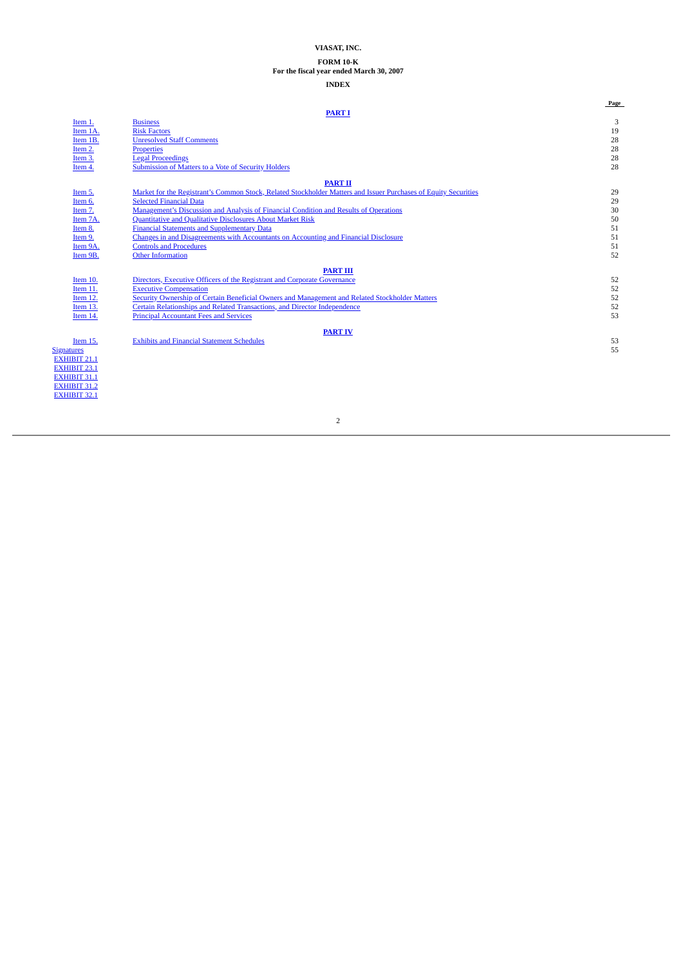## **VIASAT, INC.**

# **FORM 10-K For the fiscal year ended March 30, 2007**

## **INDEX**

<span id="page-2-0"></span>

|                     |                                                                                                                 | Page   |
|---------------------|-----------------------------------------------------------------------------------------------------------------|--------|
|                     | <b>PART I</b>                                                                                                   |        |
| Item 1.             | <b>Business</b>                                                                                                 | 3      |
| Item 1A.            | <b>Risk Factors</b>                                                                                             | 19     |
| Item 1B.            | <b>Unresolved Staff Comments</b>                                                                                | 28     |
| Item 2.             | <b>Properties</b>                                                                                               | 28     |
| Item 3.             | <b>Legal Proceedings</b>                                                                                        | 28     |
| Item 4.             | <b>Submission of Matters to a Vote of Security Holders</b>                                                      | 28     |
|                     | <b>PART II</b>                                                                                                  |        |
| Item 5.             | Market for the Registrant's Common Stock, Related Stockholder Matters and Issuer Purchases of Equity Securities | 29     |
| Item 6.             | <b>Selected Financial Data</b>                                                                                  | 29     |
| Item 7.             | <b>Management's Discussion and Analysis of Financial Condition and Results of Operations</b>                    | $30\,$ |
| Item 7A.            | Quantitative and Qualitative Disclosures About Market Risk                                                      | $50\,$ |
| Item 8.             | <b>Financial Statements and Supplementary Data</b>                                                              | 51     |
| Item 9.             | Changes in and Disagreements with Accountants on Accounting and Financial Disclosure                            | 51     |
| Item 9A.            | <b>Controls and Procedures</b>                                                                                  | 51     |
| Item 9B.            | <b>Other Information</b>                                                                                        | 52     |
|                     | <b>PART III</b>                                                                                                 |        |
| Item 10.            | Directors, Executive Officers of the Registrant and Corporate Governance                                        | 52     |
| Item 11.            | <b>Executive Compensation</b>                                                                                   | 52     |
| Item 12.            | Security Ownership of Certain Beneficial Owners and Management and Related Stockholder Matters                  | 52     |
| Item 13.            | Certain Relationships and Related Transactions, and Director Independence                                       | 52     |
| Item 14.            | <b>Principal Accountant Fees and Services</b>                                                                   | 53     |
|                     | <b>PART IV</b>                                                                                                  |        |
| Item 15.            | <b>Exhibits and Financial Statement Schedules</b>                                                               | 53     |
| <b>Signatures</b>   |                                                                                                                 | 55     |
| <b>EXHIBIT 21.1</b> |                                                                                                                 |        |
| <b>EXHIBIT 23.1</b> |                                                                                                                 |        |
| <b>EXHIBIT 31.1</b> |                                                                                                                 |        |
| <b>EXHIBIT 31.2</b> |                                                                                                                 |        |
| <b>EXHIBIT 32.1</b> |                                                                                                                 |        |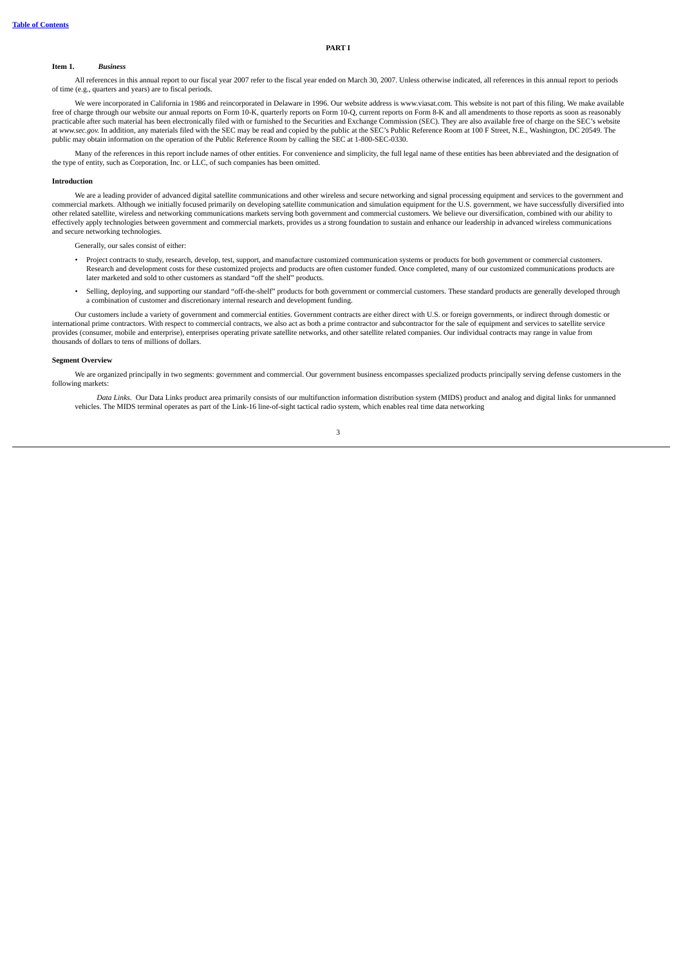## <span id="page-3-1"></span><span id="page-3-0"></span>**Item 1.** *Business*

All references in this annual report to our fiscal year 2007 refer to the fiscal year ended on March 30, 2007. Unless otherwise indicated, all references in this annual report to periods of time (e.g., quarters and years) are to fiscal periods.

We were incorporated in California in 1986 and reincorporated in Delaware in 1996. Our website address is www.viasat.com. This website is not part of this filing. We make available free of charge through our website our annual reports on Form 10-K, quarterly reports on Form 10-Q, current reports on Form 8-K and all amendments to those reports as soon as reasonably practicable after such material has been electronically filed with or furnished to the Securities and Exchange Commission (SEC). They are also available free of charge on the SEC's website at *www.sec.gov.* In addition, any materials filed with the SEC may be read and copied by the public at the SEC's Public Reference Room at 100 F Street, N.E., Washington, DC 20549. The public may obtain information on the operation of the Public Reference Room by calling the SEC at 1-800-SEC-0330.

Many of the references in this report include names of other entities. For convenience and simplicity, the full legal name of these entities has been abbreviated and the designation of the type of entity, such as Corporation, Inc. or LLC, of such companies has been omitted.

#### **Introduction**

We are a leading provider of advanced digital satellite communications and other wireless and secure networking and signal processing equipment and services to the government and commercial markets. Although we initially focused primarily on developing satellite communication and simulation equipment for the U.S. government, we have successfully diversified into other related satellite, wireless and networking communications markets serving both government and commercial customers. We believe our diversification, combined with our ability to effectively apply technologies between government and commercial markets, provides us a strong foundation to sustain and enhance our leadership in advanced wireless communications and secure networking technologies.

Generally, our sales consist of either:

- Project contracts to study, research, develop, test, support, and manufacture customized communication systems or products for both government or commercial customers. Research and development costs for these customized projects and products are often customer funded. Once completed, many of our customized communications products are later marketed and sold to other customers as standard "off the shelf" products.
- Selling, deploying, and supporting our standard "off-the-shelf" products for both government or commercial customers. These standard products are generally developed through a combination of customer and discretionary internal research and development funding.

Our customers include a variety of government and commercial entities. Government contracts are either direct with U.S. or foreign governments, or indirect through domestic or international prime contractors. With respect to commercial contracts, we also act as both a prime contractor and subcontractor for the sale of equipment and services to satellite service provides (consumer, mobile and enterprise), enterprises operating private satellite networks, and other satellite related companies. Our individual contracts may range in value from thousands of dollars to tens of millions of dollars.

#### **Segment Overview**

We are organized principally in two segments: government and commercial. Our government business encompasses specialized products principally serving defense customers in the following markets:

*Data Links.* Our Data Links product area primarily consists of our multifunction information distribution system (MIDS) product and analog and digital links for unmanned vehicles. The MIDS terminal operates as part of the Link-16 line-of-sight tactical radio system, which enables real time data networking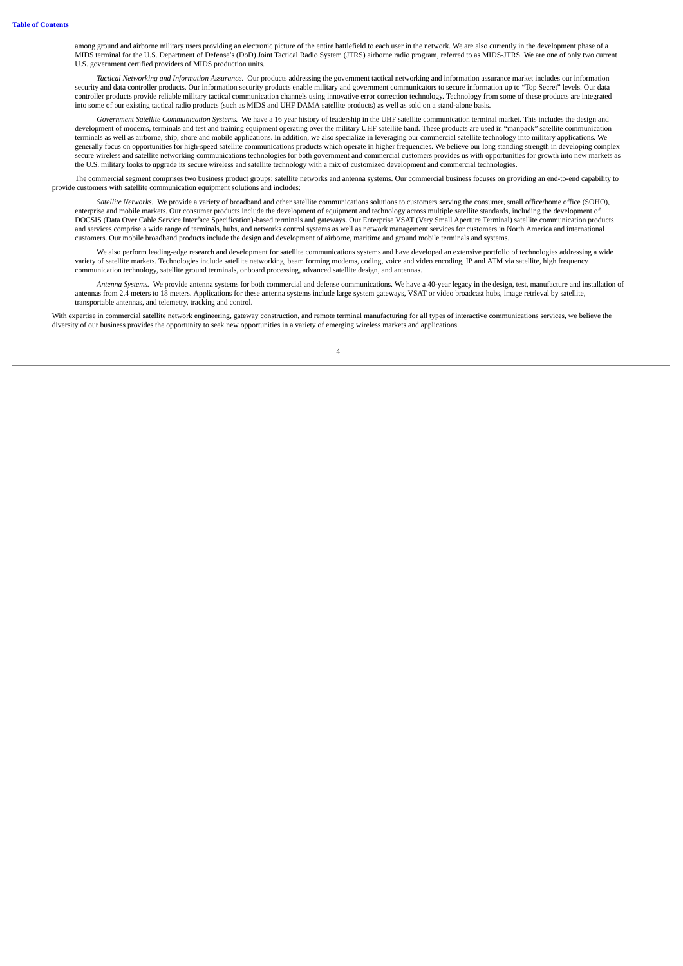among ground and airborne military users providing an electronic picture of the entire battlefield to each user in the network. We are also currently in the development phase of a MIDS terminal for the U.S. Department of Defense's (DoD) Joint Tactical Radio System (JTRS) airborne radio program, referred to as MIDS-JTRS. We are one of only two current U.S. government certified providers of MIDS production units.

*Tactical Networking and Information Assurance.* Our products addressing the government tactical networking and information assurance market includes our information security and data controller products. Our information security products enable military and government communicators to secure information up to "Top Secret" levels. Our data controller products provide reliable military tactical communication channels using innovative error correction technology. Technology from some of these products are integrated into some of our existing tactical radio products (such as MIDS and UHF DAMA satellite products) as well as sold on a stand-alone basis.

*Government Satellite Communication Systems.* We have a 16 year history of leadership in the UHF satellite communication terminal market. This includes the design and development of modems, terminals and test and training equipment operating over the military UHF satellite band. These products are used in "manpack" satellite communication terminals as well as airborne, ship, shore and mobile applications. In addition, we also specialize in leveraging our commercial satellite technology into military applications. We generally focus on opportunities for high-speed satellite communications products which operate in higher frequencies. We believe our long standing strength in developing complex secure wireless and satellite networking communications technologies for both government and commercial customers provides us with opportunities for growth into new markets as the U.S. military looks to upgrade its secure wireless and satellite technology with a mix of customized development and commercial technologies.

The commercial segment comprises two business product groups: satellite networks and antenna systems. Our commercial business focuses on providing an end-to-end capability to provide customers with satellite communication equipment solutions and includes:

*Satellite Networks.* We provide a variety of broadband and other satellite communications solutions to customers serving the consumer, small office/home office (SOHO), enterprise and mobile markets. Our consumer products include the development of equipment and technology across multiple satellite standards, including the development of DOCSIS (Data Over Cable Service Interface Specification)-based terminals and gateways. Our Enterprise VSAT (Very Small Aperture Terminal) satellite communication products and services comprise a wide range of terminals, hubs, and networks control systems as well as network management services for customers in North America and international customers. Our mobile broadband products include the design and development of airborne, maritime and ground mobile terminals and systems.

We also perform leading-edge research and development for satellite communications systems and have developed an extensive portfolio of technologies addressing a wide variety of satellite markets. Technologies include satellite networking, beam forming modems, coding, voice and video encoding, IP and ATM via satellite, high frequency communication technology, satellite ground terminals, onboard processing, advanced satellite design, and antennas.

*Antenna Systems.* We provide antenna systems for both commercial and defense communications. We have a 40-year legacy in the design, test, manufacture and installation of antennas from 2.4 meters to 18 meters. Applications for these antenna systems include large system gateways, VSAT or video broadcast hubs, image retrieval by satellite, transportable antennas, and telemetry, tracking and control.

With expertise in commercial satellite network engineering, gateway construction, and remote terminal manufacturing for all types of interactive communications services, we believe the<br>diversity of our business provides th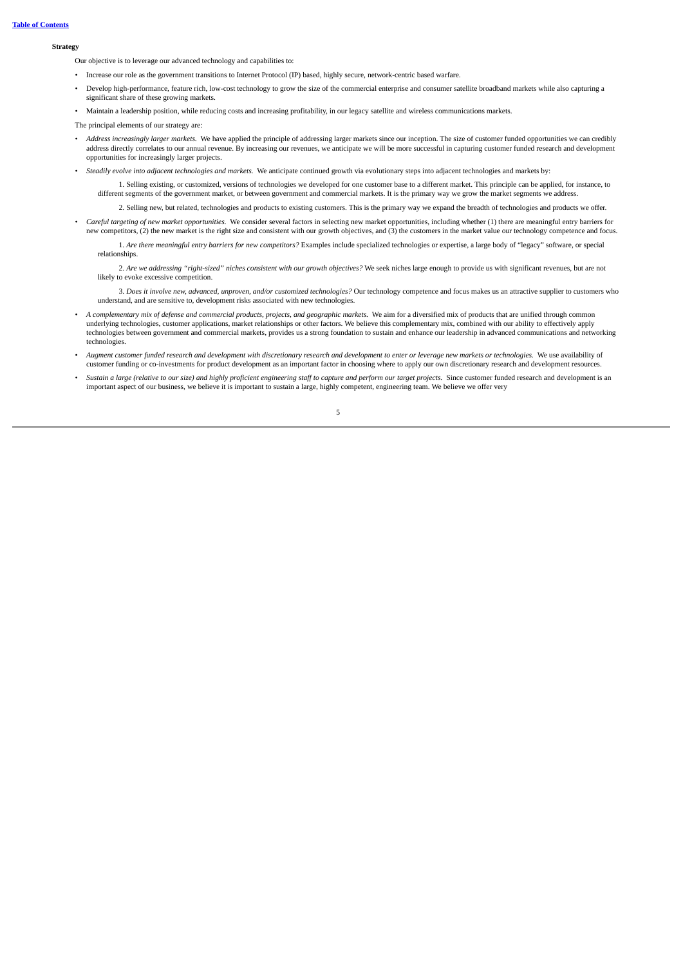## **Strategy**

Our objective is to leverage our advanced technology and capabilities to:

- Increase our role as the government transitions to Internet Protocol (IP) based, highly secure, network-centric based warfare.
- Develop high-performance, feature rich, low-cost technology to grow the size of the commercial enterprise and consumer satellite broadband markets while also capturing a significant share of these growing markets.
- Maintain a leadership position, while reducing costs and increasing profitability, in our legacy satellite and wireless communications markets.

The principal elements of our strategy are:

- *Address increasingly larger markets.* We have applied the principle of addressing larger markets since our inception. The size of customer funded opportunities we can credibly address directly correlates to our annual revenue. By increasing our revenues, we anticipate we will be more successful in capturing customer funded research and development opportunities for increasingly larger projects.
- *Steadily evolve into adjacent technologies and markets.* We anticipate continued growth via evolutionary steps into adjacent technologies and markets by:

1. Selling existing, or customized, versions of technologies we developed for one customer base to a different market. This principle can be applied, for instance, to different segments of the government market, or between government and commercial markets. It is the primary way we grow the market segments we address.

2. Selling new, but related, technologies and products to existing customers. This is the primary way we expand the breadth of technologies and products we offer.

• *Careful targeting of new market opportunities.* We consider several factors in selecting new market opportunities, including whether (1) there are meaningful entry barriers for new competitors, (2) the new market is the right size and consistent with our growth objectives, and (3) the customers in the market value our technology competence and focus.

1. *Are there meaningful entry barriers for new competitors?* Examples include specialized technologies or expertise, a large body of "legacy" software, or special relationships.

2. Are we addressing "right-sized" niches consistent with our growth objectives? We seek niches large enough to provide us with significant revenues, but are not likely to evoke excessive competition.

3. *Does it involve new, advanced, unproven, and/or customized technologies?* Our technology competence and focus makes us an attractive supplier to customers who understand, and are sensitive to, development risks associated with new technologies.

- A complementary mix of defense and commercial products, projects, and geographic markets. We aim for a diversified mix of products that are unified through common underlying technologies, customer applications, market relationships or other factors. We believe this complementary mix, combined with our ability to effectively apply technologies between government and commercial markets, provides us a strong foundation to sustain and enhance our leadership in advanced communications and networking technologies.
- Augment customer funded research and development with discretionary research and development to enter or leverage new markets or technologies. We use availability of customer funding or co-investments for product develop
- Sustain a large (relative to our size) and highly proficient engineering staff to capture and perform our target projects. Since customer funded research and development is an important aspect of our business, we believe it is important to sustain a large, highly competent, engineering team. We believe we offer very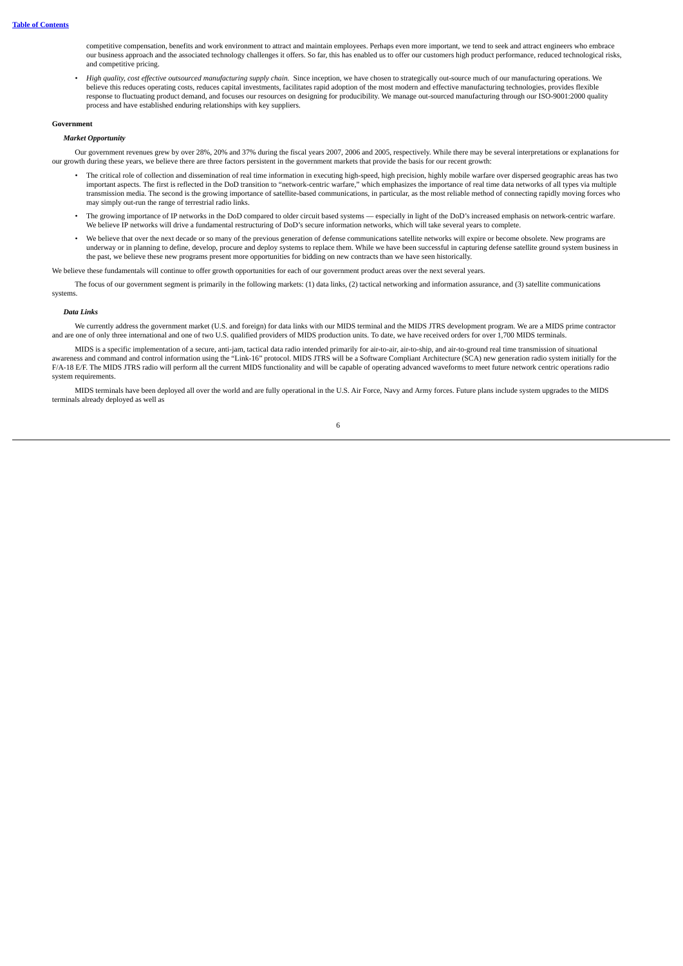competitive compensation, benefits and work environment to attract and maintain employees. Perhaps even more important, we tend to seek and attract engineers who embrace our business approach and the associated technology challenges it offers. So far, this has enabled us to offer our customers high product performance, reduced technological risks, and competitive pricing.

High quality, cost effective outsourced manufacturing supply chain. Since inception, we have chosen to strategically out-source much of our manufacturing operations. We believe this reduces operating costs, reduces capital investments, facilitates rapid adoption of the most modern and effective manufacturing technologies, provides flexible response to fluctuating product demand, and focuses our resources on designing for producibility. We manage out-sourced manufacturing through our ISO-9001:2000 quality process and have established enduring relationships with key suppliers.

#### **Government**

## *Market Opportunity*

Our government revenues grew by over 28%, 20% and 37% during the fiscal years 2007, 2006 and 2005, respectively. While there may be several interpretations or explanations for our growth during these years, we believe there are three factors persistent in the government markets that provide the basis for our recent growth:

- The critical role of collection and dissemination of real time information in executing high-speed, high precision, highly mobile warfare over dispersed geographic areas has two important aspects. The first is reflected in transmission media. The second is the growing importance of satellite-based communications, in particular, as the most reliable method of connecting rapidly moving forces who may simply out-run the range of terrestrial radio links.
- The growing importance of IP networks in the DoD compared to older circuit based systems especially in light of the DoD's increased emphasis on network-centric warfare. We believe IP networks will drive a fundamental restructuring of DoD's secure information networks, which will take several years to complete.
- We believe that over the next decade or so many of the previous generation of defense communications satellite networks will expire or become obsolete. New programs are underway or in planning to define, develop, procure and deploy systems to replace them. While we have been successful in capturing defense satellite ground system business in the past, we believe these new programs present more opportunities for bidding on new contracts than we have seen historically.

We believe these fundamentals will continue to offer growth opportunities for each of our government product areas over the next several years.

The focus of our government segment is primarily in the following markets: (1) data links, (2) tactical networking and information assurance, and (3) satellite communications systems.

## *Data Links*

We currently address the government market (U.S. and foreign) for data links with our MIDS terminal and the MIDS JTRS development program. We are a MIDS prime contractor and are one of only three international and one of two U.S. qualified providers of MIDS production units. To date, we have received orders for over 1,700 MIDS terminals.

MIDS is a specific implementation of a secure, anti-jam, tactical data radio intended primarily for air-to-air, air-to-ship, and air-to-ground real time transmission of situational awareness and command and control information using the "Link-16" protocol. MIDS JTRS will be a Software Compliant Architecture (SCA) new generation radio system initially for the<br>F/A-18 E/F. The MIDS JTRS radio will perfo system requirements.

MIDS terminals have been deployed all over the world and are fully operational in the U.S. Air Force, Navy and Army forces. Future plans include system upgrades to the MIDS terminals already deployed as well as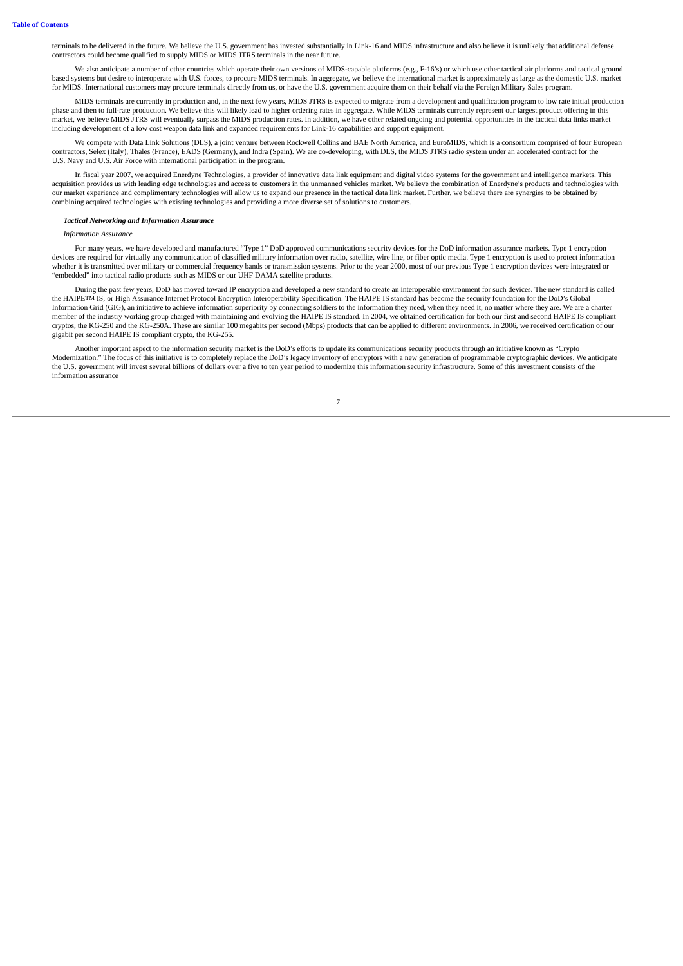terminals to be delivered in the future. We believe the U.S. government has invested substantially in Link-16 and MIDS infrastructure and also believe it is unlikely that additional defense contractors could become qualified to supply MIDS or MIDS JTRS terminals in the near future.

We also anticipate a number of other countries which operate their own versions of MIDS-capable platforms (e.g., F-16's) or which use other tactical air platforms and tactical ground based systems but desire to interoperate with U.S. forces, to procure MIDS terminals. In aggregate, we believe the international market is approximately as large as the domestic U.S. market for MIDS. International customers may procure terminals directly from us, or have the U.S. government acquire them on their behalf via the Foreign Military Sales program.

MIDS terminals are currently in production and, in the next few years, MIDS JTRS is expected to migrate from a development and qualification program to low rate initial production phase and then to full-rate production. We believe this will likely lead to higher ordering rates in aggregate. While MIDS terminals currently represent our largest product offering in this market, we believe MIDS JTRS will eventually surpass the MIDS production rates. In addition, we have other related ongoing and potential opportunities in the tactical data links market including development of a low cost weapon data link and expanded requirements for Link-16 capabilities and support equipment.

We compete with Data Link Solutions (DLS), a joint venture between Rockwell Collins and BAE North America, and EuroMIDS, which is a consortium comprised of four European contractors, Selex (Italy), Thales (France), EADS (Germany), and Indra (Spain). We are co-developing, with DLS, the MIDS JTRS radio system under an accelerated contract for the U.S. Navy and U.S. Air Force with international participation in the program.

In fiscal year 2007, we acquired Enerdyne Technologies, a provider of innovative data link equipment and digital video systems for the government and intelligence markets. This acquisition provides us with leading edge technologies and access to customers in the unmanned vehicles market. We believe the combination of Enerdyne's products and technologies with our market experience and complimentary technologies will allow us to expand our presence in the tactical data link market. Further, we believe there are synergies to be obtained by combining acquired technologies with existing technologies and providing a more diverse set of solutions to customers.

#### *Tactical Networking and Information Assurance*

#### *Information Assurance*

For many years, we have developed and manufactured "Type 1" DoD approved communications security devices for the DoD information assurance markets. Type 1 encryption devices are required for virtually any communication of classified military information over radio, satellite, wire line, or fiber optic media. Type 1 encryption is used to protect information whether it is transmitted over military or commercial frequency bands or transmission systems. Prior to the year 2000, most of our previous Type 1 encryption devices were integrated or "embedded" into tactical radio products such as MIDS or our UHF DAMA satellite products.

During the past few years, DoD has moved toward IP encryption and developed a new standard to create an interoperable environment for such devices. The new standard is called the HAIPETM IS, or High Assurance Internet Protocol Encryption Interoperability Specification. The HAIPE IS standard has become the security foundation for the DoD's Global Information Grid (GIG), an initiative to achieve information superiority by connecting soldiers to the information they need, when they need it, no matter where they are. We are a charter member of the industry working group charged with maintaining and evolving the HAIPE IS standard. In 2004, we obtained certification for both our first and second HAIPE IS compliant cryptos, the KG-250 and the KG-250A. These are similar 100 megabits per second (Mbps) products that can be applied to different environments. In 2006, we received certification of our gigabit per second HAIPE IS compliant crypto, the KG-255.

Another important aspect to the information security market is the DoD's efforts to update its communications security products through an initiative known as "Crypto Modernization." The focus of this initiative is to completely replace the DoD's legacy inventory of encryptors with a new generation of programmable cryptographic devices. We anticipate the U.S. government will invest several billions of dollars over a five to ten year period to modernize this information security infrastructure. Some of this investment consists of the information assurance

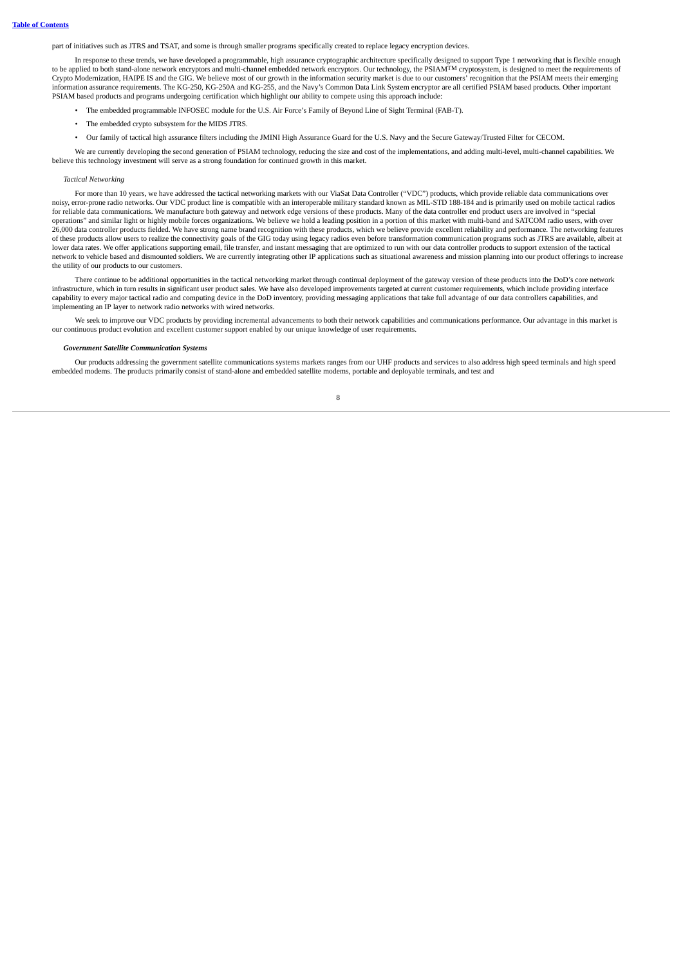part of initiatives such as JTRS and TSAT, and some is through smaller programs specifically created to replace legacy encryption devices.

In response to these trends, we have developed a programmable, high assurance cryptographic architecture specifically designed to support Type 1 networking that is flexible enough<br>to be applied to both stand-alone network Crypto Modernization, HAIPE IS and the GIG. We believe most of our growth in the information security market is due to our customers' recognition that the PSIAM meets their emerging information assurance requirements. The KG-250, KG-250A and KG-255, and the Navy's Common Data Link System encryptor are all certified PSIAM based products. Other important PSIAM based products and programs undergoing certification which highlight our ability to compete using this approach include:

- The embedded programmable INFOSEC module for the U.S. Air Force's Family of Beyond Line of Sight Terminal (FAB-T).
- The embedded crypto subsystem for the MIDS JTRS.
- Our family of tactical high assurance filters including the JMINI High Assurance Guard for the U.S. Navy and the Secure Gateway/Trusted Filter for CECOM.

We are currently developing the second generation of PSIAM technology, reducing the size and cost of the implementations, and adding multi-level, multi-channel capabilities. We believe this technology investment will serve as a strong foundation for continued growth in this market.

#### *Tactical Networking*

For more than 10 years, we have addressed the tactical networking markets with our ViaSat Data Controller ("VDC") products, which provide reliable data communications over noisy, error-prone radio networks. Our VDC product line is compatible with an interoperable military standard known as MIL-STD 188-184 and is primarily used on mobile tactical radios for reliable data communications. We manufacture both gateway and network edge versions of these products. Many of the data controller end product users are involved in "special operations" and similar light or highly mobile forces organizations. We believe we hold a leading position in a portion of this market with multi-band and SATCOM radio users, with over 26,000 data controller products fielded. We have strong name brand recognition with these products, which we believe provide excellent reliability and performance. The networking features of these products allow users to realize the connectivity goals of the GIG today using legacy radios even before transformation communication programs such as JTRS are available, albeit at lower data rates. We offer applications supporting email, file transfer, and instant messaging that are optimized to run with our data controller products to support extension of the tactical network to vehicle based and dismounted soldiers. We are currently integrating other IP applications such as situational awareness and mission planning into our product offerings to increase the utility of our products to our customers.

There continue to be additional opportunities in the tactical networking market through continual deployment of the gateway version of these products into the DoD's core network infrastructure, which in turn results in significant user product sales. We have also developed improvements targeted at current customer requirements, which include providing interface capability to every major tactical radio and computing device in the DoD inventory, providing messaging applications that take full advantage of our data controllers capabilities, and implementing an IP layer to network radio networks with wired networks.

We seek to improve our VDC products by providing incremental advancements to both their network capabilities and communications performance. Our advantage in this market is our continuous product evolution and excellent customer support enabled by our unique knowledge of user requirements.

#### *Government Satellite Communication Systems*

Our products addressing the government satellite communications systems markets ranges from our UHF products and services to also address high speed terminals and high speed embedded modems. The products primarily consist of stand-alone and embedded satellite modems, portable and deployable terminals, and test and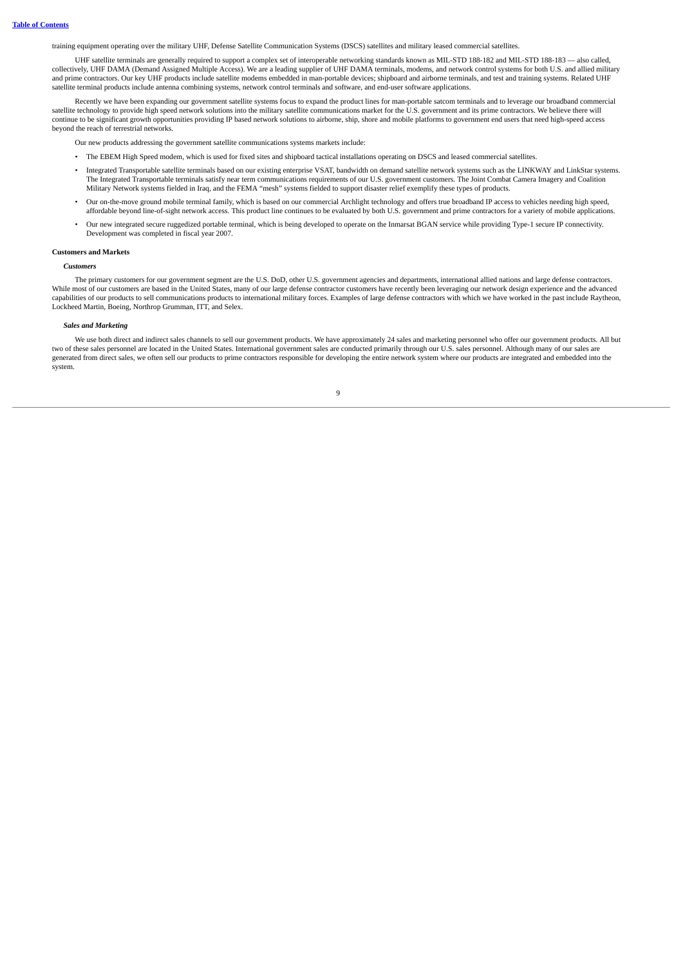training equipment operating over the military UHF, Defense Satellite Communication Systems (DSCS) satellites and military leased commercial satellites.

UHF satellite terminals are generally required to support a complex set of interoperable networking standards known as MIL-STD 188-182 and MIL-STD 188-183 — also called,<br>Collectively, UHF DAMA (Demand Assigned Multiple Acc and prime contractors. Our key UHF products include satellite modems embedded in man-portable devices; shipboard and airborne terminals, and test and training systems. Related UHF and prime contractors. Our key UHF product satellite terminal products include antenna combining systems, network control terminals and software, and end-user software applications.

Recently we have been expanding our government satellite systems focus to expand the product lines for man-portable satcom terminals and to leverage our broadband commercial<br>Satellite technology to provide high speed netwo continue to be significant growth opportunities providing IP based network solutions to airborne, ship, shore and mobile platforms to government end users that need high-speed access beyond the reach of terrestrial networks.

Our new products addressing the government satellite communications systems markets include:

- The EBEM High Speed modem, which is used for fixed sites and shipboard tactical installations operating on DSCS and leased commercial satellites.
- Integrated Transportable satellite terminals based on our existing enterprise VSAT, bandwidth on demand satellite network systems such as the LINKWAY and LinkStar systems. The Integrated Transportable terminals satisfy near term communications requirements of our U.S. government customers. The Joint Combat Camera Imagery and Coalition Military Network systems fielded in Iraq, and the FEMA "mesh" systems fielded to support disaster relief exemplify these types of products.
- Our on-the-move ground mobile terminal family, which is based on our commercial Archlight technology and offers true broadband IP access to vehicles needing high speed, affordable beyond line-of-sight network access. This product line continues to be evaluated by both U.S. government and prime contractors for a variety of mobile applications.
- Our new integrated secure ruggedized portable terminal, which is being developed to operate on the Inmarsat BGAN service while providing Type-1 secure IP connectivity. Development was completed in fiscal year 2007.

#### **Customers and Markets**

#### *Customers*

The primary customers for our government segment are the U.S. DoD, other U.S. government agencies and departments, international allied nations and large defense contractors. While most of our customers are based in the United States, many of our large defense contractor customers have recently been leveraging our network design experience and the advanced capabilities of our products to sell communications products to international military forces. Examples of large defense contractors with which we have worked in the past include Raytheon, Lockheed Martin, Boeing, Northrop Grumman, ITT, and Selex.

## *Sales and Marketing*

We use both direct and indirect sales channels to sell our government products. We have approximately 24 sales and marketing personnel who offer our government products. All but two of these sales personnel are located in the United States. International government sales are conducted primarily through our U.S. sales personnel. Although many of our sales are<br>generated from direct sales, we often s system.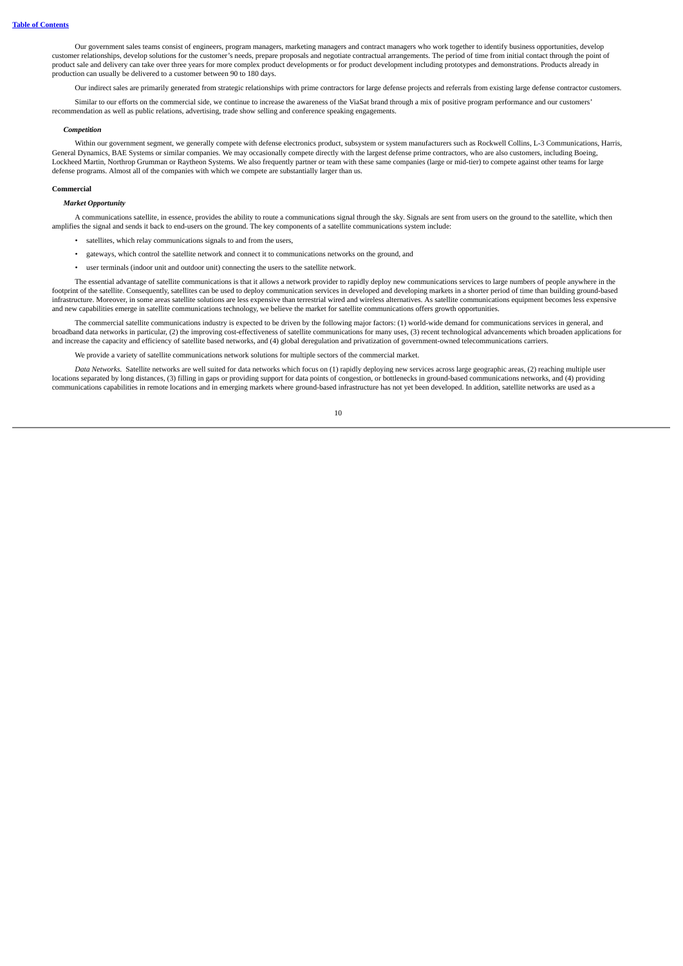Our government sales teams consist of engineers, program managers, marketing managers and contract managers who work together to identify business opportunities, develop customer relationships, develop solutions for the customer's needs, prepare proposals and negotiate contractual arrangements. The period of time from initial contact through the point of product sale and delivery can take over three years for more complex product developments or for product development including prototypes and demonstrations. Products already in production can usually be delivered to a customer between 90 to 180 days.

Our indirect sales are primarily generated from strategic relationships with prime contractors for large defense projects and referrals from existing large defense contractor customers.

Similar to our efforts on the commercial side, we continue to increase the awareness of the ViaSat brand through a mix of positive program performance and our customers' recommendation as well as public relations, advertising, trade show selling and conference speaking engagements.

#### *Competition*

Within our government segment, we generally compete with defense electronics product, subsystem or system manufacturers such as Rockwell Collins, L-3 Communications, Harris, General Dynamics, BAE Systems or similar companies. We may occasionally compete directly with the largest defense prime contractors, who are also customers, including Boeing, Lockheed Martin, Northrop Grumman or Raytheon Systems. We also frequently partner or team with these same companies (large or mid-tier) to compete against other teams for large defense programs. Almost all of the companies with which we compete are substantially larger than us.

## **Commercial**

## *Market Opportunity*

A communications satellite, in essence, provides the ability to route a communications signal through the sky. Signals are sent from users on the ground to the satellite, which then amplifies the signal and sends it back to end-users on the ground. The key components of a satellite communications system include:

- satellites, which relay communications signals to and from the users,
- gateways, which control the satellite network and connect it to communications networks on the ground, and
- user terminals (indoor unit and outdoor unit) connecting the users to the satellite network.

The essential advantage of satellite communications is that it allows a network provider to rapidly deploy new communications services to large numbers of people anywhere in the footprint of the satellite. Consequently, satellites can be used to deploy communication services in developed and developing markets in a shorter period of time than building ground-based infrastructure. Moreover, in some areas satellite solutions are less expensive than terrestrial wired and wireless alternatives. As satellite communications equipment becomes less expensive and new capabilities emerge in satellite communications technology, we believe the market for satellite communications offers growth opportunities.

The commercial satellite communications industry is expected to be driven by the following major factors: (1) world-wide demand for communications services in general, and broadband data networks in particular, (2) the improving cost-effectiveness of satellite communications for many uses, (3) recent technological advancements which broaden applications for and increase the capacity and efficiency of satellite based networks, and (4) global deregulation and privatization of government-owned telecommunications carriers.

We provide a variety of satellite communications network solutions for multiple sectors of the commercial market.

*Data Networks.* Satellite networks are well suited for data networks which focus on (1) rapidly deploying new services across large geographic areas, (2) reaching multiple user locations separated by long distances, (3) filling in gaps or providing support for data points of congestion, or bottlenecks in ground-based communications networks, and (4) providing<br>communications capabilities in remote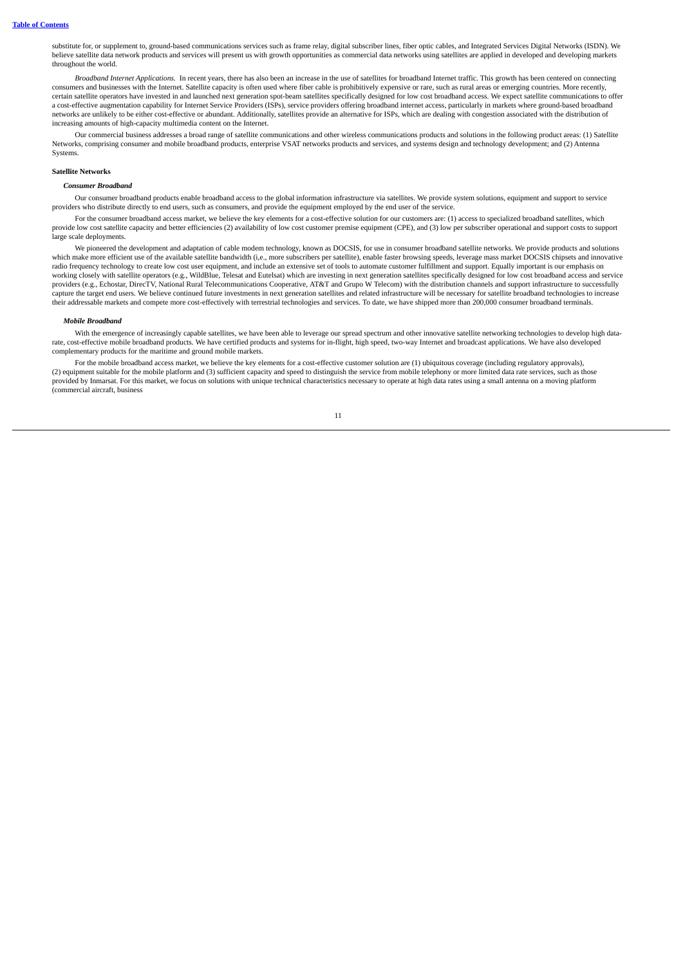substitute for, or supplement to, ground-based communications services such as frame relay, digital subscriber lines, fiber optic cables, and Integrated Services Digital Networks (ISDN). We believe satellite data network products and services will present us with growth opportunities as commercial data networks using satellites are applied in developed and developing markets throughout the world.

*Broadband Internet Applications.* In recent years, there has also been an increase in the use of satellites for broadband Internet traffic. This growth has been centered on connecting consumers and businesses with the Internet. Satellite capacity is often used where fiber cable is prohibitively expensive or rare, such as rural areas or emerging countries. More recently, certain satellite operators have invested in and launched next generation spot-beam satellites specifically designed for low cost broadband access. We expect satellite communications to offer a cost-effective augmentation capability for Internet Service Providers (ISPs), service providers offering broadband internet access, particularly in markets where ground-based broadband networks are unlikely to be either cost-effective or abundant. Additionally, satellites provide an alternative for ISPs, which are dealing with congestion associated with the distribution of increasing amounts of high-capacity multimedia content on the Internet.

Our commercial business addresses a broad range of satellite communications and other wireless communications products and solutions in the following product areas: (1) Satellite Networks, comprising consumer and mobile broadband products, enterprise VSAT networks products and services, and systems design and technology development; and (2) Antenna Systems.

## **Satellite Networks**

#### *Consumer Broadband*

Our consumer broadband products enable broadband access to the global information infrastructure via satellites. We provide system solutions, equipment and support to service providers who distribute directly to end users, such as consumers, and provide the equipment employed by the end user of the service.

For the consumer broadband access market, we believe the key elements for a cost-effective solution for our customers are: (1) access to specialized broadband satellites, which provide low cost satellite capacity and better efficiencies (2) availability of low cost customer premise equipment (CPE), and (3) low per subscriber operational and support costs to support large scale deployments.

We pioneered the development and adaptation of cable modem technology, known as DOCSIS, for use in consumer broadband satellite networks. We provide products and solutions which make more efficient use of the available satellite bandwidth (i,e., more subscribers per satellite), enable faster browsing speeds, leverage mass market DOCSIS chipsets and innovative radio frequency technology to create low cost user equipment, and include an extensive set of tools to automate customer fulfillment and support. Equally important is our emphasis on working closely with satellite operators (e.g., WildBlue, Telesat and Eutelsat) which are investing in next generation satellites specifically designed for low cost broadband access and service providers (e.g., Echostar, DirecTV, National Rural Telecommunications Cooperative, AT&T and Grupo W Telecom) with the distribution channels and support infrastructure to successfully capture the target end users. We believe continued future investments in next generation satellites and related infrastructure will be necessary for satellite broadband technologies to increase their addressable markets and compete more cost-effectively with terrestrial technologies and services. To date, we have shipped more than 200,000 consumer broadband terminals.

#### *Mobile Broadband*

With the emergence of increasingly capable satellites, we have been able to leverage our spread spectrum and other innovative satellite networking technologies to develop high datarate, cost-effective mobile broadband products. We have certified products and systems for in-flight, high speed, two-way Internet and broadcast applications. We have also developed complementary products for the maritime and ground mobile markets.

For the mobile broadband access market, we believe the key elements for a cost-effective customer solution are (1) ubiquitous coverage (including regulatory approvals), (2) equipment suitable for the mobile platform and (3) sufficient capacity and speed to distinguish the service from mobile telephony or more limited data rate services, such as those provided by Inmarsat. For this market, we focus on solutions with unique technical characteristics necessary to operate at high data rates using a small antenna on a moving platform .<br>(commercial aircraft, business

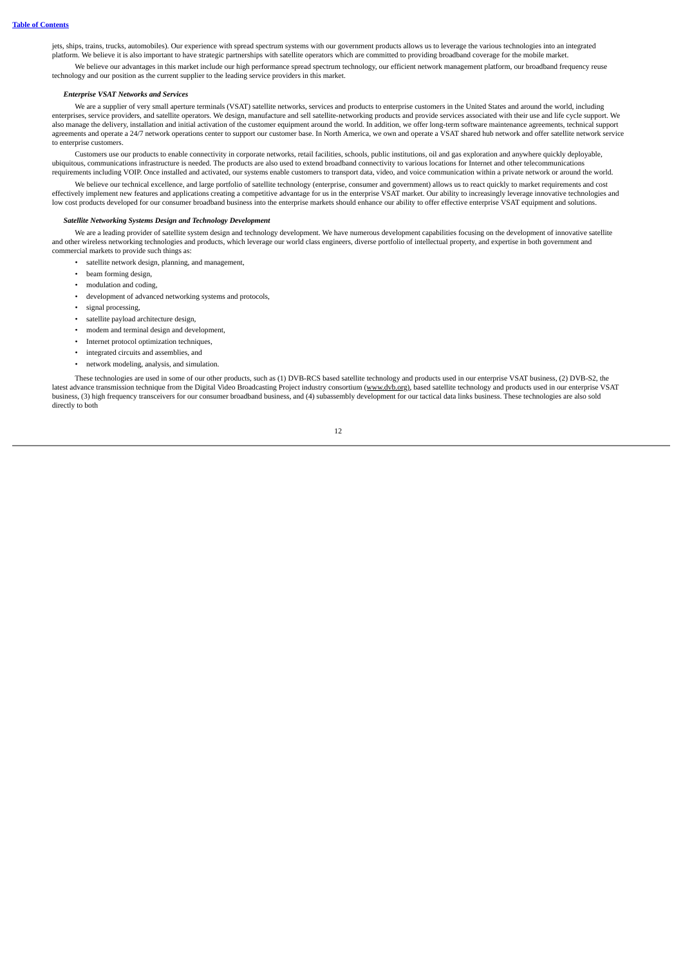jets, ships, trains, trucks, automobiles). Our experience with spread spectrum systems with our government products allows us to leverage the various technologies into an integrated<br>platform. We believe it is also importan

We believe our advantages in this market include our high performance spread spectrum technology, our efficient network management platform, our broadband frequency reuse technology and our position as the current supplier to the leading service providers in this market.

## *Enterprise VSAT Networks and Services*

We are a supplier of very small aperture terminals (VSAT) satellite networks, services and products to enterprise customers in the United States and around the world, including enterprises, service providers, and satellite operators. We design, manufacture and sell satellite-networking products and provide services associated with their use and life cycle support. We also manage the delivery, installation and initial activation of the customer equipment around the world. In addition, we offer long-term software maintenance agreements, technical support<br>agreements and operate a 24/7 net to enterprise customers.

Customers use our products to enable connectivity in corporate networks, retail facilities, schools, public institutions, oil and gas exploration and anywhere quickly deployable, ubiquitous, communications infrastructure is needed. The products are also used to extend broadband connectivity to various locations for Internet and other telecommunications requirements including VOIP. Once installed and activated, our systems enable customers to transport data, video, and voice communication within a private network or around the world.

We believe our technical excellence, and large portfolio of satellite technology (enterprise, consumer and government) allows us to react quickly to market requirements and cost effectively implement new features and applications creating a competitive advantage for us in the enterprise VSAT market. Our ability to increasingly leverage innovative technologies and low cost products developed for our consumer broadband business into the enterprise markets should enhance our ability to offer effective enterprise VSAT equipment and solutions.

## *Satellite Networking Systems Design and Technology Development*

We are a leading provider of satellite system design and technology development. We have numerous development capabilities focusing on the development of innovative satellite and other wireless networking technologies and products, which leverage our world class engineers, diverse portfolio of intellectual property, and expertise in both government and commercial markets to provide such things as:

- satellite network design, planning, and management,
- beam forming design,
- modulation and coding,
- development of advanced networking systems and protocols,
- signal processing,
- satellite payload architecture design,
- modem and terminal design and development,
- Internet protocol optimization techniques,
- integrated circuits and assemblies, and
- network modeling, analysis, and simulation.

These technologies are used in some of our other products, such as (1) DVB-RCS based satellite technology and products used in our enterprise VSAT business, (2) DVB-S2, the latest advance transmission technique from the Digital Video Broadcasting Project industry consortium (www.dvb.org), based satellite technology and products used in our enterprise VSAT business, (3) high frequency transceivers for our consumer broadband business, and (4) subassembly development for our tactical data links business. These technologies are also sold directly to both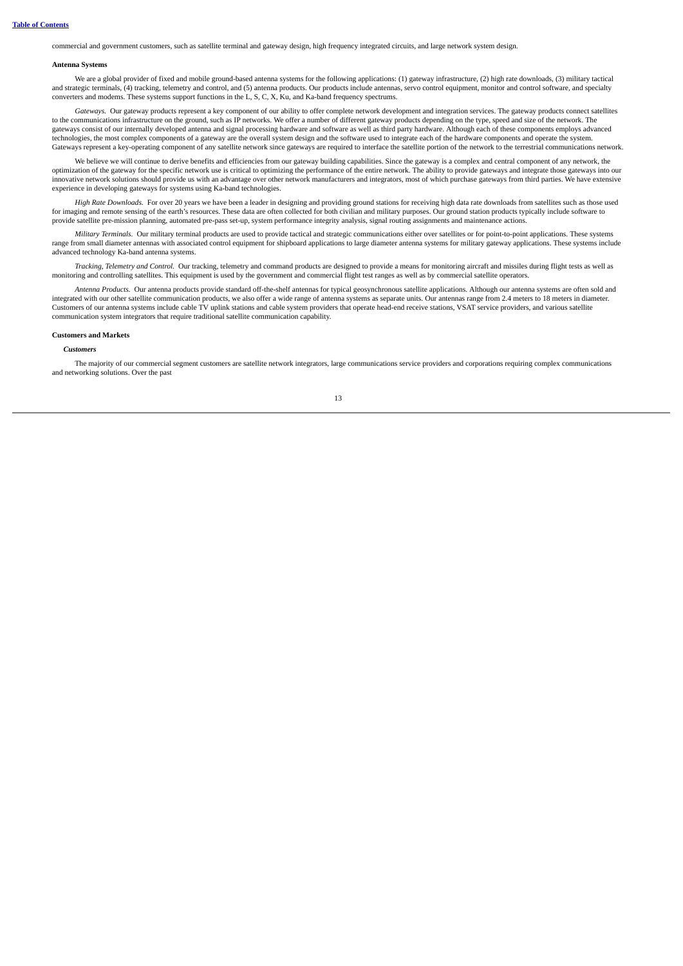commercial and government customers, such as satellite terminal and gateway design, high frequency integrated circuits, and large network system design.

#### **Antenna Systems**

We are a global provider of fixed and mobile ground-based antenna systems for the following applications: (1) gateway infrastructure, (2) high rate downloads, (3) military tactical and strategic terminals, (4) tracking, telemetry and control, and (5) antenna products. Our products include antennas, servo control equipment, monitor and control software, and specialty converters and modems. These systems support functions in the L, S, C, X, Ku, and Ka-band frequency spectrums.

*Gateways.* Our gateway products represent a key component of our ability to offer complete network development and integration services. The gateway products connect satellites to the communications infrastructure on the ground, such as IP networks. We offer a number of different gateway products depending on the type, speed and size of the network. The gateways consist of our internally developed antenna and signal processing hardware and software as well as third party hardware. Although each of these components employs advanced technologies, the most complex components of a gateway are the overall system design and the software used to integrate each of the hardware components and operate the system. Gateways represent a key-operating component of any satellite network since gateways are required to interface the satellite portion of the network to the terrestrial communications network.

We believe we will continue to derive benefits and efficiencies from our gateway building capabilities. Since the gateway is a complex and central component of any network, the optimization of the gateway for the specific network use is critical to optimizing the performance of the entire network. The ability to provide gateways and integrate those gateways into our innovative network solutions should provide us with an advantage over other network manufacturers and integrators, most of which purchase gateways from third parties. We have extensive experience in developing gateways for systems using Ka-band technologies.

*High Rate Downloads.* For over 20 years we have been a leader in designing and providing ground stations for receiving high data rate downloads from satellites such as those used for imaging and remote sensing of the earth's resources. These data are often collected for both civilian and military purposes. Our ground station products typically include software to provide satellite pre-mission planning, automated pre-pass set-up, system performance integrity analysis, signal routing assignments and maintenance actions.

*Military Terminals.* Our military terminal products are used to provide tactical and strategic communications either over satellites or for point-to-point applications. These systems range from small diameter antennas with associated control equipment for shipboard applications to large diameter antenna systems for military gateway applications. These systems include advanced technology Ka-band antenna systems.

*Tracking, Telemetry and Control.* Our tracking, telemetry and command products are designed to provide a means for monitoring aircraft and missiles during flight tests as well as monitoring and controlling satellites. This equipment is used by the government and commercial flight test ranges as well as by commercial satellite operators.

*Antenna Products.* Our antenna products provide standard off-the-shelf antennas for typical geosynchronous satellite applications. Although our antenna systems are often sold and integrated with our other satellite communication products, we also offer a wide range of antenna systems as separate units. Our antennas range from 2.4 meters to 18 meters in diameter. Customers of our antenna systems include cable TV uplink stations and cable system providers that operate head-end receive stations, VSAT service providers, and various satellite communication system integrators that require traditional satellite communication capability.

### **Customers and Markets**

## *Customers*

The majority of our commercial segment customers are satellite network integrators, large communications service providers and corporations requiring complex communications and networking solutions. Over the past

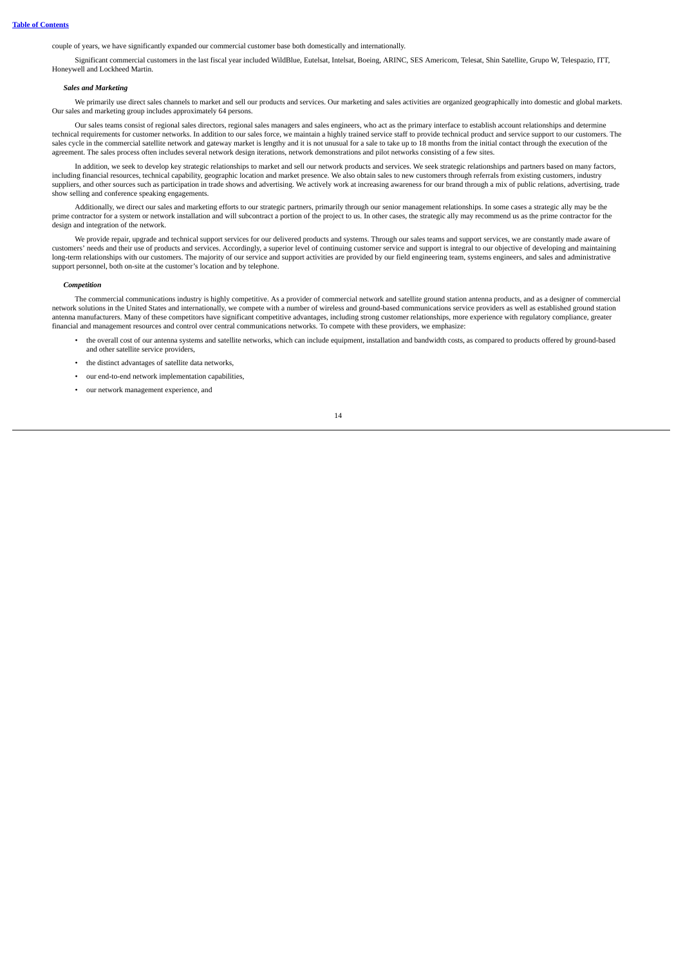couple of years, we have significantly expanded our commercial customer base both domestically and internationally.

Significant commercial customers in the last fiscal year included WildBlue, Eutelsat, Intelsat, Boeing, ARINC, SES Americom, Telesat, Shin Satellite, Grupo W, Telespazio, ITT, Honeywell and Lockheed Martin.

#### *Sales and Marketing*

We primarily use direct sales channels to market and sell our products and services. Our marketing and sales activities are organized geographically into domestic and global markets. Our sales and marketing group includes approximately 64 persons.

Our sales teams consist of regional sales directors, regional sales managers and sales engineers, who act as the primary interface to establish account relationships and determine technical requirements for customer networks. In addition to our sales force, we maintain a highly trained service staff to provide technical product and service support to our customers. The sales cycle in the commercial satellite network and gateway market is lengthy and it is not unusual for a sale to take up to 18 months from the initial contact through the execution of the agreement. The sales process often includes several network design iterations, network demonstrations and pilot networks consisting of a few sites.

In addition, we seek to develop key strategic relationships to market and sell our network products and services. We seek strategic relationships and partners based on many factors, including financial resources, technical capability, geographic location and market presence. We also obtain sales to new customers through referrals from existing customers, industry<br>suppliers, and other sources such as p show selling and conference speaking engagements.

Additionally, we direct our sales and marketing efforts to our strategic partners, primarily through our senior management relationships. In some cases a strategic ally may be the prime contractor for a system or network installation and will subcontract a portion of the project to us. In other cases, the strategic ally may recommend us as the prime contractor for the design and integration of the network.

We provide repair, upgrade and technical support services for our delivered products and systems. Through our sales teams and support services, we are constantly made aware of customers' needs and their use of products and services. Accordingly, a superior level of continuing customer service and support is integral to our objective of developing and maintaining long-term relationships with our customers. The majority of our service and support activities are provided by our field engineering team, systems engineers, and sales and administrative support personnel, both on-site at the customer's location and by telephone.

#### *Competition*

The commercial communications industry is highly competitive. As a provider of commercial network and satellite ground station antenna products, and as a designer of commercial network solutions in the United States and internationally, we compete with a number of wireless and ground-based communications service providers as well as established ground station antenna manufacturers. Many of these competitors have significant competitive advantages, including strong customer relationships, more experience with regulatory compliance, greater financial and management resources and control over central communications networks. To compete with these providers, we emphasize:

- the overall cost of our antenna systems and satellite networks, which can include equipment, installation and bandwidth costs, as compared to products offered by ground-based and other satellite service providers,
- the distinct advantages of satellite data networks,
- our end-to-end network implementation capabilities,
- our network management experience, and

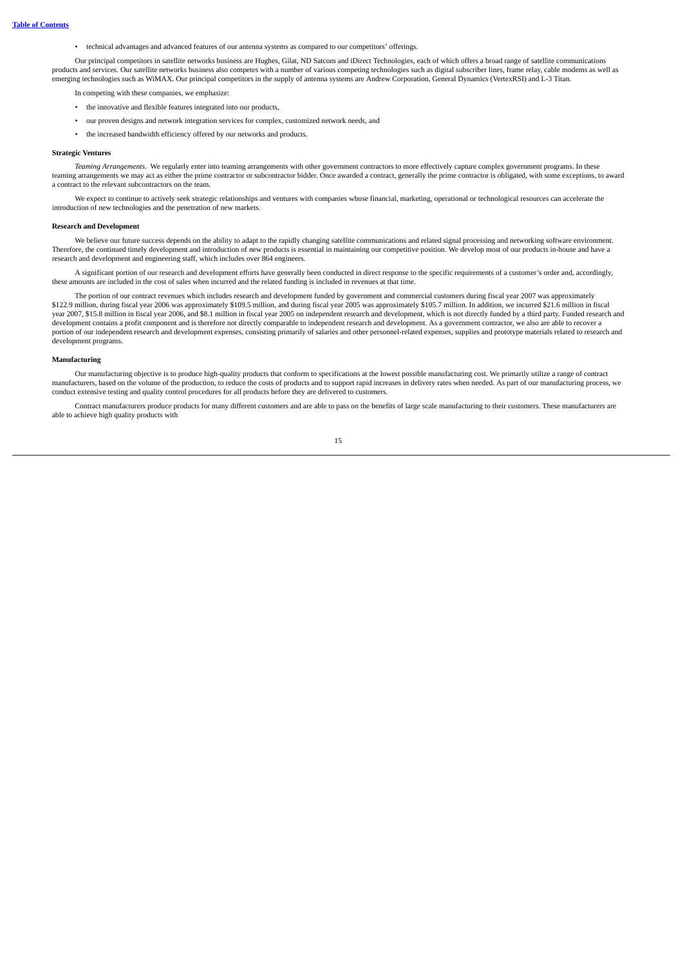• technical advantages and advanced features of our antenna systems as compared to our competitors' offerings.

Our principal competitors in satellite networks business are Hughes, Gilat, ND Satcom and iDirect Technologies, each of which offers a broad range of satellite communications products and services. Our satellite networks business also competes with a number of various competing technologies such as digital subscriber lines, frame relay, cable modems as well as emerging technologies such as WiMAX. Our principal competitors in the supply of antenna systems are Andrew Corporation, General Dynamics (VertexRSI) and L-3 Titan.

In competing with these companies, we emphasize:

- the innovative and flexible features integrated into our products,
- our proven designs and network integration services for complex, customized network needs, and
- the increased bandwidth efficiency offered by our networks and products.

#### **Strategic Ventures**

*Teaming Arrangements.* We regularly enter into teaming arrangements with other government contractors to more effectively capture complex government programs. In these teaming arrangements we may act as either the prime contractor or subcontractor bidder. Once awarded a contract, generally the prime contractor is obligated, with some exceptions, to award a contract to the relevant subcontractors on the team.

We expect to continue to actively seek strategic relationships and ventures with companies whose financial, marketing, operational or technological resources can accelerate the introduction of new technologies and the penetration of new markets.

#### **Research and Development**

We believe our future success depends on the ability to adapt to the rapidly changing satellite communications and related signal processing and networking software environment. Therefore, the continued timely development and introduction of new products is essential in maintaining our competitive position. We develop most of our products in-house and have a research and development and engineering staff, which includes over 864 engineers.

A significant portion of our research and development efforts have generally been conducted in direct response to the specific requirements of a customer's order and, accordingly, these amounts are included in the cost of sales when incurred and the related funding is included in revenues at that time.

The portion of our contract revenues which includes research and development funded by government and commercial customers during fiscal year 2007 was approximately \$122.9 million, during fiscal year 2006 was approximately \$109.5 million, and during fiscal year 2005 was approximately \$105.7 million. In addition, we incurred \$21.6 million in fiscal year 2007, \$15.8 million in fiscal year 2006, and \$8.1 million in fiscal year 2005 on independent research and development, which is not directly funded by a third party. Funded research and<br>development contains a profit c portion of our independent research and development expenses, consisting primarily of salaries and other personnel-related expenses, supplies and prototype materials related to research and development programs.

#### **Manufacturing**

Our manufacturing objective is to produce high-quality products that conform to specifications at the lowest possible manufacturing cost. We primarily utilize a range of contract manufacturers, based on the volume of the production, to reduce the costs of products and to support rapid increases in delivery rates when needed. As part of our manufacturing process, we conduct extensive testing and quality control procedures for all products before they are delivered to customers.

Contract manufacturers produce products for many different customers and are able to pass on the benefits of large scale manufacturing to their customers. These manufacturers are able to achieve high quality products with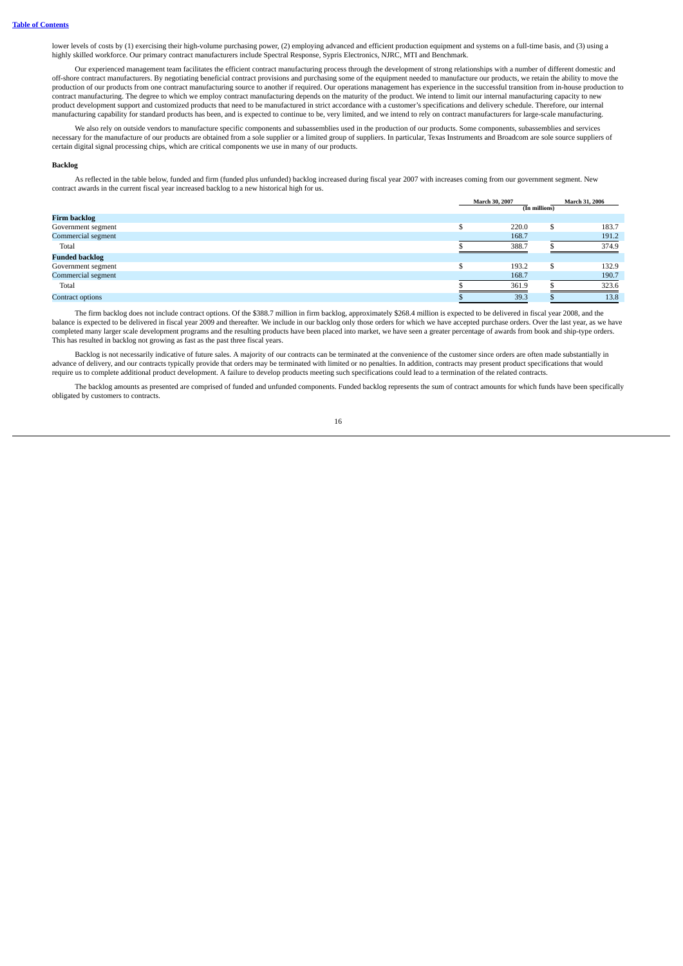lower levels of costs by (1) exercising their high-volume purchasing power, (2) employing advanced and efficient production equipment and systems on a full-time basis, and (3) using a<br>highly skilled workforce. Our primary

Our experienced management team facilitates the efficient contract manufacturing process through the development of strong relationships with a number of different domestic and off-shore contract manufacturers. By negotiating beneficial contract provisions and purchasing some of the equipment needed to manufacture our products, we retain the ability to move the production of our products from one contract manufacturing source to another if required. Our operations management has experience in the successful transition from in-house production to contract manufacturing. The degree to which we employ contract manufacturing depends on the maturity of the product. We intend to limit our internal manufacturing capacity to new product development support and customized products that need to be manufactured in strict accordance with a customer's specifications and delivery schedule. Therefore, our internal manufacturing capability for standard products has been, and is expected to continue to be, very limited, and we intend to rely on contract manufacturers for large-scale manufacturing.

We also rely on outside vendors to manufacture specific components and subassemblies used in the production of our products. Some components, subassemblies and services necessary for the manufacture of our products are obtained from a sole supplier or a limited group of suppliers. In particular, Texas Instruments and Broadcom are sole source suppliers of certain digital signal processing chips, which are critical components we use in many of our products.

#### **Backlog**

As reflected in the table below, funded and firm (funded plus unfunded) backlog increased during fiscal year 2007 with increases coming from our government segment. New contract awards in the current fiscal year increased backlog to a new historical high for us.

|                       | <b>March 30, 2007</b><br>$(n$ millions) |       |        | <b>March 31, 2006</b> |  |  |
|-----------------------|-----------------------------------------|-------|--------|-----------------------|--|--|
|                       |                                         |       |        |                       |  |  |
| Firm backlog          |                                         |       |        |                       |  |  |
| Government segment    |                                         | 220.0 | - 0    | 183.7                 |  |  |
| Commercial segment    |                                         | 168.7 |        | 191.2                 |  |  |
| Total                 |                                         | 388.7 |        | 374.9                 |  |  |
| <b>Funded backlog</b> |                                         |       |        |                       |  |  |
| Government segment    | œ                                       | 193.2 | ¢<br>æ | 132.9                 |  |  |
| Commercial segment    |                                         | 168.7 |        | 190.7                 |  |  |
| Total                 |                                         | 361.9 |        | 323.6                 |  |  |
| Contract options      |                                         | 39.3  |        | 13.8                  |  |  |

The firm backlog does not include contract options. Of the \$388.7 million in firm backlog, approximately \$268.4 million is expected to be delivered in fiscal year 2008, and the balance is expected to be delivered in fiscal year 2009 and thereafter. We include in our backlog only those orders for which we have accepted purchase orders. Over the last year, as we have completed many larger scale development programs and the resulting products have been placed into market, we have seen a greater percentage of awards from book and ship-type orders. This has resulted in backlog not growing as fast as the past three fiscal years.

Backlog is not necessarily indicative of future sales. A majority of our contracts can be terminated at the convenience of the customer since orders are often made substantially in advance of delivery, and our contracts typically provide that orders may be terminated with limited or no penalties. In addition, contracts may present product specifications that would require us to complete additional product development. A failure to develop products meeting such specifications could lead to a termination of the related contracts.

The backlog amounts as presented are comprised of funded and unfunded components. Funded backlog represents the sum of contract amounts for which funds have been specifically obligated by customers to contracts.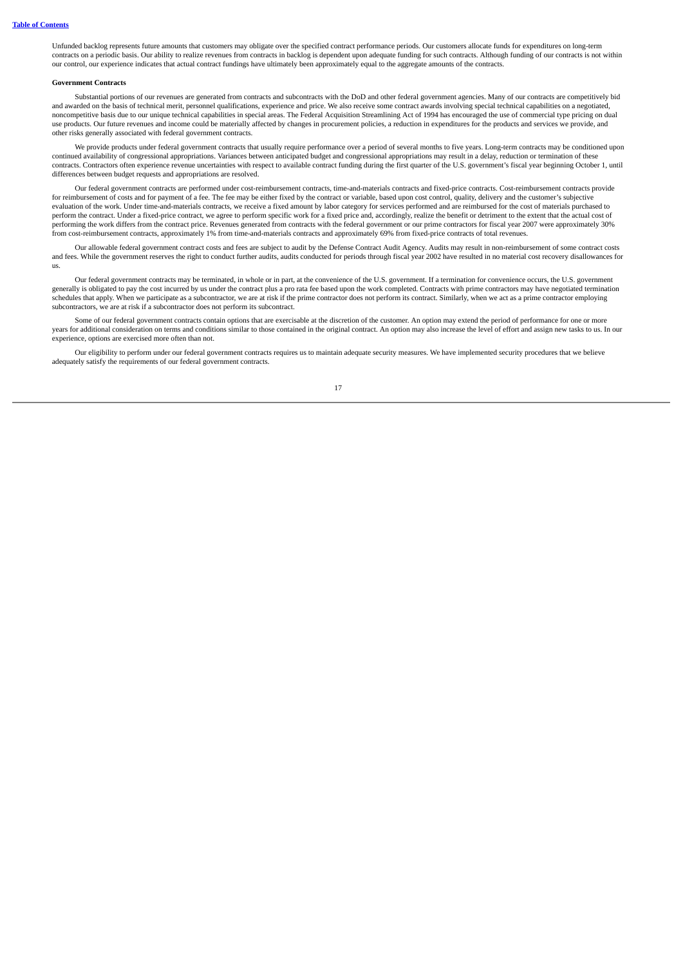Unfunded backlog represents future amounts that customers may obligate over the specified contract performance periods. Our customers allocate funds for expenditures on long-term contracts on a periodic basis. Our ability to realize revenues from contracts in backlog is dependent upon adequate funding for such contracts. Although funding of our contracts is not within our control, our experience indicates that actual contract fundings have ultimately been approximately equal to the aggregate amounts of the contracts.

#### **Government Contracts**

Substantial portions of our revenues are generated from contracts and subcontracts with the DoD and other federal government agencies. Many of our contracts are competitively bid and awarded on the basis of technical merit, personnel qualifications, experience and price. We also receive some contract awards involving special technical capabilities on a negotiated, noncompetitive basis due to our unique technical capabilities in special areas. The Federal Acquisition Streamlining Act of 1994 has encouraged the use of commercial type pricing on dual use products. Our future revenues and income could be materially affected by changes in procurement policies, a reduction in expenditures for the products and services we provide, and other risks generally associated with federal government contracts.

We provide products under federal government contracts that usually require performance over a period of several months to five years. Long-term contracts may be conditioned upon continued availability of congressional appropriations. Variances between anticipated budget and congressional appropriations may result in a delay, reduction or termination of these contracts. Contractors often experience revenue uncertainties with respect to available contract funding during the first quarter of the U.S. government's fiscal year beginning October 1, until differences between budget requests and appropriations are resolved.

Our federal government contracts are performed under cost-reimbursement contracts, time-and-materials contracts and fixed-price contracts. Cost-reimbursement contracts provide for reimbursement of costs and for payment of a fee. The fee may be either fixed by the contract or variable, based upon cost control, quality, delivery and the customer's subjective evaluation of the work. Under time-and-materials contracts, we receive a fixed amount by labor category for services performed and are reimbursed for the cost of materials purchased to perform the contract. Under a fixed-price contract, we agree to perform specific work for a fixed price and, accordingly, realize the benefit or detriment to the extent that the actual cost of performing the work differs from the contract price. Revenues generated from contracts with the federal government or our prime contractors for fiscal year 2007 were approximately 30% from cost-reimbursement contracts, approximately 1% from time-and-materials contracts and approximately 69% from fixed-price contracts of total revenues.

Our allowable federal government contract costs and fees are subject to audit by the Defense Contract Audit Agency. Audits may result in non-reimbursement of some contract costs and fees. While the government reserves the right to conduct further audits, audits conducted for periods through fiscal year 2002 have resulted in no material cost recovery disallowances for us.

Our federal government contracts may be terminated, in whole or in part, at the convenience of the U.S. government. If a termination for convenience occurs, the U.S. government generally is obligated to pay the cost incurred by us under the contract plus a pro rata fee based upon the work completed. Contracts with prime contractors may have negotiated termination schedules that apply. When we participate as a subcontractor, we are at risk if the prime contractor does not perform its contract. Similarly, when we act as a prime contractor employing subcontractors, we are at risk if a subcontractor does not perform its subcontract.

Some of our federal government contracts contain options that are exercisable at the discretion of the customer. An option may extend the period of performance for one or more years for additional consideration on terms and conditions similar to those contained in the original contract. An option may also increase the level of effort and assign new tasks to us. In our experience, options are exercised more often than not.

Our eligibility to perform under our federal government contracts requires us to maintain adequate security measures. We have implemented security procedures that we believe adequately satisfy the requirements of our federal government contracts.

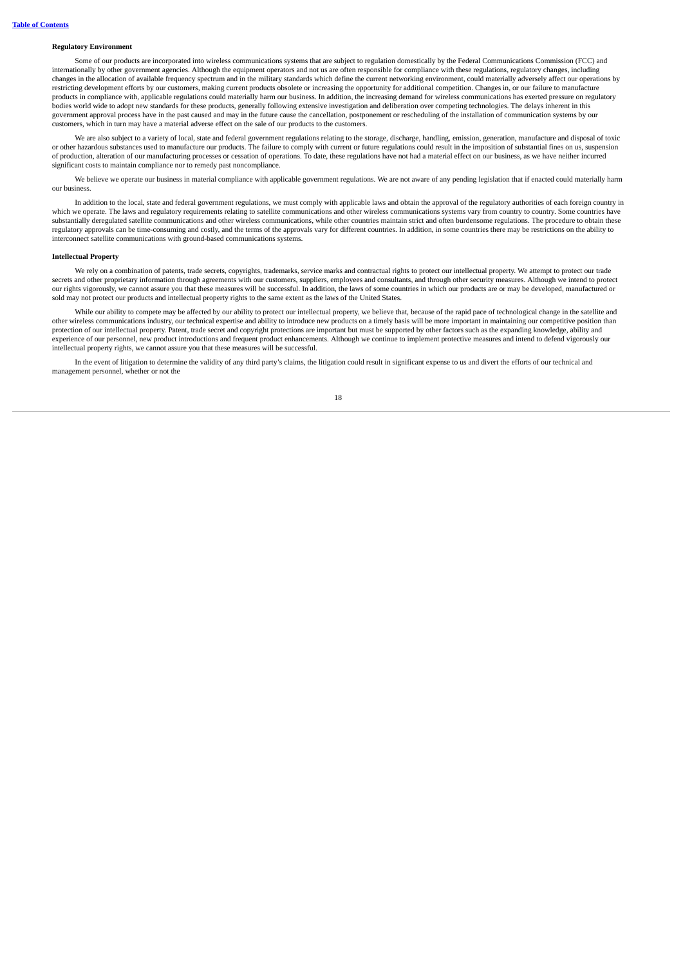#### **Regulatory Environment**

Some of our products are incorporated into wireless communications systems that are subject to regulation domestically by the Federal Communications Commission (FCC) and internationally by other government agencies. Although the equipment operators and not us are often responsible for compliance with these regulations, regulatory changes, including changes in the allocation of available frequency spectrum and in the military standards which define the current networking environment, could materially adversely affect our operations by restricting development efforts by our customers, making current products obsolete or increasing the opportunity for additional competition. Changes in, or our failure to manufacture products in compliance with, applicable regulations could materially harm our business. In addition, the increasing demand for wireless communications has exerted pressure on regulatory bodies world wide to adopt new standards for these products, generally following extensive investigation and deliberation over competing technologies. The delays inherent in this government approval process have in the past caused and may in the future cause the cancellation, postponement or rescheduling of the installation of communication systems by our customers, which in turn may have a material adverse effect on the sale of our products to the customers.

We are also subject to a variety of local, state and federal government regulations relating to the storage, discharge, handling, emission, generation, manufacture and disposal of toxic or other hazardous substances used to manufacture our products. The failure to comply with current or future regulations could result in the imposition of substantial fines on us, suspension of production, alteration of our manufacturing processes or cessation of operations. To date, these regulations have not had a material effect on our business, as we have neither incurred significant costs to maintain compliance nor to remedy past noncompliance.

We believe we operate our business in material compliance with applicable government regulations. We are not aware of any pending legislation that if enacted could materially harm our business.

In addition to the local, state and federal government regulations, we must comply with applicable laws and obtain the approval of the regulatory authorities of each foreign country in which we operate. The laws and regulatory requirements relating to satellite communications and other wireless communications systems vary from country to country. Some countries have substantially deregulated satellite communications and other wireless communications, while other countries maintain strict and often burdensome regulations. The procedure to obtain these regulatory approvals can be time-consuming and costly, and the terms of the approvals vary for different countries. In addition, in some countries there may be restrictions on the ability to interconnect satellite communications with ground-based communications systems.

### **Intellectual Property**

We rely on a combination of patents, trade secrets, copyrights, trademarks, service marks and contractual rights to protect our intellectual property. We attempt to protect our trade secrets and other proprietary information through agreements with our customers, suppliers, employees and consultants, and through other security measures. Although we intend to protect our rights vigorously, we cannot assure you that these measures will be successful. In addition, the laws of some countries in which our products are or may be developed, manufactured or sold may not protect our products and intellectual property rights to the same extent as the laws of the United States.

While our ability to compete may be affected by our ability to protect our intellectual property, we believe that, because of the rapid pace of technological change in the satellite and other wireless communications industry, our technical expertise and ability to introduce new products on a timely basis will be more important in maintaining our competitive position than protection of our intellectual property. Patent, trade secret and copyright protections are important but must be supported by other factors such as the expanding knowledge, ability and experience of our personnel, new product introductions and frequent product enhancements. Although we continue to implement protective measures and intend to defend vigorously our intellectual property rights, we cannot assure you that these measures will be successful.

In the event of litigation to determine the validity of any third party's claims, the litigation could result in significant expense to us and divert the efforts of our technical and management personnel, whether or not the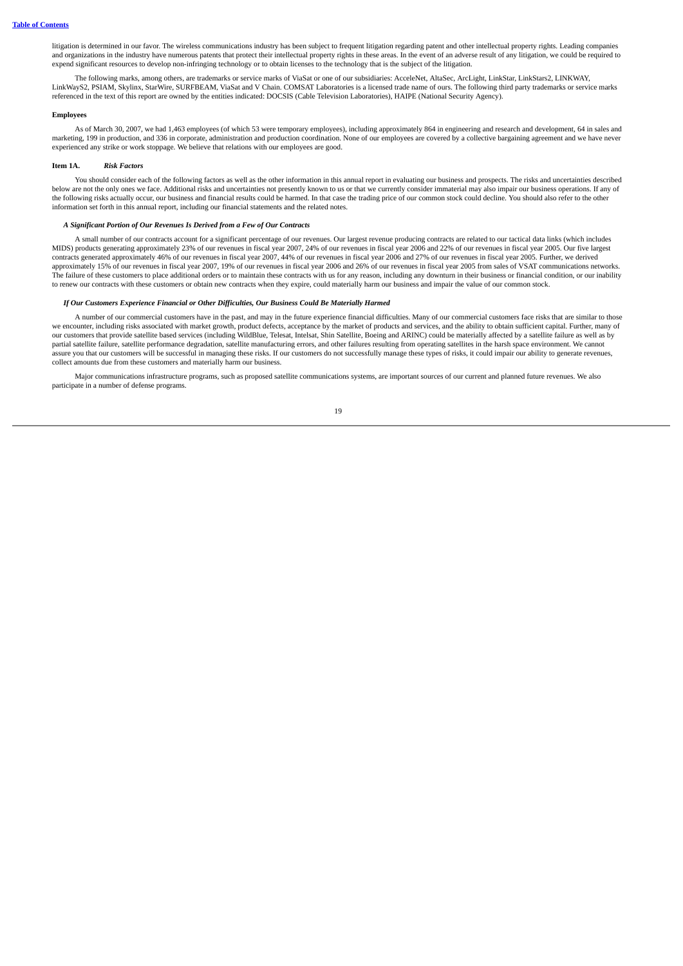litigation is determined in our favor. The wireless communications industry has been subject to frequent litigation regarding patent and other intellectual property rights. Leading companies and organizations in the industry have numerous patents that protect their intellectual property rights in these areas. In the event of an adverse result of any litigation, we could be required to expend significant resources to develop non-infringing technology or to obtain licenses to the technology that is the subject of the litigation.

The following marks, among others, are trademarks or service marks of ViaSat or one of our subsidiaries: AcceleNet, AltaSec, ArcLight, LinkStar, LinkStars2, LINKWAY, LinkWayS2, PSIAM, Skylinx, StarWire, SURFBEAM, ViaSat and V Chain. COMSAT Laboratories is a licensed trade name of ours. The following third party trademarks or service marks referenced in the text of this report are owned by the entities indicated: DOCSIS (Cable Television Laboratories), HAIPE (National Security Agency).

## **Employees**

As of March 30, 2007, we had 1,463 employees (of which 53 were temporary employees), including approximately 864 in engineering and research and development, 64 in sales and marketing, 199 in production, and 336 in corporate, administration and production coordination. None of our employees are covered by a collective bargaining agreement and we have never experienced any strike or work stoppage. We believe that relations with our employees are good.

#### <span id="page-19-0"></span>**Item 1A.** *Risk Factors*

You should consider each of the following factors as well as the other information in this annual report in evaluating our business and prospects. The risks and uncertainties described below are not the only ones we face. Additional risks and uncertainties not presently known to us or that we currently consider immaterial may also impair our business operations. If any of the following risks actually occur, our business and financial results could be harmed. In that case the trading price of our common stock could decline. You should also refer to the other information set forth in this annual report, including our financial statements and the related notes.

## *A Significant Portion of Our Revenues Is Derived from a Few of Our Contracts*

A small number of our contracts account for a significant percentage of our revenues. Our largest revenue producing contracts are related to our tactical data links (which includes MIDS) products generating approximately 23% of our revenues in fiscal year 2007, 24% of our revenues in fiscal year 2006 and 22% of our revenues in fiscal year 2005. Our five largest contracts generated approximately 46% of our revenues in fiscal year 2007, 44% of our revenues in fiscal year 2006 and 27% of our revenues in fiscal year 2005. Further, we derived approximately 15% of our revenues in fiscal year 2007, 19% of our revenues in fiscal year 2006 and 26% of our revenues in fiscal year 2005 from sales of VSAT communications networks. The failure of these customers to place additional orders or to maintain these contracts with us for any reason, including any downturn in their business or financial condition, or our inability to renew our contracts with these customers or obtain new contracts when they expire, could materially harm our business and impair the value of our common stock.

## *If Our Customers Experience Financial or Other Difficulties, Our Business Could Be Materially Harmed*

A number of our commercial customers have in the past, and may in the future experience financial difficulties. Many of our commercial customers face risks that are similar to those we encounter, including risks associated with market growth, product defects, acceptance by the market of products and services, and the ability to obtain sufficient capital. Further, many of our customers that provide satellite based services (including WildBlue, Telesat, Intelsat, Shin Satellite, Boeing and ARINC) could be materially affected by a satellite failure as well as by partial satellite failure, satellite performance degradation, satellite manufacturing errors, and other failures resulting from operating satellites in the harsh space environment. We cannot assure you that our customers will be successful in managing these risks. If our customers do not successfully manage these types of risks, it could impair our ability to generate revenues, collect amounts due from these customers and materially harm our business.

Major communications infrastructure programs, such as proposed satellite communications systems, are important sources of our current and planned future revenues. We also participate in a number of defense programs.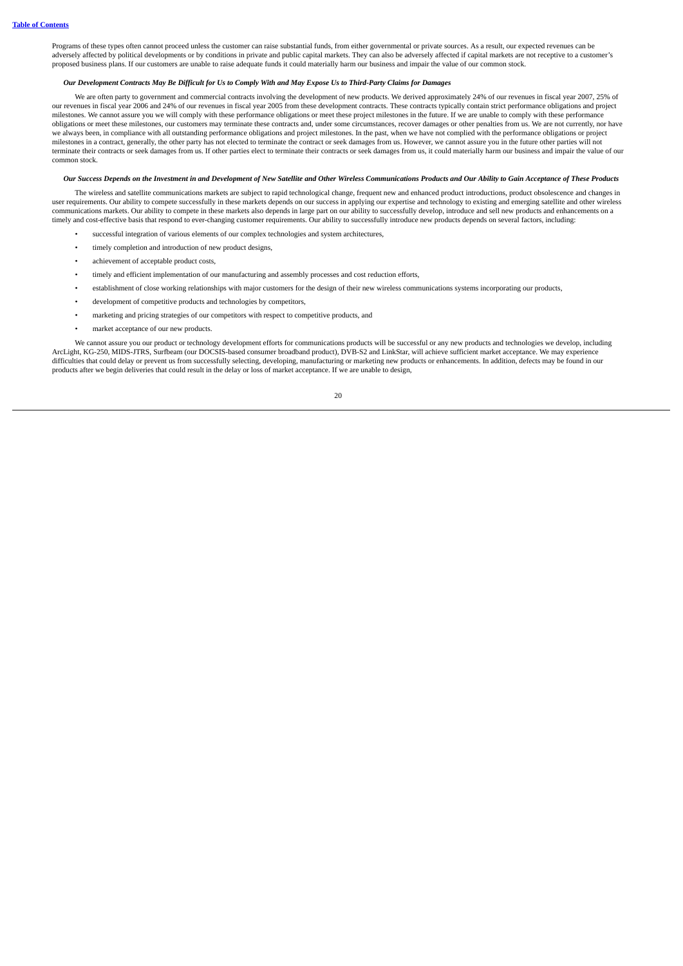Programs of these types often cannot proceed unless the customer can raise substantial funds, from either governmental or private sources. As a result, our expected revenues can be adversely affected by political developments or by conditions in private and public capital markets. They can also be adversely affected if capital markets are not receptive to a customer's proposed business plans. If our customers are unable to raise adequate funds it could materially harm our business and impair the value of our common stock.

## Our Development Contracts May Be Difficult for Us to Comply With and May Expose Us to Third-Party Claims for Damages

We are often party to government and commercial contracts involving the development of new products. We derived approximately 24% of our revenues in fiscal year 2007, 25% of our revenues in fiscal year 2006 and 24% of our revenues in fiscal year 2005 from these development contracts. These contracts typically contain strict performance obligations and project milestones. We cannot assure you we will comply with these performance obligations or meet these project milestones in the future. If we are unable to comply with these performance obligations or meet these milestones, our customers may terminate these contracts and, under some circumstances, recover damages or other penalties from us. We are not currently, nor have<br>we always been, in compliance with milestones in a contract, generally, the other party has not elected to terminate the contract or seek damages from us. However, we cannot assure you in the future other parties will not terminate their contracts or seek damages from us. If other parties elect to terminate their contracts or seek damages from us, it could materially harm our business and impair the value of our common stock.

#### Our Success Depends on the Investment in and Development of New Satellite and Other Wireless Communications Products and Our Ability to Gain Acceptance of These Products

The wireless and satellite communications markets are subject to rapid technological change, frequent new and enhanced product introductions, product obsolescence and changes in user requirements. Our ability to compete successfully in these markets depends on our success in applying our expertise and technology to existing and emerging satellite and other wireless communications markets. Our ability to compete in these markets also depends in large part on our ability to successfully develop, introduce and sell new products and enhancements on a timely and cost-effective basis that respond to ever-changing customer requirements. Our ability to successfully introduce new products depends on several factors, including:

- successful integration of various elements of our complex technologies and system architectures,
- timely completion and introduction of new product designs,
- achievement of acceptable product costs,
- timely and efficient implementation of our manufacturing and assembly processes and cost reduction efforts,
- establishment of close working relationships with major customers for the design of their new wireless communications systems incorporating our products,
- development of competitive products and technologies by competitors,
- marketing and pricing strategies of our competitors with respect to competitive products, and
- market acceptance of our new products.

We cannot assure you our product or technology development efforts for communications products will be successful or any new products and technologies we develop, including ArcLight, KG-250, MIDS-JTRS, Surfbeam (our DOCSIS-based consumer broadband product), DVB-S2 and LinkStar, will achieve sufficient market acceptance. We may experience difficulties that could delay or prevent us from successfully selecting, developing, manufacturing or marketing new products or enhancements. In addition, defects may be found in our products after we begin deliveries that could result in the delay or loss of market acceptance. If we are unable to design,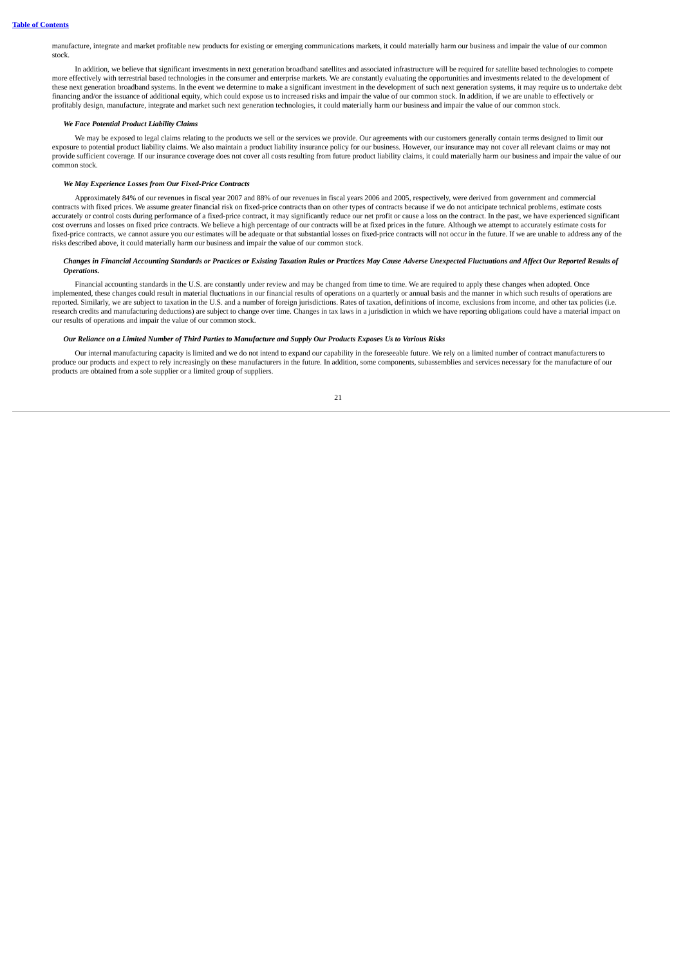manufacture, integrate and market profitable new products for existing or emerging communications markets, it could materially harm our business and impair the value of our common stock.

In addition, we believe that significant investments in next generation broadband satellites and associated infrastructure will be required for satellite based technologies to compete more effectively with terrestrial based technologies in the consumer and enterprise markets. We are constantly evaluating the opportunities and investments related to the development of these next generation broadband systems. In the event we determine to make a significant investment in the development of such next generation systems, it may require us to undertake debt financing and/or the issuance of additional equity, which could expose us to increased risks and impair the value of our common stock. In addition, if we are unable to effectively or profitably design, manufacture, integrate and market such next generation technologies, it could materially harm our business and impair the value of our common stock.

#### *We Face Potential Product Liability Claims*

We may be exposed to legal claims relating to the products we sell or the services we provide. Our agreements with our customers generally contain terms designed to limit our exposure to potential product liability claims. We also maintain a product liability insurance policy for our business. However, our insurance may not cover all relevant claims or may not provide sufficient coverage. If our insurance coverage does not cover all costs resulting from future product liability claims, it could materially harm our business and impair the value of our common stock.

## *We May Experience Losses from Our Fixed-Price Contracts*

Approximately 84% of our revenues in fiscal year 2007 and 88% of our revenues in fiscal years 2006 and 2005, respectively, were derived from government and commercial contracts with fixed prices. We assume greater financial risk on fixed-price contracts than on other types of contracts because if we do not anticipate technical problems, estimate costs accurately or control costs during performance of a fixed-price contract, it may significantly reduce our net profit or cause a loss on the contract. In the past, we have experienced significant cost overruns and losses on fixed price contracts. We believe a high percentage of our contracts will be at fixed prices in the future. Although we attempt to accurately estimate costs for fixed-price contracts, we cannot assure you our estimates will be adequate or that substantial losses on fixed-price contracts will not occur in the future. If we are unable to address any of the risks described above, it could materially harm our business and impair the value of our common stock.

## Changes in Financial Accounting Standards or Practices or Existing Taxation Rules or Practices May Cause Adverse Unexpected Fluctuations and Affect Our Reported Results of *Operations.*

Financial accounting standards in the U.S. are constantly under review and may be changed from time to time. We are required to apply these changes when adopted. Once<br>implemented, these changes could result in material flu reported. Similarly, we are subject to taxation in the U.S. and a number of foreign jurisdictions. Rates of taxation, definitions of income, exclusions from income, and other tax policies (i.e. research credits and manufacturing deductions) are subject to change over time. Changes in tax laws in a jurisdiction in which we have reporting obligations could have a material impact on our results of operations and impair the value of our common stock.

## Our Reliance on a Limited Number of Third Parties to Manufacture and Sunnly Our Products Exposes Us to Various Risks

Our internal manufacturing capacity is limited and we do not intend to expand our capability in the foreseeable future. We rely on a limited number of contract manufacturers to produce our products and expect to rely increasingly on these manufacturers in the future. In addition, some components, subassemblies and services necessary for the manufacture of our products are obtained from a sole supplier or a limited group of suppliers.

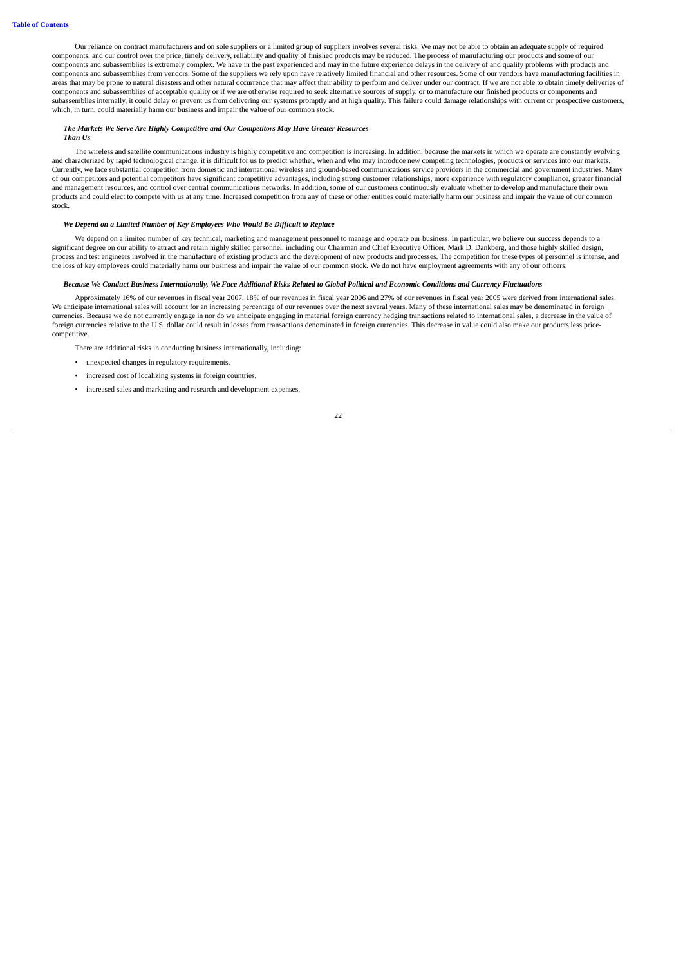Our reliance on contract manufacturers and on sole suppliers or a limited group of suppliers involves several risks. We may not be able to obtain an adequate supply of required components, and our control over the price, timely delivery, reliability and quality of finished products may be reduced. The process of manufacturing our products and some of our components and subassemblies is extremely complex. We have in the past experienced and may in the future experience delays in the delivery of and quality problems with products and components and subassemblies from vendors. Some of the suppliers we rely upon have relatively limited financial and other resources. Some of our vendors have manufacturing facilities in areas that may be prone to natural disasters and other natural occurrence that may affect their ability to perform and deliver under our contract. If we are not able to obtain timely deliveries of components and subassemblies of acceptable quality or if we are otherwise required to seek alternative sources of supply, or to manufacture our finished products or components and subassemblies internally, it could delay or prevent us from delivering our systems promptly and at high quality. This failure could damage relationships with current or prospective customers, which, in turn, could materially harm our business and impair the value of our common stock.

## *The Markets We Serve Are Highly Competitive and Our Competitors May Have Greater Resources*

*Than Us*

The wireless and satellite communications industry is highly competitive and competition is increasing. In addition, because the markets in which we operate are constantly evolving and characterized by rapid technological change, it is difficult for us to predict whether, when and who may introduce new competing technologies, products or services into our markets. Currently, we face substantial competition from domestic and international wireless and ground-based communications service providers in the commercial and government industries. Many of our competitors and potential competitors have significant competitive advantages, including strong customer relationships, more experience with regulatory compliance, greater financial<br>and management resources, and con products and could elect to compete with us at any time. Increased competition from any of these or other entities could materially harm our business and impair the value of our common stock.

## *We Depend on a Limited Number of Key Employees Who Would Be Difficult to Replace*

We depend on a limited number of key technical, marketing and management personnel to manage and operate our business. In particular, we believe our success depends to a significant degree on our ability to attract and retain highly skilled personnel, including our Chairman and Chief Executive Officer, Mark D. Dankberg, and those highly skilled design, process and test engineers involved in the manufacture of existing products and the development of new products and processes. The competition for these types of personnel is intense, and the loss of key employees could materially harm our business and impair the value of our common stock. We do not have employment agreements with any of our officers.

## Because We Conduct Business Internationally, We Face Additional Risks Related to Global Political and Economic Conditions and Currency Fluctuations

Approximately 16% of our revenues in fiscal year 2007, 18% of our revenues in fiscal year 2006 and 27% of our revenues in fiscal year 2005 were derived from international sales. We anticipate international sales will account for an increasing percentage of our revenues over the next several years. Many of these international sales may be denominated in foreign currencies. Because we do not currently engage in nor do we anticipate engaging in material foreign currency hedging transactions related to international sales, a decrease in the value of<br>foreign currencies relative to th competitive.

There are additional risks in conducting business internationally, including:

- unexpected changes in regulatory requirements,
- increased cost of localizing systems in foreign countries,
- increased sales and marketing and research and development expenses,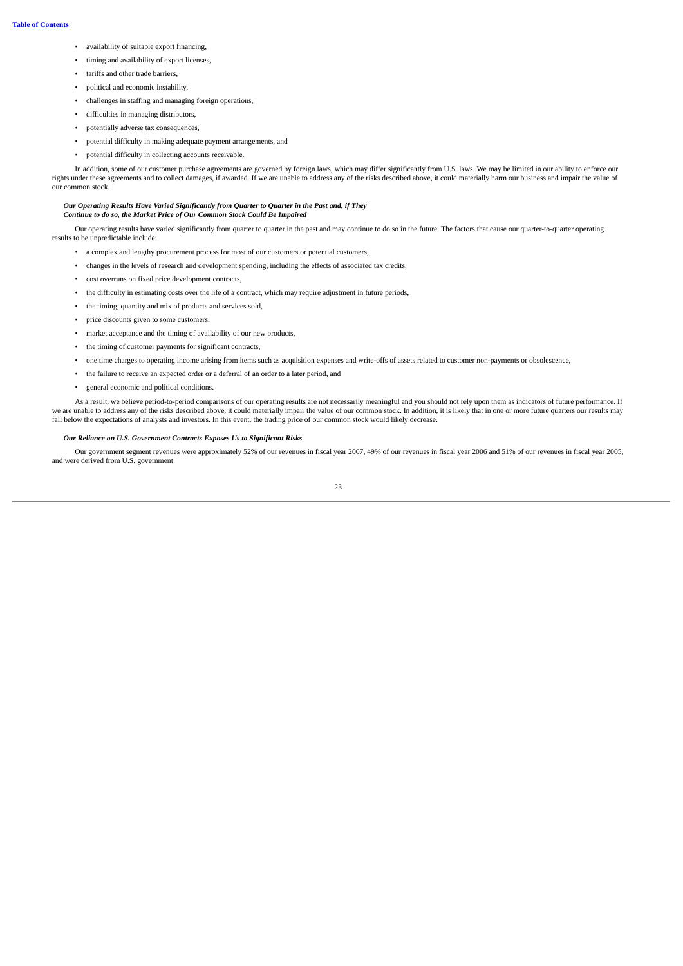- availability of suitable export financing,
- timing and availability of export licenses,
- tariffs and other trade barriers,
- political and economic instability,
- challenges in staffing and managing foreign operations,
- difficulties in managing distributors,
- potentially adverse tax consequences,
- potential difficulty in making adequate payment arrangements, and
- potential difficulty in collecting accounts receivable.

In addition, some of our customer purchase agreements are governed by foreign laws, which may differ significantly from U.S. laws. We may be limited in our ability to enforce our rights under these agreements and to collect damages, if awarded. If we are unable to address any of the risks described above, it could materially harm our business and impair the value of our common stock.

## *Our Operating Results Have Varied Significantly from Quarter to Quarter in the Past and, if They Continue to do so, the Market Price of Our Common Stock Could Be Impaired*

Our operating results have varied significantly from quarter to quarter in the past and may continue to do so in the future. The factors that cause our quarter-to-quarter operating results to be unpredictable include:

- a complex and lengthy procurement process for most of our customers or potential customers,
- changes in the levels of research and development spending, including the effects of associated tax credits,
- cost overruns on fixed price development contracts,
- the difficulty in estimating costs over the life of a contract, which may require adjustment in future periods,
- the timing, quantity and mix of products and services sold,
- price discounts given to some customers,
- market acceptance and the timing of availability of our new products,
- the timing of customer payments for significant contracts,
- one time charges to operating income arising from items such as acquisition expenses and write-offs of assets related to customer non-payments or obsolescence,
- the failure to receive an expected order or a deferral of an order to a later period, and
- general economic and political conditions.

As a result, we believe period-to-period comparisons of our operating results are not necessarily meaningful and you should not rely upon them as indicators of future performance. If we are unable to address any of the risks described above, it could materially impair the value of our common stock. In addition, it is likely that in one or more future quarters our results may fall below the expectations of analysts and investors. In this event, the trading price of our common stock would likely decrease.

## *Our Reliance on U.S. Government Contracts Exposes Us to Significant Risks*

Our government segment revenues were approximately 52% of our revenues in fiscal year 2007, 49% of our revenues in fiscal year 2006 and 51% of our revenues in fiscal year 2005, and were derived from U.S. government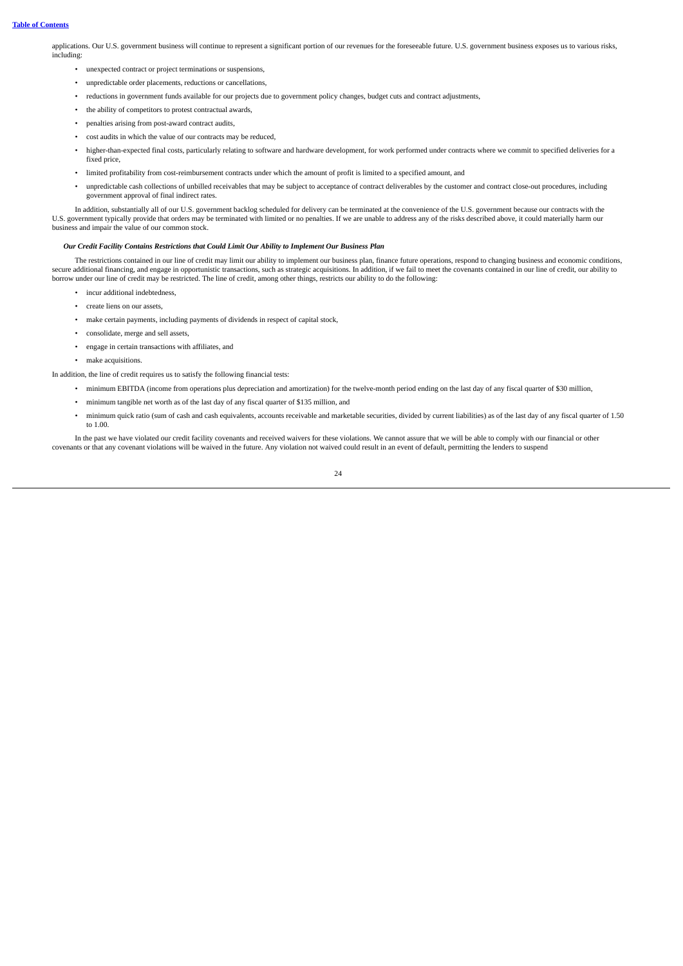applications. Our U.S. government business will continue to represent a significant portion of our revenues for the foreseeable future. U.S. government business exposes us to various risks, including:

- unexpected contract or project terminations or suspensions,
- unpredictable order placements, reductions or cancellations,
- reductions in government funds available for our projects due to government policy changes, budget cuts and contract adjustments,
- the ability of competitors to protest contractual awards,
- penalties arising from post-award contract audits,
- cost audits in which the value of our contracts may be reduced,
- higher-than-expected final costs, particularly relating to software and hardware development, for work performed under contracts where we commit to specified deliveries for a fixed price,
- limited profitability from cost-reimbursement contracts under which the amount of profit is limited to a specified amount, and
- unpredictable cash collections of unbilled receivables that may be subject to acceptance of contract deliverables by the customer and contract close-out procedures, including government approval of final indirect rates.

In addition, substantially all of our U.S. government backlog scheduled for delivery can be terminated at the convenience of the U.S. government because our contracts with the U.S. government typically provide that orders may be terminated with limited or no penalties. If we are unable to address any of the risks described above, it could materially harm our business and impair the value of our common stock.

## *Our Credit Facility Contains Restrictions that Could Limit Our Ability to Implement Our Business Plan*

The restrictions contained in our line of credit may limit our ability to implement our business plan, finance future operations, respond to changing business and economic conditions, secure additional financing, and engage in opportunistic transactions, such as strategic acquisitions. In addition, if we fail to meet the covenants contained in our line of credit, our ability to borrow under our line of credit may be restricted. The line of credit, among other things, restricts our ability to do the following:

- incur additional indebtedness,
- create liens on our assets,
- make certain payments, including payments of dividends in respect of capital stock,
- consolidate, merge and sell assets,
- engage in certain transactions with affiliates, and
- make acquisitions.

In addition, the line of credit requires us to satisfy the following financial tests:

- minimum EBITDA (income from operations plus depreciation and amortization) for the twelve-month period ending on the last day of any fiscal quarter of \$30 million,
- minimum tangible net worth as of the last day of any fiscal quarter of \$135 million, and
- minimum quick ratio (sum of cash and cash equivalents, accounts receivable and marketable securities, divided by current liabilities) as of the last day of any fiscal quarter of 1.50 to 1.00.

In the past we have violated our credit facility covenants and received waivers for these violations. We cannot assure that we will be able to comply with our financial or other covenants or that any covenant violations will be waived in the future. Any violation not waived could result in an event of default, permitting the lenders to suspend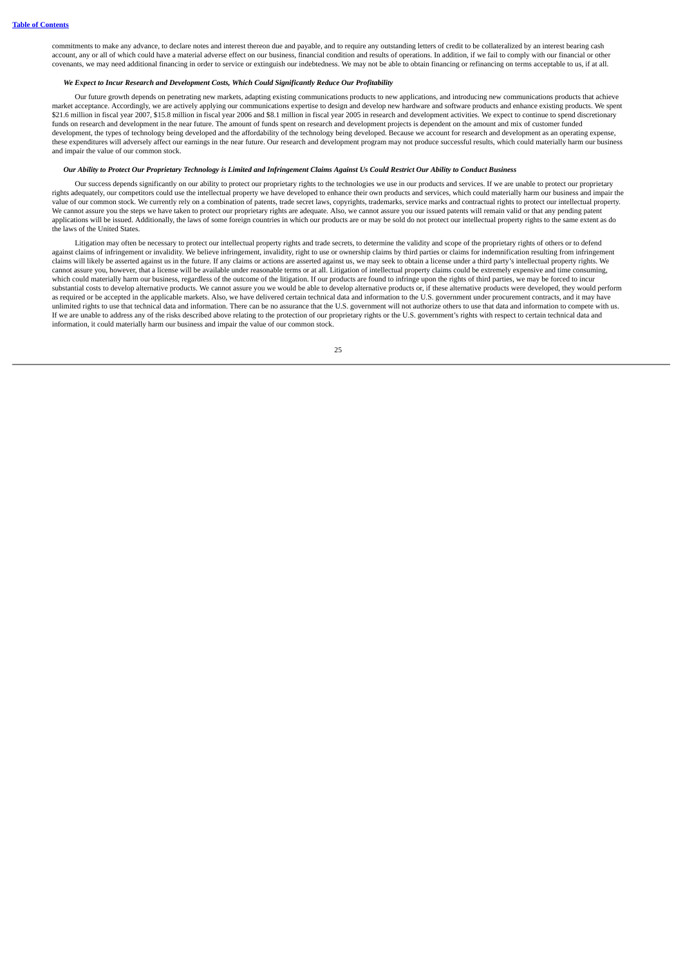commitments to make any advance, to declare notes and interest thereon due and payable, and to require any outstanding letters of credit to be collateralized by an interest bearing cash account, any or all of which could have a material adverse effect on our business, financial condition and results of operations. In addition, if we fail to comply with our financial or other covenants, we may need additional financing in order to service or extinguish our indebtedness. We may not be able to obtain financing or refinancing on terms acceptable to us, if at all.

## *We Expect to Incur Research and Development Costs, Which Could Significantly Reduce Our Profitability*

Our future growth depends on penetrating new markets, adapting existing communications products to new applications, and introducing new communications products that achieve market acceptance. Accordingly, we are actively applying our communications expertise to design and develop new hardware and software products and enhance existing products. We spent \$21.6 million in fiscal year 2007, \$15.8 million in fiscal year 2006 and \$8.1 million in fiscal year 2005 in research and development activities. We expect to continue to spend discretionary funds on research and development in the near future. The amount of funds spent on research and development projects is dependent on the amount and mix of customer funded<br>development, the types of technology being develope these expenditures will adversely affect our earnings in the near future. Our research and development program may not produce successful results, which could materially harm our business and impair the value of our common stock.

## Our Ability to Protect Our Proprietary Technology is Limited and Infringement Claims Against Us Could Restrict Our Ability to Conduct Business

Our success depends significantly on our ability to protect our proprietary rights to the technologies we use in our products and services. If we are unable to protect our proprietary rights adequately, our competitors could use the intellectual property we have developed to enhance their own products and services, which could materially harm our business and impair the value of our common stock. We currently rely on a combination of patents, trade secret laws, copyrights, trademarks, service marks and contractual rights to protect our intellectual property. We cannot assure you the steps we have taken to protect our proprietary rights are adequate. Also, we cannot assure you our issued patents will remain valid or that any pending patent applications will be issued. Additionally, the laws of some foreign countries in which our products are or may be sold do not protect our intellectual property rights to the same extent as do applications will be issued. A the laws of the United States.

Litigation may often be necessary to protect our intellectual property rights and trade secrets, to determine the validity and scope of the proprietary rights of others or to defend against claims of infringement or invalidity. We believe infringement, invalidity, right to use or ownership claims by third parties or claims for indemnification resulting from infringement claims will likely be asserted against us in the future. If any claims or actions are asserted against us, we may seek to obtain a license under a third party's intellectual property rights. We cannot assure you, however, that a license will be available under reasonable terms or at all. Litigation of intellectual property claims could be extremely expensive and time consuming, which could materially harm our business, regardless of the outcome of the litigation. If our products are found to infringe upon the rights of third parties, we may be forced to incur substantial costs to develop alternative products. We cannot assure you we would be able to develop alternative products or, if these alternative products were developed, they would perform as required or be accepted in the applicable markets. Also, we have delivered certain technical data and information to the U.S. government under procurement contracts, and it may have also, we have delivered certain techn unlimited rights to use that technical data and information. There can be no assurance that the U.S. government will not authorize others to use that data and information to compete with us. If we are unable to address any of the risks described above relating to the protection of our proprietary rights or the U.S. government's rights with respect to certain technical data and information, it could materially harm our business and impair the value of our common stock.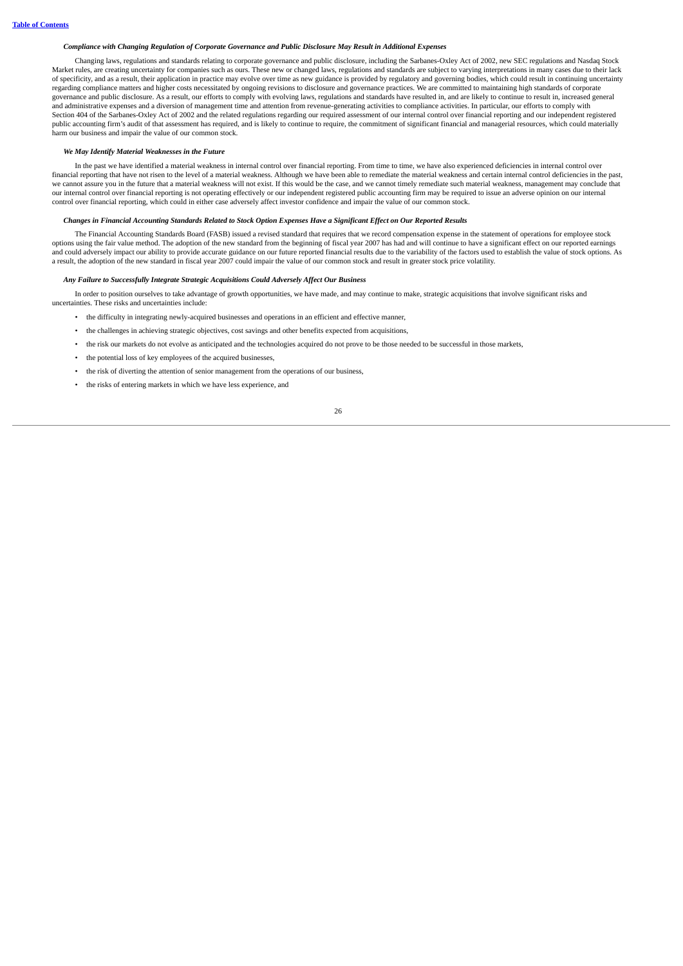## *Compliance with Changing Regulation of Corporate Governance and Public Disclosure May Result in Additional Expenses*

Changing laws, regulations and standards relating to corporate governance and public disclosure, including the Sarbanes-Oxley Act of 2002, new SEC regulations and Nasdaq Stock Market rules, are creating uncertainty for companies such as ours. These new or changed laws, regulations and standards are subject to varying interpretations in many cases due to their lack of specificity, and as a result, their application in practice may evolve over time as new guidance is provided by regulatory and governing bodies, which could result in continuing uncertainty<br>regarding compliance matters governance and public disclosure. As a result, our efforts to comply with evolving laws, regulations and standards have resulted in, and are likely to continue to result in, increased general and administrative expenses and a diversion of management time and attention from revenue-generating activities to compliance activities. In particular, our efforts to comply with Section 404 of the Sarbanes-Oxley Act of 2002 and the related regulations regarding our required assessment of our internal control over financial reporting and our independent registered public accounting firm's audit of that assessment has required, and is likely to continue to require, the commitment of significant financial and managerial resources, which could materially harm our business and impair the value of our common stock.

### *We May Identify Material Weaknesses in the Future*

In the past we have identified a material weakness in internal control over financial reporting. From time to time, we have also experienced deficiencies in internal control over financial reporting that have not risen to the level of a material weakness. Although we have been able to remediate the material weakness and certain internal control deficiencies in the past, we cannot assure you in the future that a material weakness will not exist. If this would be the case, and we cannot timely remediate such material weakness, management may conclude that our internal control over financial reporting is not operating effectively or our independent registered public accounting firm may be required to issue an adverse opinion on our internal control over financial reporting, which could in either case adversely affect investor confidence and impair the value of our common stock.

## Changes in Financial Accounting Standards Related to Stock Option Expenses Have a Significant Effect on Our Reported Results

The Financial Accounting Standards Board (FASB) issued a revised standard that requires that we record compensation expense in the statement of operations for employee stock options using the fair value method. The adoption of the new standard from the beginning of fiscal year 2007 has had and will continue to have a significant effect on our reported earnings and could adversely impact our ability to provide accurate guidance on our future reported financial results due to the variability of the factors used to establish the value of stock options. As a result, the adoption of the new standard in fiscal year 2007 could impair the value of our common stock and result in greater stock price volatility.

## *Any Failure to Successfully Integrate Strategic Acquisitions Could Adversely Affect Our Business*

In order to position ourselves to take advantage of growth opportunities, we have made, and may continue to make, strategic acquisitions that involve significant risks and uncertainties. These risks and uncertainties include:

- the difficulty in integrating newly-acquired businesses and operations in an efficient and effective manner,
- the challenges in achieving strategic objectives, cost savings and other benefits expected from acquisitions,
- the risk our markets do not evolve as anticipated and the technologies acquired do not prove to be those needed to be successful in those markets,
- the potential loss of key employees of the acquired businesses,
- the risk of diverting the attention of senior management from the operations of our business,
- the risks of entering markets in which we have less experience, and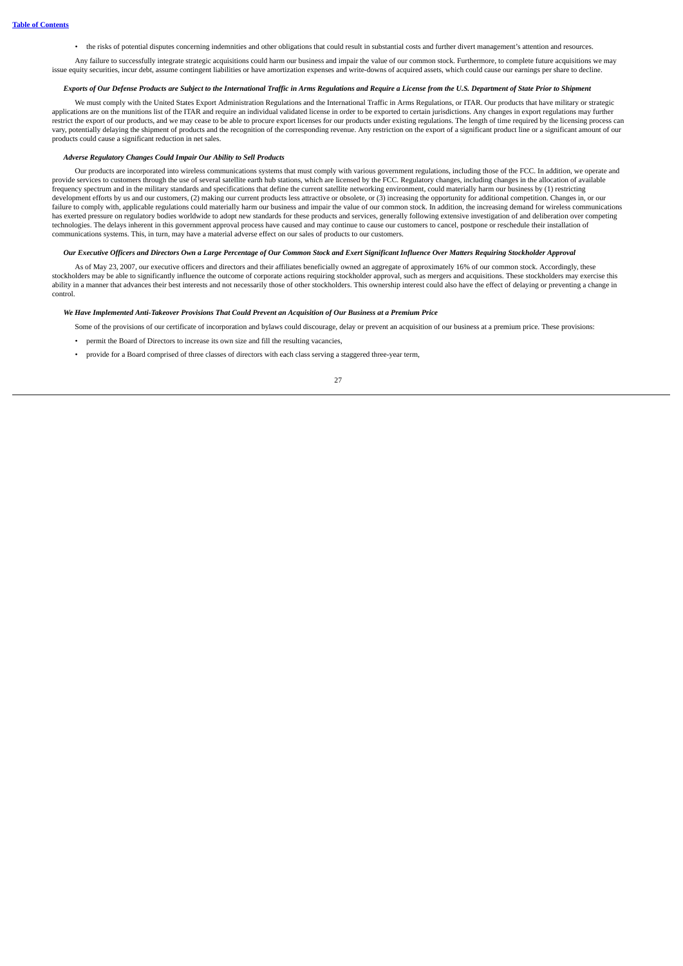• the risks of potential disputes concerning indemnities and other obligations that could result in substantial costs and further divert management's attention and resources.

Any failure to successfully integrate strategic acquisitions could harm our business and impair the value of our common stock. Furthermore, to complete future acquisitions we may issue equity securities, incur debt, assume contingent liabilities or have amortization expenses and write-downs of acquired assets, which could cause our earnings per share to decline.

#### Exports of Our Defense Products are Subject to the International Traffic in Arms Regulations and Require a License from the U.S. Department of State Prior to Shipment

We must comply with the United States Export Administration Regulations and the International Traffic in Arms Regulations, or ITAR. Our products that have military or strategic applications are on the munitions list of the ITAR and require an individual validated license in order to be exported to certain jurisdictions. Any changes in export regulations may further restrict the export of our products, and we may cease to be able to procure export licenses for our products under existing regulations. The length of time required by the licensing process can vary, potentially delaying the shipment of products and the recognition of the corresponding revenue. Any restriction on the export of a significant product line or a significant amount of our products could cause a significant reduction in net sales.

## *Adverse Regulatory Changes Could Impair Our Ability to Sell Products*

Our products are incorporated into wireless communications systems that must comply with various government regulations, including those of the FCC. In addition, we operate and provide services to customers through the use of several satellite earth hub stations, which are licensed by the FCC. Regulatory changes, including changes in the allocation of available frequency spectrum and in the military standards and specifications that define the current satellite networking environment, could materially harm our business by (1) restricting development efforts by us and our customers, (2) making our current products less attractive or obsolete, or (3) increasing the opportunity for additional competition. Changes in, or our failure to comply with, applicable regulations could materially harm our business and impair the value of our common stock. In addition, the increasing demand for wireless communications has exerted pressure on regulatory bodies worldwide to adopt new standards for these products and services, generally following extensive investigation of and deliberation over competing technologies. The delays inherent in this government approval process have caused and may continue to cause our customers to cancel, postpone or reschedule their installation of communications systems. This, in turn, may have a material adverse effect on our sales of products to our customers.

#### Our Executive Officers and Directors Own a Large Percentage of Our Common Stock and Exert Significant Influence Over Matters Requiring Stockholder Approval

As of May 23, 2007, our executive officers and directors and their affiliates beneficially owned an aggregate of approximately 16% of our common stock. Accordingly, these stockholders may be able to significantly influence the outcome of corporate actions requiring stockholder approval, such as mergers and acquisitions. These stockholders may exercise this<br>ability in a manner that advances control.

## We Have Implemented Anti-Takeover Provisions That Could Prevent an Acquisition of Our Business at a Premium Price

Some of the provisions of our certificate of incorporation and bylaws could discourage, delay or prevent an acquisition of our business at a premium price. These provisions:

- permit the Board of Directors to increase its own size and fill the resulting vacancies,
- provide for a Board comprised of three classes of directors with each class serving a staggered three-year term,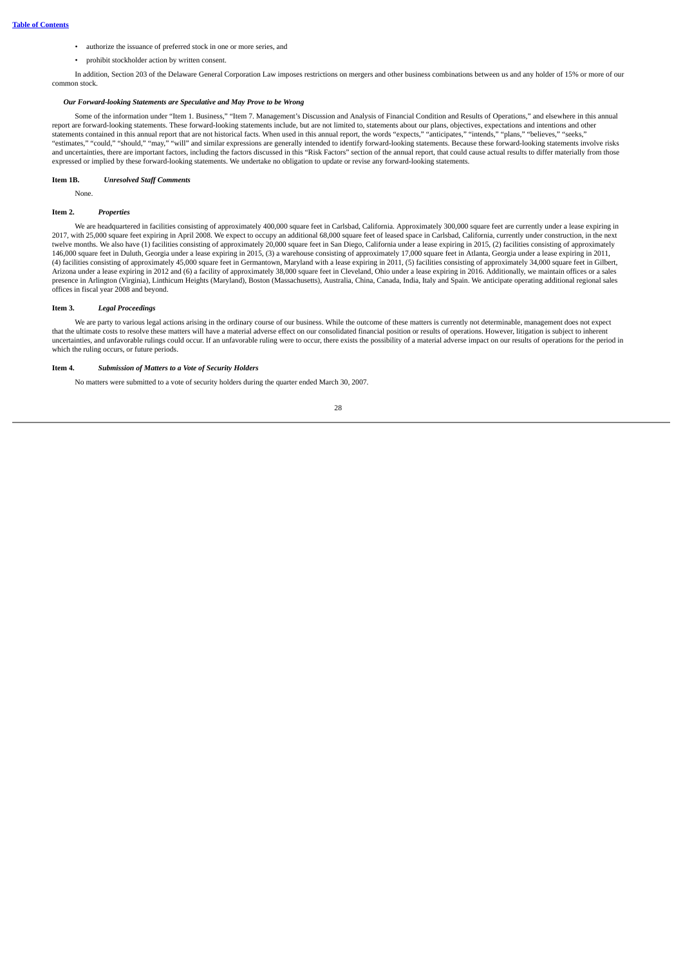- authorize the issuance of preferred stock in one or more series, and
- prohibit stockholder action by written consent.

In addition, Section 203 of the Delaware General Corporation Law imposes restrictions on mergers and other business combinations between us and any holder of 15% or more of our common stock.

#### *Our Forward-looking Statements are Speculative and May Prove to be Wrong*

Some of the information under "Item 1. Business," "Item 7. Management's Discussion and Analysis of Financial Condition and Results of Operations," and elsewhere in this annual report are forward-looking statements. These forward-looking statements include, but are not limited to, statements about our plans, objectives, expectations and intentions and other<br>statements contained in this annual rep "estimates," "could," "should," "may," "will" and similar expressions are generally intended to identify forward-looking statements. Because these forward-looking statements involve risks extramedies, there are important factors, including the factors discussed in this "Risk Factors" section of the annual report, that could cause actual results to differ materially from those and uncertainties, there are im expressed or implied by these forward-looking statements. We undertake no obligation to update or revise any forward-looking statements.

## <span id="page-28-0"></span>**Item 1B.** *Unresolved Staff Comments*

None.

## <span id="page-28-1"></span>**Item 2.** *Properties*

We are headquartered in facilities consisting of approximately 400,000 square feet in Carlsbad, California. Approximately 300,000 square feet are currently under a lease expiring in 2017, with 25,000 square feet expiring in April 2008. We expect to occupy an additional 68,000 square feet of leased space in Carlsbad, California, currently under construction, in the next twelve months. We also have (1) facilities consisting of approximately 20,000 square feet in San Diego, California under a lease expiring in 2015, (2) facilities consisting of approximately 146,000 square feet in Duluth, Georgia under a lease expiring in 2015, (3) a warehouse consisting of approximately 17,000 square feet in Atlanta, Georgia under a lease expiring in 2011, (4) facilities consisting of approximately 45,000 square feet in Germantown, Maryland with a lease expiring in 2011, (5) facilities consisting of approximately 34,000 square feet in Gilbert, Arizona under a lease expiring in 2012 and (6) a facility of approximately 38,000 square feet in Cleveland, Ohio under a lease expiring in 2016. Additionally, we maintain offices or a sales<br>presence in Arlington (Virginia) offices in fiscal year 2008 and beyond.

## <span id="page-28-2"></span>**Item 3.** *Legal Proceedings*

We are party to various legal actions arising in the ordinary course of our business. While the outcome of these matters is currently not determinable, management does not expect that the ultimate costs to resolve these matters will have a material adverse effect on our consolidated financial position or results of operations. However, litigation is subject to inherent uncertainties, and unfavorable rulings could occur. If an unfavorable ruling were to occur, there exists the possibility of a material adverse impact on our results of operations for the period in which the ruling occurs, or future periods.

## <span id="page-28-3"></span>**Item 4.** *Submission of Matters to a Vote of Security Holders*

No matters were submitted to a vote of security holders during the quarter ended March 30, 2007.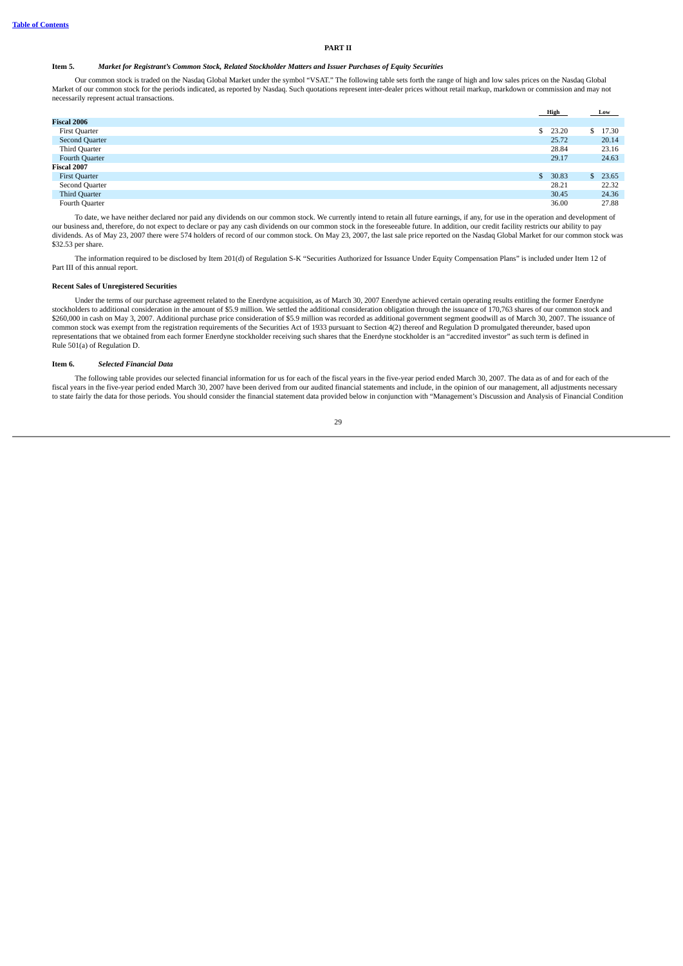### **PART II**

## <span id="page-29-1"></span><span id="page-29-0"></span>Item 5. Market for Registrant's Common Stock, Related Stockholder Matters and Issuer Purchases of Equity Securities

Our common stock is traded on the Nasdaq Global Market under the symbol "VSAT." The following table sets forth the range of high and low sales prices on the Nasdaq Global Market of our common stock for the periods indicated, as reported by Nasdaq. Such quotations represent inter-dealer prices without retail markup, markdown or commission and may not necessarily represent actual transactions.

|                      | High    | Low     |
|----------------------|---------|---------|
| <b>Fiscal 2006</b>   |         |         |
| First Quarter        | \$23.20 | \$17.30 |
| Second Quarter       | 25.72   | 20.14   |
| Third Quarter        | 28.84   | 23.16   |
| Fourth Quarter       | 29.17   | 24.63   |
| Fiscal 2007          |         |         |
| <b>First Quarter</b> | \$30.83 | \$23.65 |
| Second Quarter       | 28.21   | 22.32   |
| <b>Third Quarter</b> | 30.45   | 24.36   |
| Fourth Quarter       | 36.00   | 27.88   |

To date, we have neither declared nor paid any dividends on our common stock. We currently intend to retain all future earnings, if any, for use in the operation and development of our business and, therefore, do not expect to declare or pay any cash dividends on our common stock in the foreseeable future. In addition, our credit facility restricts our ability to pay dividends. As of May 23, 2007 there were 574 holders of record of our common stock. On May 23, 2007, the last sale price reported on the Nasdaq Global Market for our common stock was \$32.53 per share.

The information required to be disclosed by Item 201(d) of Regulation S-K "Securities Authorized for Issuance Under Equity Compensation Plans" is included under Item 12 of Part III of this annual report.

## **Recent Sales of Unregistered Securities**

Under the terms of our purchase agreement related to the Enerdyne acquisition, as of March 30, 2007 Enerdyne achieved certain operating results entitling the former Enerdyne stockholders to additional consideration in the amount of \$5.9 million. We settled the additional consideration obligation through the issuance of 170,763 shares of our common stock and \$260,000 in cash on May 3, 2007. Additional purchase price consideration of \$5.9 million was recorded as additional government segment goodwill as of March 30, 2007. The issuance of common stock was exempt from the registration requirements of the Securities Act of 1933 pursuant to Section 4(2) thereof and Regulation D promulgated thereunder, based upon representations that we obtained from each former Enerdyne stockholder receiving such shares that the Enerdyne stockholder is an "accredited investor" as such term is defined in Rule 501(a) of Regulation D.

## <span id="page-29-2"></span>**Item 6.** *Selected Financial Data*

The following table provides our selected financial information for us for each of the fiscal years in the five-year period ended March 30, 2007. The data as of and for each of the fiscal years in the five-year period ende to state fairly the data for those periods. You should consider the financial statement data provided below in conjunction with "Management's Discussion and Analysis of Financial Condition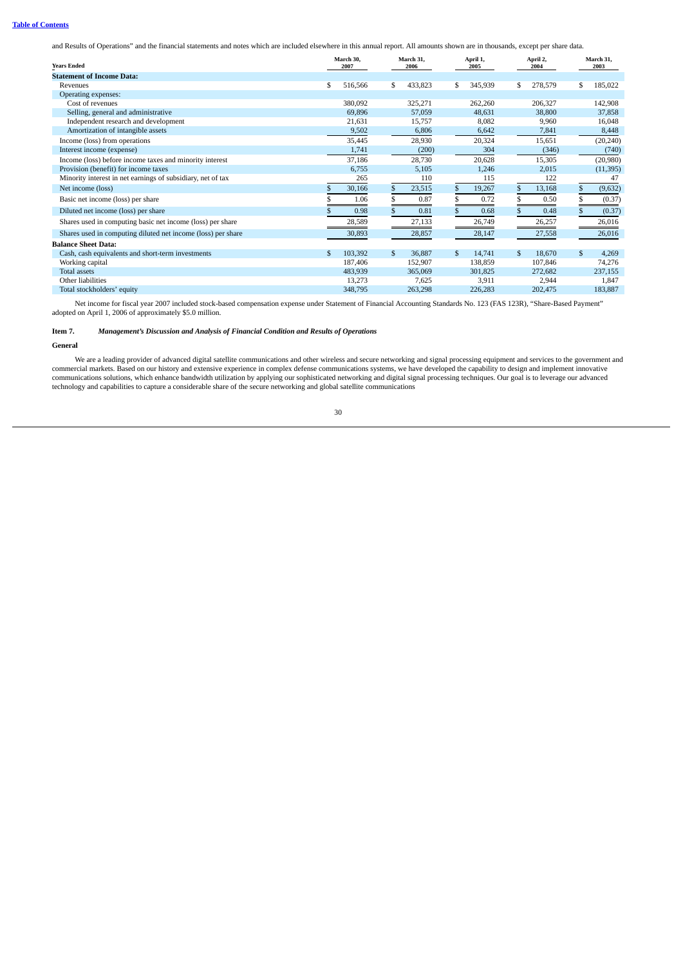and Results of Operations" and the financial statements and notes which are included elsewhere in this annual report. All amounts shown are in thousands, except per share data.

| <b>Years Ended</b>                                           |     | March 30.<br>2007 |     | March 31.<br>2006 |    | April 1,<br>2005 |    | April 2,<br>2004 |    | March 31.<br>2003 |
|--------------------------------------------------------------|-----|-------------------|-----|-------------------|----|------------------|----|------------------|----|-------------------|
| <b>Statement of Income Data:</b>                             |     |                   |     |                   |    |                  |    |                  |    |                   |
| Revenues                                                     | S   | 516,566           | \$  | 433,823           | \$ | 345,939          | \$ | 278,579          | \$ | 185,022           |
| Operating expenses:                                          |     |                   |     |                   |    |                  |    |                  |    |                   |
| Cost of revenues                                             |     | 380,092           |     | 325,271           |    | 262,260          |    | 206,327          |    | 142,908           |
| Selling, general and administrative                          |     | 69,896            |     | 57,059            |    | 48,631           |    | 38,800           |    | 37,858            |
| Independent research and development                         |     | 21,631            |     | 15,757            |    | 8,082            |    | 9,960            |    | 16,048            |
| Amortization of intangible assets                            |     | 9,502             |     | 6,806             |    | 6,642            |    | 7,841            |    | 8,448             |
| Income (loss) from operations                                |     | 35,445            |     | 28,930            |    | 20,324           |    | 15,651           |    | (20, 240)         |
| Interest income (expense)                                    |     | 1,741             |     | (200)             |    | 304              |    | (346)            |    | (740)             |
| Income (loss) before income taxes and minority interest      |     | 37,186            |     | 28,730            |    | 20,628           |    | 15,305           |    | (20, 980)         |
| Provision (benefit) for income taxes                         |     | 6,755             |     | 5,105             |    | 1,246            |    | 2,015            |    | (11, 395)         |
| Minority interest in net earnings of subsidiary, net of tax  |     | 265               |     | 110               |    | 115              |    | 122              |    | 47                |
| Net income (loss)                                            |     | 30,166            | \$  | 23,515            | S  | 19,267           | £. | 13,168           |    | (9,632)           |
| Basic net income (loss) per share                            |     | 1.06              |     | 0.87              |    | 0.72             |    | 0.50             |    | (0.37)            |
| Diluted net income (loss) per share                          |     | 0.98              |     | 0.81              |    | 0.68             |    | 0.48             |    | (0.37)            |
| Shares used in computing basic net income (loss) per share   |     | 28,589            |     | 27,133            |    | 26,749           |    | 26,257           |    | 26,016            |
| Shares used in computing diluted net income (loss) per share |     | 30,893            |     | 28,857            |    | 28,147           |    | 27,558           |    | 26,016            |
| <b>Balance Sheet Data:</b>                                   |     |                   |     |                   |    |                  |    |                  |    |                   |
| Cash, cash equivalents and short-term investments            | \$. | 103,392           | \$. | 36,887            | \$ | 14,741           | \$ | 18,670           | S  | 4,269             |
| Working capital                                              |     | 187,406           |     | 152,907           |    | 138,859          |    | 107,846          |    | 74,276            |
| <b>Total assets</b>                                          |     | 483,939           |     | 365,069           |    | 301,825          |    | 272,682          |    | 237,155           |
| Other liabilities                                            |     | 13,273            |     | 7,625             |    | 3,911            |    | 2,944            |    | 1,847             |
| Total stockholders' equity                                   |     | 348,795           |     | 263,298           |    | 226,283          |    | 202,475          |    | 183,887           |

Net income for fiscal year 2007 included stock-based compensation expense under Statement of Financial Accounting Standards No. 123 (FAS 123R), "Share-Based Payment" adopted on April 1, 2006 of approximately \$5.0 million.

## <span id="page-30-0"></span>**Item 7.** *Management's Discussion and Analysis of Financial Condition and Results of Operations*

## **General**

We are a leading provider of advanced digital satellite communications and other wireless and secure networking and signal processing equipment and services to the government and commercial markets. Based on our history and extensive experience in complex defense communications systems, we have developed the capability to design and implement innovative<br>communications solutions, which enhance bandw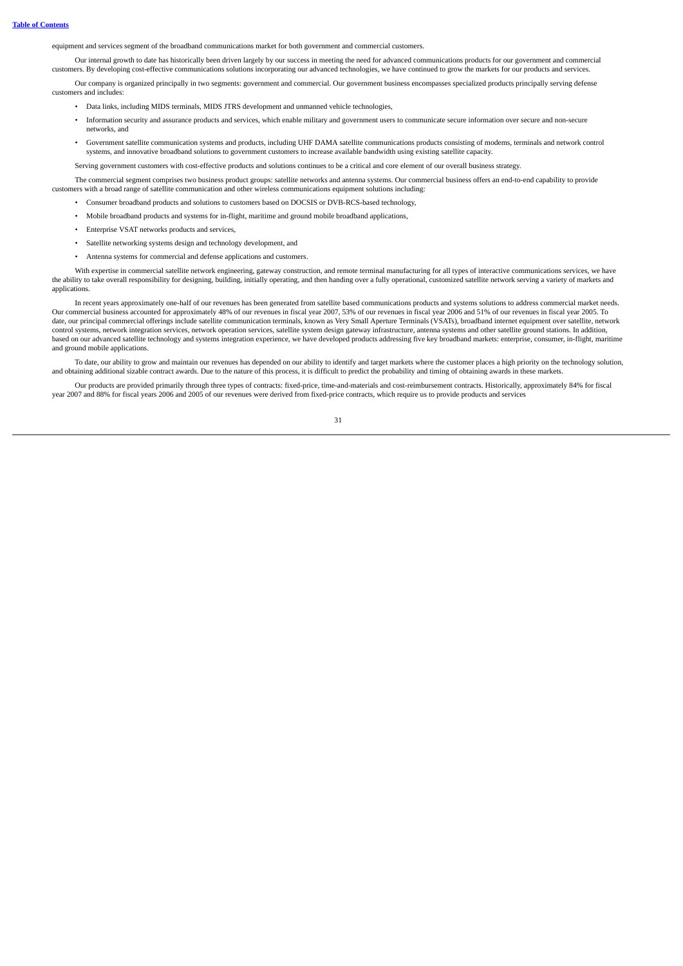equipment and services segment of the broadband communications market for both government and commercial customers.

Our internal growth to date has historically been driven largely by our success in meeting the need for advanced communications products for our government and commercial customers. By developing cost-effective communications solutions incorporating our advanced technologies, we have continued to grow the markets for our products and services.

Our company is organized principally in two segments: government and commercial. Our government business encompasses specialized products principally serving defense customers and includes:

- Data links, including MIDS terminals, MIDS JTRS development and unmanned vehicle technologies,
- Information security and assurance products and services, which enable military and government users to communicate secure information over secure and non-secure networks, and
- Government satellite communication systems and products, including UHF DAMA satellite communications products consisting of modems, terminals and network control systems, and innovative broadband solutions to government customers to increase available bandwidth using existing satellite capacity.

Serving government customers with cost-effective products and solutions continues to be a critical and core element of our overall business strategy.

The commercial segment comprises two business product groups: satellite networks and antenna systems. Our commercial business offers an end-to-end capability to provide customers with a broad range of satellite communication and other wireless communications equipment solutions including:

- Consumer broadband products and solutions to customers based on DOCSIS or DVB-RCS-based technology,
- Mobile broadband products and systems for in-flight, maritime and ground mobile broadband applications,
- Enterprise VSAT networks products and services,
- Satellite networking systems design and technology development, and
- Antenna systems for commercial and defense applications and customers.

With expertise in commercial satellite network engineering, gateway construction, and remote terminal manufacturing for all types of interactive communications services, we have the ability to take overall responsibility for designing, building, initially operating, and then handing over a fully operational, customized satellite network serving a variety of markets and applications.

In recent years approximately one-half of our revenues has been generated from satellite based communications products and systems solutions to address commercial market needs. Our commercial business accounted for approximately 48% of our revenues in fiscal year 2007, 53% of our revenues in fiscal year 2006 and 51% of our revenues in fiscal year 2005. To date, our principal commercial offerings include satellite communication terminals, known as Very Small Aperture Terminals (VSATs), broadband internet equipment over satellite, network control systems, network integration services, network operation services, satellite system design gateway infrastructure, antenna systems and other satellite ground stations. In addition, based on our advanced satellite technology and systems integration experience, we have developed products addressing five key broadband markets: enterprise, consumer, in-flight, maritime and ground mobile applications.

To date, our ability to grow and maintain our revenues has depended on our ability to identify and target markets where the customer places a high priority on the technology solution, and obtaining additional sizable contract awards. Due to the nature of this process, it is difficult to predict the probability and timing of obtaining awards in these markets.

Our products are provided primarily through three types of contracts: fixed-price, time-and-materials and cost-reimbursement contracts. Historically, approximately 84% for fiscal year 2007 and 88% for fiscal years 2006 and 2005 of our revenues were derived from fixed-price contracts, which require us to provide products and services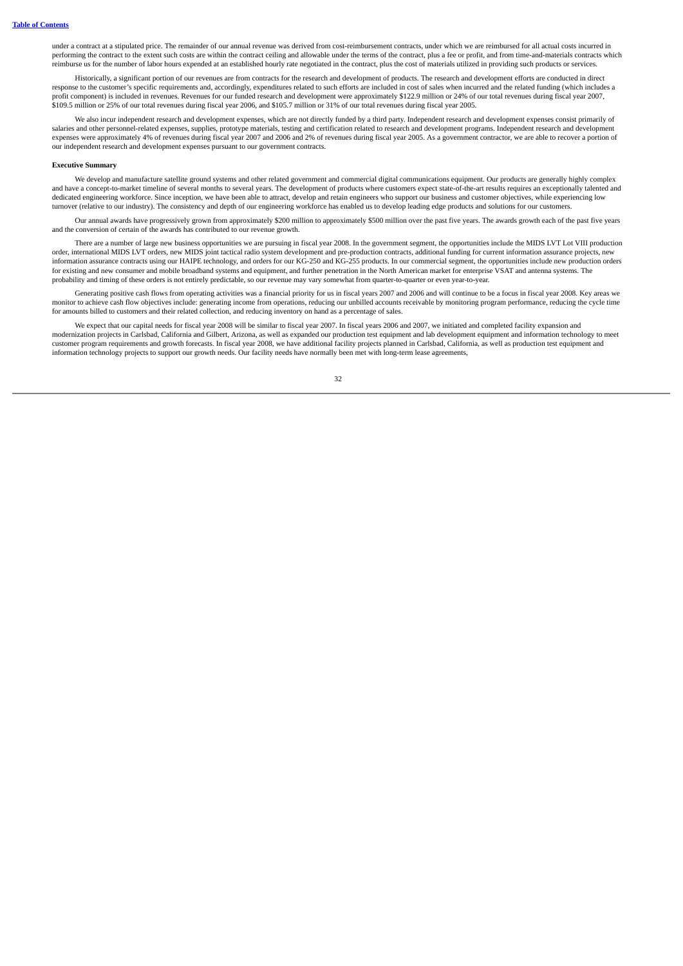under a contract at a stipulated price. The remainder of our annual revenue was derived from cost-reimbursement contracts, under which we are reimbursed for all actual costs incurred in performing the contract to the extent such costs are within the contract ceiling and allowable under the terms of the contract, plus a fee or profit, and from time-and-materials contracts which reimburse us for the number of labor hours expended at an established hourly rate negotiated in the contract, plus the cost of materials utilized in providing such products or services.

Historically, a significant portion of our revenues are from contracts for the research and development of products. The research and development efforts are conducted in direct response to the customer's specific requirements and, accordingly, expenditures related to such efforts are included in cost of sales when incurred and the related funding (which includes a profit component) is included in revenues. Revenues for our funded research and development were approximately \$122.9 million or 24% of our total revenues during fiscal year 2007, \$109.5 million or 25% of our total revenues during fiscal year 2006, and \$105.7 million or 31% of our total revenues during fiscal year 2005.

We also incur independent research and development expenses, which are not directly funded by a third party. Independent research and development expenses consist primarily of salaries and other personnel-related expenses, supplies, prototype materials, testing and certification related to research and development programs. Independent research and development expenses were approximately 4% of revenues during fiscal year 2007 and 2006 and 2% of revenues during fiscal year 2005. As a government contractor, we are able to recover a portion of our independent research and development expenses pursuant to our government contracts.

#### **Executive Summary**

We develop and manufacture satellite ground systems and other related government and commercial digital communications equipment. Our products are generally highly complex and have a concept-to-market timeline of several months to several years. The development of products where customers expect state-of-the-art results requires an exceptionally talented and<br>dedicated engineering workforce. turnover (relative to our industry). The consistency and depth of our engineering workforce has enabled us to develop leading edge products and solutions for our customers.

Our annual awards have progressively grown from approximately \$200 million to approximately \$500 million over the past five years. The awards growth each of the past five years and the conversion of certain of the awards has contributed to our revenue growth.

There are a number of large new business opportunities we are pursuing in fiscal year 2008. In the government segment, the opportunities include the MIDS LVT Lot VIII production order, international MIDS LVT orders, new MIDS joint tactical radio system development and pre-production contracts, additional funding for current information assurance projects, new<br>information assurance contracts using for existing and new consumer and mobile broadband systems and equipment, and further penetration in the North American market for enterprise VSAT and antenna systems. The probability and timing of these orders is not entirely predictable, so our revenue may vary somewhat from quarter-to-quarter or even year-to-year.

Generating positive cash flows from operating activities was a financial priority for us in fiscal years 2007 and 2006 and will continue to be a focus in fiscal year 2008. Key areas we monitor to achieve cash flow objectives include: generating income from operations, reducing our unbilled accounts receivable by monitoring program performance, reducing the cycle time for amounts billed to customers and their related collection, and reducing inventory on hand as a percentage of sales.

We expect that our capital needs for fiscal year 2008 will be similar to fiscal year 2007. In fiscal years 2006 and 2007, we initiated and completed facility expansion and modernization projects in Carlsbad, California and Gilbert, Arizona, as well as expanded our production test equipment and lab development equipment and information technology to meet customer program requirements and growth forecasts. In fiscal year 2008, we have additional facility projects planned in Carlsbad, California, as well as production test equipment and information technology projects to support our growth needs. Our facility needs have normally been met with long-term lease agreements,

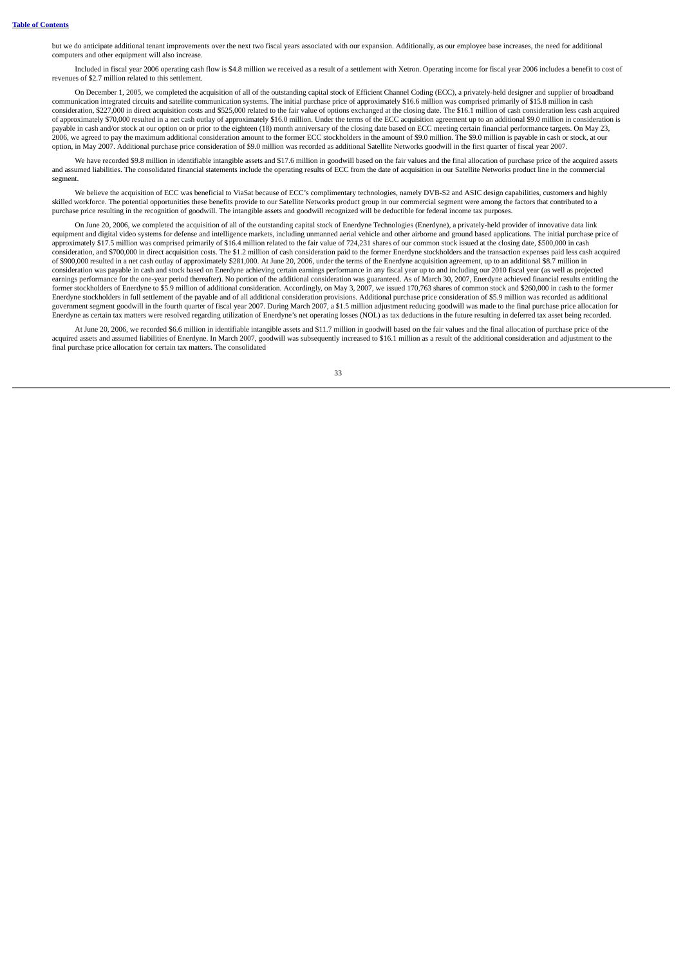but we do anticipate additional tenant improvements over the next two fiscal years associated with our expansion. Additionally, as our employee base increases, the need for additional computers and other equipment will also increase.

Included in fiscal year 2006 operating cash flow is \$4.8 million we received as a result of a settlement with Xetron. Operating income for fiscal year 2006 includes a benefit to cost of revenues of \$2.7 million related to this settlement.

On December 1, 2005, we completed the acquisition of all of the outstanding capital stock of Efficient Channel Coding (ECC), a privately-held designer and supplier of broadband communication integrated circuits and satellite communication systems. The initial purchase price of approximately \$16.6 million was comprised primarily of \$15.8 million in cash consideration, \$227,000 in direct acquisition costs and \$525,000 related to the fair value of options exchanged at the closing date. The \$16.1 million of cash consideration less cash acquired of approximately \$70,000 resulted in a net cash outlay of approximately \$16.0 million. Under the terms of the ECC acquisition agreement up to an additional \$9.0 million in consideration is payable in cash and/or stock at our option on or prior to the eighteen (18) month anniversary of the closing date based on ECC meeting certain financial performance targets. On May 23, 2006, we agreed to pay the maximum additional consideration amount to the former ECC stockholders in the amount of \$9.0 million. The \$9.0 million is payable in cash or stock, at our option, in May 2007. Additional purchase price consideration of \$9.0 million was recorded as additional Satellite Networks goodwill in the first quarter of fiscal year 2007.

We have recorded \$9.8 million in identifiable intangible assets and \$17.6 million in goodwill based on the fair values and the final allocation of purchase price of the acquired assets and assumed liabilities. The consolidated financial statements include the operating results of ECC from the date of acquisition in our Satellite Networks product line in the commercial segment.

We believe the acquisition of ECC was beneficial to ViaSat because of ECC's complimentary technologies, namely DVB-S2 and ASIC design capabilities, customers and highly skilled workforce. The potential opportunities these benefits provide to our Satellite Networks product group in our commercial segment were among the factors that contributed to a purchase price resulting in the recognition of goodwill. The intangible assets and goodwill recognized will be deductible for federal income tax purposes.

On June 20, 2006, we completed the acquisition of all of the outstanding capital stock of Enerdyne Technologies (Enerdyne), a privately-held provider of innovative data link equipment and digital video systems for defense and intelligence markets, including unmanned aerial vehicle and other airborne and ground based applications. The initial purchase price of approximately \$17.5 million was comprised primarily of \$16.4 million related to the fair value of 724,231 shares of our common stock issued at the closing date, \$500,000 in cash consideration, and \$700,000 in direct acquisition costs. The \$1.2 million of cash consideration paid to the former Enerdyne stockholders and the transaction expenses paid less cash acquired of \$900,000 resulted in a net cash outlay of approximately \$281,000. At June 20, 2006, under the terms of the Enerdyne acquisition agreement, up to an additional \$8.7 million in consideration was payable in cash and stock based on Enerdyne achieving certain earnings performance in any fiscal year up to and including our 2010 fiscal year (as well as projected earnings performance for the one-year period thereafter). No portion of the additional consideration was guaranteed. As of March 30, 2007, Enerdyne achieved financial results entitling the former stockholders of Enerdyne to \$5.9 million of additional consideration. Accordingly, on May 3, 2007, we issued 170,763 shares of common stock and \$260,000 in cash to the former Enerdyne stockholders in full settlement of the payable and of all additional consideration provisions. Additional purchase price consideration of \$5.9 million was recorded as additional government segment goodwill in the fourth quarter of fiscal year 2007. During March 2007, a \$1.5 million adjustment reducing goodwill was made to the final purchase price allocation for Enerdyne as certain tax matters were resolved regarding utilization of Enerdyne's net operating losses (NOL) as tax deductions in the future resulting in deferred tax asset being recorded.

At June 20, 2006, we recorded \$6.6 million in identifiable intangible assets and \$11.7 million in goodwill based on the fair values and the final allocation of purchase price of the<br>acquired assets and assumed liabilities final purchase price allocation for certain tax matters. The consolidated

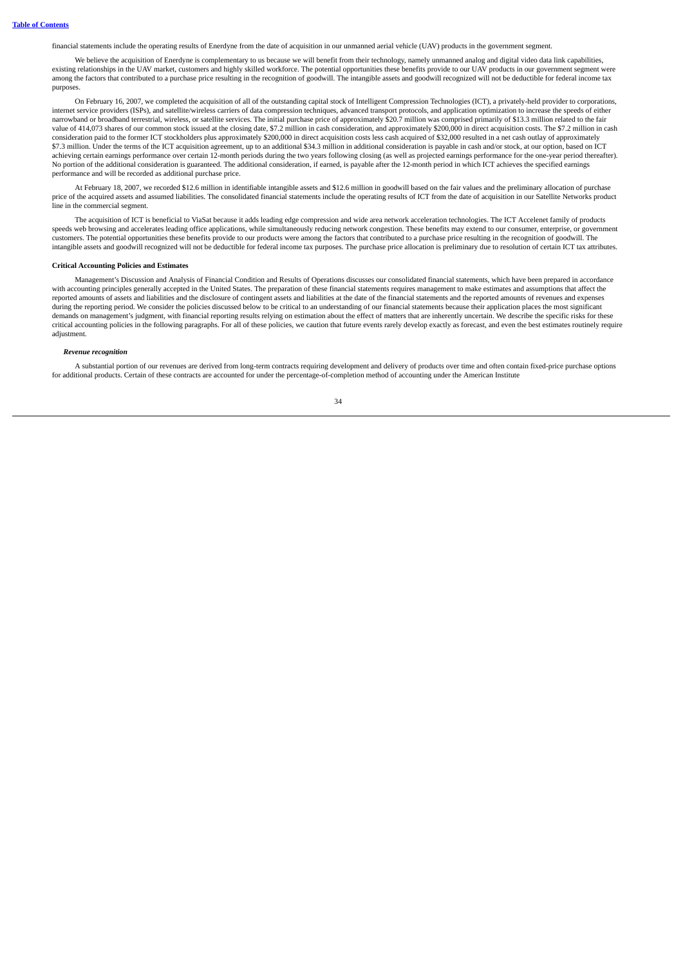financial statements include the operating results of Enerdyne from the date of acquisition in our unmanned aerial vehicle (UAV) products in the government segment.

We believe the acquisition of Enerdyne is complementary to us because we will benefit from their technology, namely unmanned analog and digital video data link capabilities, existing relationships in the UAV market, customers and highly skilled workforce. The potential opportunities these benefits provide to our UAV products in our government segment were among the factors that contributed to a purchase price resulting in the recognition of goodwill. The intangible assets and goodwill recognized will not be deductible for federal income tax purposes.

On February 16, 2007, we completed the acquisition of all of the outstanding capital stock of Intelligent Compression Technologies (ICT), a privately-held provider to corporations, internet service providers (ISPs), and satellite/wireless carriers of data compression techniques, advanced transport protocols, and application optimization to increase the speeds of either narrowband or broadband terrestrial, wireless, or satellite services. The initial purchase price of approximately \$20.7 million was comprised primarily of \$13.3 million related to the fair value of 414,073 shares of our common stock issued at the closing date, \$7.2 million in cash consideration, and approximately \$200,000 in direct acquisition costs. The \$7.2 million in cash consideration paid to the former ICT stockholders plus approximately \$200,000 in direct acquisition costs less cash acquired of \$32,000 resulted in a net cash outlay of approximately \$7.3 million. Under the terms of the ICT acquisition agreement, up to an additional \$34.3 million in additional consideration is payable in cash and/or stock, at our option, based on ICT achieving certain earnings performance over certain 12-month periods during the two years following closing (as well as projected earnings performance for the one-year period thereafter). No portion of the additional consideration is guaranteed. The additional consideration, if earned, is payable after the 12-month period in which ICT achieves the specified earnings performance and will be recorded as additional purchase price.

At February 18, 2007, we recorded \$12.6 million in identifiable intangible assets and \$12.6 million in goodwill based on the fair values and the preliminary allocation of purchase price of the acquired assets and assumed liabilities. The consolidated financial statements include the operating results of ICT from the date of acquisition in our Satellite Networks product line in the commercial segment.

The acquisition of ICT is beneficial to ViaSat because it adds leading edge compression and wide area network acceleration technologies. The ICT Accelenet family of products speeds web browsing and accelerates leading office applications, while simultaneously reducing network congestion. These benefits may extend to our consumer, enterprise, or government customers. The potential opportunities these benefits provide to our products were among the factors that contributed to a purchase price resulting in the recognition of goodwill. The intangible assets and goodwill recognized will not be deductible for federal income tax purposes. The purchase price allocation is preliminary due to resolution of certain ICT tax attributes.

#### **Critical Accounting Policies and Estimates**

Management's Discussion and Analysis of Financial Condition and Results of Operations discusses our consolidated financial statements, which have been prepared in accordance with accounting principles generally accepted in the United States. The preparation of these financial statements requires management to make estimates and assumptions that affect the reported amounts of assets and liabilities and the disclosure of contingent assets and liabilities at the date of the financial statements and the reported amounts of revenues and expenses during the reporting period. We consider the policies discussed below to be critical to an understanding of our financial statements because their application places the most significant demands on management's judgment, with financial reporting results relying on estimation about the effect of matters that are inherently uncertain. We describe the specific risks for these critical accounting policies in the following paragraphs. For all of these policies, we caution that future events rarely develop exactly as forecast, and even the best estimates routinely require adjustment.

### *Revenue recognition*

A substantial portion of our revenues are derived from long-term contracts requiring development and delivery of products over time and often contain fixed-price purchase options for additional products. Certain of these contracts are accounted for under the percentage-of-completion method of accounting under the American Institute

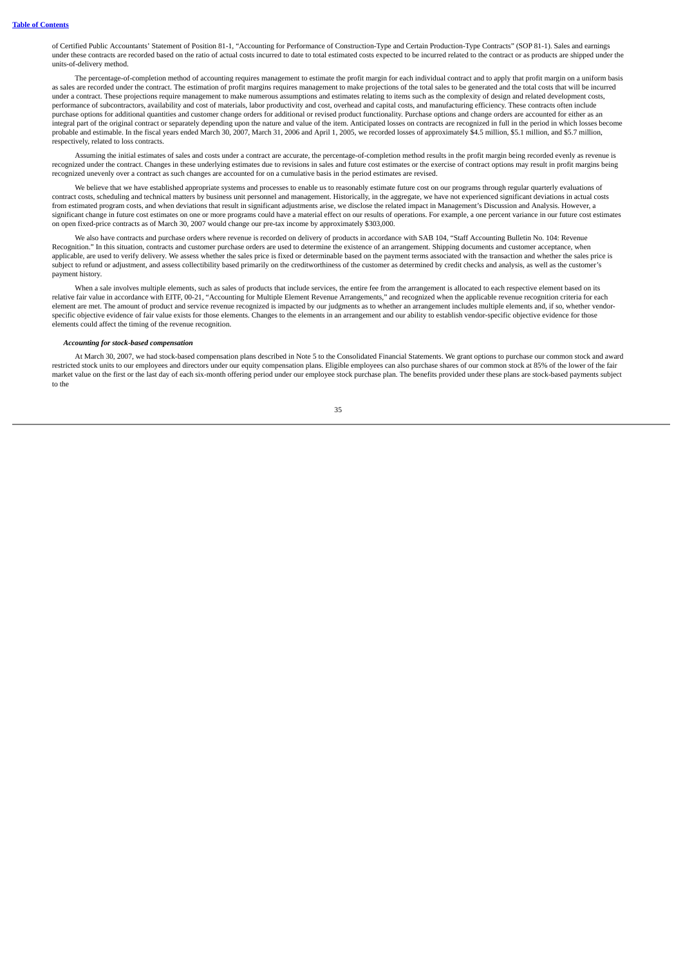of Certified Public Accountants' Statement of Position 81-1, "Accounting for Performance of Construction-Type and Certain Production-Type Contracts" (SOP 81-1). Sales and earnings under these contracts are recorded based on the ratio of actual costs incurred to date to total estimated costs expected to be incurred related to the contract or as products are shipped under the units-of-delivery method.

The percentage-of-completion method of accounting requires management to estimate the profit margin for each individual contract and to apply that profit margin on a uniform basis as sales are recorded under the contract. The estimation of profit margins requires management to make projections of the total sales to be generated and the total costs that will be incurred under a contract. These projections require management to make numerous assumptions and estimates relating to items such as the complexity of design and related development costs, performance of subcontractors, availability and cost of materials, labor productivity and cost, overhead and capital costs, and manufacturing efficiency. These contracts often include purchase options for additional quantities and customer change orders for additional or revised product functionality. Purchase options and change orders are accounted for either as an integral part of the original contract or separately depending upon the nature and value of the item. Anticipated losses on contracts are recognized in full in the period in which losses become probable and estimable. In the fiscal years ended March 30, 2007, March 31, 2006 and April 1, 2005, we recorded losses of approximately \$4.5 million, \$5.1 million, and \$5.7 million, and \$5.7 million, respectively, related to loss contracts.

Assuming the initial estimates of sales and costs under a contract are accurate, the percentage-of-completion method results in the profit margin being recorded evenly as revenue is recognized under the contract. Changes in these underlying estimates due to revisions in sales and future cost estimates or the exercise of contract options may result in profit margins being recognized unevenly over a contract as such changes are accounted for on a cumulative basis in the period estimates are revised.

We believe that we have established appropriate systems and processes to enable us to reasonably estimate future cost on our programs through regular quarterly evaluations of contract costs, scheduling and technical matters by business unit personnel and management. Historically, in the aggregate, we have not experienced significant deviations in actual costs from estimated program costs, and when deviations that result in significant adjustments arise, we disclose the related impact in Management's Discussion and Analysis. However, a significant change in future cost estimates on one or more programs could have a material effect on our results of operations. For example, a one percent variance in our future cost estimates on open fixed-price contracts as of March 30, 2007 would change our pre-tax income by approximately \$303,000.

We also have contracts and purchase orders where revenue is recorded on delivery of products in accordance with SAB 104, "Staff Accounting Bulletin No. 104: Revenue Recognition." In this situation, contracts and customer purchase orders are used to determine the existence of an arrangement. Shipping documents and customer acceptance, when applicable, are used to verify delivery. We assess whether the sales price is fixed or determinable based on the payment terms associated with the transaction and whether the sales price is subject to refund or adjustment, and assess collectibility based primarily on the creditworthiness of the customer as determined by credit checks and analysis, as well as the customer's payment history.

When a sale involves multiple elements, such as sales of products that include services, the entire fee from the arrangement is allocated to each respective element based on its relative fair value in accordance with EITF, 00-21, "Accounting for Multiple Element Revenue Arrangements," and recognized when the applicable revenue recognition criteria for each value in accordance with EITF, 00-21, "Ac element are met. The amount of product and service revenue recognized is impacted by our judgments as to whether an arrangement includes multiple elements and, if so, whether vendorspecific objective evidence of fair value exists for those elements. Changes to the elements in an arrangement and our ability to establish vendor-specific objective evidence for those elements could affect the timing of the revenue recognition.

#### *Accounting for stock-based compensation*

At March 30, 2007, we had stock-based compensation plans described in Note 5 to the Consolidated Financial Statements. We grant options to purchase our common stock and award restricted stock units to our employees and directors under our equity compensation plans. Eligible employees can also purchase shares of our common stock at 85% of the lower of the fair market value on the first or the last day of each six-month offering period under our employee stock purchase plan. The benefits provided under these plans are stock-based payments subject to the

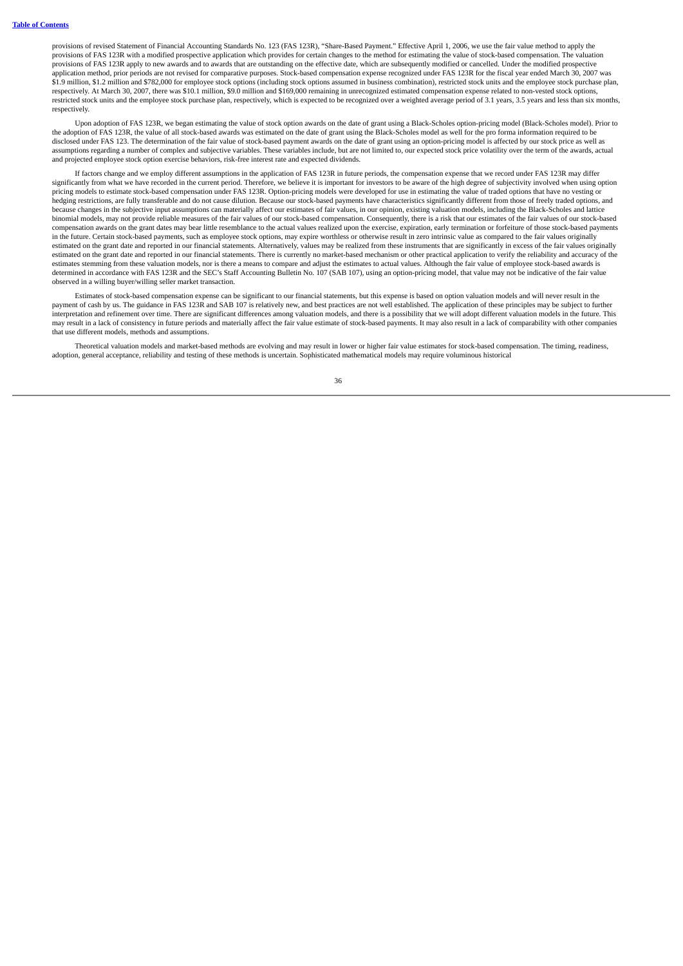provisions of revised Statement of Financial Accounting Standards No. 123 (FAS 123R), "Share-Based Payment." Effective April 1, 2006, we use the fair value method to apply the provisions of FAS 123R with a modified prospective application which provides for certain changes to the method for estimating the value of stock-based compensation. The valuation provisions of FAS 123R apply to new awards and to awards that are outstanding on the effective date, which are subsequently modified or cancelled. Under the modified prospective application method, prior periods are not revised for comparative purposes. Stock-based compensation expense recognized under FAS 123R for the fiscal year ended March 30, 2007 was \$1.9 million, \$1.2 million and \$782,000 for employee stock options (including stock options assumed in business combination), restricted stock units and the employee stock purchase plan, respectively. At March 30, 2007, there was \$10.1 million, \$9.0 million and \$169,000 remaining in unrecognized estimated compensation expense related to non-vested stock options, restricted stock units and the employee stock purchase plan, respectively, which is expected to be recognized over a weighted average period of 3.1 years, 3.5 years and less than six months, respectively.

Upon adoption of FAS 123R, we began estimating the value of stock option awards on the date of grant using a Black-Scholes option-pricing model (Black-Scholes model). Prior to the adoption of FAS 123R, the value of all stock-based awards was estimated on the date of grant using the Black-Scholes model as well for the pro forma information required to be disclosed under FAS 123. The determination of the fair value of stock-based payment awards on the date of grant using an option-pricing model is affected by our stock price as well as assumptions regarding a number of complex and subjective variables. These variables include, but are not limited to, our expected stock price volatility over the term of the awards, actual and projected employee stock option exercise behaviors, risk-free interest rate and expected dividends.

If factors change and we employ different assumptions in the application of FAS 123R in future periods, the compensation expense that we record under FAS 123R may differ significantly from what we have recorded in the current period. Therefore, we believe it is important for investors to be aware of the high degree of subjectivity involved when using option pricing models to estimate stock-based compensation under FAS 123R. Option-pricing models were developed for use in estimating the value of traded options that have no vesting or hedging restrictions, are fully transferable and do not cause dilution. Because our stock-based payments have characteristics significantly different from those of freely traded options, and because changes in the subjective input assumptions can materially affect our estimates of fair values, in our opinion, existing valuation models, including the Black-Scholes and lattice binomial models, may not provide reliable measures of the fair values of our stock-based compensation. Consequently, there is a risk that our estimates of the fair values of our stock-based compensation awards on the grant dates may bear little resemblance to the actual values realized upon the exercise, expiration, early termination or forfeiture of those stock-based payments in the future. Certain stock-based payments, such as employee stock options, may expire worthless or otherwise result in zero intrinsic value as compared to the fair values originally estimated on the grant date and reported in our financial statements. Alternatively, values may be realized from these instruments that are significantly in excess of the fair values originally estimated on the grant date and reported in our financial statements. There is currently no market-based mechanism or other practical application to verify the reliability and accuracy of the estimates stemming from these valuation models, nor is there a means to compare and adjust the estimates to actual values. Although the fair value of employee stock-based awards is determined in accordance with FAS 123R and the SEC's Staff Accounting Bulletin No. 107 (SAB 107), using an option-pricing model, that value may not be indicative of the fair value observed in a willing buyer/willing seller market transaction.

Estimates of stock-based compensation expense can be significant to our financial statements, but this expense is based on option valuation models and will never result in the payment of cash by us. The guidance in FAS 123R and SAB 107 is relatively new, and best practices are not well established. The application of these principles may be subject to further interpretation and refinement over time. There are significant differences among valuation models, and there is a possibility that we will adopt different valuation models in the future. This may result in a lack of consistency in future periods and materially affect the fair value estimate of stock-based payments. It may also result in a lack of comparability with other companies  $\frac{1}{2}$  may also result in that use different models, methods and assumptions.

Theoretical valuation models and market-based methods are evolving and may result in lower or higher fair value estimates for stock-based compensation. The timing, readiness, adoption, general acceptance, reliability and testing of these methods is uncertain. Sophisticated mathematical models may require voluminous historical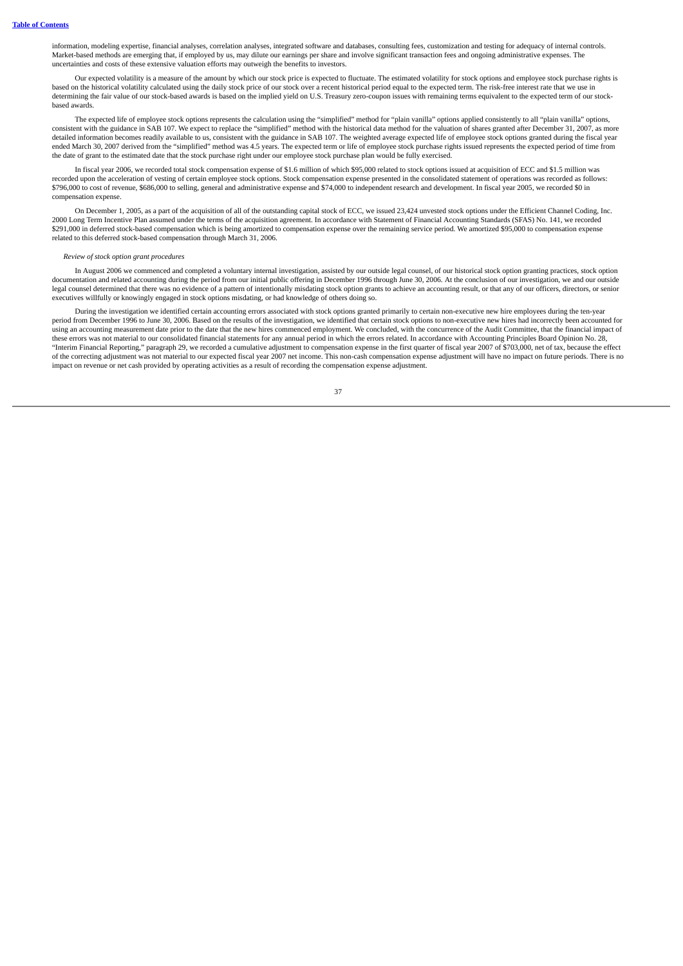information, modeling expertise, financial analyses, correlation analyses, integrated software and databases, consulting fees, customization and testing for adequacy of internal controls. Market-based methods are emerging that, if employed by us, may dilute our earnings per share and involve significant transaction fees and ongoing administrative expenses. The uncertainties and costs of these extensive valuation efforts may outweigh the benefits to investors.

Our expected volatility is a measure of the amount by which our stock price is expected to fluctuate. The estimated volatility for stock options and employee stock purchase rights is based on the historical volatility calculated using the daily stock price of our stock over a recent historical period equal to the expected term. The risk-free interest rate that we use in determining the fair value of our stock-based awards is based on the implied yield on U.S. Treasury zero-coupon issues with remaining terms equivalent to the expected term of our stockbased awards.

The expected life of employee stock options represents the calculation using the "simplified" method for "plain vanilla" options applied consistently to all "plain vanilla" options, consistent with the guidance in SAB 107. We expect to replace the "simplified" method with the historical data method for the valuation of shares granted after December 31, 2007, as more detailed information becomes readily available to us, consistent with the guidance in SAB 107. The weighted average expected life of employee stock options granted during the fiscal year ended March 30, 2007 derived from the "simplified" method was 4.5 years. The expected term or life of employee stock purchase rights issued represents the expected period of time from the date of grant to the estimated date that the stock purchase right under our employee stock purchase plan would be fully exercised.

In fiscal year 2006, we recorded total stock compensation expense of \$1.6 million of which \$95,000 related to stock options issued at acquisition of ECC and \$1.5 million was recorded upon the acceleration of vesting of certain employee stock options. Stock compensation expense presented in the consolidated statement of operations was recorded as follows:<br>\$796,000 to cost of revenue, \$686,000 t compensation expense.

On December 1, 2005, as a part of the acquisition of all of the outstanding capital stock of ECC, we issued 23,424 unvested stock options under the Efficient Channel Coding, Inc. 2000 Long Term Incentive Plan assumed under the terms of the acquisition agreement. In accordance with Statement of Financial Accounting Standards (SFAS) No. 141, we recorded \$291,000 in deferred stock-based compensation which is being amortized to compensation expense over the remaining service period. We amortized \$95,000 to compensation expense related to this deferred stock-based compensation through March 31, 2006.

## *Review of stock option grant procedures*

In August 2006 we commenced and completed a voluntary internal investigation, assisted by our outside legal counsel, of our historical stock option granting practices, stock option documentation and related accounting during the period from our initial public offering in December 1996 through June 30, 2006. At the conclusion of our investigation, we and our outside legal counsel determined that there was no evidence of a pattern of intentionally misdating stock option grants to achieve an accounting result, or that any of our officers, directors, or senior executives willfully or knowingly engaged in stock options misdating, or had knowledge of others doing so.

During the investigation we identified certain accounting errors associated with stock options granted primarily to certain non-executive new hire employees during the ten-year period from December 1996 to June 30, 2006. Based on the results of the investigation, we identified that certain stock options to non-executive new hires had incorrectly been accounted for using an accounting measurement date prior to the date that the new hires commenced employment. We concluded, with the concurrence of the Audit Committee, that the financial impact of these errors was not material to our consolidated financial statements for any annual period in which the errors related. In accordance with Accounting Principles Board Opinion No. 28, "Interim Financial Reporting," paragraph 29, we recorded a cumulative adjustment to compensation expense in the first quarter of fiscal year 2007 of \$703,000, net of tax, because the effect of the correcting adjustment was not material to our expected fiscal year 2007 net income. This non-cash compensation expense adjustment will have no impact on future periods. There is no impact on revenue or net cash provided by operating activities as a result of recording the compensation expense adjustment.

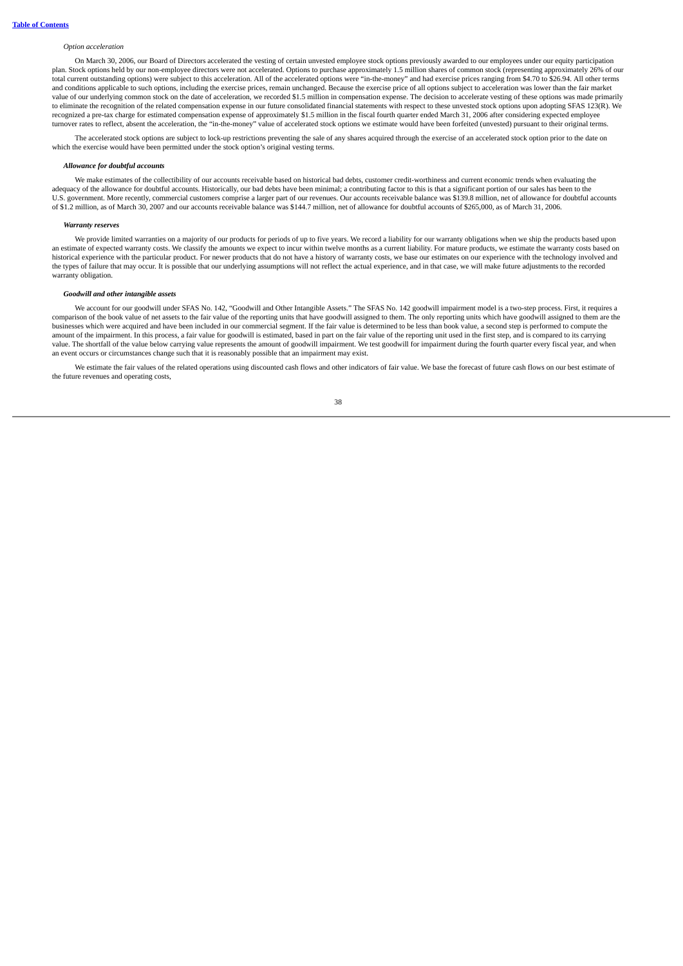### *Option acceleration*

On March 30, 2006, our Board of Directors accelerated the vesting of certain unvested employee stock options previously awarded to our employees under our equity participation plan. Stock options held by our non-employee directors were not accelerated. Options to purchase approximately 1.5 million shares of common stock (representing approximately 26% of our total current outstanding options) were subject to this acceleration. All of the accelerated options were "in-the-money" and had exercise prices ranging from \$4.70 to \$26.94. All other terms and conditions applicable to such options, including the exercise prices, remain unchanged. Because the exercise price of all options subject to acceleration was lower than the fair market value of our underlying common stock on the date of acceleration, we recorded \$1.5 million in compensation expense. The decision to accelerate vesting of these options was made primarily to eliminate the recognition of the related compensation expense in our future consolidated financial statements with respect to these unvested stock options upon adopting SFAS 123(R). We recognized a pre-tax charge for estimated compensation expense of approximately \$1.5 million in the fiscal fourth quarter ended March 31, 2006 after considering expected employee turnover rates to reflect, absent the acceleration, the "in-the-money" value of accelerated stock options we estimate would have been forfeited (unvested) pursuant to their original terms.

The accelerated stock options are subject to lock-up restrictions preventing the sale of any shares acquired through the exercise of an accelerated stock option prior to the date on which the exercise would have been permitted under the stock option's original vesting terms.

#### *Allowance for doubtful accounts*

We make estimates of the collectibility of our accounts receivable based on historical bad debts, customer credit-worthiness and current economic trends when evaluating the adequacy of the allowance for doubtful accounts. Historically, our bad debts have been minimal; a contributing factor to this is that a significant portion of our sales has been to the U.S. government. More recently, commercial customers comprise a larger part of our revenues. Our accounts receivable balance was \$139.8 million, net of allowance for doubtful accounts of \$1.2 million, as of March 30, 2007 and our accounts receivable balance was \$144.7 million, net of allowance for doubtful accounts of \$265,000, as of March 31, 2006.

#### *Warranty reserves*

We provide limited warranties on a majority of our products for periods of up to five years. We record a liability for our warranty obligations when we ship the products based upon an estimate of expected warranty costs. We classify the amounts we expect to incur within twelve months as a current liability. For mature products, we estimate the warranty costs based on historical experience with the particular product. For newer products that do not have a history of warranty costs, we base our estimates on our experience with the technology involved and the types of failure that may occur. It is possible that our underlying assumptions will not reflect the actual experience, and in that case, we will make future adjustments to the recorded warranty obligation.

## *Goodwill and other intangible assets*

We account for our goodwill under SFAS No. 142, "Goodwill and Other Intangible Assets." The SFAS No. 142 goodwill impairment model is a two-step process. First, it requires a comparison of the book value of net assets to the fair value of the reporting units that have goodwill assigned to them. The only reporting units which have goodwill assigned to them are the<br>businesses which were acquired amount of the impairment. In this process, a fair value for goodwill is estimated, based in part on the fair value of the reporting unit used in the first step, and is compared to its carrying value. The shortfall of the value below carrying value represents the amount of goodwill impairment. We test goodwill for impairment during the fourth quarter every fiscal year, and when an event occurs or circumstances change such that it is reasonably possible that an impairment may exist.

We estimate the fair values of the related operations using discounted cash flows and other indicators of fair value. We base the forecast of future cash flows on our best estimate of the future revenues and operating costs,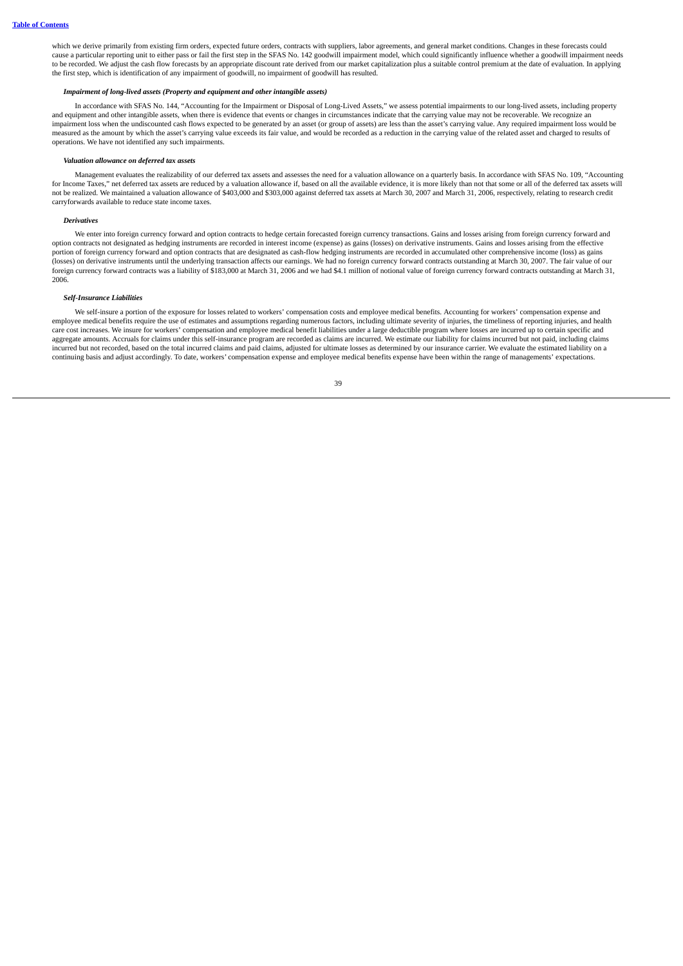which we derive primarily from existing firm orders, expected future orders, contracts with suppliers, labor agreements, and general market conditions. Changes in these forecasts could<br>cause a particular reporting unit to to be recorded. We adjust the cash flow forecasts by an appropriate discount rate derived from our market capitalization plus a suitable control premium at the date of evaluation. In applying the first step, which is identification of any impairment of goodwill, no impairment of goodwill has resulted.

## *Impairment of long-lived assets (Property and equipment and other intangible assets)*

In accordance with SFAS No. 144, "Accounting for the Impairment or Disposal of Long-Lived Assets," we assess potential impairments to our long-lived assets, including property and equipment and other intangible assets, when there is evidence that events or changes in circumstances indicate that the carrying value may not be recoverable. We recognize an impairment loss when the undiscounted cash flows expected to be generated by an asset (or group of assets) are less than the asset's carrying value. Any required impairment loss would be<br>measured as the amount by which the operations. We have not identified any such impairments.

### *Valuation allowance on deferred tax assets*

Management evaluates the realizability of our deferred tax assets and assesses the need for a valuation allowance on a quarterly basis. In accordance with SFAS No. 109, "Accounting for Income Taxes," net deferred tax assets are reduced by a valuation allowance if, based on all the available evidence, it is more likely than not that some or all of the deferred tax assets will not be realized. We maintained a valuation allowance of \$403,000 and \$303,000 against deferred tax assets at March 30, 2007 and March 31, 2006, respectively, relating to research credit carryforwards available to reduce state income taxes.

### *Derivatives*

We enter into foreign currency forward and option contracts to hedge certain forecasted foreign currency transactions. Gains and losses arising from foreign currency forward and option contracts not designated as hedging instruments are recorded in interest income (expense) as gains (losses) on derivative instruments. Gains and losses arising from the effective<br>portion of foreign currency forward (losses) on derivative instruments until the underlying transaction affects our earnings. We had no foreign currency forward contracts outstanding at March 30, 2007. The fair value of our foreign currency forward contracts was a liability of \$183,000 at March 31, 2006 and we had \$4.1 million of notional value of foreign currency forward contracts outstanding at March 31, 2006.

### *Self-Insurance Liabilities*

We self-insure a portion of the exposure for losses related to workers' compensation costs and employee medical benefits. Accounting for workers' compensation expense and employee medical benefits require the use of estimates and assumptions regarding numerous factors, including ultimate severity of injuries, the timeliness of reporting injuries, and health care cost increases. We insure for workers' compensation and employee medical benefit liabilities under a large deductible program where losses are incurred up to certain specific and<br>aggregate amounts. Accruals for claims incurred but not recorded, based on the total incurred claims and paid claims, adjusted for ultimate losses as determined by our insurance carrier. We evaluate the estimated liability on a continuing basis and adjust accordingly. To date, workers' compensation expense and employee medical benefits expense have been within the range of managements' expectations.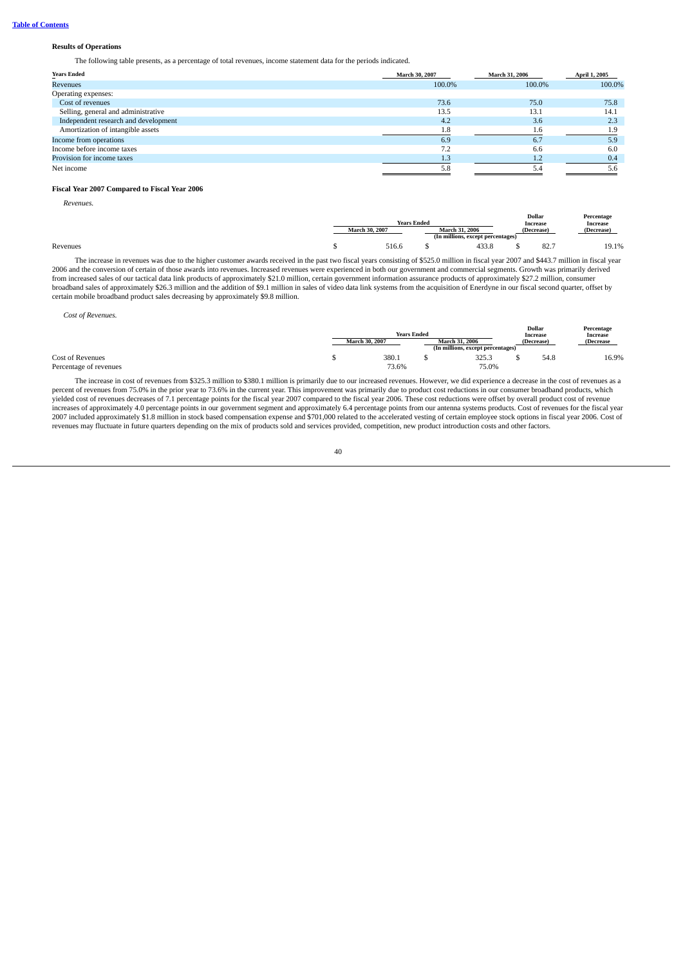# **Results of Operations**

The following table presents, as a percentage of total revenues, income statement data for the periods indicated.

| <b>Years Ended</b>                   | <b>March 30, 2007</b> | <b>March 31, 2006</b> | April 1, 2005 |
|--------------------------------------|-----------------------|-----------------------|---------------|
| Revenues                             | 100.0%                | 100.0%                | 100.0%        |
| Operating expenses:                  |                       |                       |               |
| Cost of revenues                     | 73.6                  | 75.0                  | 75.8          |
| Selling, general and administrative  | 13.5                  | 13.1                  | 14.1          |
| Independent research and development | 4.2                   | 3.6                   | 2.3           |
| Amortization of intangible assets    | $1.8\,$               | 1.6                   | 1.9           |
| Income from operations               | 6.9                   | 6.7                   | 5.9           |
| Income before income taxes           | 7.2                   | 6.6                   | 6.0           |
| Provision for income taxes           | 1.3                   |                       | 0.4           |
| Net income                           | 5.8                   | 5.4                   | 5.6           |

## **Fiscal Year 2007 Compared to Fiscal Year 2006**

*Revenues.*

|          |  | <b>Years Ended</b> |  |                                                            |  | <b>Dollar</b><br>Increase | Percentage<br><b>Increase</b> |  |
|----------|--|--------------------|--|------------------------------------------------------------|--|---------------------------|-------------------------------|--|
|          |  | March 30, 2007     |  | <b>March 31, 2006</b><br>(In millions, except percentages) |  | (Decrease)                | (Decrease)                    |  |
| Revenues |  | 516.6              |  | 433.8                                                      |  | 82.7                      | 19.1%                         |  |

The increase in revenues was due to the higher customer awards received in the past two fiscal years consisting of \$525.0 million in fiscal year 2007 and \$443.7 million in fiscal year 2006 and the conversion of certain of those awards into revenues. Increased revenues were experienced in both our government and commercial segments. Growth was primarily derived from increased sales of our tactical data link products of approximately \$21.0 million, certain government information assurance products of approximately \$27.2 million, consumer<br>broadband sales of approximately \$26.3 mill certain mobile broadband product sales decreasing by approximately \$9.8 million.

*Cost of Revenues.*

|                         |                                                | <b>Years Ended</b> |  |                                   | <b>Dollar</b><br>Increase | Percentage<br>Increase |  |
|-------------------------|------------------------------------------------|--------------------|--|-----------------------------------|---------------------------|------------------------|--|
|                         | <b>March 30, 2007</b><br><b>March 31, 2006</b> |                    |  |                                   | (Decrease)                | (Decrease              |  |
|                         |                                                |                    |  | (In millions, except percentages) |                           |                        |  |
| <b>Cost of Revenues</b> |                                                | 380.1              |  | 325.3                             | 54.8                      | 16.9%                  |  |
| Percentage of revenues  |                                                | 73.6%              |  | 75.0%                             |                           |                        |  |

The increase in cost of revenues from \$325.3 million to \$380.1 million is primarily due to our increased revenues. However, we did experience a decrease in the cost of revenues as a<br>percent of revenues from 75.0% in the pr yielded cost of revenues decreases of 7.1 percentage points for the fiscal year 2007 compared to the fiscal year 2006. These cost reductions were offset by overall product cost of revenue increases of approximately 4.0 percentage points in our government segment and approximately 6.4 percentage points from our antenna systems products. Cost of revenues for the fiscal year 2007 included approximately \$1.8 million in stock based compensation expense and \$701,000 related to the accelerated vesting of certain employee stock options in fiscal year 2006. Cost of<br>revenues may fluctuate in future q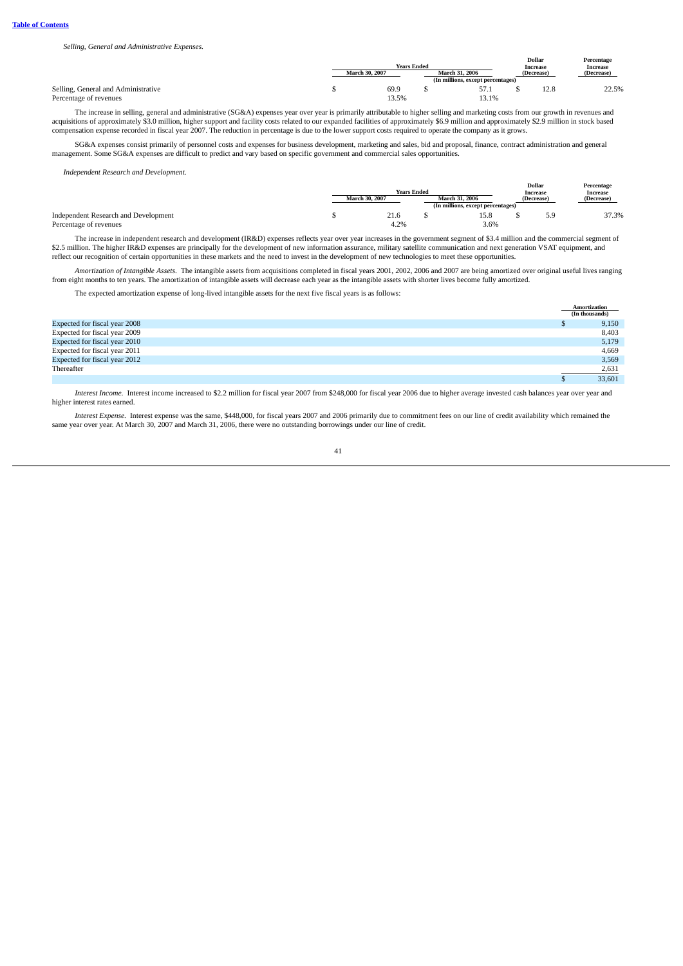*Selling, General and Administrative Expenses.*

|                                     | <b>Years Ended</b> |  |                                                            |            | Percentage<br><b>Increase</b> |
|-------------------------------------|--------------------|--|------------------------------------------------------------|------------|-------------------------------|
|                                     | March 30, 2007     |  | <b>March 31, 2006</b><br>(In millions, except percentages) | (Decrease) | (Decrease)                    |
| Selling, General and Administrative | 69.9               |  | 57.1                                                       | 12.8       | 22.5%                         |
| Percentage of revenues              | 13.5%              |  | 13.1%                                                      |            |                               |

The increase in selling, general and administrative (SG&A) expenses year over year is primarily attributable to higher selling and marketing costs from our growth in revenues and acquisitions of approximately \$3.0 million, higher support and facility costs related to our expanded facilities of approximately \$6.9 million and approximately \$2.9 million in stock based compensation expense recorded in fiscal year 2007. The reduction in percentage is due to the lower support costs required to operate the company as it grows.

SG&A expenses consist primarily of personnel costs and expenses for business development, marketing and sales, bid and proposal, finance, contract administration and general management. Some SG&A expenses are difficult to predict and vary based on specific government and commercial sales opportunities.

*Independent Research and Development.*

|                                      | <b>Years Ended</b>    |      |                                   | <b>Dollar</b><br>Increase |            |     |            |  |  | Percentage<br><b>Increase</b> |
|--------------------------------------|-----------------------|------|-----------------------------------|---------------------------|------------|-----|------------|--|--|-------------------------------|
|                                      | <b>March 30, 2007</b> |      | <b>March 31, 2006</b>             |                           | (Decrease) |     | (Decrease) |  |  |                               |
|                                      |                       |      | (In millions, except percentages) |                           |            |     |            |  |  |                               |
| Independent Research and Development |                       | 21.6 |                                   | 15.8                      |            | 5.9 | 37.3%      |  |  |                               |
| Percentage of revenues               |                       | 4.2% |                                   | 3.6%                      |            |     |            |  |  |                               |

The increase in independent research and development (IR&D) expenses reflects year over year increases in the government segment of \$3.4 million and the commercial segment of \$2.5 million. The higher IR&D expenses are principally for the development of new information assurance, military satellite communication and next generation VSAT equipment, and reflect our recognition of certain opportunities in these markets and the need to invest in the development of new technologies to meet these opportunities.

*Amortization of Intangible Assets.* The intangible assets from acquisitions completed in fiscal years 2001, 2002, 2006 and 2007 are being amortized over original useful lives ranging from eight months to ten years. The amortization of intangible assets will decrease each year as the intangible assets with shorter lives become fully amortized.

**Amortization**

The expected amortization expense of long-lived intangible assets for the next five fiscal years is as follows:

|                               | Amortization<br>(In thousands) |
|-------------------------------|--------------------------------|
| Expected for fiscal year 2008 | 9,150                          |
| Expected for fiscal year 2009 | 8,403                          |
| Expected for fiscal year 2010 | 5,179                          |
| Expected for fiscal year 2011 | 4,669                          |
| Expected for fiscal year 2012 | 3,569                          |
| Thereafter                    | 2,631                          |
|                               | 33,601                         |

*Interest Income.* Interest income increased to \$2.2 million for fiscal year 2007 from \$248,000 for fiscal year 2006 due to higher average invested cash balances year over year and higher interest rates earned.

*Interest Expense.* Interest expense was the same, \$448,000, for fiscal years 2007 and 2006 primarily due to commitment fees on our line of credit availability which remained the same year over year. At March 30, 2007 and March 31, 2006, there were no outstanding borrowings under our line of credit.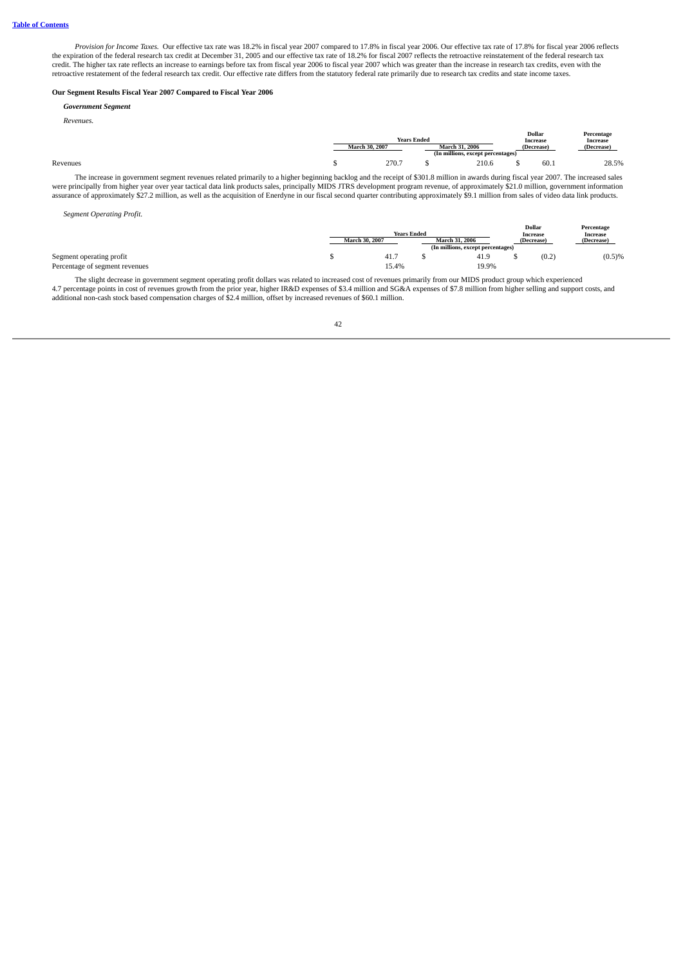*Provision for Income Taxes.* Our effective tax rate was 18.2% in fiscal year 2007 compared to 17.8% in fiscal year 2006. Our effective tax rate of 17.8% for fiscal year 2006 reflects the expiration of the federal research tax credit at December 31, 2005 and our effective tax rate of 18.2% for fiscal 2007 reflects the retroactive reinstatement of the federal research tax credit. The higher tax rate reflects an increase to earnings before tax from fiscal year 2006 to fiscal year 2007 which was greater than the increase in research tax credits, even with the retroactive restatement of the federal research tax credit. Our effective rate differs from the statutory federal rate primarily due to research tax credits and state income taxes.

## **Our Segment Results Fiscal Year 2007 Compared to Fiscal Year 2006**

# *Government Segment*

*Revenues.*

|          | <b>March 30, 2007</b> | <b>Years Ended</b> | March 31, 2006<br>(In millions, except percentages) | <b>Dollar</b><br>Increase<br>(Decrease) | Percentage<br><b>Increase</b><br>(Decrease) |
|----------|-----------------------|--------------------|-----------------------------------------------------|-----------------------------------------|---------------------------------------------|
| Revenues | 270.7                 |                    | 210.6                                               | 60.1                                    | 28.5%                                       |

The increase in government segment revenues related primarily to a higher beginning backlog and the receipt of \$301.8 million in awards during fiscal year 2007. The increased sales were principally from higher year over year tactical data link products sales, principally MIDS JTRS development program revenue, of approximately \$21.0 million, government information assurance of approximately \$27.2 million, as well as the acquisition of Enerdyne in our fiscal second quarter contributing approximately \$9.1 million from sales of video data link products.

### *Segment Operating Profit.*

|                                                            | <b>Years Ended</b> |               |                                                            |               | <b>Dollar</b><br><b>Increase</b> |       | Percentage<br>Increase |  |
|------------------------------------------------------------|--------------------|---------------|------------------------------------------------------------|---------------|----------------------------------|-------|------------------------|--|
|                                                            | March 30, 2007     |               | <b>March 31, 2006</b><br>(In millions, except percentages) |               | (Decrease)                       |       | (Decrease)             |  |
| Segment operating profit<br>Percentage of segment revenues |                    | 41.7<br>15.4% |                                                            | 41.9<br>19.9% |                                  | (0.2) | (0.5)%                 |  |

The slight decrease in government segment operating profit dollars was related to increased cost of revenues primarily from our MIDS product group which experienced 4.7 percentage points in cost of revenues growth from the prior year, higher IR&D expenses of \$3.4 million and SG&A expenses of \$7.8 million from higher selling and support costs, and additional non-cash stock based compensation charges of \$2.4 million, offset by increased revenues of \$60.1 million.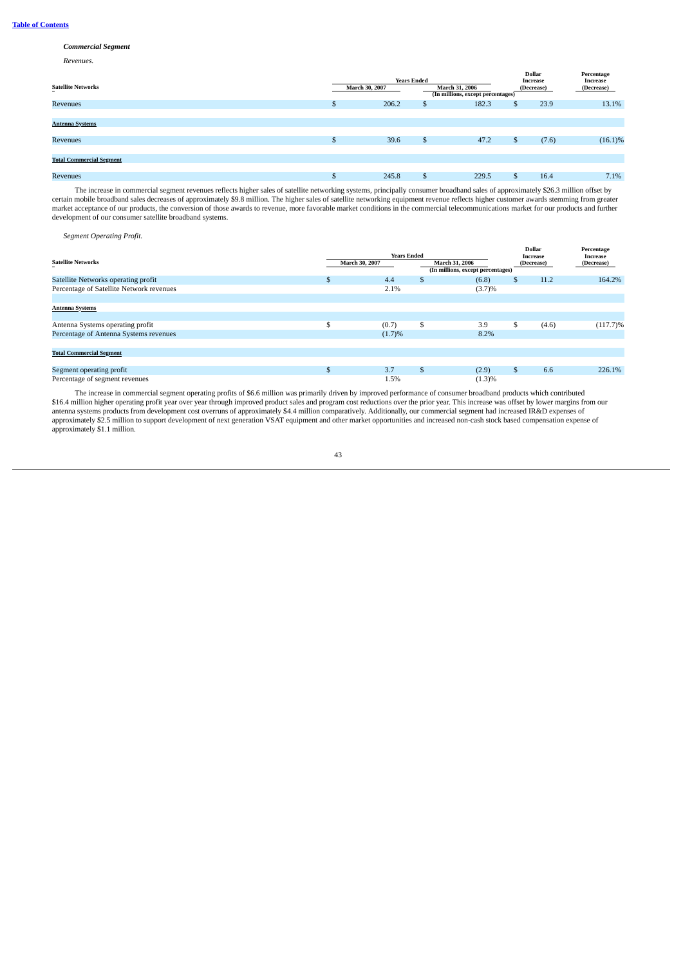### **Table of [Contents](#page-2-0)**

*Commercial Segment*

*Revenues.*

| <b>Satellite Networks</b>       |              | <b>Years Ended</b><br>March 30, 2007<br><b>March 31, 2006</b> |    |                                   |    | <b>Dollar</b><br><b>Increase</b><br>(Decrease) | Percentage<br><b>Increase</b><br>(Decrease) |  |
|---------------------------------|--------------|---------------------------------------------------------------|----|-----------------------------------|----|------------------------------------------------|---------------------------------------------|--|
|                                 |              |                                                               |    | (In millions, except percentages) |    |                                                |                                             |  |
| Revenues                        | \$           | 206.2                                                         | S  | 182.3                             | \$ | 23.9                                           | 13.1%                                       |  |
|                                 |              |                                                               |    |                                   |    |                                                |                                             |  |
| <b>Antenna Systems</b>          |              |                                                               |    |                                   |    |                                                |                                             |  |
|                                 |              |                                                               |    |                                   |    |                                                |                                             |  |
| Revenues                        | $\mathbf{s}$ | 39.6                                                          | \$ | 47.2                              | \$ | (7.6)                                          | $(16.1)\%$                                  |  |
|                                 |              |                                                               |    |                                   |    |                                                |                                             |  |
| <b>Total Commercial Segment</b> |              |                                                               |    |                                   |    |                                                |                                             |  |
|                                 |              |                                                               |    |                                   |    |                                                |                                             |  |
| Revenues                        | D            | 245.8                                                         | S  | 229.5                             |    | 16.4                                           | 7.1%                                        |  |

The increase in commercial segment revenues reflects higher sales of satellite networking systems, principally consumer broadband sales of approximately \$26.3 million offset by certain mobile broadband sales decreases of approximately \$9.8 million. The higher sales of satellite networking equipment revenue reflects higher customer awards stemming from greater market acceptance of our products, the conversion of those awards to revenue, more favorable market conditions in the commercial telecommunications market for our products and further development of our consumer satellite broadband systems.

*Segment Operating Profit.*

|                                          | <b>Years Ended</b> |        |                                                     |           | <b>Dollar</b><br><b>Increase</b> |       | Percentage<br>Increase |  |
|------------------------------------------|--------------------|--------|-----------------------------------------------------|-----------|----------------------------------|-------|------------------------|--|
| <b>Satellite Networks</b>                | March 30, 2007     |        | March 31, 2006<br>(In millions, except percentages) |           | (Decrease)                       |       | (Decrease)             |  |
| Satellite Networks operating profit      | £.                 | 4.4    | \$                                                  | (6.8)     | \$                               | 11.2  | 164.2%                 |  |
| Percentage of Satellite Network revenues |                    | 2.1%   |                                                     | (3.7)%    |                                  |       |                        |  |
| <b>Antenna Systems</b>                   |                    |        |                                                     |           |                                  |       |                        |  |
| Antenna Systems operating profit         |                    | (0.7)  | \$                                                  | 3.9       | \$                               | (4.6) | $(117.7)\%$            |  |
| Percentage of Antenna Systems revenues   |                    | (1.7)% |                                                     | 8.2%      |                                  |       |                        |  |
| <b>Total Commercial Segment</b>          |                    |        |                                                     |           |                                  |       |                        |  |
| Segment operating profit                 | Эħ.                | 3.7    | \$                                                  | (2.9)     | \$                               | 6.6   | 226.1%                 |  |
| Percentage of segment revenues           |                    | 1.5%   |                                                     | $(1.3)\%$ |                                  |       |                        |  |

The increase in commercial segment operating profits of \$6.6 million was primarily driven by improved performance of consumer broadband products which contributed \$16.4 million higher operating profit year over year through improved product sales and program cost reductions over the prior year. This increase was offset by lower margins from our antenna systems products from development cost overruns of approximately \$4.4 million comparatively. Additionally, our commercial segment had increased IR&D expenses of<br>approximately \$2.5 million to support development of approximately \$1.1 million.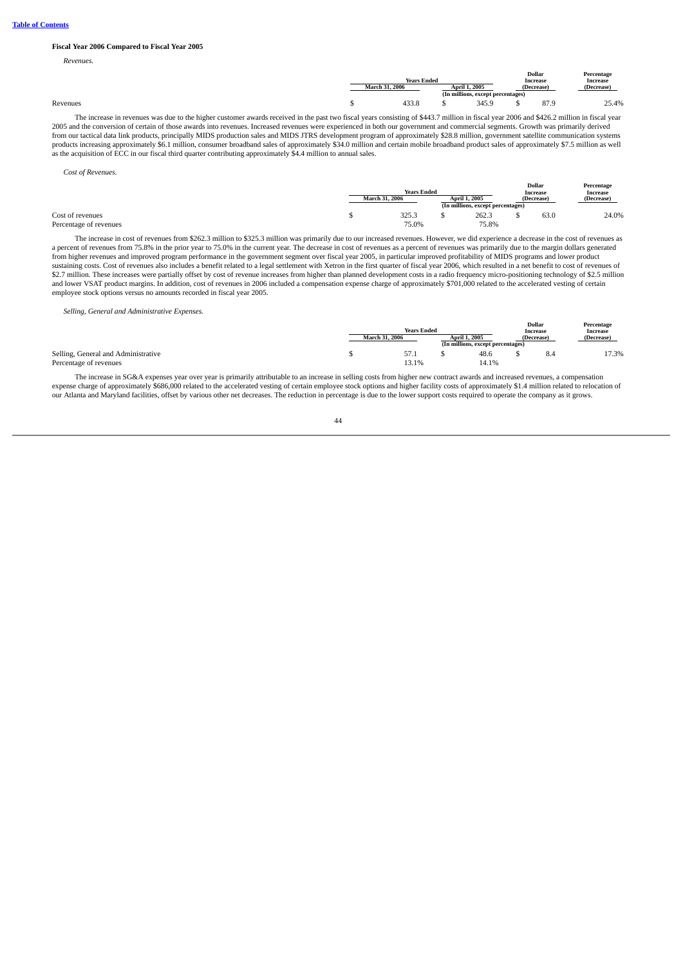## **Fiscal Year 2006 Compared to Fiscal Year 2005**

*Revenues.*

|          |     |                                               |  |                                   |            | Dollar                 | Percentage      |  |
|----------|-----|-----------------------------------------------|--|-----------------------------------|------------|------------------------|-----------------|--|
|          |     | <b>Years Ended</b>                            |  |                                   | Increase   |                        | <b>Increase</b> |  |
|          |     | <b>March 31, 2006</b><br><b>April 1, 2005</b> |  |                                   | (Decrease) |                        | (Decrease)      |  |
|          |     |                                               |  | (In millions, except percentages) |            |                        |                 |  |
| Revenues | хB. | 433.8                                         |  | 345.9                             |            | 07 <sub>0</sub><br>0/3 | 25.4%           |  |

The increase in revenues was due to the higher customer awards received in the past two fiscal years consisting of \$443.7 million in fiscal year 2006 and \$426.2 million in fiscal year 2005 and the conversion of certain of those awards into revenues. Increased revenues were experienced in both our government and commercial segments. Growth was primarily derived from our tactical data link products, principally MIDS production sales and MIDS JTRS development program of approximately \$28.8 million, government satellite communication systems products increasing approximately \$6.1 million, consumer broadband sales of approximately \$34.0 million and certain mobile broadband product sales of approximately \$7.5 million as well as the acquisition of ECC in our fiscal third quarter contributing approximately \$4.4 million to annual sales.

*Cost of Revenues.*

|                        | <b>Years Ended</b><br>April 1, 2005<br><b>March 31, 2006</b> |       |  |                                   | <b>Dollar</b>          |      | Percentage                    |
|------------------------|--------------------------------------------------------------|-------|--|-----------------------------------|------------------------|------|-------------------------------|
|                        |                                                              |       |  |                                   | Increase<br>(Decrease) |      | <b>Increase</b><br>(Decrease) |
|                        |                                                              |       |  | (In millions, except percentages) |                        |      |                               |
| Cost of revenues       |                                                              | 325.3 |  | 262.3                             |                        | 63.0 | 24.0%                         |
| Percentage of revenues |                                                              | 75.0% |  | 75.8%                             |                        |      |                               |

The increase in cost of revenues from \$262.3 million to \$325.3 million was primarily due to our increased revenues. However, we did experience a decrease in the cost of revenues as a percent of revenues from 75.8% in the prior year to 75.0% in the current year. The decrease in cost of revenues as a percent of revenues was primarily due to the margin dollars generated from higher revenues and improved program performance in the government segment over fiscal year 2005, in particular improved profitability of MIDS programs and lower product sustaining costs. Cost of revenues also includes a benefit related to a legal settlement with Xetron in the first quarter of fiscal year 2006, which resulted in a net benefit to cost of revenues of<br>\$2.7 million. These incr and lower VSAT product margins. In addition, cost of revenues in 2006 included a compensation expense charge of approximately \$701,000 related to the accelerated vesting of certain employee stock options versus no amounts recorded in fiscal year 2005.

*Selling, General and Administrative Expenses.*

|                                     |                    |  |                                   |            | Dollar          | Percentage      |  |
|-------------------------------------|--------------------|--|-----------------------------------|------------|-----------------|-----------------|--|
|                                     | <b>Years Ended</b> |  |                                   |            | <b>Increase</b> | <b>Increase</b> |  |
|                                     | March 31, 2006     |  | April 1, 2005                     | (Decrease) |                 | (Decrease)      |  |
|                                     |                    |  | (In millions, except percentages) |            |                 |                 |  |
| Selling, General and Administrative | 57.1               |  | 48.6                              |            | 8.4             | 17.3%           |  |
| Percentage of revenues              | 13.1%              |  | 14.1%                             |            |                 |                 |  |

The increase in SG&A expenses year over year is primarily attributable to an increase in selling costs from higher new contract awards and increased revenues, a compensation expense charge of approximately \$686,000 related to the accelerated vesting of certain employee stock options and higher facility costs of approximately \$1.4 million related to relocation of our Atlanta and Maryland facilities, offset by various other net decreases. The reduction in percentage is due to the lower support costs required to operate the company as it grows.

 $\overline{A}A$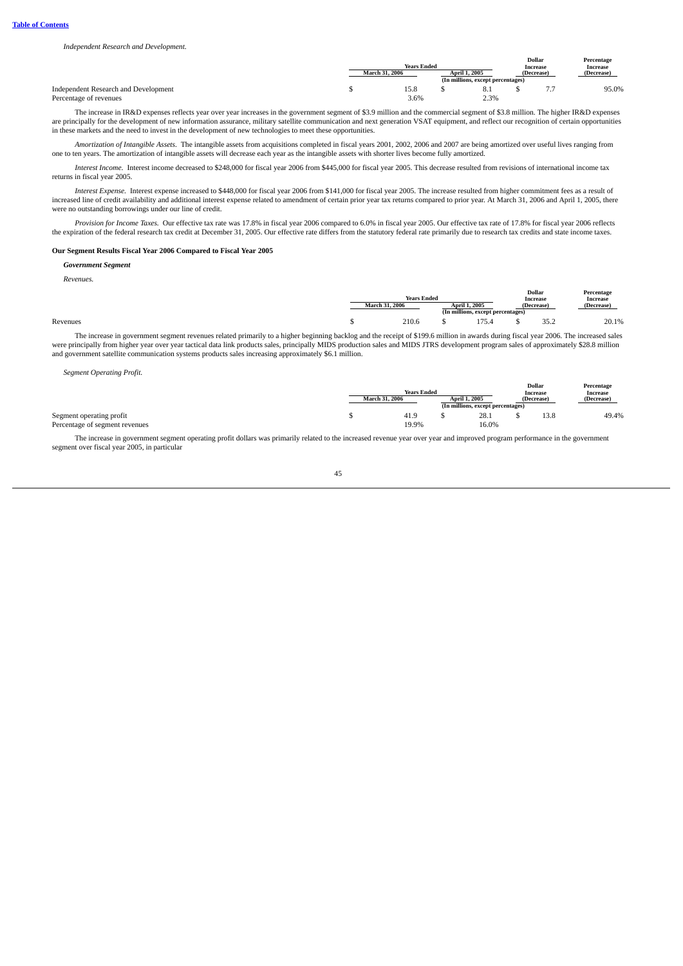*Independent Research and Development.*

|                                      | <b>Years Ended</b> |                                                           |      |            | <b>Dollar</b><br><b>Increase</b> | Percentage<br><b>Increase</b> |  |
|--------------------------------------|--------------------|-----------------------------------------------------------|------|------------|----------------------------------|-------------------------------|--|
|                                      | March 31, 2006     | <b>April 1, 2005</b><br>(In millions, except percentages) |      | (Decrease) |                                  | (Decrease)                    |  |
| Independent Research and Development | 15.8               |                                                           | 8.1  |            |                                  | 95.0%                         |  |
| Percentage of revenues               | 3.6%               |                                                           | 2.3% |            |                                  |                               |  |

The increase in IR&D expenses reflects year over year increases in the government segment of \$3.9 million and the commercial segment of \$3.8 million. The higher IR&D expenses are principally for the development of new information assurance, military satellite communication and next generation VSAT equipment, and reflect our recognition of certain opportunities in these markets and the need to invest in the development of new technologies to meet these opportunities.

*Amortization of Intangible Assets.* The intangible assets from acquisitions completed in fiscal years 2001, 2002, 2006 and 2007 are being amortized over useful lives ranging from one to ten years. The amortization of intangible assets will decrease each year as the intangible assets with shorter lives become fully amortized.

*Interest Income.* Interest income decreased to \$248,000 for fiscal year 2006 from \$445,000 for fiscal year 2005. This decrease resulted from revisions of international income tax returns in fiscal year 2005.

*Interest Expense.* Interest expense increased to \$448,000 for fiscal year 2006 from \$141,000 for fiscal year 2005. The increase resulted from higher commitment fees as a result of increased line of credit availability and additional interest expense related to amendment of certain prior year tax returns compared to prior year. At March 31, 2006 and April 1, 2005, there were no outstanding borrowings under our line of credit.

*Provision for Income Taxes.* Our effective tax rate was 17.8% in fiscal year 2006 compared to 6.0% in fiscal year 2005. Our effective tax rate of 17.8% for fiscal year 2006 reflects the expiration of the federal research tax credit at December 31, 2005. Our effective rate differs from the statutory federal rate primarily due to research tax credits and state income taxes.

### **Our Segment Results Fiscal Year 2006 Compared to Fiscal Year 2005**

#### *Government Segment*

*Revenues.*

|          | <b>Years Ended</b><br><b>March 31, 2006</b> | April 1, 2005<br>(In millions, except percentages) |   | <b>Dollar</b><br>Increase<br>(Decrease) | Percentage<br><b>Increase</b><br>(Decrease) |
|----------|---------------------------------------------|----------------------------------------------------|---|-----------------------------------------|---------------------------------------------|
| Revenues | 210.6                                       | 175.4                                              | м | 35.2                                    | 20.1%                                       |

The increase in government segment revenues related primarily to a higher beginning backlog and the receipt of \$199.6 million in awards during fiscal year 2006. The increased sales were principally from higher year over year tactical data link products sales, principally MIDS production sales and MIDS JTRS development program sales of approximately \$28.8 million were principally Minumately sales and and government satellite communication systems products sales increasing approximately \$6.1 million.

*Segment Operating Profit.*

|                                |                       |  |                                   |                 | <b>Dollar</b> | Percentage      |  |
|--------------------------------|-----------------------|--|-----------------------------------|-----------------|---------------|-----------------|--|
|                                | <b>Years Ended</b>    |  |                                   | <b>Increase</b> |               | <b>Increase</b> |  |
|                                | <b>March 31, 2006</b> |  | <b>April 1, 2005</b>              | (Decrease)      |               | (Decrease)      |  |
|                                |                       |  | (In millions, except percentages) |                 |               |                 |  |
| Segment operating profit       | 41.9                  |  | 28.1                              |                 | 13.8          | 49.4%           |  |
| Percentage of segment revenues | 19.9%                 |  | 16.0%                             |                 |               |                 |  |

The increase in government segment operating profit dollars was primarily related to the increased revenue year over year and improved program performance in the government segment over fiscal year 2005, in particular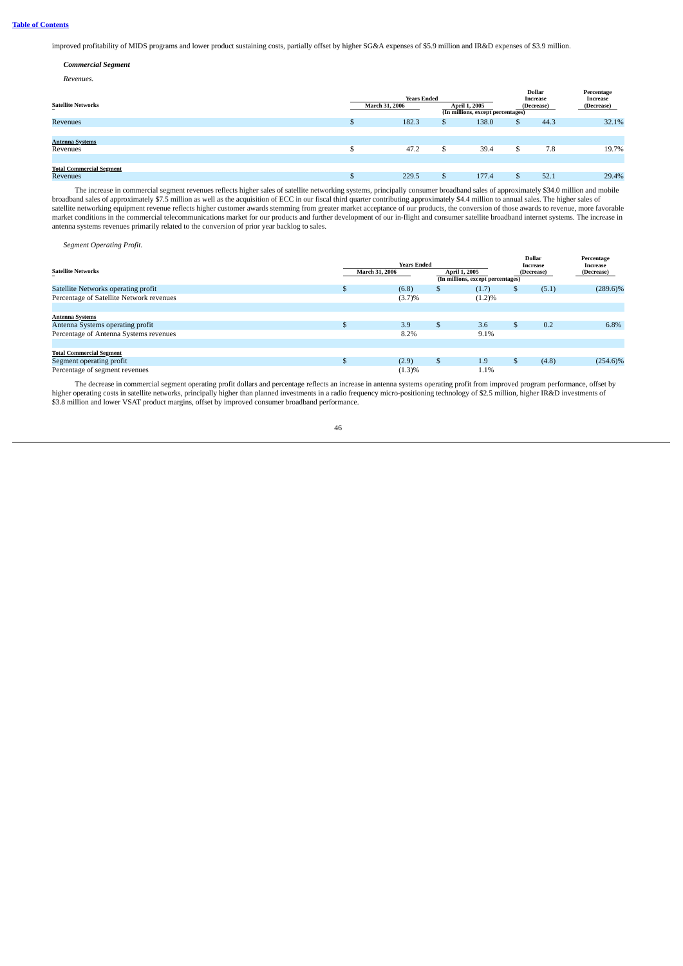improved profitability of MIDS programs and lower product sustaining costs, partially offset by higher SG&A expenses of \$5.9 million and IR&D expenses of \$3.9 million.

# *Commercial Segment*

*Revenues.*

| <b>Satellite Networks</b>       | <b>Years Ended</b><br>March 31, 2006 | <b>Dollar</b><br>Increase<br>April 1, 2005<br>(Decrease)<br>(In millions, except percentages) |       |   |      | Percentage<br>Increase<br>(Decrease) |  |
|---------------------------------|--------------------------------------|-----------------------------------------------------------------------------------------------|-------|---|------|--------------------------------------|--|
| Revenues                        | 182.3                                | æ                                                                                             | 138.0 | ъ | 44.3 | 32.1%                                |  |
| <b>Antenna Systems</b>          |                                      |                                                                                               |       |   |      |                                      |  |
| Revenues                        | 47.2                                 |                                                                                               | 39.4  | S | 7.8  | 19.7%                                |  |
| <b>Total Commercial Segment</b> |                                      |                                                                                               |       |   |      |                                      |  |
| Revenues                        | 229.5                                |                                                                                               | 177.4 |   | 52.1 | 29.4%                                |  |

The increase in commercial segment revenues reflects higher sales of satellite networking systems, principally consumer broadband sales of approximately \$34.0 million and mobile broadband sales of approximately \$7.5 million as well as the acquisition of ECC in our fiscal third quarter contributing approximately \$4.4 million to annual sales. The higher sales of satellite networking equipment revenue reflects higher customer awards stemming from greater market acceptance of our products, the conversion of those awards to revenue, more favorable market conditions in the commercial telecommunications market for our products and further development of our in-flight and consumer satellite broadband internet systems. The increase in<br>antenna systems revenues primarily

*Segment Operating Profit.*

|                                          |  |                                      | <b>Dollar</b><br><b>Increase</b><br>(Decrease) |        | Percentage                                         |       |                        |
|------------------------------------------|--|--------------------------------------|------------------------------------------------|--------|----------------------------------------------------|-------|------------------------|
| <b>Satellite Networks</b>                |  | <b>Years Ended</b><br>March 31, 2006 |                                                |        | April 1, 2005<br>(In millions, except percentages) |       | Increase<br>(Decrease) |
| Satellite Networks operating profit      |  | (6.8)                                | \$                                             | (1.7)  | P.                                                 | (5.1) | $(289.6)\%$            |
| Percentage of Satellite Network revenues |  | (3.7)%                               |                                                | (1.2)% |                                                    |       |                        |
|                                          |  |                                      |                                                |        |                                                    |       |                        |
| <b>Antenna Systems</b>                   |  |                                      |                                                |        |                                                    |       |                        |
| Antenna Systems operating profit         |  | 3.9                                  | \$                                             | 3.6    | ъ.                                                 | 0.2   | 6.8%                   |
| Percentage of Antenna Systems revenues   |  | 8.2%                                 |                                                | 9.1%   |                                                    |       |                        |
|                                          |  |                                      |                                                |        |                                                    |       |                        |
| <b>Total Commercial Segment</b>          |  |                                      |                                                |        |                                                    |       |                        |
| Segment operating profit                 |  | (2.9)                                | \$                                             | 1.9    | ъ                                                  | (4.8) | $(254.6)\%$            |
| Percentage of segment revenues           |  | (1.3)%                               |                                                | 1.1%   |                                                    |       |                        |

The decrease in commercial segment operating profit dollars and percentage reflects an increase in antenna systems operating profit from improved program performance, offset by higher operating costs in satellite networks, principally higher than planned investments in a radio frequency micro-positioning technology of \$2.5 million, higher IR&D investments of \$3.8 million and lower VSAT product margins, offset by improved consumer broadband performance.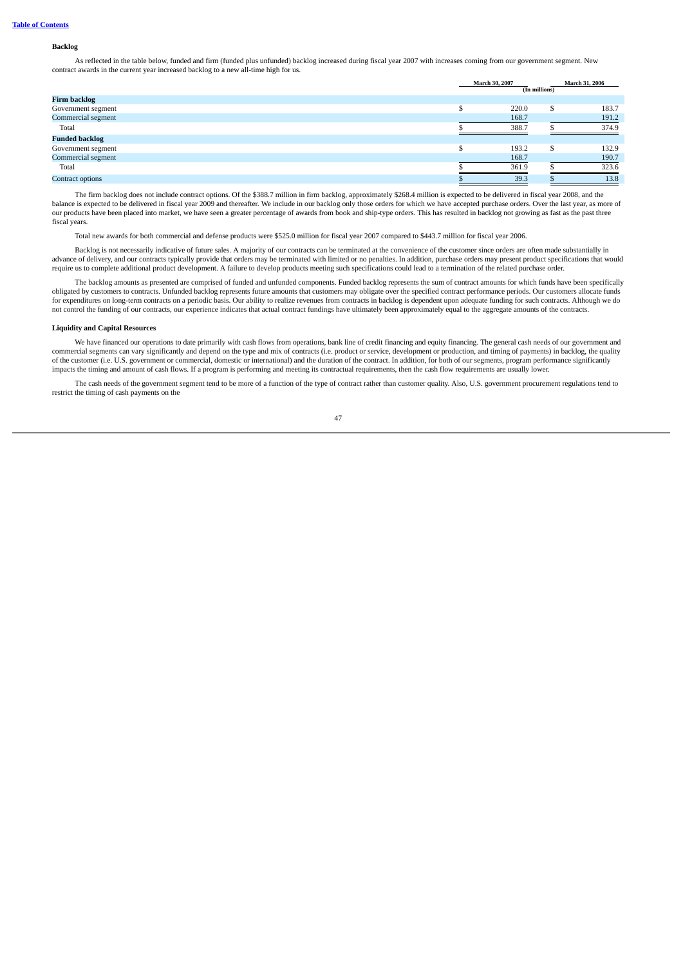## **Backlog**

As reflected in the table below, funded and firm (funded plus unfunded) backlog increased during fiscal year 2007 with increases coming from our government segment. New contract awards in the current year increased backlog to a new all-time high for us.

|                       | <b>March 30, 2007</b> |       |     | <b>March 31, 2006</b> |  |
|-----------------------|-----------------------|-------|-----|-----------------------|--|
|                       | $(n$ millions)        |       |     |                       |  |
| <b>Firm backlog</b>   |                       |       |     |                       |  |
| Government segment    |                       | 220.0 | ۰π. | 183.7                 |  |
| Commercial segment    |                       | 168.7 |     | 191.2                 |  |
| Total                 |                       | 388.7 |     | 374.9                 |  |
| <b>Funded backlog</b> |                       |       |     |                       |  |
| Government segment    |                       | 193.2 |     | 132.9                 |  |
| Commercial segment    |                       | 168.7 |     | 190.7                 |  |
| Total                 |                       | 361.9 |     | 323.6                 |  |
| Contract options      |                       | 39.3  |     | 13.8                  |  |

The firm backlog does not include contract options. Of the \$388.7 million in firm backlog, approximately \$268.4 million is expected to be delivered in fiscal year 2008, and the balance is expected to be delivered in fiscal year 2009 and thereafter. We include in our backlog only those orders for which we have accepted purchase orders. Over the last year, as more of our products have been placed into market, we have seen a greater percentage of awards from book and ship-type orders. This has resulted in backlog not growing as fast as the past three fiscal years.

Total new awards for both commercial and defense products were \$525.0 million for fiscal year 2007 compared to \$443.7 million for fiscal year 2006.

Backlog is not necessarily indicative of future sales. A majority of our contracts can be terminated at the convenience of the customer since orders are often made substantially in advance of delivery, and our contracts typically provide that orders may be terminated with limited or no penalties. In addition, purchase orders may present product specifications that would require us to complete additional product development. A failure to develop products meeting such specifications could lead to a termination of the related purchase order.

The backlog amounts as presented are comprised of funded and unfunded components. Funded backlog represents the sum of contract amounts for which funds have been specifically obligated by customers to contracts. Unfunded backlog represents future amounts that customers may obligate over the specified contract performance periods. Our customers allocate funds<br>for expenditures on long-term contra not control the funding of our contracts, our experience indicates that actual contract fundings have ultimately been approximately equal to the aggregate amounts of the contracts.

### **Liquidity and Capital Resources**

We have financed our operations to date primarily with cash flows from operations, bank line of credit financing and equity financing. The general cash needs of our government and commercial segments can vary significantly and depend on the type and mix of contracts (i.e. product or service, development or production, and timing of payments) in backlog, the quality of the customer (i.e. U.S. government or commercial, domestic or international) and the duration of the contract. In addition, for both of our segments, program performance significantly impacts the timing and amount of cash flows. If a program is performing and meeting its contractual requirements, then the cash flow requirements are usually lower.

The cash needs of the government segment tend to be more of a function of the type of contract rather than customer quality. Also, U.S. government procurement regulations tend to restrict the timing of cash payments on the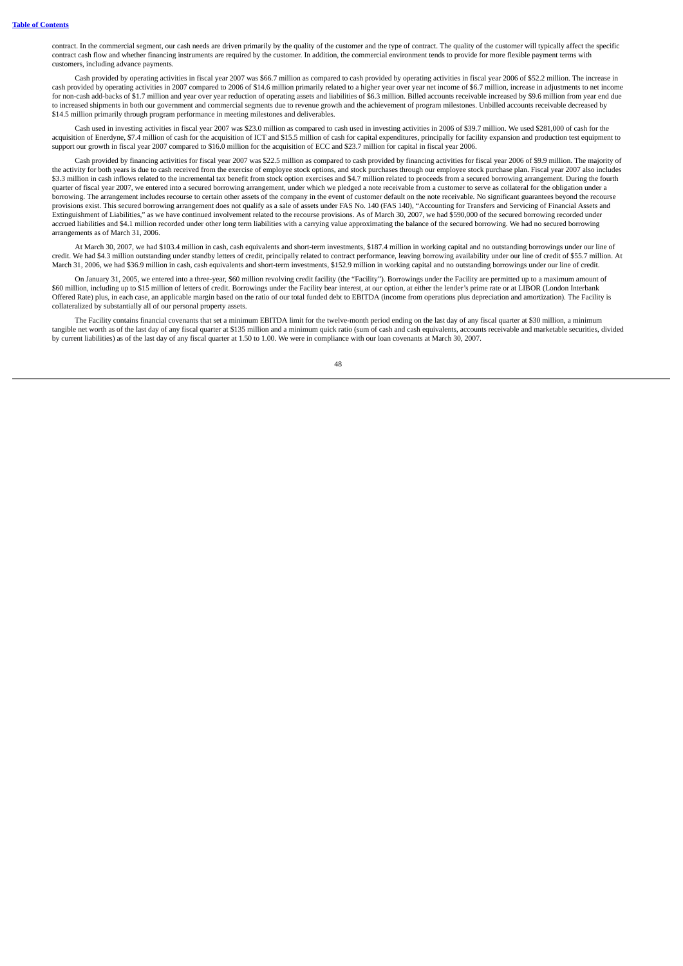contract. In the commercial segment, our cash needs are driven primarily by the quality of the customer and the type of contract. The quality of the customer will typically affect the specific contract cash flow and whether financing instruments are required by the customer. In addition, the commercial environment tends to provide for more flexible payment terms with customers, including advance payments.

Cash provided by operating activities in fiscal year 2007 was \$66.7 million as compared to cash provided by operating activities in fiscal year 2006 of \$52.2 million. The increase in cash provided by operating activities in 2007 compared to 2006 of \$14.6 million primarily related to a higher year over year net income of \$6.7 million, increase in adjustments to net income for non-cash add-backs of \$1.7 million and year over year reduction of operating assets and liabilities of \$6.3 million. Billed accounts receivable increased by \$9.6 million from year end due to increased shipments in both our government and commercial segments due to revenue growth and the achievement of program milestones. Unbilled accounts receivable decreased by \$14.5 million primarily through program performance in meeting milestones and deliverables.

Cash used in investing activities in fiscal year 2007 was \$23.0 million as compared to cash used in investing activities in 2006 of \$39.7 million. We used \$281,000 of cash for the acquisition of Enerdyne, \$7.4 million of cash for the acquisition of ICT and \$15.5 million of cash for capital expenditures, principally for facility expansion and production test equipment to<br>support our growth in fiscal

Cash provided by financing activities for fiscal year 2007 was \$22.5 million as compared to cash provided by financing activities for fiscal year 2006 of \$9.9 million. The majority of the activity for both years is due to cash received from the exercise of employee stock options, and stock purchases through our employee stock purchase plan. Fiscal year 2007 also includes \$3.3 million in cash inflows related to the incremental tax benefit from stock option exercises and \$4.7 million related to proceeds from a secured borrowing arrangement. During the fourth quarter of fiscal year 2007, we entered into a secured borrowing arrangement, under which we pledged a note receivable from a customer to serve as collateral for the obligation under a borrowing. The arrangement includes recourse to certain other assets of the company in the event of customer default on the note receivable. No significant guarantees beyond the recourse provisions exist. This secured borrowing arrangement does not qualify as a sale of assets under FAS No. 140 (FAS 140), "Accounting for Transfers and Servicing of Financial Assets and Extinguishment of Liabilities," as we have continued involvement related to the recourse provisions. As of March 30, 2007, we had \$590,000 of the secured borrowing recorded under accrued liabilities and \$4.1 million recorded under other long term liabilities with a carrying value approximating the balance of the secured borrowing. We had no secured borrowing arrangements as of March 31, 2006.

At March 30, 2007, we had \$103.4 million in cash, cash equivalents and short-term investments, \$187.4 million in working capital and no outstanding borrowings under our line of credit. We had \$4.3 million outstanding under standby letters of credit, principally related to contract performance, leaving borrowing availability under our line of credit of \$55.7 million. At March 31, 2006, we had \$36.9 million in cash, cash equivalents and short-term investments, \$152.9 million in working capital and no outstanding borrowings under our line of credit.

On January 31, 2005, we entered into a three-year, \$60 million revolving credit facility (the "Facility"). Borrowings under the Facility are permitted up to a maximum amount of \$60 million, including up to \$15 million of letters of credit. Borrowings under the Facility bear interest, at our option, at either the lender's prime rate or at LIBOR (London Interbank Offered Rate) plus, in each case, an applicable margin based on the ratio of our total funded debt to EBITDA (income from operations plus depreciation and amortization). The Facility is collateralized by substantially all of our personal property assets.

The Facility contains financial covenants that set a minimum EBITDA limit for the twelve-month period ending on the last day of any fiscal quarter at \$30 million, a minimum tangible net worth as of the last day of any fiscal quarter at \$135 million and a minimum quick ratio (sum of cash and cash equivalents, accounts receivable and marketable securities, divided by current liabilities) as of the last day of any fiscal quarter at 1.50 to 1.00. We were in compliance with our loan covenants at March 30, 2007.

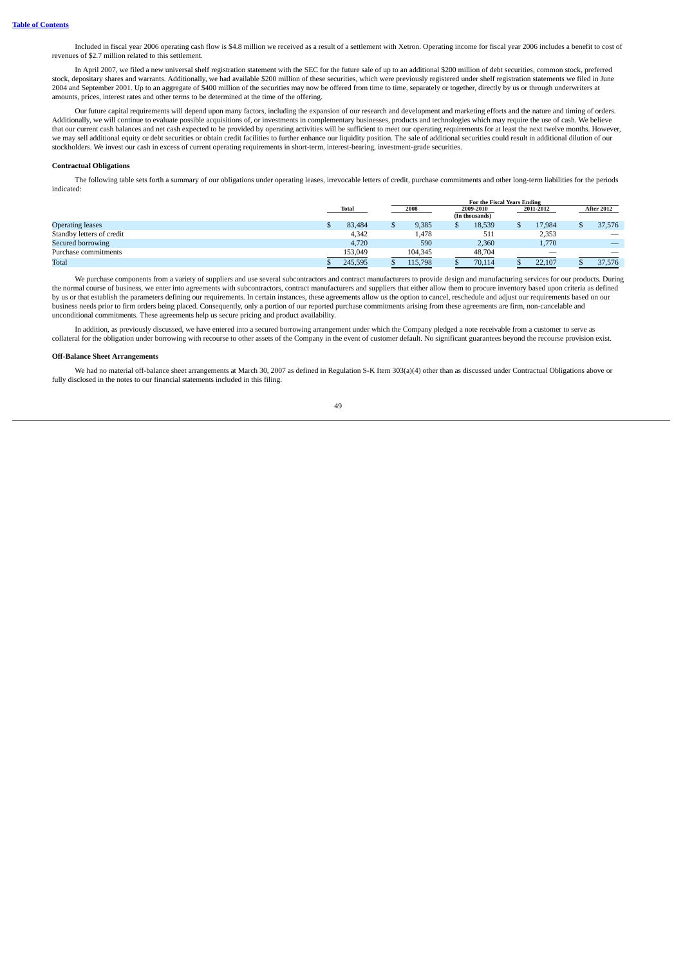Included in fiscal year 2006 operating cash flow is \$4.8 million we received as a result of a settlement with Xetron. Operating income for fiscal year 2006 includes a benefit to cost of revenues of \$2.7 million related to this settlement.

In April 2007, we filed a new universal shelf registration statement with the SEC for the future sale of up to an additional \$200 million of debt securities, common stock, preferred stock, depositary shares and warrants. Additionally, we had available \$200 million of these securities, which were previously registered under shelf registration statements we filed in June<br>2004 and September 2001. Up to a amounts, prices, interest rates and other terms to be determined at the time of the offering.

Our future capital requirements will depend upon many factors, including the expansion of our research and development and marketing efforts and the nature and timing of orders.<br>Additionally, we will continue to evaluate p that our current cash balances and net cash expected to be provided by operating activities will be sufficient to meet our operating requirements for at least the next twelve months. However, we may sell additional equity or debt securities or obtain credit facilities to further enhance our liquidity position. The sale of additional securities could result in additional dilution of our stockholders. We invest our cash in excess of current operating requirements in short-term, interest-bearing, investment-grade securities.

#### **Contractual Obligations**

The following table sets forth a summary of our obligations under operating leases, irrevocable letters of credit, purchase commitments and other long-term liabilities for the periods indicated:

|                           |         | For the Fiscal Years Ending |  |                             |  |           |  |                   |  |  |  |
|---------------------------|---------|-----------------------------|--|-----------------------------|--|-----------|--|-------------------|--|--|--|
|                           | Total   | 2008                        |  | 2009-2010<br>(In thousands) |  | 2011-2012 |  | <b>After 2012</b> |  |  |  |
| <b>Operating leases</b>   | 83,484  | 9,385                       |  | 18,539                      |  | 17.984    |  | 37,576            |  |  |  |
| Standby letters of credit | 4,342   | 1,478                       |  | 511                         |  | 2,353     |  | __                |  |  |  |
| Secured borrowing         | 4,720   | 590                         |  | 2,360                       |  | 1,770     |  | _                 |  |  |  |
| Purchase commitments      | 153,049 | 104,345                     |  | 48,704                      |  |           |  |                   |  |  |  |
| <b>Total</b>              | 245,595 | 115.798                     |  | 70,114                      |  | 22,107    |  | 37,576            |  |  |  |

We purchase components from a variety of suppliers and use several subcontractors and contract manufacturers to provide design and manufacturing services for our products. During the normal course of business, we enter into agreements with subcontractors, contract manufacturers and suppliers that either allow them to procure inventory based upon criteria as defined by us or that establish the parameters defining our requirements. In certain instances, these agreements allow us the option to cancel, reschedule and adjust our requirements based on our business needs prior to firm orders being placed. Consequently, only a portion of our reported purchase commitments arising from these agreements are firm, non-cancelable and unconditional commitments. These agreements help us secure pricing and product availability.

In addition, as previously discussed, we have entered into a secured borrowing arrangement under which the Company pledged a note receivable from a customer to serve as collateral for the obligation under borrowing with recourse to other assets of the Company in the event of customer default. No significant guarantees beyond the recourse provision exist.

### **Off-Balance Sheet Arrangements**

We had no material off-balance sheet arrangements at March 30, 2007 as defined in Regulation S-K Item 303(a)(4) other than as discussed under Contractual Obligations above or fully disclosed in the notes to our financial statements included in this filing.

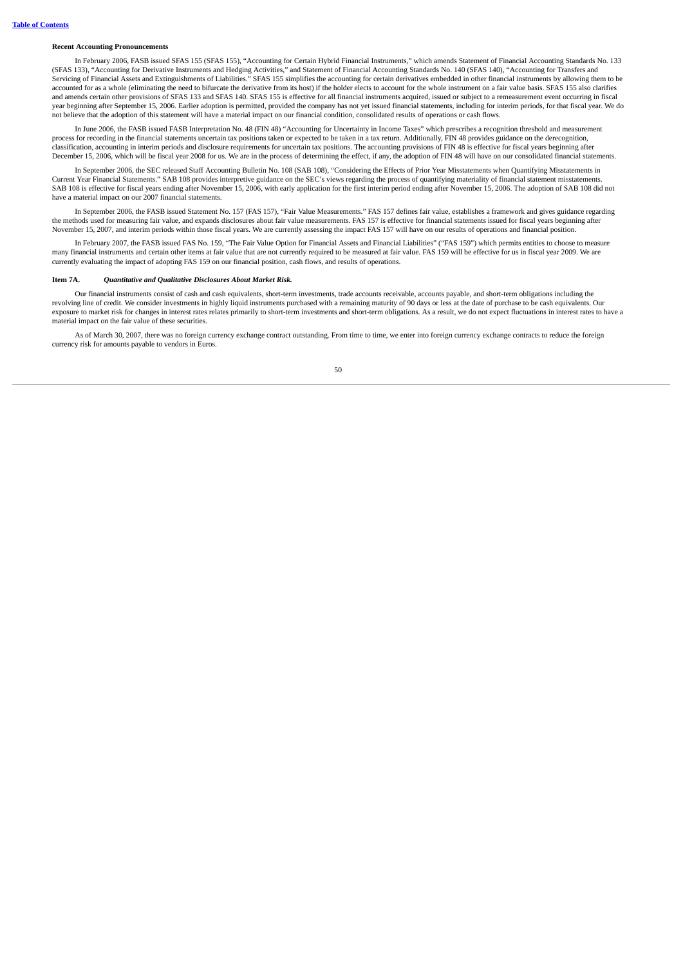### **Recent Accounting Pronouncements**

In February 2006, FASB issued SFAS 155 (SFAS 155), "Accounting for Certain Hybrid Financial Instruments," which amends Statement of Financial Accounting Standards No. 133 (SFAS 133), "Accounting for Derivative Instruments and Hedging Activities," and Statement of Financial Accounting Standards No. 140 (SFAS 140), "Accounting for Transfers and Servicing of Financial Assets and Extinguishments of Liabilities." SFAS 155 simplifies the accounting for certain derivatives embedded in other financial instruments by allowing them to be<br>accounted for as a whole (elimina and amends certain other provisions of SFAS 133 and SFAS 140. SFAS 155 is effective for all financial instruments acquired, issued or subject to a remeasurement event occurring in fiscal year beginning after September 15, 2006. Earlier adoption is permitted, provided the company has not yet issued financial statements, including for interim periods, for that fiscal year. We do not believe that the adoption of this statement will have a material impact on our financial condition, consolidated results of operations or cash flows.

In June 2006, the FASB issued FASB Interpretation No. 48 (FIN 48) "Accounting for Uncertainty in Income Taxes" which prescribes a recognition threshold and measurement process for recording in the financial statements uncertain tax positions taken or expected to be taken in a tax return. Additionally, FIN 48 provides guidance on the derecognition, classification, accounting in interim periods and disclosure requirements for uncertain tax positions. The accounting provisions of FIN 48 is effective for fiscal years beginning after December 15, 2006, which will be fiscal year 2008 for us. We are in the process of determining the effect, if any, the adoption of FIN 48 will have on our consolidated financial statements.

In September 2006, the SEC released Staff Accounting Bulletin No. 108 (SAB 108), "Considering the Effects of Prior Year Misstatements when Quantifying Misstatements in Current Year Financial Statements." SAB 108 provides interpretive guidance on the SEC's views regarding the process of quantifying materiality of financial statement misstatements. SAB 108 is effective for fiscal years ending after November 15, 2006, with early application for the first interim period ending after November 15, 2006. The adoption of SAB 108 did not have a material impact on our 2007 financial statements.

In September 2006, the FASB issued Statement No. 157 (FAS 157), "Fair Value Measurements." FAS 157 defines fair value, establishes a framework and gives guidance regarding the methods used for measuring fair value, and expands disclosures about fair value measurements. FAS 157 is effective for financial statements issued for fiscal years beginning after November 15, 2007, and interim periods within those fiscal years. We are currently assessing the impact FAS 157 will have on our results of operations and financial position.

In February 2007, the FASB issued FAS No. 159, "The Fair Value Option for Financial Assets and Financial Liabilities" ("FAS 159") which permits entities to choose to measure many financial instruments and certain other items at fair value that are not currently required to be measured at fair value. FAS 159 will be effective for us in fiscal year 2009. We are currently evaluating the impact of adopting FAS 159 on our financial position, cash flows, and results of operations.

## **Item 7A.** *Quantitative and Qualitative Disclosures About Market Risk.*

Our financial instruments consist of cash and cash equivalents, short-term investments, trade accounts receivable, accounts payable, and short-term obligations including the revolving line of credit. We consider investments in highly liquid instruments purchased with a remaining maturity of 90 days or less at the date of purchase to be cash equivalents. Our exposure to market risk for changes in interest rates relates primarily to short-term investments and short-term obligations. As a result, we do not expect fluctuations in interest rates to have a material impact on the fair value of these securities.

As of March 30, 2007, there was no foreign currency exchange contract outstanding. From time to time, we enter into foreign currency exchange contracts to reduce the foreign currency risk for amounts payable to vendors in Euros.

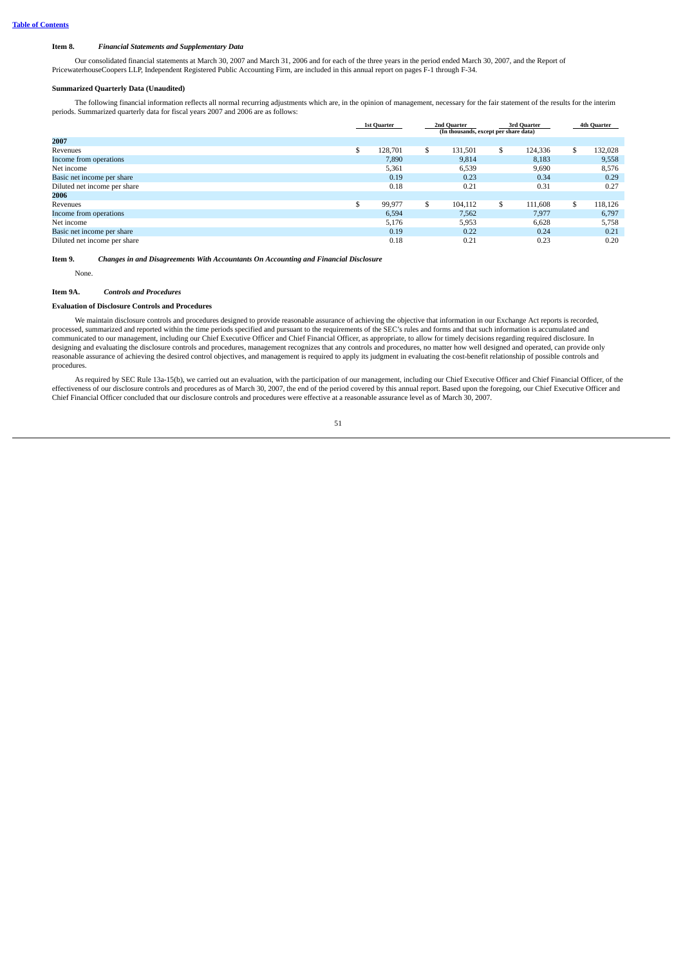### **Item 8.** *Financial Statements and Supplementary Data*

Our consolidated financial statements at March 30, 2007 and March 31, 2006 and for each of the three years in the period ended March 30, 2007, and the Report of PricewaterhouseCoopers LLP, Independent Registered Public Accounting Firm, are included in this annual report on pages F-1 through F-34.

### **Summarized Quarterly Data (Unaudited)**

The following financial information reflects all normal recurring adjustments which are, in the opinion of management, necessary for the fair statement of the results for the interim periods. Summarized quarterly data for fiscal years 2007 and 2006 are as follows:

|                              | <b>1st Quarter</b> |   | 2nd Ouarter<br>(In thousands, except per share data) |    | 3rd Quarter | 4th Quarter |         |
|------------------------------|--------------------|---|------------------------------------------------------|----|-------------|-------------|---------|
| 2007                         |                    |   |                                                      |    |             |             |         |
| Revenues                     | \$<br>128,701      | S | 131,501                                              | s. | 124,336     | \$          | 132,028 |
| Income from operations       | 7,890              |   | 9,814                                                |    | 8,183       |             | 9,558   |
| Net income                   | 5,361              |   | 6,539                                                |    | 9,690       |             | 8,576   |
| Basic net income per share   | 0.19               |   | 0.23                                                 |    | 0.34        |             | 0.29    |
| Diluted net income per share | 0.18               |   | 0.21                                                 |    | 0.31        |             | 0.27    |
| 2006                         |                    |   |                                                      |    |             |             |         |
| Revenues                     | \$<br>99,977       | S | 104,112                                              | s. | 111,608     | \$          | 118,126 |
| Income from operations       | 6,594              |   | 7,562                                                |    | 7,977       |             | 6,797   |
| Net income                   | 5,176              |   | 5,953                                                |    | 6,628       |             | 5,758   |
| Basic net income per share   | 0.19               |   | 0.22                                                 |    | 0.24        |             | 0.21    |
| Diluted net income per share | 0.18               |   | 0.21                                                 |    | 0.23        |             | 0.20    |

**Item 9.** *Changes in and Disagreements With Accountants On Accounting and Financial Disclosure*

None.

### **Item 9A.** *Controls and Procedures*

## **Evaluation of Disclosure Controls and Procedures**

We maintain disclosure controls and procedures designed to provide reasonable assurance of achieving the objective that information in our Exchange Act reports is recorded, processed, summarized and reported within the time periods specified and pursuant to the requirements of the SEC's rules and forms and that such information is accumulated and communicated to our management, including our Chief Executive Officer and Chief Financial Officer, as appropriate, to allow for timely decisions regarding required disclosure. In designing and evaluating the disclosure controls and procedures, management recognizes that any controls and procedures, no matter how well designed and operated, can provide only reasonable assurance of achieving the desired control objectives, and management is required to apply its judgment in evaluating the cost-benefit relationship of possible controls and procedures.

As required by SEC Rule 13a-15(b), we carried out an evaluation, with the participation of our management, including our Chief Executive Officer and Chief Financial Officer, of the effectiveness of our disclosure controls and procedures as of March 30, 2007, the end of the period covered by this annual report. Based upon the foregoing, our Chief Executive Officer and Chief Financial Officer concluded that our disclosure controls and procedures were effective at a reasonable assurance level as of March 30, 2007.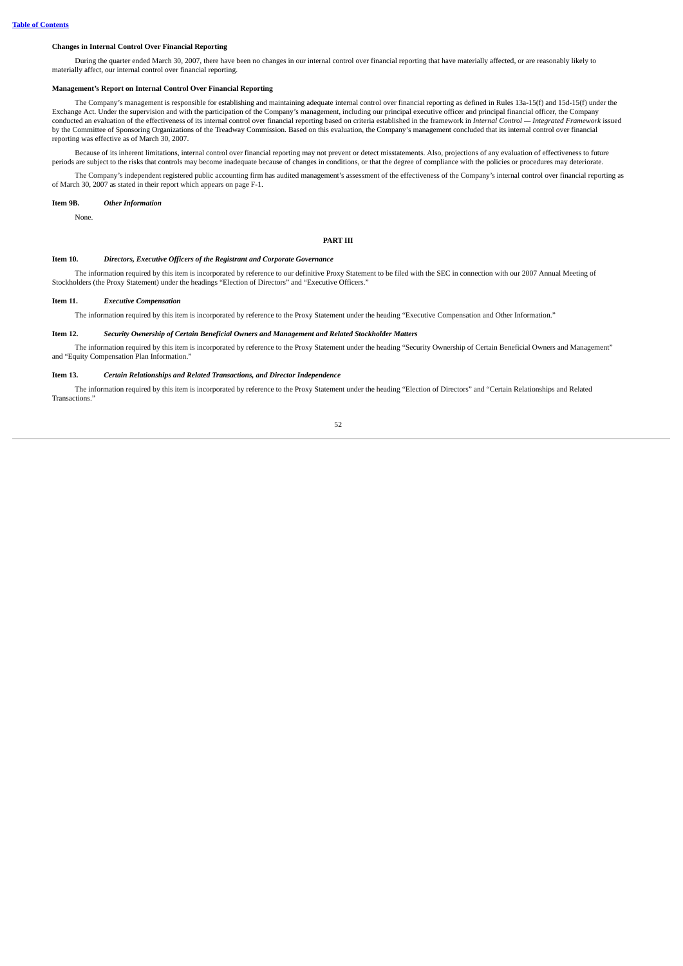# **Changes in Internal Control Over Financial Reporting**

During the quarter ended March 30, 2007, there have been no changes in our internal control over financial reporting that have materially affected, or are reasonably likely to materially affect, our internal control over financial reporting.

### **Management's Report on Internal Control Over Financial Reporting**

The Company's management is responsible for establishing and maintaining adequate internal control over financial reporting as defined in Rules 13a-15(f) and 15d-15(f) under the Exchange Act. Under the supervision and with the participation of the Company's management, including our principal executive officer and principal financial officer, the Company conducted an evaluation of the effectiveness of its internal control over financial reporting based on criteria established in the framework in Internal Control - Integrated Framework issued by the Committee of Sponsoring Organizations of the Treadway Commission. Based on this evaluation, the Company's management concluded that its internal control over financial reporting was effective as of March 30, 2007.

Because of its inherent limitations, internal control over financial reporting may not prevent or detect misstatements. Also, projections of any evaluation of effectiveness to future periods are subject to the risks that controls may become inadequate because of changes in conditions, or that the degree of compliance with the policies or procedures may deteriorate.

The Company's independent registered public accounting firm has audited management's assessment of the effectiveness of the Company's internal control over financial reporting as of March 30, 2007 as stated in their report which appears on page F-1.

# **Item 9B.** *Other Information*

None.

### **PART III**

### **Item 10.** *Directors, Executive Officers of the Registrant and Corporate Governance*

The information required by this item is incorporated by reference to our definitive Proxy Statement to be filed with the SEC in connection with our 2007 Annual Meeting of Stockholders (the Proxy Statement) under the headings "Election of Directors" and "Executive Officers."

### **Item 11.** *Executive Compensation*

The information required by this item is incorporated by reference to the Proxy Statement under the heading "Executive Compensation and Other Information."

### **Item 12.** *Security Ownership of Certain Beneficial Owners and Management and Related Stockholder Matters*

The information required by this item is incorporated by reference to the Proxy Statement under the heading "Security Ownership of Certain Beneficial Owners and Management" and "Equity Compensation Plan Information."

### **Item 13.** *Certain Relationships and Related Transactions, and Director Independence*

The information required by this item is incorporated by reference to the Proxy Statement under the heading "Election of Directors" and "Certain Relationships and Related Transactions."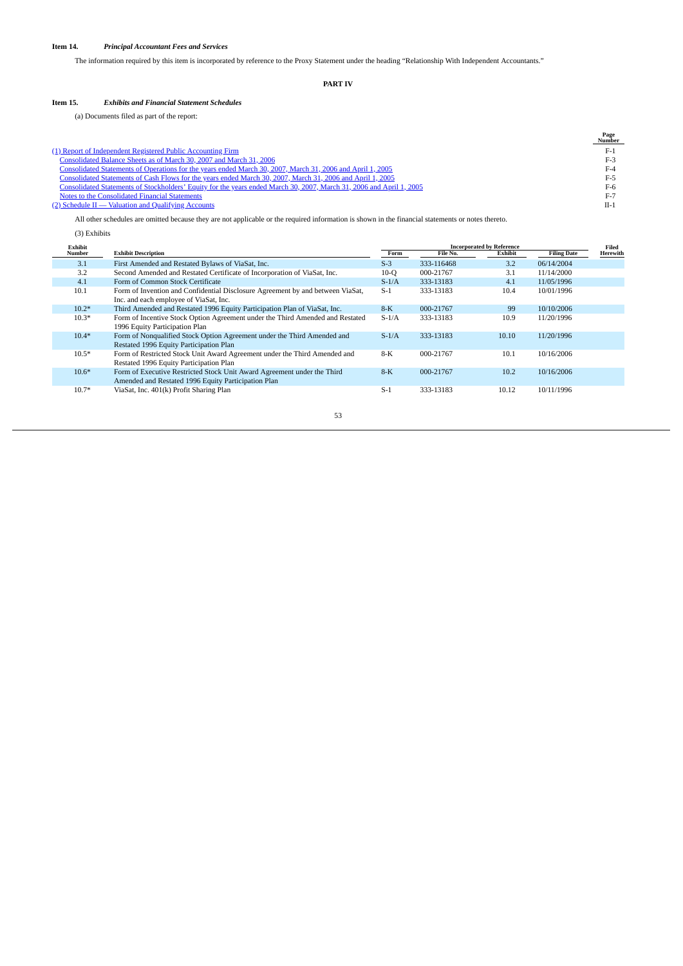The information required by this item is incorporated by reference to the Proxy Statement under the heading "Relationship With Independent Accountants."

# **PART IV**

# **Item 15.** *Exhibits and Financial Statement Schedules*

(a) Documents filed as part of the report:

|                                                                                                                      | Page<br><b>Number</b> |
|----------------------------------------------------------------------------------------------------------------------|-----------------------|
| (1) Report of Independent Registered Public Accounting Firm                                                          | $F-1$                 |
| Consolidated Balance Sheets as of March 30, 2007 and March 31, 2006                                                  | $F-3$                 |
| Consolidated Statements of Operations for the years ended March 30, 2007, March 31, 2006 and April 1, 2005           | $F-4$                 |
| Consolidated Statements of Cash Flows for the years ended March 30, 2007, March 31, 2006 and April 1, 2005           | $F-5$                 |
| Consolidated Statements of Stockholders' Equity for the years ended March 30, 2007, March 31, 2006 and April 1, 2005 | $F-6$                 |
| Notes to the Consolidated Financial Statements                                                                       | $F-7$                 |
| (2) Schedule II - Valuation and Qualifying Accounts                                                                  | $II-1$                |
|                                                                                                                      |                       |

All other schedules are omitted because they are not applicable or the required information is shown in the financial statements or notes thereto. (3) Exhibits

| Exhibit |                                                                                                                                |         |            | <b>Incorporated by Reference</b> |                    | Filed    |
|---------|--------------------------------------------------------------------------------------------------------------------------------|---------|------------|----------------------------------|--------------------|----------|
| Number  | <b>Exhibit Description</b>                                                                                                     | Form    | File No.   | Exhibit                          | <b>Filing Date</b> | Herewith |
| 3.1     | First Amended and Restated Bylaws of ViaSat, Inc.                                                                              | $S-3$   | 333-116468 | 3.2                              | 06/14/2004         |          |
| 3.2     | Second Amended and Restated Certificate of Incorporation of ViaSat, Inc.                                                       | $10-Q$  | 000-21767  | 3.1                              | 11/14/2000         |          |
| 4.1     | Form of Common Stock Certificate                                                                                               | $S-1/A$ | 333-13183  | 4.1                              | 11/05/1996         |          |
| 10.1    | Form of Invention and Confidential Disclosure Agreement by and between ViaSat,<br>Inc. and each employee of ViaSat, Inc.       | $S-1$   | 333-13183  | 10.4                             | 10/01/1996         |          |
| $10.2*$ | Third Amended and Restated 1996 Equity Participation Plan of ViaSat, Inc.                                                      | $8-K$   | 000-21767  | 99                               | 10/10/2006         |          |
| $10.3*$ | Form of Incentive Stock Option Agreement under the Third Amended and Restated<br>1996 Equity Participation Plan                | $S-1/A$ | 333-13183  | 10.9                             | 11/20/1996         |          |
| $10.4*$ | Form of Nonqualified Stock Option Agreement under the Third Amended and<br>Restated 1996 Equity Participation Plan             | $S-1/A$ | 333-13183  | 10.10                            | 11/20/1996         |          |
| $10.5*$ | Form of Restricted Stock Unit Award Agreement under the Third Amended and<br>Restated 1996 Equity Participation Plan           | $8-K$   | 000-21767  | 10.1                             | 10/16/2006         |          |
| $10.6*$ | Form of Executive Restricted Stock Unit Award Agreement under the Third<br>Amended and Restated 1996 Equity Participation Plan | $8-K$   | 000-21767  | 10.2                             | 10/16/2006         |          |
| $10.7*$ | ViaSat, Inc. 401(k) Profit Sharing Plan                                                                                        | $S-1$   | 333-13183  | 10.12                            | 10/11/1996         |          |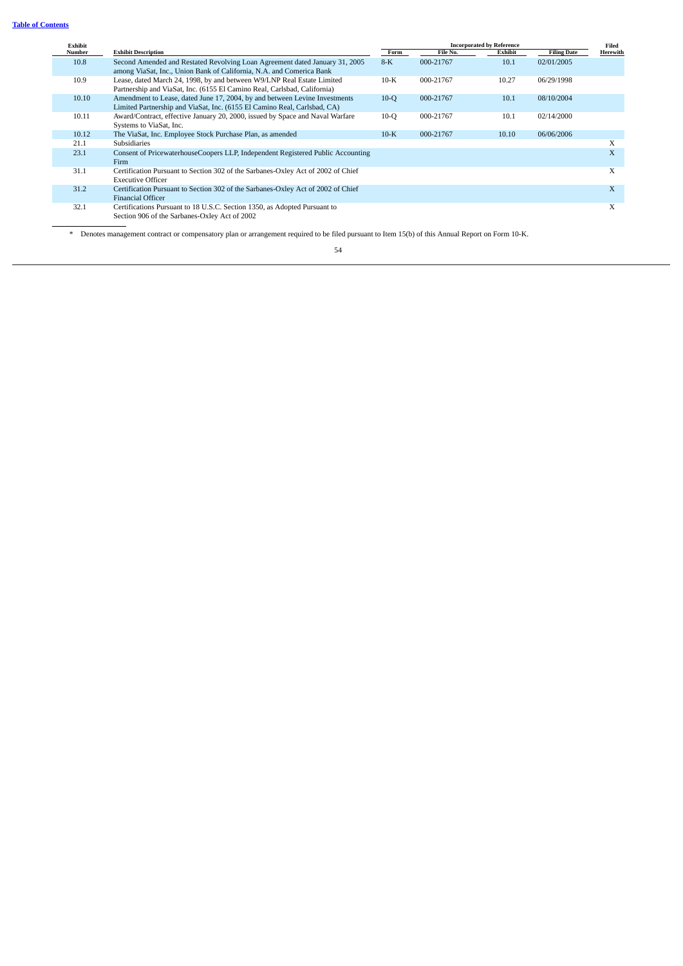| Exhibit |                                                                                                                                                        |        |           | <b>Incorporated by Reference</b> |                    | Filed    |
|---------|--------------------------------------------------------------------------------------------------------------------------------------------------------|--------|-----------|----------------------------------|--------------------|----------|
| Number  | <b>Exhibit Description</b>                                                                                                                             | Form   | File No.  | Exhibit                          | <b>Filing Date</b> | Herewith |
| 10.8    | Second Amended and Restated Revolving Loan Agreement dated January 31, 2005<br>among ViaSat, Inc., Union Bank of California, N.A. and Comerica Bank    | $8-K$  | 000-21767 | 10.1                             | 02/01/2005         |          |
| 10.9    | Lease, dated March 24, 1998, by and between W9/LNP Real Estate Limited<br>Partnership and ViaSat, Inc. (6155 El Camino Real, Carlsbad, California)     | $10-K$ | 000-21767 | 10.27                            | 06/29/1998         |          |
| 10.10   | Amendment to Lease, dated June 17, 2004, by and between Levine Investments<br>Limited Partnership and ViaSat, Inc. (6155 El Camino Real, Carlsbad, CA) | $10-Q$ | 000-21767 | 10.1                             | 08/10/2004         |          |
| 10.11   | Award/Contract, effective January 20, 2000, issued by Space and Naval Warfare<br>Systems to ViaSat, Inc.                                               | $10-Q$ | 000-21767 | 10.1                             | 02/14/2000         |          |
| 10.12   | The ViaSat, Inc. Employee Stock Purchase Plan, as amended                                                                                              | $10-K$ | 000-21767 | 10.10                            | 06/06/2006         |          |
| 21.1    | <b>Subsidiaries</b>                                                                                                                                    |        |           |                                  |                    | X        |
| 23.1    | Consent of PricewaterhouseCoopers LLP, Independent Registered Public Accounting<br>Firm                                                                |        |           |                                  |                    | X        |
| 31.1    | Certification Pursuant to Section 302 of the Sarbanes-Oxley Act of 2002 of Chief<br>Executive Officer                                                  |        |           |                                  |                    | X        |
| 31.2    | Certification Pursuant to Section 302 of the Sarbanes-Oxley Act of 2002 of Chief<br><b>Financial Officer</b>                                           |        |           |                                  |                    | X        |
| 32.1    | Certifications Pursuant to 18 U.S.C. Section 1350, as Adopted Pursuant to<br>Section 906 of the Sarbanes-Oxley Act of 2002                             |        |           |                                  |                    | X        |

\* Denotes management contract or compensatory plan or arrangement required to be filed pursuant to Item 15(b) of this Annual Report on Form 10-K.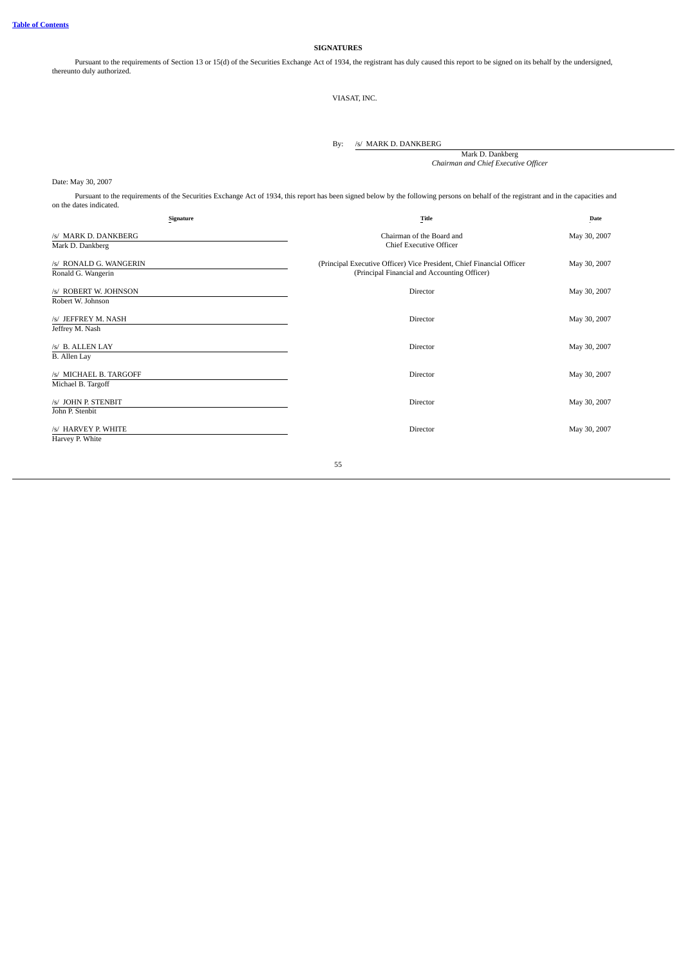# **SIGNATURES**

Pursuant to the requirements of Section 13 or 15(d) of the Securities Exchange Act of 1934, the registrant has duly caused this report to be signed on its behalf by the undersigned, thereunto duly authorized.

VIASAT, INC.

By: /s/ MARK D. DANKBERG

Mark D. Dankberg *Chairman and Chief Executive Officer*

Date: May 30, 2007

Pursuant to the requirements of the Securities Exchange Act of 1934, this report has been signed below by the following persons on behalf of the registrant and in the capacities and on the dates indicated.

| Signature                                    | Title                                                                                                                 | Date         |
|----------------------------------------------|-----------------------------------------------------------------------------------------------------------------------|--------------|
| /s/ MARK D. DANKBERG<br>Mark D. Dankberg     | Chairman of the Board and<br><b>Chief Executive Officer</b>                                                           | May 30, 2007 |
| /s/ RONALD G. WANGERIN<br>Ronald G. Wangerin | (Principal Executive Officer) Vice President, Chief Financial Officer<br>(Principal Financial and Accounting Officer) | May 30, 2007 |
| /s/ ROBERT W. JOHNSON<br>Robert W. Johnson   | Director                                                                                                              | May 30, 2007 |
| /s/ JEFFREY M. NASH<br>Jeffrey M. Nash       | Director                                                                                                              | May 30, 2007 |
| /s/ B. ALLEN LAY<br><b>B.</b> Allen Lay      | Director                                                                                                              | May 30, 2007 |
| /s/ MICHAEL B. TARGOFF<br>Michael B. Targoff | Director                                                                                                              | May 30, 2007 |
| /s/ JOHN P. STENBIT<br>John P. Stenbit       | Director                                                                                                              | May 30, 2007 |
| /s/ HARVEY P. WHITE<br>Harvey P. White       | Director                                                                                                              | May 30, 2007 |
|                                              | 55                                                                                                                    |              |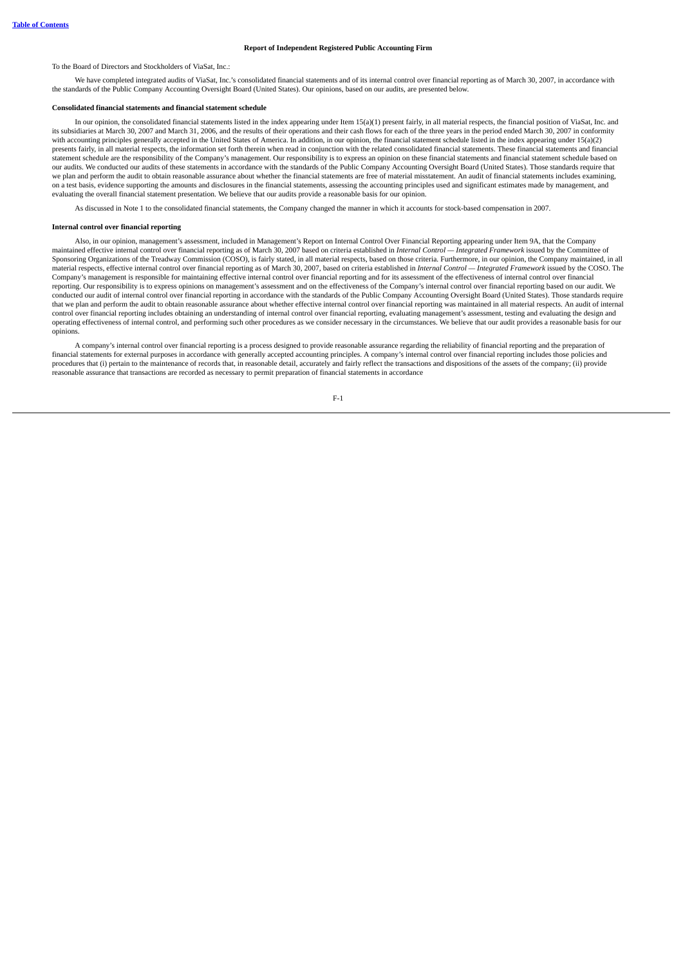### **Report of Independent Registered Public Accounting Firm**

<span id="page-56-0"></span>To the Board of Directors and Stockholders of ViaSat, Inc.:

We have completed integrated audits of ViaSat, Inc.'s consolidated financial statements and of its internal control over financial reporting as of March 30, 2007, in accordance with the standards of the Public Company Accounting Oversight Board (United States). Our opinions, based on our audits, are presented below.

## **Consolidated financial statements and financial statement schedule**

In our opinion, the consolidated financial statements listed in the index appearing under Item 15(a)(1) present fairly, in all material respects, the financial position of ViaSat, Inc. and its subsidiaries at March 30, 2007 and March 31, 2006, and the results of their operations and their cash flows for each of the three years in the period ended March 30, 2007 in conformity with accounting principles generally accepted in the United States of America. In addition, in our opinion, the financial statement schedule listed in the index appearing under 15(a)(2) presents fairly in all material respects, the information set forth therein when read in conjunction with the related consolidated financial statements. These financial statements and financial statement schedule are the responsibility of the Company's management. Our responsibility is to express an opinion on these financial statements and financial statement schedule based on our audits. We conducted our audits of these statements in accordance with the standards of the Public Company Accounting Oversight Board (United States). Those standards require that we plan and perform the audit to obtain reasonable assurance about whether the financial statements are free of material misstatement. An audit of financial statements includes examining, on a test basis, evidence supporting the amounts and disclosures in the financial statements, assessing the accounting principles used and significant estimates made by management, and evaluating the overall financial statement presentation. We believe that our audits provide a reasonable basis for our opinion.

As discussed in Note 1 to the consolidated financial statements, the Company changed the manner in which it accounts for stock-based compensation in 2007.

### **Internal control over financial reporting**

Also, in our opinion, management's assessment, included in Management's Report on Internal Control Over Financial Reporting appearing under Item 9A, that the Company maintained effective internal control over financial reporting as of March 30, 2007 based on criteria established in *Internal Control — Integrated Framework* issued by the Committee of Sponsoring Organizations of the Treadway Commission (COSO), is fairly stated, in all material respects, based on those criteria. Furthermore, in our opinion, the Company maintained, in all material respects, effective internal control over financial reporting as of March 30, 2007, based on criteria established in *Internal Control — Integrated Framework* issued by the COSO. The Company's management is responsible for maintaining effective internal control over financial reporting and for its assessment of the effectiveness of internal control over financial reporting. Our responsibility is to express opinions on management's assessment and on the effectiveness of the Company's internal control over financial reporting based on our audit. We conducted our audit of internal control over financial reporting in accordance with the standards of the Public Company Accounting Oversight Board (United States). Those standards require that we plan and perform the audit to obtain reasonable assurance about whether effective internal control over financial reporting was maintained in all material respects. An audit of internal control over financial reporting includes obtaining an understanding of internal control over financial reporting, evaluating management's assessment, testing and evaluating the design and operating effectiveness of internal control, and performing such other procedures as we consider necessary in the circumstances. We believe that our audit provides a reasonable basis for our opinions.

A company's internal control over financial reporting is a process designed to provide reasonable assurance regarding the reliability of financial reporting and the preparation of financial statements for external purposes in accordance with generally accepted accounting principles. A company's internal control over financial reporting includes those policies and procedures that (i) pertain to the maintenance of records that, in reasonable detail, accurately and fairly reflect the transactions and dispositions of the assets of the company; (ii) provide reasonable assurance that transactions are recorded as necessary to permit preparation of financial statements in accordance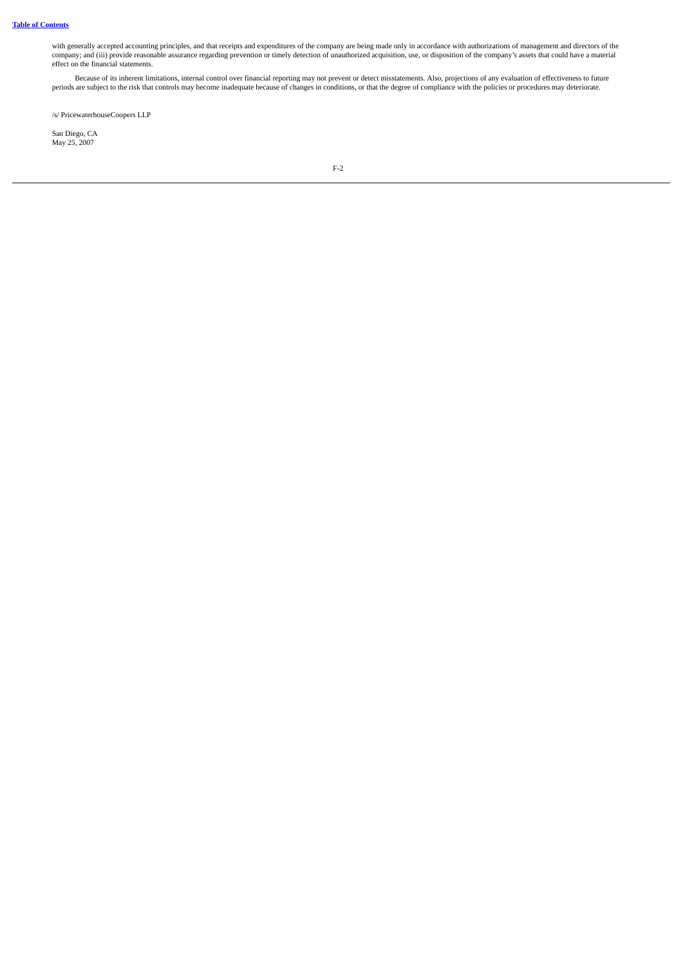with generally accepted accounting principles, and that receipts and expenditures of the company are being made only in accordance with authorizations of management and directors of the<br>company; and (iii) provide reasonabl effect on the financial statements.

Because of its inherent limitations, internal control over financial reporting may not prevent or detect misstatements. Also, projections of any evaluation of effectiveness to future<br>periods are subject to the risk that co

/s/ PricewaterhouseCoopers LLP

San Diego, CA<br>May 25, 2007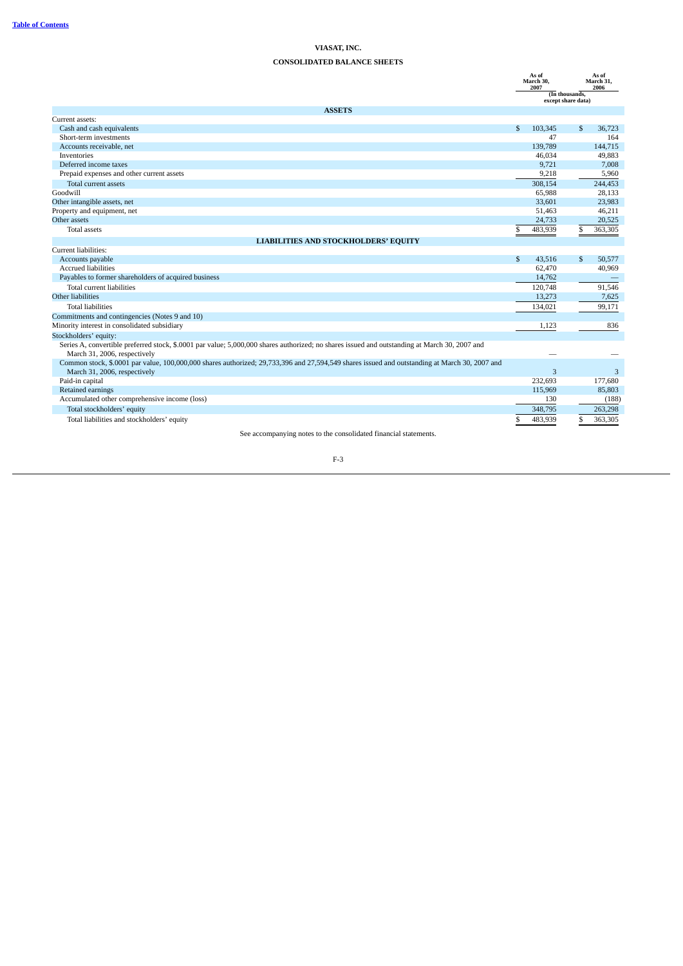# **CONSOLIDATED BALANCE SHEETS**

<span id="page-58-0"></span>

| As of<br>As of<br>March 30,<br>March 31,<br>2007<br>2006<br>(In thousands,<br>except share data)<br><b>ASSETS</b><br>Current assets:<br>Cash and cash equivalents<br>$\mathfrak{S}$<br>103,345<br>\$<br>36.723<br>Short-term investments<br>47<br>164<br>139,789<br>144,715<br>Accounts receivable, net<br><b>Inventories</b><br>46,034<br>49,883<br>9,721<br>7,008<br>Deferred income taxes<br>5,960<br>Prepaid expenses and other current assets<br>9,218<br>308.154<br>244,453<br>Total current assets<br>Goodwill<br>65,988<br>28,133<br>Other intangible assets, net<br>33,601<br>23,983<br>51,463<br>46,211<br>Property and equipment, net<br>24,733<br>20,525<br>Other assets<br>\$<br>483,939<br>\$<br>363,305<br>Total assets<br><b>LIABILITIES AND STOCKHOLDERS' EQUITY</b><br>Current liabilities:<br>Accounts payable<br>$\mathfrak{S}$<br>43,516<br>\$<br>50,577<br><b>Accrued liabilities</b><br>62,470<br>40,969<br>Payables to former shareholders of acquired business<br>14,762<br>Total current liabilities<br>120,748<br>91,546<br><b>Other liabilities</b><br>13,273<br>7,625<br><b>Total liabilities</b><br>134,021<br>99,171<br>Commitments and contingencies (Notes 9 and 10)<br>Minority interest in consolidated subsidiary<br>1,123<br>836<br>Stockholders' equity:<br>Series A, convertible preferred stock, \$.0001 par value; 5,000,000 shares authorized; no shares issued and outstanding at March 30, 2007 and<br>March 31, 2006, respectively<br>Common stock, \$.0001 par value, 100,000,000 shares authorized; 29,733,396 and 27,594,549 shares issued and outstanding at March 30, 2007 and<br>March 31, 2006, respectively<br>3<br>3<br>Paid-in capital<br>232,693<br>177,680<br>Retained earnings<br>115,969<br>85,803<br>Accumulated other comprehensive income (loss)<br>130<br>348,795<br>263,298<br>Total stockholders' equity |  |  |  |       |
|---------------------------------------------------------------------------------------------------------------------------------------------------------------------------------------------------------------------------------------------------------------------------------------------------------------------------------------------------------------------------------------------------------------------------------------------------------------------------------------------------------------------------------------------------------------------------------------------------------------------------------------------------------------------------------------------------------------------------------------------------------------------------------------------------------------------------------------------------------------------------------------------------------------------------------------------------------------------------------------------------------------------------------------------------------------------------------------------------------------------------------------------------------------------------------------------------------------------------------------------------------------------------------------------------------------------------------------------------------------------------------------------------------------------------------------------------------------------------------------------------------------------------------------------------------------------------------------------------------------------------------------------------------------------------------------------------------------------------------------------------------------------------------------------------------------------------------------------------------------------------|--|--|--|-------|
|                                                                                                                                                                                                                                                                                                                                                                                                                                                                                                                                                                                                                                                                                                                                                                                                                                                                                                                                                                                                                                                                                                                                                                                                                                                                                                                                                                                                                                                                                                                                                                                                                                                                                                                                                                                                                                                                           |  |  |  |       |
|                                                                                                                                                                                                                                                                                                                                                                                                                                                                                                                                                                                                                                                                                                                                                                                                                                                                                                                                                                                                                                                                                                                                                                                                                                                                                                                                                                                                                                                                                                                                                                                                                                                                                                                                                                                                                                                                           |  |  |  |       |
|                                                                                                                                                                                                                                                                                                                                                                                                                                                                                                                                                                                                                                                                                                                                                                                                                                                                                                                                                                                                                                                                                                                                                                                                                                                                                                                                                                                                                                                                                                                                                                                                                                                                                                                                                                                                                                                                           |  |  |  |       |
|                                                                                                                                                                                                                                                                                                                                                                                                                                                                                                                                                                                                                                                                                                                                                                                                                                                                                                                                                                                                                                                                                                                                                                                                                                                                                                                                                                                                                                                                                                                                                                                                                                                                                                                                                                                                                                                                           |  |  |  |       |
|                                                                                                                                                                                                                                                                                                                                                                                                                                                                                                                                                                                                                                                                                                                                                                                                                                                                                                                                                                                                                                                                                                                                                                                                                                                                                                                                                                                                                                                                                                                                                                                                                                                                                                                                                                                                                                                                           |  |  |  |       |
|                                                                                                                                                                                                                                                                                                                                                                                                                                                                                                                                                                                                                                                                                                                                                                                                                                                                                                                                                                                                                                                                                                                                                                                                                                                                                                                                                                                                                                                                                                                                                                                                                                                                                                                                                                                                                                                                           |  |  |  |       |
|                                                                                                                                                                                                                                                                                                                                                                                                                                                                                                                                                                                                                                                                                                                                                                                                                                                                                                                                                                                                                                                                                                                                                                                                                                                                                                                                                                                                                                                                                                                                                                                                                                                                                                                                                                                                                                                                           |  |  |  |       |
|                                                                                                                                                                                                                                                                                                                                                                                                                                                                                                                                                                                                                                                                                                                                                                                                                                                                                                                                                                                                                                                                                                                                                                                                                                                                                                                                                                                                                                                                                                                                                                                                                                                                                                                                                                                                                                                                           |  |  |  |       |
|                                                                                                                                                                                                                                                                                                                                                                                                                                                                                                                                                                                                                                                                                                                                                                                                                                                                                                                                                                                                                                                                                                                                                                                                                                                                                                                                                                                                                                                                                                                                                                                                                                                                                                                                                                                                                                                                           |  |  |  |       |
|                                                                                                                                                                                                                                                                                                                                                                                                                                                                                                                                                                                                                                                                                                                                                                                                                                                                                                                                                                                                                                                                                                                                                                                                                                                                                                                                                                                                                                                                                                                                                                                                                                                                                                                                                                                                                                                                           |  |  |  |       |
|                                                                                                                                                                                                                                                                                                                                                                                                                                                                                                                                                                                                                                                                                                                                                                                                                                                                                                                                                                                                                                                                                                                                                                                                                                                                                                                                                                                                                                                                                                                                                                                                                                                                                                                                                                                                                                                                           |  |  |  |       |
|                                                                                                                                                                                                                                                                                                                                                                                                                                                                                                                                                                                                                                                                                                                                                                                                                                                                                                                                                                                                                                                                                                                                                                                                                                                                                                                                                                                                                                                                                                                                                                                                                                                                                                                                                                                                                                                                           |  |  |  |       |
|                                                                                                                                                                                                                                                                                                                                                                                                                                                                                                                                                                                                                                                                                                                                                                                                                                                                                                                                                                                                                                                                                                                                                                                                                                                                                                                                                                                                                                                                                                                                                                                                                                                                                                                                                                                                                                                                           |  |  |  |       |
|                                                                                                                                                                                                                                                                                                                                                                                                                                                                                                                                                                                                                                                                                                                                                                                                                                                                                                                                                                                                                                                                                                                                                                                                                                                                                                                                                                                                                                                                                                                                                                                                                                                                                                                                                                                                                                                                           |  |  |  |       |
|                                                                                                                                                                                                                                                                                                                                                                                                                                                                                                                                                                                                                                                                                                                                                                                                                                                                                                                                                                                                                                                                                                                                                                                                                                                                                                                                                                                                                                                                                                                                                                                                                                                                                                                                                                                                                                                                           |  |  |  |       |
|                                                                                                                                                                                                                                                                                                                                                                                                                                                                                                                                                                                                                                                                                                                                                                                                                                                                                                                                                                                                                                                                                                                                                                                                                                                                                                                                                                                                                                                                                                                                                                                                                                                                                                                                                                                                                                                                           |  |  |  |       |
|                                                                                                                                                                                                                                                                                                                                                                                                                                                                                                                                                                                                                                                                                                                                                                                                                                                                                                                                                                                                                                                                                                                                                                                                                                                                                                                                                                                                                                                                                                                                                                                                                                                                                                                                                                                                                                                                           |  |  |  |       |
|                                                                                                                                                                                                                                                                                                                                                                                                                                                                                                                                                                                                                                                                                                                                                                                                                                                                                                                                                                                                                                                                                                                                                                                                                                                                                                                                                                                                                                                                                                                                                                                                                                                                                                                                                                                                                                                                           |  |  |  |       |
|                                                                                                                                                                                                                                                                                                                                                                                                                                                                                                                                                                                                                                                                                                                                                                                                                                                                                                                                                                                                                                                                                                                                                                                                                                                                                                                                                                                                                                                                                                                                                                                                                                                                                                                                                                                                                                                                           |  |  |  |       |
|                                                                                                                                                                                                                                                                                                                                                                                                                                                                                                                                                                                                                                                                                                                                                                                                                                                                                                                                                                                                                                                                                                                                                                                                                                                                                                                                                                                                                                                                                                                                                                                                                                                                                                                                                                                                                                                                           |  |  |  |       |
|                                                                                                                                                                                                                                                                                                                                                                                                                                                                                                                                                                                                                                                                                                                                                                                                                                                                                                                                                                                                                                                                                                                                                                                                                                                                                                                                                                                                                                                                                                                                                                                                                                                                                                                                                                                                                                                                           |  |  |  |       |
|                                                                                                                                                                                                                                                                                                                                                                                                                                                                                                                                                                                                                                                                                                                                                                                                                                                                                                                                                                                                                                                                                                                                                                                                                                                                                                                                                                                                                                                                                                                                                                                                                                                                                                                                                                                                                                                                           |  |  |  |       |
|                                                                                                                                                                                                                                                                                                                                                                                                                                                                                                                                                                                                                                                                                                                                                                                                                                                                                                                                                                                                                                                                                                                                                                                                                                                                                                                                                                                                                                                                                                                                                                                                                                                                                                                                                                                                                                                                           |  |  |  |       |
|                                                                                                                                                                                                                                                                                                                                                                                                                                                                                                                                                                                                                                                                                                                                                                                                                                                                                                                                                                                                                                                                                                                                                                                                                                                                                                                                                                                                                                                                                                                                                                                                                                                                                                                                                                                                                                                                           |  |  |  |       |
|                                                                                                                                                                                                                                                                                                                                                                                                                                                                                                                                                                                                                                                                                                                                                                                                                                                                                                                                                                                                                                                                                                                                                                                                                                                                                                                                                                                                                                                                                                                                                                                                                                                                                                                                                                                                                                                                           |  |  |  |       |
|                                                                                                                                                                                                                                                                                                                                                                                                                                                                                                                                                                                                                                                                                                                                                                                                                                                                                                                                                                                                                                                                                                                                                                                                                                                                                                                                                                                                                                                                                                                                                                                                                                                                                                                                                                                                                                                                           |  |  |  |       |
|                                                                                                                                                                                                                                                                                                                                                                                                                                                                                                                                                                                                                                                                                                                                                                                                                                                                                                                                                                                                                                                                                                                                                                                                                                                                                                                                                                                                                                                                                                                                                                                                                                                                                                                                                                                                                                                                           |  |  |  |       |
|                                                                                                                                                                                                                                                                                                                                                                                                                                                                                                                                                                                                                                                                                                                                                                                                                                                                                                                                                                                                                                                                                                                                                                                                                                                                                                                                                                                                                                                                                                                                                                                                                                                                                                                                                                                                                                                                           |  |  |  |       |
|                                                                                                                                                                                                                                                                                                                                                                                                                                                                                                                                                                                                                                                                                                                                                                                                                                                                                                                                                                                                                                                                                                                                                                                                                                                                                                                                                                                                                                                                                                                                                                                                                                                                                                                                                                                                                                                                           |  |  |  |       |
|                                                                                                                                                                                                                                                                                                                                                                                                                                                                                                                                                                                                                                                                                                                                                                                                                                                                                                                                                                                                                                                                                                                                                                                                                                                                                                                                                                                                                                                                                                                                                                                                                                                                                                                                                                                                                                                                           |  |  |  |       |
|                                                                                                                                                                                                                                                                                                                                                                                                                                                                                                                                                                                                                                                                                                                                                                                                                                                                                                                                                                                                                                                                                                                                                                                                                                                                                                                                                                                                                                                                                                                                                                                                                                                                                                                                                                                                                                                                           |  |  |  |       |
|                                                                                                                                                                                                                                                                                                                                                                                                                                                                                                                                                                                                                                                                                                                                                                                                                                                                                                                                                                                                                                                                                                                                                                                                                                                                                                                                                                                                                                                                                                                                                                                                                                                                                                                                                                                                                                                                           |  |  |  |       |
|                                                                                                                                                                                                                                                                                                                                                                                                                                                                                                                                                                                                                                                                                                                                                                                                                                                                                                                                                                                                                                                                                                                                                                                                                                                                                                                                                                                                                                                                                                                                                                                                                                                                                                                                                                                                                                                                           |  |  |  |       |
|                                                                                                                                                                                                                                                                                                                                                                                                                                                                                                                                                                                                                                                                                                                                                                                                                                                                                                                                                                                                                                                                                                                                                                                                                                                                                                                                                                                                                                                                                                                                                                                                                                                                                                                                                                                                                                                                           |  |  |  | (188) |
|                                                                                                                                                                                                                                                                                                                                                                                                                                                                                                                                                                                                                                                                                                                                                                                                                                                                                                                                                                                                                                                                                                                                                                                                                                                                                                                                                                                                                                                                                                                                                                                                                                                                                                                                                                                                                                                                           |  |  |  |       |
| 363,305<br>Total liabilities and stockholders' equity<br>483,939<br>\$<br>\$                                                                                                                                                                                                                                                                                                                                                                                                                                                                                                                                                                                                                                                                                                                                                                                                                                                                                                                                                                                                                                                                                                                                                                                                                                                                                                                                                                                                                                                                                                                                                                                                                                                                                                                                                                                              |  |  |  |       |

See accompanying notes to the consolidated financial statements.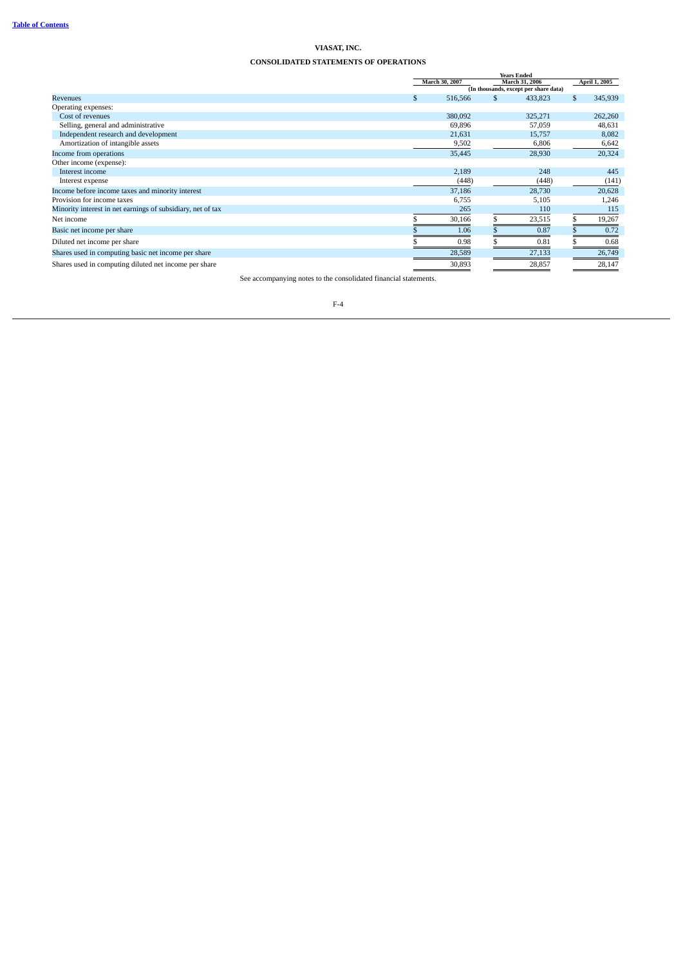# **CONSOLIDATED STATEMENTS OF OPERATIONS**

<span id="page-59-0"></span>

|                                                             | <b>Years Ended</b> |                                                                                  |    |         |    |               |
|-------------------------------------------------------------|--------------------|----------------------------------------------------------------------------------|----|---------|----|---------------|
|                                                             |                    | March 30, 2007<br><b>March 31, 2006</b><br>(In thousands, except per share data) |    |         |    | April 1, 2005 |
| <b>Revenues</b>                                             | \$                 | 516,566                                                                          | S. | 433,823 | \$ | 345,939       |
| Operating expenses:                                         |                    |                                                                                  |    |         |    |               |
| Cost of revenues                                            |                    | 380,092                                                                          |    | 325,271 |    | 262,260       |
| Selling, general and administrative                         |                    | 69,896                                                                           |    | 57,059  |    | 48,631        |
| Independent research and development                        |                    | 21,631                                                                           |    | 15,757  |    | 8,082         |
| Amortization of intangible assets                           |                    | 9,502                                                                            |    | 6,806   |    | 6,642         |
| Income from operations                                      |                    | 35,445                                                                           |    | 28,930  |    | 20,324        |
| Other income (expense):                                     |                    |                                                                                  |    |         |    |               |
| Interest income                                             |                    | 2,189                                                                            |    | 248     |    | 445           |
| Interest expense                                            |                    | (448)                                                                            |    | (448)   |    | (141)         |
| Income before income taxes and minority interest            |                    | 37,186                                                                           |    | 28,730  |    | 20,628        |
| Provision for income taxes                                  |                    | 6,755                                                                            |    | 5,105   |    | 1,246         |
| Minority interest in net earnings of subsidiary, net of tax |                    | 265                                                                              |    | 110     |    | 115           |
| Net income                                                  |                    | 30,166                                                                           |    | 23,515  | \$ | 19,267        |
| Basic net income per share                                  |                    | 1.06                                                                             |    | 0.87    |    | 0.72          |
| Diluted net income per share                                |                    | 0.98                                                                             |    | 0.81    |    | 0.68          |
| Shares used in computing basic net income per share         |                    | 28,589                                                                           |    | 27,133  |    | 26,749        |
| Shares used in computing diluted net income per share       |                    | 30,893                                                                           |    | 28,857  |    | 28,147        |

See accompanying notes to the consolidated financial statements.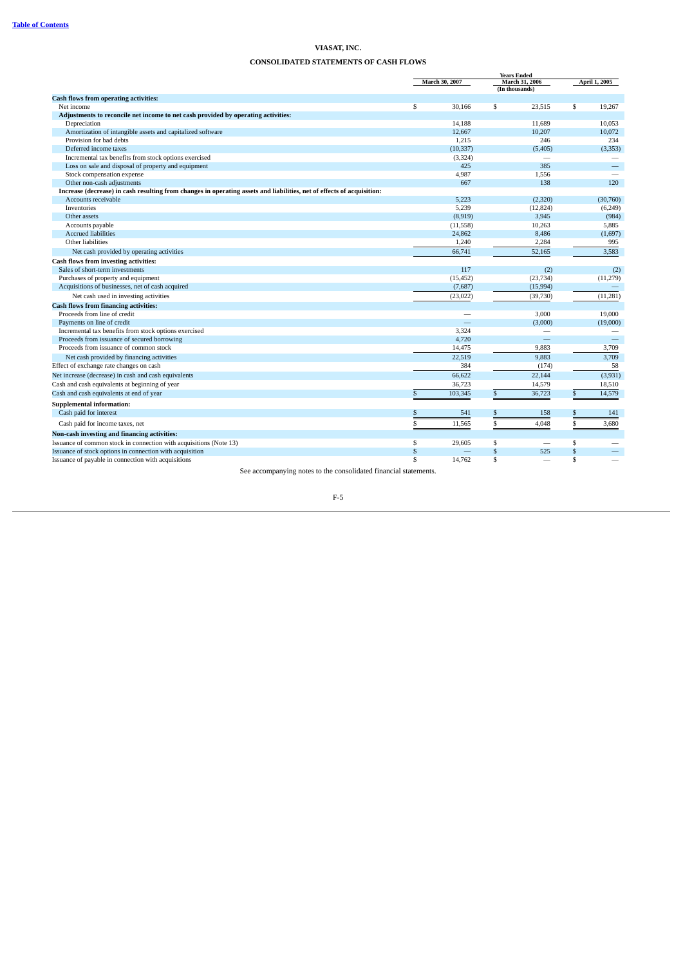# **CONSOLIDATED STATEMENTS OF CASH FLOWS**

<span id="page-60-0"></span>

|                                                                                                                        | <b>Years Ended</b> |                                  |    |                |                |           |  |
|------------------------------------------------------------------------------------------------------------------------|--------------------|----------------------------------|----|----------------|----------------|-----------|--|
|                                                                                                                        |                    | March 30, 2007<br>March 31, 2006 |    |                | April 1, 2005  |           |  |
|                                                                                                                        |                    |                                  |    | (In thousands) |                |           |  |
| <b>Cash flows from operating activities:</b>                                                                           |                    |                                  |    |                |                |           |  |
| Net income                                                                                                             | \$                 | 30,166                           | \$ | 23,515         | \$             | 19,267    |  |
| Adjustments to reconcile net income to net cash provided by operating activities:                                      |                    |                                  |    |                |                |           |  |
| Depreciation                                                                                                           |                    | 14,188                           |    | 11,689         |                | 10.053    |  |
| Amortization of intangible assets and capitalized software                                                             |                    | 12,667                           |    | 10,207         |                | 10,072    |  |
| Provision for bad debts                                                                                                |                    | 1,215                            |    | 246            |                | 234       |  |
| Deferred income taxes                                                                                                  |                    | (10, 337)                        |    | (5,405)        |                | (3,353)   |  |
| Incremental tax benefits from stock options exercised                                                                  |                    | (3, 324)                         |    |                |                |           |  |
| Loss on sale and disposal of property and equipment                                                                    |                    | 425                              |    | 385            |                |           |  |
| Stock compensation expense                                                                                             |                    | 4,987                            |    | 1,556          |                |           |  |
| Other non-cash adjustments                                                                                             |                    | 667                              |    | 138            |                | 120       |  |
| Increase (decrease) in cash resulting from changes in operating assets and liabilities, net of effects of acquisition: |                    |                                  |    |                |                |           |  |
| Accounts receivable                                                                                                    |                    | 5.223                            |    | (2,320)        |                | (30,760)  |  |
| Inventories                                                                                                            |                    | 5,239                            |    | (12, 824)      |                | (6, 249)  |  |
| Other assets                                                                                                           |                    | (8,919)                          |    | 3,945          |                | (984)     |  |
| Accounts payable                                                                                                       |                    | (11, 558)                        |    | 10,263         |                | 5,885     |  |
| <b>Accrued liabilities</b>                                                                                             |                    | 24,862                           |    | 8.486          |                | (1,697)   |  |
| Other liabilities                                                                                                      |                    | 1,240                            |    | 2,284          |                | 995       |  |
| Net cash provided by operating activities                                                                              |                    | 66,741                           |    | 52,165         |                | 3,583     |  |
| Cash flows from investing activities:                                                                                  |                    |                                  |    |                |                |           |  |
| Sales of short-term investments                                                                                        |                    | 117                              |    | (2)            |                | (2)       |  |
| Purchases of property and equipment                                                                                    |                    | (15, 452)                        |    | (23, 734)      |                | (11,279)  |  |
| Acquisitions of businesses, net of cash acquired                                                                       |                    | (7,687)                          |    | (15,994)       |                |           |  |
| Net cash used in investing activities                                                                                  |                    | (23, 022)                        |    | (39,730)       |                | (11, 281) |  |
| <b>Cash flows from financing activities:</b>                                                                           |                    |                                  |    |                |                |           |  |
| Proceeds from line of credit                                                                                           |                    |                                  |    | 3,000          |                | 19,000    |  |
| Payments on line of credit                                                                                             |                    | $\overline{\phantom{0}}$         |    | (3,000)        |                | (19,000)  |  |
| Incremental tax benefits from stock options exercised                                                                  |                    | 3,324                            |    |                |                |           |  |
| Proceeds from issuance of secured borrowing                                                                            |                    | 4,720                            |    | $\sim$         |                |           |  |
| Proceeds from issuance of common stock                                                                                 |                    | 14,475                           |    | 9,883          |                | 3,709     |  |
| Net cash provided by financing activities                                                                              |                    | 22,519                           |    | 9.883          |                | 3,709     |  |
| Effect of exchange rate changes on cash                                                                                |                    | 384                              |    | (174)          |                | 58        |  |
|                                                                                                                        |                    | 66,622                           |    | 22.144         |                | (3,931)   |  |
| Net increase (decrease) in cash and cash equivalents                                                                   |                    | 36,723                           |    |                |                |           |  |
| Cash and cash equivalents at beginning of year                                                                         |                    |                                  |    | 14,579         |                | 18,510    |  |
| Cash and cash equivalents at end of year                                                                               | \$                 | 103,345                          | \$ | 36,723         | \$             | 14,579    |  |
| <b>Supplemental information:</b>                                                                                       |                    |                                  |    |                |                |           |  |
| Cash paid for interest                                                                                                 | \$                 | 541                              | \$ | 158            | $\mathfrak{S}$ | 141       |  |
| Cash paid for income taxes, net                                                                                        | \$                 | 11.565                           | \$ | 4.048          | $\mathbb{S}$   | 3.680     |  |
| Non-cash investing and financing activities:                                                                           |                    |                                  |    |                |                |           |  |
| Issuance of common stock in connection with acquisitions (Note 13)                                                     | \$                 | 29.605                           | \$ |                | \$             |           |  |
| Issuance of stock options in connection with acquisition                                                               | \$                 |                                  | \$ | 525            | \$             |           |  |
| Issuance of payable in connection with acquisitions                                                                    | \$                 | 14,762                           | \$ |                | \$             |           |  |

See accompanying notes to the consolidated financial statements.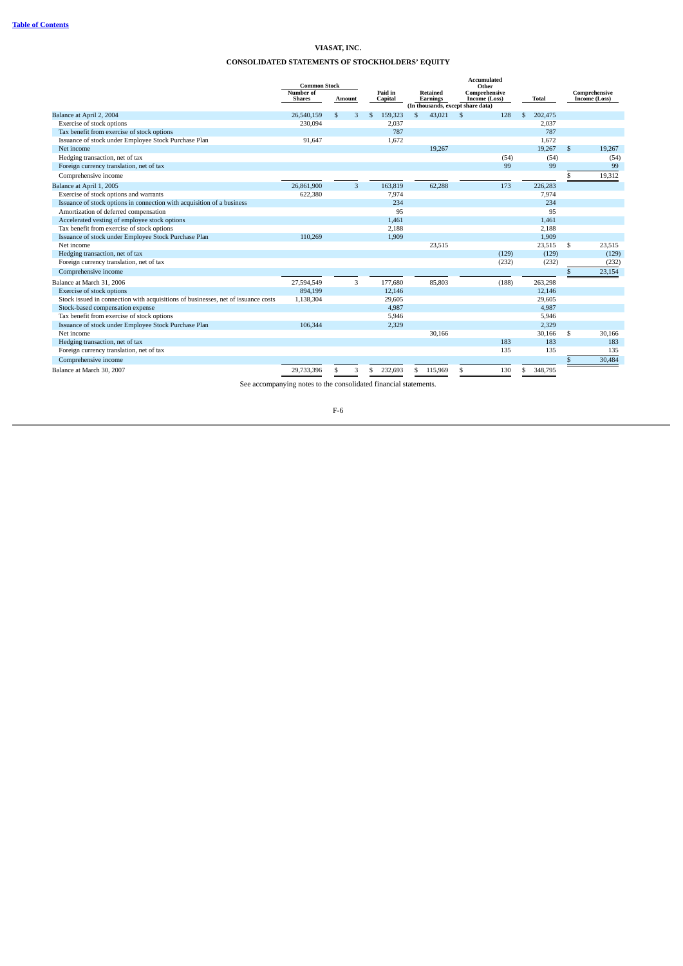# **CONSOLIDATED STATEMENTS OF STOCKHOLDERS' EQUITY**

<span id="page-61-0"></span>

|                                                                                   | <b>Common Stock</b><br>Number of<br><b>Shares</b> | Amount |   |     | Paid in<br>Capital |     | <b>Retained</b><br><b>Earnings</b><br>(In thousands, except share data) |                    | <b>Accumulated</b><br>Other<br>Comprehensive<br>Income (Loss) | <b>Total</b>  |               | Comprehensive<br>Income (Loss) |
|-----------------------------------------------------------------------------------|---------------------------------------------------|--------|---|-----|--------------------|-----|-------------------------------------------------------------------------|--------------------|---------------------------------------------------------------|---------------|---------------|--------------------------------|
| Balance at April 2, 2004                                                          | 26,540,159                                        | \$     | 3 | s.  | 159,323            | \$. | 43.021                                                                  | $\mathbf{\hat{s}}$ | 128                                                           | \$<br>202.475 |               |                                |
| Exercise of stock options                                                         | 230,094                                           |        |   |     | 2,037              |     |                                                                         |                    |                                                               | 2,037         |               |                                |
| Tax benefit from exercise of stock options                                        |                                                   |        |   |     | 787                |     |                                                                         |                    |                                                               | 787           |               |                                |
| Issuance of stock under Employee Stock Purchase Plan                              | 91,647                                            |        |   |     | 1,672              |     |                                                                         |                    |                                                               | 1,672         |               |                                |
| Net income                                                                        |                                                   |        |   |     |                    |     | 19.267                                                                  |                    |                                                               | 19,267        | <sup>\$</sup> | 19,267                         |
| Hedging transaction, net of tax                                                   |                                                   |        |   |     |                    |     |                                                                         |                    | (54)                                                          | (54)          |               | (54)                           |
| Foreign currency translation, net of tax                                          |                                                   |        |   |     |                    |     |                                                                         |                    | 99                                                            | 99            |               | 99                             |
| Comprehensive income                                                              |                                                   |        |   |     |                    |     |                                                                         |                    |                                                               |               |               | 19,312                         |
| Balance at April 1, 2005                                                          | 26,861,900                                        |        | 3 |     | 163,819            |     | 62,288                                                                  |                    | 173                                                           | 226,283       |               |                                |
| Exercise of stock options and warrants                                            | 622,380                                           |        |   |     | 7,974              |     |                                                                         |                    |                                                               | 7,974         |               |                                |
| Issuance of stock options in connection with acquisition of a business            |                                                   |        |   |     | 234                |     |                                                                         |                    |                                                               | 234           |               |                                |
| Amortization of deferred compensation                                             |                                                   |        |   |     | 95                 |     |                                                                         |                    |                                                               | 95            |               |                                |
| Accelerated vesting of employee stock options                                     |                                                   |        |   |     | 1,461              |     |                                                                         |                    |                                                               | 1,461         |               |                                |
| Tax benefit from exercise of stock options                                        |                                                   |        |   |     | 2,188              |     |                                                                         |                    |                                                               | 2,188         |               |                                |
| Issuance of stock under Employee Stock Purchase Plan                              | 110,269                                           |        |   |     | 1,909              |     |                                                                         |                    |                                                               | 1,909         |               |                                |
| Net income                                                                        |                                                   |        |   |     |                    |     | 23,515                                                                  |                    |                                                               | 23,515        | \$            | 23,515                         |
| Hedging transaction, net of tax                                                   |                                                   |        |   |     |                    |     |                                                                         |                    | (129)                                                         | (129)         |               | (129)                          |
| Foreign currency translation, net of tax                                          |                                                   |        |   |     |                    |     |                                                                         |                    | (232)                                                         | (232)         |               | (232)                          |
| Comprehensive income                                                              |                                                   |        |   |     |                    |     |                                                                         |                    |                                                               |               | $\mathbf{s}$  | 23,154                         |
| Balance at March 31, 2006                                                         | 27,594,549                                        |        | 3 |     | 177,680            |     | 85,803                                                                  |                    | (188)                                                         | 263,298       |               |                                |
| Exercise of stock options                                                         | 894,199                                           |        |   |     | 12,146             |     |                                                                         |                    |                                                               | 12,146        |               |                                |
| Stock issued in connection with acquisitions of businesses, net of issuance costs | 1.138.304                                         |        |   |     | 29,605             |     |                                                                         |                    |                                                               | 29,605        |               |                                |
| Stock-based compensation expense                                                  |                                                   |        |   |     | 4,987              |     |                                                                         |                    |                                                               | 4,987         |               |                                |
| Tax benefit from exercise of stock options                                        |                                                   |        |   |     | 5,946              |     |                                                                         |                    |                                                               | 5,946         |               |                                |
| Issuance of stock under Employee Stock Purchase Plan                              | 106,344                                           |        |   |     | 2,329              |     |                                                                         |                    |                                                               | 2,329         |               |                                |
| Net income                                                                        |                                                   |        |   |     |                    |     | 30,166                                                                  |                    |                                                               | 30,166        | S             | 30,166                         |
| Hedging transaction, net of tax                                                   |                                                   |        |   |     |                    |     |                                                                         |                    | 183                                                           | 183           |               | 183                            |
| Foreign currency translation, net of tax                                          |                                                   |        |   |     |                    |     |                                                                         |                    | 135                                                           | 135           |               | 135                            |
| Comprehensive income                                                              |                                                   |        |   |     |                    |     |                                                                         |                    |                                                               |               |               | 30,484                         |
| Balance at March 30, 2007                                                         | 29,733,396                                        |        | 3 | \$. | 232,693            |     | 115,969                                                                 | \$                 | 130                                                           | 348,795       |               |                                |

See accompanying notes to the consolidated financial statements.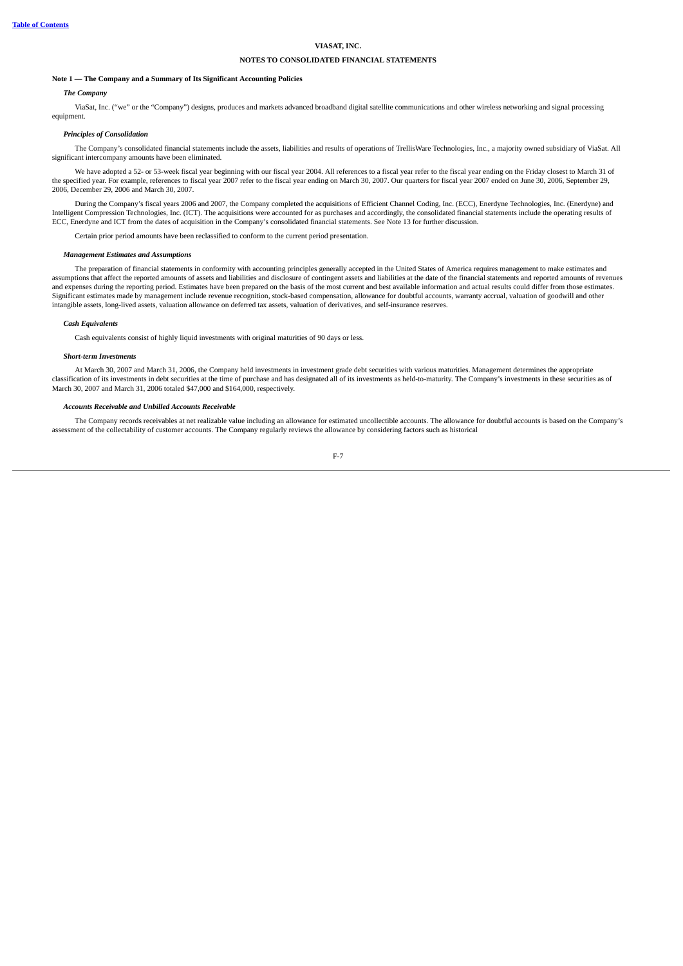# <span id="page-62-0"></span>**NOTES TO CONSOLIDATED FINANCIAL STATEMENTS**

## **Note 1 — The Company and a Summary of Its Significant Accounting Policies**

## *The Company*

ViaSat, Inc. ("we" or the "Company") designs, produces and markets advanced broadband digital satellite communications and other wireless networking and signal processing equipment.

## *Principles of Consolidation*

The Company's consolidated financial statements include the assets, liabilities and results of operations of TrellisWare Technologies, Inc., a majority owned subsidiary of ViaSat. All significant intercompany amounts have been eliminated.

We have adopted a 52- or 53-week fiscal year beginning with our fiscal year 2004. All references to a fiscal year refer to the fiscal year ending on the Friday closest to March 31 of the specified year. For example, references to fiscal year 2007 refer to the fiscal year ending on March 30, 2007. Our quarters for fiscal year 2007 ended on June 30, 2006, September 29, 2006, December 29, 2006 and March 30, 2007.

During the Company's fiscal years 2006 and 2007, the Company completed the acquisitions of Efficient Channel Coding, Inc. (ECC), Enerdyne Technologies, Inc. (Enerdyne) and Intelligent Compression Technologies, Inc. (ICT). The acquisitions were accounted for as purchases and accordingly, the consolidated financial statements include the operating results of ECC, Enerdyne and ICT from the dates of acquisition in the Company's consolidated financial statements. See Note 13 for further discussion.

Certain prior period amounts have been reclassified to conform to the current period presentation.

### *Management Estimates and Assumptions*

The preparation of financial statements in conformity with accounting principles generally accepted in the United States of America requires management to make estimates and assumptions that affect the reported amounts of assets and liabilities and disclosure of contingent assets and liabilities at the date of the financial statements and reported amounts of revenues and expenses during the reporting period. Estimates have been prepared on the basis of the most current and best available information and actual results could differ from those estimates. Significant estimates made by management include revenue recognition, stock-based compensation, allowance for doubtful accounts, warranty accrual, valuation of goodwill and other intangible assets, long-lived assets, valuation allowance on deferred tax assets, valuation of derivatives, and self-insurance reserves.

### *Cash Equivalents*

Cash equivalents consist of highly liquid investments with original maturities of 90 days or less.

### *Short-term Investments*

At March 30, 2007 and March 31, 2006, the Company held investments in investment grade debt securities with various maturities. Management determines the appropriate classification of its investments in debt securities at the time of purchase and has designated all of its investments as held-to-maturity. The Company's investments in these securities as of March 30, 2007 and March 31, 2006 totaled \$47,000 and \$164,000, respectively.

### *Accounts Receivable and Unbilled Accounts Receivable*

The Company records receivables at net realizable value including an allowance for estimated uncollectible accounts. The allowance for doubtful accounts is based on the Company's assessment of the collectability of customer accounts. The Company regularly reviews the allowance by considering factors such as historical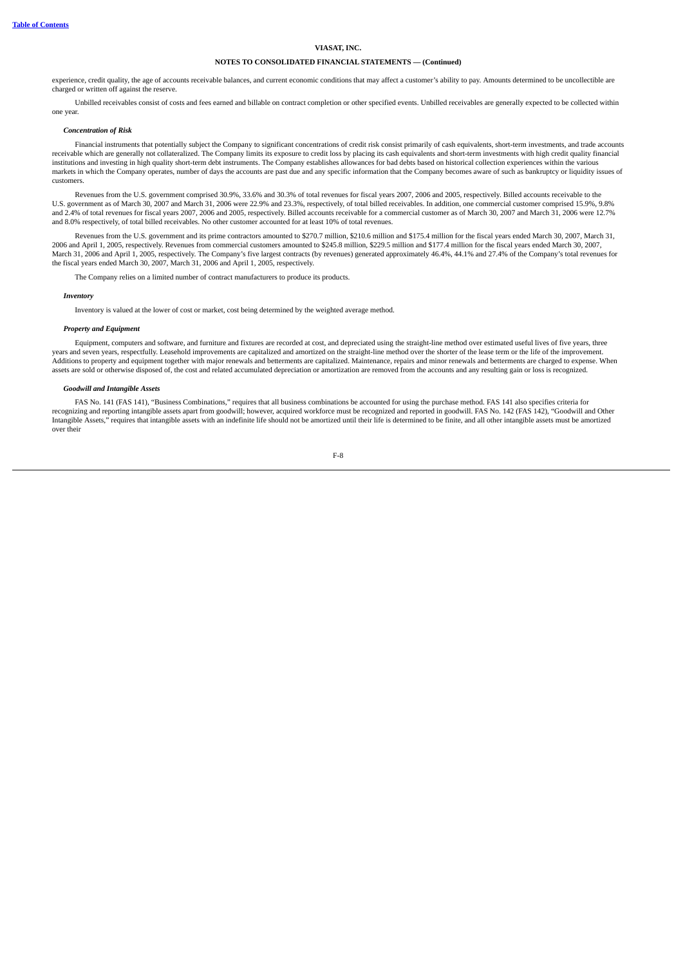## **NOTES TO CONSOLIDATED FINANCIAL STATEMENTS — (Continued)**

experience, credit quality, the age of accounts receivable balances, and current economic conditions that may affect a customer's ability to pay. Amounts determined to be uncollectible are charged or written off against the reserve.

Unbilled receivables consist of costs and fees earned and billable on contract completion or other specified events. Unbilled receivables are generally expected to be collected within one year.

### *Concentration of Risk*

Financial instruments that potentially subject the Company to significant concentrations of credit risk consist primarily of cash equivalents, short-term investments, and trade accounts receivable which are generally not collateralized. The Company limits its exposure to credit loss by placing its cash equivalents and short-term investments with high credit quality financial institutions and investing in high quality short-term debt instruments. The Company establishes allowances for bad debts based on historical collection experiences within the various markets in which the Company operates, number of days the accounts are past due and any specific information that the Company becomes aware of such as bankruptcy or liquidity issues of customers.

Revenues from the U.S. government comprised 30.9%, 33.6% and 30.3% of total revenues for fiscal years 2007, 2006 and 2005, respectively. Billed accounts receivable to the<br>59%, U.S. government as of March 30, 2007 and March and 2.4% of total revenues for fiscal years 2007, 2006 and 2005, respectively. Billed accounts receivable for a commercial customer as of March 30, 2007 and March 31, 2006 were 12.7% and 8.0% respectively, of total billed receivables. No other customer accounted for at least 10% of total revenues.

Revenues from the U.S. government and its prime contractors amounted to \$270.7 million, \$210.6 million and \$175.4 million for the fiscal years ended March 30, 2007, March 31, 2006 and April 1, 2005, respectively. Revenues from commercial customers amounted to \$245.8 million, \$229.5 million and \$177.4 million for the fiscal years ended March 30, 2007, and April 1, 2005, respectively. Revenues fr March 31, 2006 and April 1, 2005, respectively. The Company's five largest contracts (by revenues) generated approximately 46.4%, 44.1% and 27.4% of the Company's total revenues for the fiscal years ended March 30, 2007, March 31, 2006 and April 1, 2005, respectively.

The Company relies on a limited number of contract manufacturers to produce its products.

### *Inventory*

Inventory is valued at the lower of cost or market, cost being determined by the weighted average method.

### *Property and Equipment*

Equipment, computers and software, and furniture and fixtures are recorded at cost, and depreciated using the straight-line method over estimated useful lives of five years, three years and seven years, respectfully. Leasehold improvements are capitalized and amortized on the straight-line method over the shorter of the lease term or the life of the improvement. Additions to property and equipment together with major renewals and betterments are capitalized. Maintenance, repairs and minor renewals and betterments are charged to expense. When assets are sold or otherwise disposed of, the cost and related accumulated depreciation or amortization are removed from the accounts and any resulting gain or loss is recognized.

### *Goodwill and Intangible Assets*

FAS No. 141 (FAS 141), "Business Combinations," requires that all business combinations be accounted for using the purchase method. FAS 141 also specifies criteria for recognizing and reporting intangible assets apart from goodwill; however, acquired workforce must be recognized and reported in goodwill. FAS No. 142 (FAS 142), "Goodwill and Other Intangible Assets," requires that intangible assets with an indefinite life should not be amortized until their life is determined to be finite, and all other intangible assets must be amortized over their

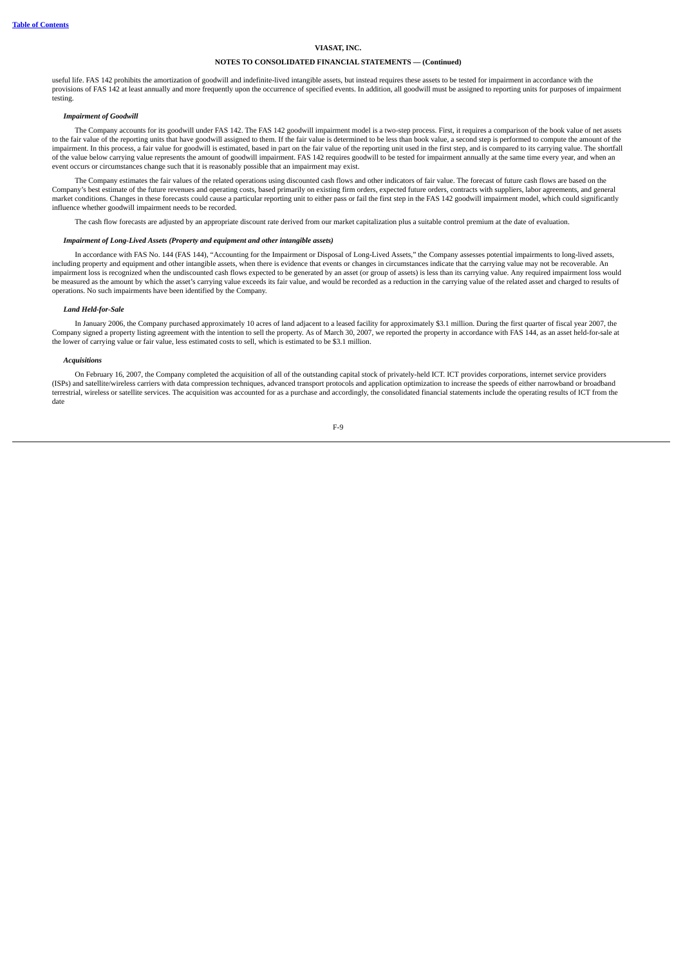## **NOTES TO CONSOLIDATED FINANCIAL STATEMENTS — (Continued)**

useful life. FAS 142 prohibits the amortization of goodwill and indefinite-lived intangible assets, but instead requires these assets to be tested for impairment in accordance with the provisions of FAS 142 at least annually and more frequently upon the occurrence of specified events. In addition, all goodwill must be assigned to reporting units for purposes of impairment testing.

### *Impairment of Goodwill*

The Company accounts for its goodwill under FAS 142. The FAS 142 goodwill impairment model is a two-step process. First, it requires a comparison of the book value of net assets to the fair value of the reporting units that have goodwill assigned to them. If the fair value is determined to be less than book value, a second step is performed to compute the amount of the impairment. In this process, a fair value for goodwill is estimated, based in part on the fair value of the reporting unit used in the first step, and is compared to its carrying value. The shortfall of the value below carrying value represents the amount of goodwill impairment. FAS 142 requires goodwill to be tested for impairment annually at the same time every year, and when an event occurs or circumstances change such that it is reasonably possible that an impairment may exist.

The Company estimates the fair values of the related operations using discounted cash flows and other indicators of fair value. The forecast of future cash flows are based on the Company's best estimate of the future revenues and operating costs, based primarily on existing firm orders, expected future orders, contracts with suppliers, labor agreements, and general market conditions. Changes in these forecasts could cause a particular reporting unit to either pass or fail the first step in the FAS 142 goodwill impairment model, which could significantly influence whether goodwill impairment needs to be recorded.

The cash flow forecasts are adjusted by an appropriate discount rate derived from our market capitalization plus a suitable control premium at the date of evaluation.

### *Impairment of Long-Lived Assets (Property and equipment and other intangible assets)*

In accordance with FAS No. 144 (FAS 144), "Accounting for the Impairment or Disposal of Long-Lived Assets," the Company assesses potential impairments to long-lived assets, including property and equipment and other intangible assets, when there is evidence that events or changes in circumstances indicate that the carrying value may not be recoverable. An impairment loss is recognized when the undiscounted cash flows expected to be generated by an asset (or group of assets) is less than its carrying value. Any required impairment loss would be measured as the amount by which the asset's carrying value exceeds its fair value, and would be recorded as a reduction in the carrying value of the related asset and charged to results of operations. No such impairments have been identified by the Company.

### *Land Held-for-Sale*

In January 2006, the Company purchased approximately 10 acres of land adjacent to a leased facility for approximately \$3.1 million. During the first quarter of fiscal year 2007, the Company signed a property listing agreement with the intention to sell the property. As of March 30, 2007, we reported the property in accordance with FAS 144, as an asset held-for-sale at the lower of carrying value or fair value, less estimated costs to sell, which is estimated to be \$3.1 million.

## *Acquisitions*

On February 16, 2007, the Company completed the acquisition of all of the outstanding capital stock of privately-held ICT. ICT provides corporations, internet service providers (ISPs) and satellite/wireless carriers with data compression techniques, advanced transport protocols and application optimization to increase the speeds of either narrowband or broadband terrestrial, wireless or satellite services. The acquisition was accounted for as a purchase and accordingly, the consolidated financial statements include the operating results of ICT from the date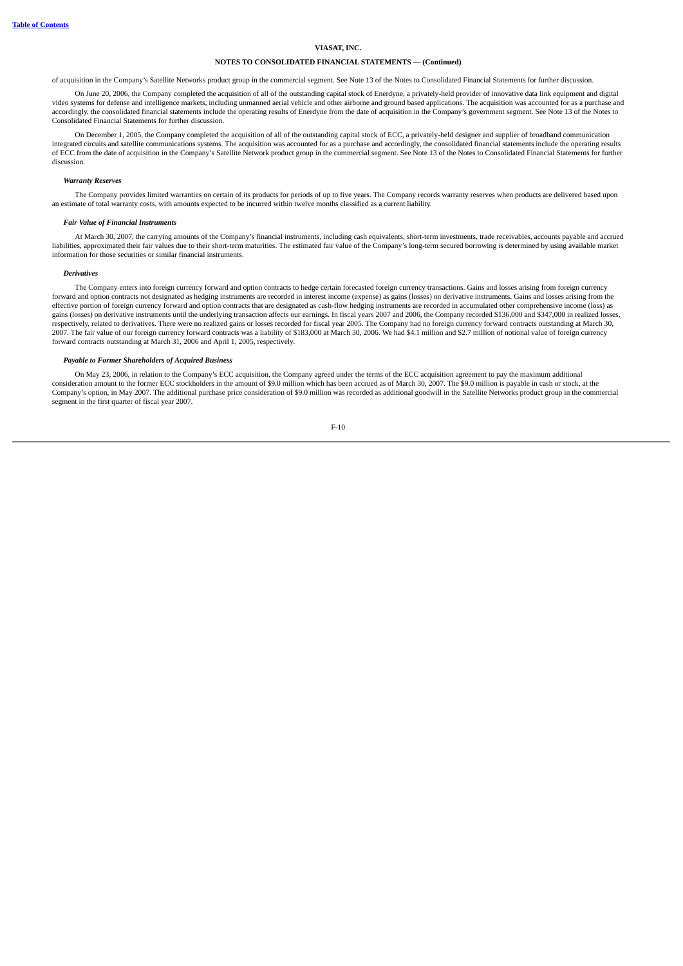## **NOTES TO CONSOLIDATED FINANCIAL STATEMENTS — (Continued)**

of acquisition in the Company's Satellite Networks product group in the commercial segment. See Note 13 of the Notes to Consolidated Financial Statements for further discussion.

On June 20, 2006, the Company completed the acquisition of all of the outstanding capital stock of Enerdyne, a privately-held provider of innovative data link equipment and digital video systems for defense and intelligence markets, including unmanned aerial vehicle and other airborne and ground based applications. The acquisition was accounted for as a purchase and accordingly, the consolidated financial statements include the operating results of Enerdyne from the date of acquisition in the Company's government segment. See Note 13 of the Notes to Consolidated Financial Statements for further discussion.

On December 1, 2005, the Company completed the acquisition of all of the outstanding capital stock of ECC, a privately-held designer and supplier of broadband communication integrated circuits and satellite communications systems. The acquisition was accounted for as a purchase and accordingly, the consolidated financial statements include the operating results of ECC from the date of acquisition in the Company's Satellite Network product group in the commercial segment. See Note 13 of the Notes to Consolidated Financial Statements for further discussion.

## *Warranty Reserves*

The Company provides limited warranties on certain of its products for periods of up to five years. The Company records warranty reserves when products are delivered based upon an estimate of total warranty costs, with amounts expected to be incurred within twelve months classified as a current liability.

### *Fair Value of Financial Instruments*

At March 30, 2007, the carrying amounts of the Company's financial instruments, including cash equivalents, short-term investments, trade receivables, accounts payable and accrued liabilities, approximated their fair values due to their short-term maturities. The estimated fair value of the Company's long-term secured borrowing is determined by using available market<br>information for those securities

### *Derivatives*

The Company enters into foreign currency forward and option contracts to hedge certain forecasted foreign currency transactions. Gains and losses arising from foreign currency forward and option contracts not designated as hedging instruments are recorded in interest income (expense) as gains (losses) on derivative instruments. Gains and losses arising from the effective portion of foreign currency forward and option contracts that are designated as cash-flow hedging instruments are recorded in accumulated other comprehensive income (loss) as gains (losses) on derivative instruments until the underlying transaction affects our earnings. In fiscal years 2007 and 2006, the Company recorded \$136,000 and \$347,000 in realized losses, respectively, related to derivatives. There were no realized gains or losses recorded for fiscal year 2005. The Company had no foreign currency forward contracts outstanding at March 30, 2007. The fair value of our foreign currency forward contracts was a liability of \$183,000 at March 30, 2006. We had \$4.1 million and \$2.7 million of notional value of foreign currency forward contracts outstanding at March 31, 2006 and April 1, 2005, respectively.

## *Payable to Former Shareholders of Acquired Business*

On May 23, 2006, in relation to the Company's ECC acquisition, the Company agreed under the terms of the ECC acquisition agreement to pay the maximum additional consideration amount to the former ECC stockholders in the amount of \$9.0 million which has been accrued as of March 30, 2007. The \$9.0 million is payable in cash or stock, at the Company's option, in May 2007. The additional purchase price consideration of \$9.0 million was recorded as additional goodwill in the Satellite Networks product group in the commercial segment in the first quarter of fiscal year 2007.

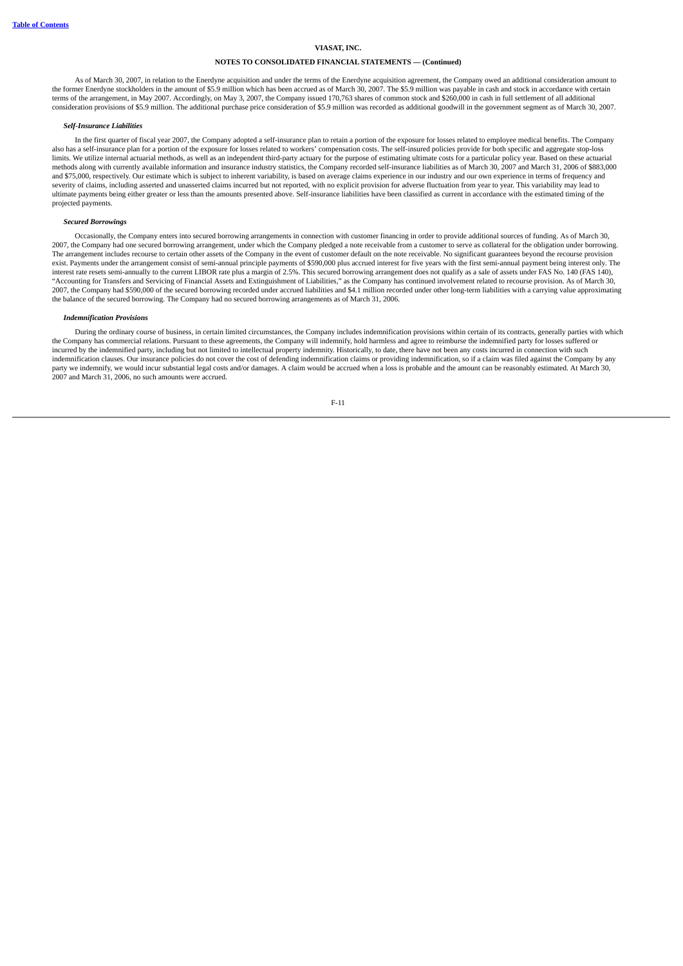## **NOTES TO CONSOLIDATED FINANCIAL STATEMENTS — (Continued)**

As of March 30, 2007, in relation to the Enerdyne acquisition and under the terms of the Enerdyne acquisition agreement, the Company owed an additional consideration amount to the former Enerdyne stockholders in the amount of \$5.9 million which has been accrued as of March 30, 2007. The \$5.9 million was payable in cash and stock in accordance with certain terms of the arrangement, in May 2007. Accordingly, on May 3, 2007, the Company issued 170,763 shares of common stock and \$260,000 in cash in full settlement of all additional consideration provisions of \$5.9 million. The additional purchase price consideration of \$5.9 million was recorded as additional goodwill in the government segment as of March 30, 2007.

### *Self-Insurance Liabilities*

In the first quarter of fiscal year 2007, the Company adopted a self-insurance plan to retain a portion of the exposure for losses related to employee medical benefits. The Company also has a self-insurance plan for a port limits. We utilize internal actuarial methods, as well as an independent third-party actuary for the purpose of estimating ultimate costs for a particular policy year. Based on these actuarial methods along with currently available information and insurance industry statistics, the Company recorded self-insurance liabilities as of March 30, 2007 and March 31, 2006 of \$883,000 and \$75,000, respectively. Our estimate which is subject to inherent variability, is based on average claims experience in our industry and our own experience in terms of frequency and severity of claims, including asserted and unasserted claims incurred but not reported, with no explicit provision for adverse fluctuation from year to year. This variability may lead to ultimate payments being either greater or less than the amounts presented above. Self-insurance liabilities have been classified as current in accordance with the estimated timing of the projected payments.

### *Secured Borrowings*

Occasionally, the Company enters into secured borrowing arrangements in connection with customer financing in order to provide additional sources of funding. As of March 30, 2007, the Company had one secured borrowing arrangement, under which the Company pledged a note receivable from a customer to serve as collateral for the obligation under borrowing. The arrangement includes recourse to certain other assets of the Company in the event of customer default on the note receivable. No significant guarantees beyond the recourse provision exist. Payments under the arrangement consist of semi-annual principle payments of \$590,000 plus accrued interest for five years with the first semi-annual payment being interest only. The interest rate resets semi-annually to the current LIBOR rate plus a margin of 2.5%. This secured borrowing arrangement does not qualify as a sale of assets under FAS No. 140 (FAS 140), "Accounting for Transfers and Servicing of Financial Assets and Extinguishment of Liabilities," as the Company has continued involvement related to recourse provision. As of March 30,<br>2007, the Company had \$590,000 of the the balance of the secured borrowing. The Company had no secured borrowing arrangements as of March 31, 2006.

## *Indemnification Provisions*

During the ordinary course of business, in certain limited circumstances, the Company includes indemnification provisions within certain of its contracts, generally parties with which the Company has commercial relations. Pursuant to these agreements, the Company will indemnify, hold harmless and agree to reimburse the indemnified party for losses suffered or incurred by the indemnified party, including but not limited to intellectual property indemnity. Historically, to date, there have not been any costs incurred in connection with such indemnification clauses. Our insurance policies do not cover the cost of defending indemnification claims or providing indemnification, so if a claim was filed against the Company by any party we indemnify, we would incur substantial legal costs and/or damages. A claim would be accrued when a loss is probable and the amount can be reasonably estimated. At March 30,<br>2007 and March 31, 2006, no such amounts

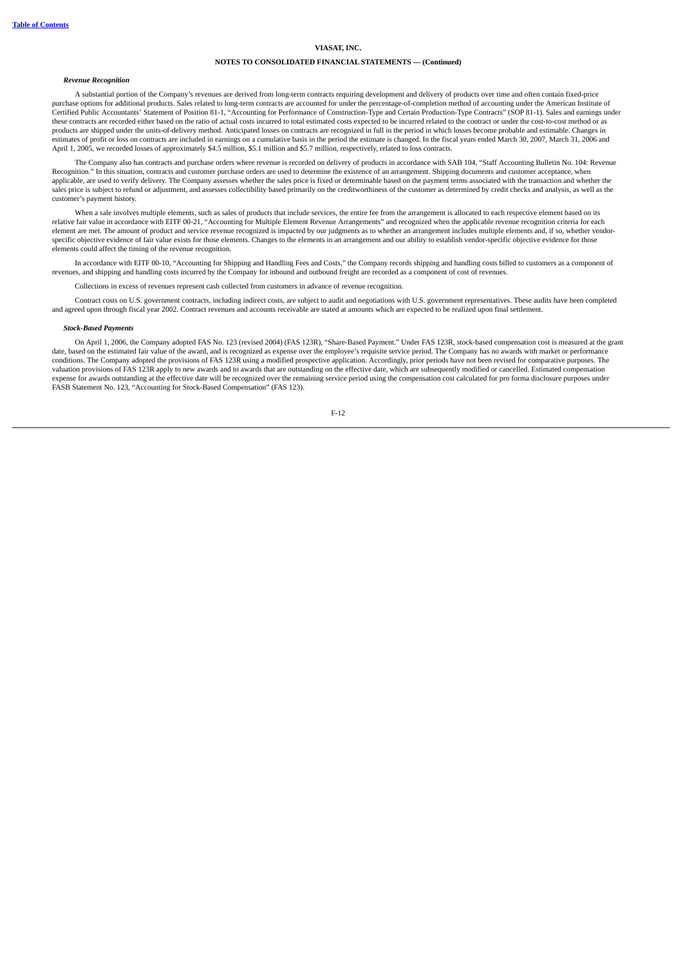# **NOTES TO CONSOLIDATED FINANCIAL STATEMENTS — (Continued)**

### *Revenue Recognition*

A substantial portion of the Company's revenues are derived from long-term contracts requiring development and delivery of products over time and often contain fixed-price purchase options for additional products. Sales related to long-term contracts are accounted for under the percentage-of-completion method of accounting under the American Institute of Certified Public Accountants' Statement of Position 81-1, "Accounting for Performance of Construction-Type and Certain Production-Type Contracts" (SOP 81-1). Sales and earnings under these contracts are recorded either based on the ratio of actual costs incurred to total estimated costs expected to be incurred related to the contract or under the cost-to-cost method or as products are shipped under the units-of-delivery method. Anticipated losses on contracts are recognized in full in the period in which losses become probable and estimable. Changes in estimates of profit or loss on contracts are included in earnings on a cumulative basis in the period the estimate is changed. In the fiscal years ended March 30, 2007, March 31, 2006 and April 1, 2005, we recorded losses of approximately \$4.5 million, \$5.1 million and \$5.7 million, respectively, related to loss contracts.

The Company also has contracts and purchase orders where revenue is recorded on delivery of products in accordance with SAB 104, "Staff Accounting Bulletin No. 104: Revenue Recognition." In this situation, contracts and customer purchase orders are used to determine the existence of an arrangement. Shipping documents and customer acceptance, when applicable, are used to verify delivery. The Company assesses whether the sales price is fixed or determinable based on the payment terms associated with the transaction and whether the sales price is subject to refund or adjustment, and assesses collectibility based primarily on the creditworthiness of the customer as determined by credit checks and analysis, as well as the customer's payment history.

When a sale involves multiple elements, such as sales of products that include services, the entire fee from the arrangement is allocated to each respective element based on its relative fair value in accordance with EITF 00-21, "Accounting for Multiple Element Revenue Arrangements" and recognized when the applicable revenue recognition criteria for each element are met. The amount of product and service revenue recognized is impacted by our judgments as to whether an arrangement includes multiple elements and, if so, whether vendorspecific objective evidence of fair value exists for those elements. Changes to the elements in an arrangement and our ability to establish vendor-specific objective evidence for those elements could affect the timing of the revenue recognition.

In accordance with EITF 00-10, "Accounting for Shipping and Handling Fees and Costs," the Company records shipping and handling costs billed to customers as a component of revenues, and shipping and handling costs incurred by the Company for inbound and outbound freight are recorded as a component of cost of revenues.

Collections in excess of revenues represent cash collected from customers in advance of revenue recognition.

Contract costs on U.S. government contracts, including indirect costs, are subject to audit and negotiations with U.S. government representatives. These audits have been completed and agreed upon through fiscal year 2002. Contract revenues and accounts receivable are stated at amounts which are expected to be realized upon final settlement.

### **Stock-Based Payment**

On April 1, 2006, the Company adopted FAS No. 123 (revised 2004) (FAS 123R), "Share-Based Payment." Under FAS 123R, stock-based compensation cost is measured at the grant date, based on the estimated fair value of the award, and is recognized as expense over the employee's requisite service period. The Company has no awards with market or performance conditions. The Company adopted the provisions of FAS 123R using a modified prospective application. Accordingly, prior periods have not been revised for comparative purposes. The valuation provisions of FAS 123R apply to new awards and to awards that are outstanding on the effective date, which are subsequently modified or cancelled. Estimated compensation expense for awards outstanding at the effective date will be recognized over the remaining service period using the compensation cost calculated for pro forma disclosure purposes under<br>FASB Statement No. 123, "Accounting f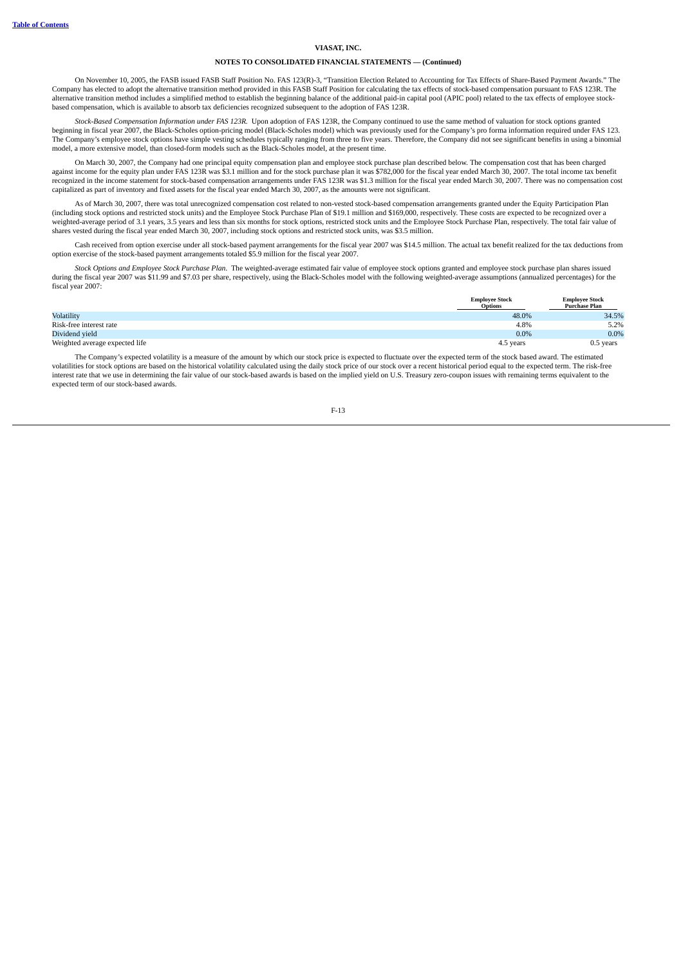## **NOTES TO CONSOLIDATED FINANCIAL STATEMENTS — (Continued)**

On November 10, 2005, the FASB issued FASB Staff Position No. FAS 123(R)-3, "Transition Election Related to Accounting for Tax Effects of Share-Based Payment Awards." The Company has elected to adopt the alternative transition method provided in this FASB Staff Position for calculating the tax effects of stock-based compensation pursuant to FAS 123R. The alternative transition method includes a simplified method to establish the beginning balance of the additional paid-in capital pool (APIC pool) related to the tax effects of employee stockbased compensation, which is available to absorb tax deficiencies recognized subsequent to the adoption of FAS 123R.

*Stock-Based Compensation Information under FAS 123R.* Upon adoption of FAS 123R, the Company continued to use the same method of valuation for stock options granted beginning in fiscal year 2007, the Black-Scholes option-pricing model (Black-Scholes model) which was previously used for the Company's pro forma information required under FAS 123. The Company's employee stock options have simple vesting schedules typically ranging from three to five years. Therefore, the Company did not see significant benefits in using a binomial model, a more extensive model, than closed-form models such as the Black-Scholes model, at the present time.

On March 30, 2007, the Company had one principal equity compensation plan and employee stock purchase plan described below. The compensation cost that has been charged against income for the equity plan under FAS 123R was \$3.1 million and for the stock purchase plan it was \$782,000 for the fiscal year ended March 30, 2007. The total income tax benefit recognized in the income statement for stock-based compensation arrangements under FAS 123R was \$1.3 million for the fiscal year ended March 30, 2007. There was no compensation cost capitalized as part of inventory and fixed assets for the fiscal year ended March 30, 2007, as the amounts were not significant.

As of March 30, 2007, there was total unrecognized compensation cost related to non-vested stock-based compensation arrangements granted under the Equity Participation Plan (including stock options and restricted stock units) and the Employee Stock Purchase Plan of \$19.1 million and \$169,000, respectively. These costs are expected to be recognized over a weighted-average period of 3.1 years, 3.5 years and less than six months for stock options, restricted stock units and the Employee Stock Purchase Plan, respectively. The total fair value of shares vested during the fiscal year ended March 30, 2007, including stock options and restricted stock units, was \$3.5 million.

Cash received from option exercise under all stock-based payment arrangements for the fiscal year 2007 was \$14.5 million. The actual tax benefit realized for the tax deductions from option exercise of the stock-based payment arrangements totaled \$5.9 million for the fiscal year 2007.

*Stock Options and Employee Stock Purchase Plan.* The weighted-average estimated fair value of employee stock options granted and employee stock purchase plan shares issued during the fiscal year 2007 was \$11.99 and \$7.03 per share, respectively, using the Black-Scholes model with the following weighted-average assumptions (annualized percentages) for the during the fiscal year 2007 was \$11.9 fiscal year 2007:

|                                | <b>Employee Stock</b><br><b>Options</b> | <b>Employee Stock</b><br>Purchase Plan |
|--------------------------------|-----------------------------------------|----------------------------------------|
| Volatility                     | 48.0%                                   | 34.5%                                  |
| Risk-free interest rate        | 4.8%                                    | 5.2%                                   |
| Dividend vield                 | 0.0%                                    | $0.0\%$                                |
| Weighted average expected life | 4.5 years                               | 0.5 years                              |

The Company's expected volatility is a measure of the amount by which our stock price is expected to fluctuate over the expected term of the stock based award. The estimated volatilities for stock options are based on the historical volatility calculated using the daily stock price of our stock over a recent historical period equal to the expected term. The risk-free interest rate that we use in determining the fair value of our stock-based awards is based on the implied yield on U.S. Treasury zero-coupon issues with remaining terms equivalent to the expected term of our stock-based awards.

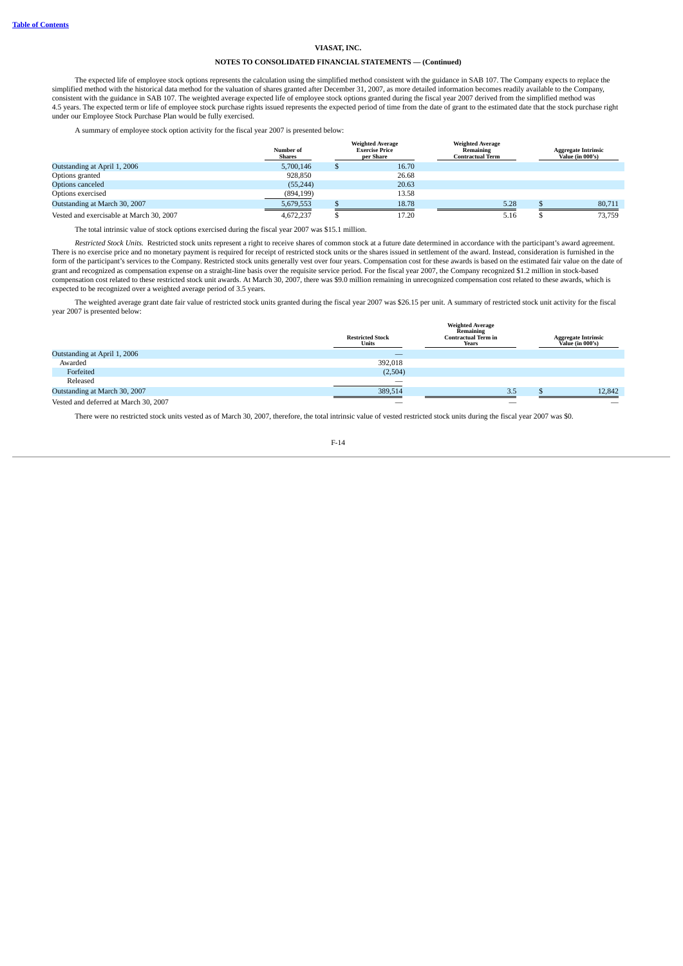## **NOTES TO CONSOLIDATED FINANCIAL STATEMENTS — (Continued)**

The expected life of employee stock options represents the calculation using the simplified method consistent with the guidance in SAB 107. The Company expects to replace the simplified method with the historical data method for the valuation of shares granted after December 31, 2007, as more detailed information becomes readily available to the Company,<br>consistent with the guidance in SAB 107. 4.5 years. The expected term or life of employee stock purchase rights issued represents the expected period of time from the date of grant to the estimated date that the stock purchase right under our Employee Stock Purchase Plan would be fully exercised.

A summary of employee stock option activity for the fiscal year 2007 is presented below:

|                                          | Number of<br><b>Shares</b> | <b>Weighted Average</b><br><b>Exercise Price</b><br>per Share | <b>Weighted Average</b><br>Remaining<br>Contractual Term | <b>Aggregate Intrinsic</b><br>Value (in 000's) |
|------------------------------------------|----------------------------|---------------------------------------------------------------|----------------------------------------------------------|------------------------------------------------|
| Outstanding at April 1, 2006             | 5.700.146                  | 16.70                                                         |                                                          |                                                |
| Options granted                          | 928,850                    | 26.68                                                         |                                                          |                                                |
| Options canceled                         | (55, 244)                  | 20.63                                                         |                                                          |                                                |
| Options exercised                        | (894, 199)                 | 13.58                                                         |                                                          |                                                |
| Outstanding at March 30, 2007            | 5.679.553                  | 18.78                                                         | 5.28                                                     | 80,711                                         |
| Vested and exercisable at March 30, 2007 | 4,672,237                  | 17.20                                                         | 5.16                                                     | 73.759                                         |

The total intrinsic value of stock options exercised during the fiscal year 2007 was \$15.1 million.

*Restricted Stock Units.* Restricted stock units represent a right to receive shares of common stock at a future date determined in accordance with the participant's award agreement. There is no exercise price and no monetary payment is required for receipt of restricted stock units or the shares issued in settlement of the award. Instead, consideration is furnished in the form of the participant's services to the Company. Restricted stock units generally vest over four years. Compensation cost for these awards is based on the estimated fair value on the date of grant and recognized as compensation expense on a straight-line basis over the requisite service period. For the fiscal year 2007, the Company recognized \$1.2 million in stock-based compensation cost related to these restricted stock unit awards. At March 30, 2007, there was \$9.0 million remaining in unrecognized compensation cost related to these awards, which is expected to be recognized over a weighted average period of 3.5 years.

The weighted average grant date fair value of restricted stock units granted during the fiscal year 2007 was \$26.15 per unit. A summary of restricted stock unit activity for the fiscal year 2007 is presented below:

|                                       | <b>Restricted Stock</b><br>Units | <b>Weighted Average</b><br>Remaining<br><b>Contractual Term in</b><br>Years | <b>Aggregate Intrinsic</b><br>Value (in 000's) |
|---------------------------------------|----------------------------------|-----------------------------------------------------------------------------|------------------------------------------------|
| Outstanding at April 1, 2006          |                                  |                                                                             |                                                |
| Awarded                               | 392,018                          |                                                                             |                                                |
| Forfeited                             | (2,504)                          |                                                                             |                                                |
| Released                              |                                  |                                                                             |                                                |
| Outstanding at March 30, 2007         | 389,514                          | 3.5                                                                         | 12.842                                         |
| Vested and deferred at March 30, 2007 |                                  |                                                                             |                                                |

There were no restricted stock units vested as of March 30, 2007, therefore, the total intrinsic value of vested restricted stock units during the fiscal year 2007 was \$0.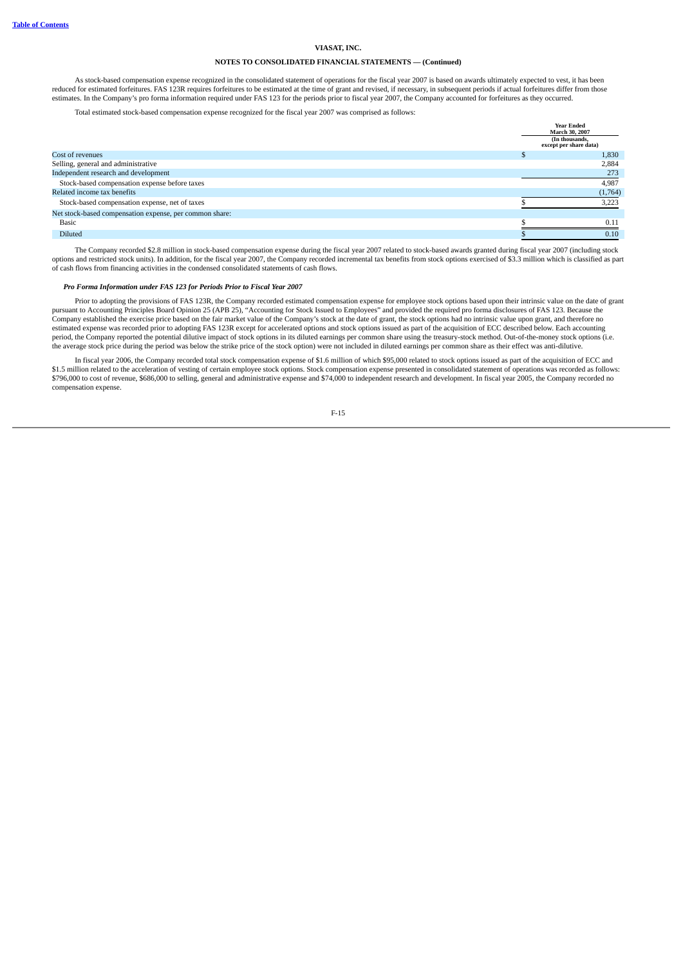# **NOTES TO CONSOLIDATED FINANCIAL STATEMENTS — (Continued)**

As stock-based compensation expense recognized in the consolidated statement of operations for the fiscal year 2007 is based on awards ultimately expected to vest, it has been reduced for estimated forfeitures. FAS 123R requires forfeitures to be estimated at the time of grant and revised, if necessary, in subsequent periods if actual forfeitures differ from those<br>estimates. In the Company's pro

Total estimated stock-based compensation expense recognized for the fiscal year 2007 was comprised as follows:

|                                                         | <b>Year Ended</b><br>March 30, 2007<br>(In thousands,<br>except per share data) |
|---------------------------------------------------------|---------------------------------------------------------------------------------|
| Cost of revenues                                        | 1,830                                                                           |
| Selling, general and administrative                     | 2,884                                                                           |
| Independent research and development                    | 273                                                                             |
| Stock-based compensation expense before taxes           | 4,987                                                                           |
| Related income tax benefits                             | (1,764)                                                                         |
| Stock-based compensation expense, net of taxes          | 3.223                                                                           |
| Net stock-based compensation expense, per common share: |                                                                                 |
| Basic                                                   | 0.11                                                                            |
| <b>Diluted</b>                                          | 0.10                                                                            |

The Company recorded \$2.8 million in stock-based compensation expense during the fiscal year 2007 related to stock-based awards granted during fiscal year 2007 (including stock<br>options and restricted stock units). In addit of cash flows from financing activities in the condensed consolidated statements of cash flows.

## *Pro Forma Information under FAS 123 for Periods Prior to Fiscal Year 2007*

Prior to adopting the provisions of FAS 123R, the Company recorded estimated compensation expense for employee stock options based upon their intrinsic value on the date of grant<br>pursuant to Accounting Principles Board Opi Company established the exercise price based on the fair market value of the Company's stock at the date of grant, the stock options had no intrinsic value upon grant, and therefore no estimated expense was recorded prior to adopting FAS 123R except for accelerated options and stock options issued as part of the acquisition of ECC described below. Each accounting period, the Company reported the potential dilutive impact of stock options in its diluted earnings per common share using the treasury-stock method. Out-of-the-money stock options (i.e.<br>the average stock price during the

In fiscal year 2006, the Company recorded total stock compensation expense of \$1.6 million of which \$95,000 related to stock options issued as part of the acquisition of ECC and \$1.5 million related to the acceleration of vesting of certain employee stock options. Stock compensation expense presented in consolidated statement of operations was recorded as follows: \$796,000 to cost of revenue, \$686,000 to selling, general and administrative expense and \$74,000 to independent research and development. In fiscal year 2005, the Company recorded no compensation expense.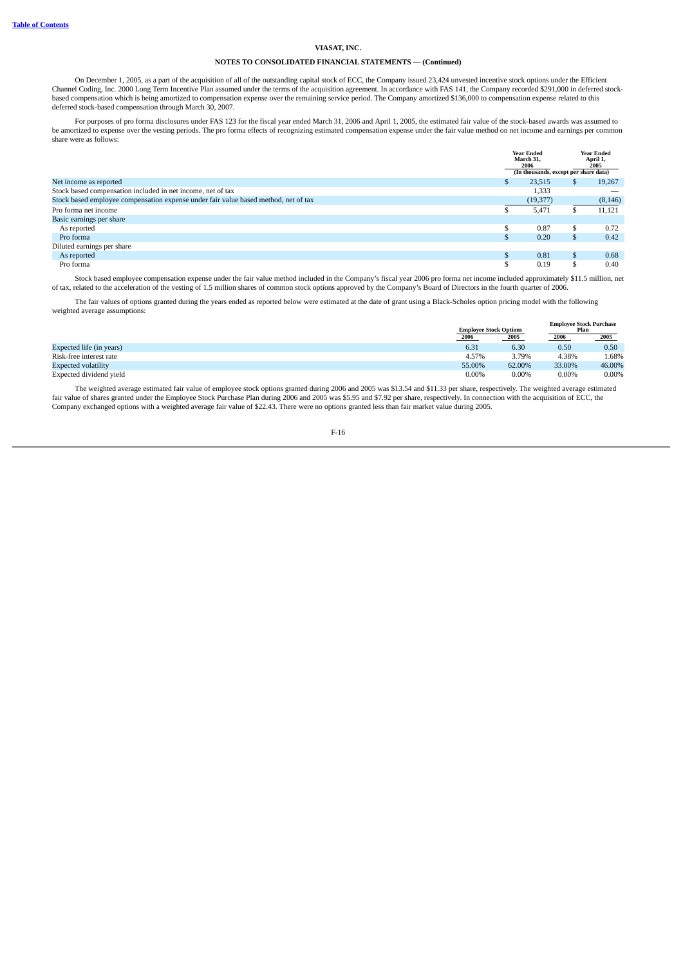# **NOTES TO CONSOLIDATED FINANCIAL STATEMENTS — (Continued)**

On December 1, 2005, as a part of the acquisition of all of the outstanding capital stock of ECC, the Company issued 23,424 unvested incentive stock options under the Efficient Channel Coding, Inc. 2000 Long Term Incentive Plan assumed under the terms of the acquisition agreement. In accordance with FAS 141, the Company recorded \$291,000 in deferred stock-<br>based compensation which is being amorti deferred stock-based compensation through March 30, 2007.

For purposes of pro forma disclosures under FAS 123 for the fiscal year ended March 31, 2006 and April 1, 2005, the estimated fair value of the stock-based awards was assumed to be amortized to expense over the vesting periods. The pro forma effects of recognizing estimated compensation expense under the fair value method on net income and earnings per common share were as follows:

|                                                                                     | <b>Year Ended</b><br>March 31.<br>2006<br>(In thousands, except per share data) |     | <b>Year Ended</b><br>April 1,<br>2005 |
|-------------------------------------------------------------------------------------|---------------------------------------------------------------------------------|-----|---------------------------------------|
| Net income as reported                                                              | 23.515                                                                          | S.  | 19,267                                |
| Stock based compensation included in net income, net of tax                         | 1,333                                                                           |     |                                       |
| Stock based employee compensation expense under fair value based method, net of tax | (19, 377)                                                                       |     | (8, 146)                              |
| Pro forma net income                                                                | 5,471                                                                           |     | 11,121                                |
| Basic earnings per share                                                            |                                                                                 |     |                                       |
| As reported                                                                         | 0.87                                                                            | \$. | 0.72                                  |
| Pro forma                                                                           | 0.20                                                                            | \$  | 0.42                                  |
| Diluted earnings per share                                                          |                                                                                 |     |                                       |
| As reported                                                                         | 0.81                                                                            | \$  | 0.68                                  |
| Pro forma                                                                           | 0.19                                                                            | \$  | 0.40                                  |

Stock based employee compensation expense under the fair value method included in the Company's fiscal year 2006 pro forma net income included approximately \$11.5 million, net<br>of tax, related to the acceleration of the ves

The fair values of options granted during the years ended as reported below were estimated at the date of grant using a Black-Scholes option pricing model with the following weighted average assumptions:

|                            |        |                               | <b>Employee Stock Purchase</b> |        |  |  |
|----------------------------|--------|-------------------------------|--------------------------------|--------|--|--|
|                            |        | <b>Employee Stock Options</b> |                                | Plan   |  |  |
|                            | 2006   | 2005                          | 2006                           | 2005   |  |  |
| Expected life (in years)   | 6.31   | 6.30                          | 0.50                           | 0.50   |  |  |
| Risk-free interest rate    | 4.57%  | 3.79%                         | 4.38%                          | 1.68%  |  |  |
| <b>Expected volatility</b> | 55.00% | 62.00%                        | 33.00%                         | 46.00% |  |  |
| Expected dividend vield    | 0.00%  | 0.00%                         | 0.00%                          | 0.00%  |  |  |

The weighted average estimated fair value of employee stock options granted during 2006 and 2005 was \$13.54 and \$11.33 per share, respectively. The weighted average estimated fair value of shares granted under the Employee Stock Purchase Plan during 2006 and 2005 was \$5.95 and \$7.92 per share, respectively. In connection with the acquisition of ECC, the<br>Company exchanged options with a weighted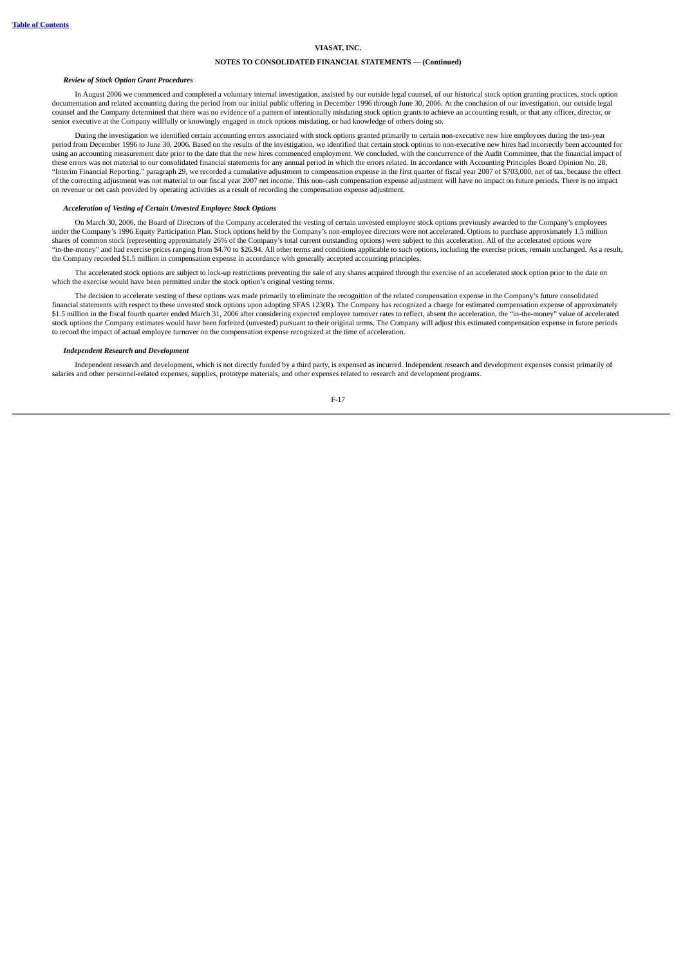### **NOTES TO CONSOLIDATED FINANCIAL STATEMENTS — (Continued)**

## *Review of Stock Option Grant Procedures*

In August 2006 we commenced and completed a voluntary internal investigation, assisted by our outside legal counsel, of our historical stock option granting practices, stock option documentation and related accounting during the period from our initial public offering in December 1996 through June 30, 2006. At the conclusion of our investigation, our outside legal counsel and the Company determined that there was no evidence of a pattern of intentionally misdating stock option grants to achieve an accounting result, or that any officer, director, or senior executive at the Company willfully or knowingly engaged in stock options misdating, or had knowledge of others doing so.

During the investigation we identified certain accounting errors associated with stock options granted primarily to certain non-executive new hire employees during the ten-year period from December 1996 to June 30, 2006. Based on the results of the investigation, we identified that certain stock options to non-executive new hires had incorrectly been accounted for using an accounting measurement date prior to the date that the new hires commenced employment. We concluded, with the concurrence of the Audit Committee, that the financial impact of these errors was not material to our consolidated financial statements for any annual period in which the errors related. In accordance with Accounting Principles Board Opinion No. 28, "Interim Financial Reporting," paragraph 29, we recorded a cumulative adjustment to compensation expense in the first quarter of fiscal year 2007 of \$703,000, net of tax, because the effect of the correcting adjustment was not material to our fiscal year 2007 net income. This non-cash compensation expense adjustment will have no impact on future periods. There is no impact on revenue or net cash provided by operating activities as a result of recording the compensation expense adjustment.

### *Acceleration of Vesting of Certain Unvested Employee Stock Options*

On March 30, 2006, the Board of Directors of the Company accelerated the vesting of certain unvested employee stock options previously awarded to the Company's employees under the Company's 1996 Equity Participation Plan. Stock options held by the Company's non-employee directors were not accelerated. Options to purchase approximately 1.5 million shares of common stock (representing approximately 26% of the Company's total current outstanding options) were subject to this acceleration. All of the accelerated options were "in-the-money" and had exercise prices ranging from \$4.70 to \$26.94. All other terms and conditions applicable to such options, including the exercise prices, remain unchanged. As a result, the Company recorded \$1.5 million in compensation expense in accordance with generally accepted accounting principles.

The accelerated stock options are subject to lock-up restrictions preventing the sale of any shares acquired through the exercise of an accelerated stock option prior to the date on which the exercise would have been permitted under the stock option's original vesting terms.

The decision to accelerate vesting of these options was made primarily to eliminate the recognition of the related compensation expense in the Company's future consolidated financial statements with respect to these unvested stock options upon adopting SFAS 123(R). The Company has recognized a charge for estimated compensation expense of approximately \$1.5 million in the fiscal fourth quarter ended March 31, 2006 after considering expected employee turnover rates to reflect, absent the acceleration, the "in-the-money" value of accelerated stock options the Company estimates would have been forfeited (unvested) pursuant to their original terms. The Company will adjust this estimated compensation expense in future periods to record the impact of actual employee turnover on the compensation expense recognized at the time of acceleration.

### *Independent Research and Development*

Independent research and development, which is not directly funded by a third party, is expensed as incurred. Independent research and development expenses consist primarily of salaries and other personnel-related expenses, supplies, prototype materials, and other expenses related to research and development programs.

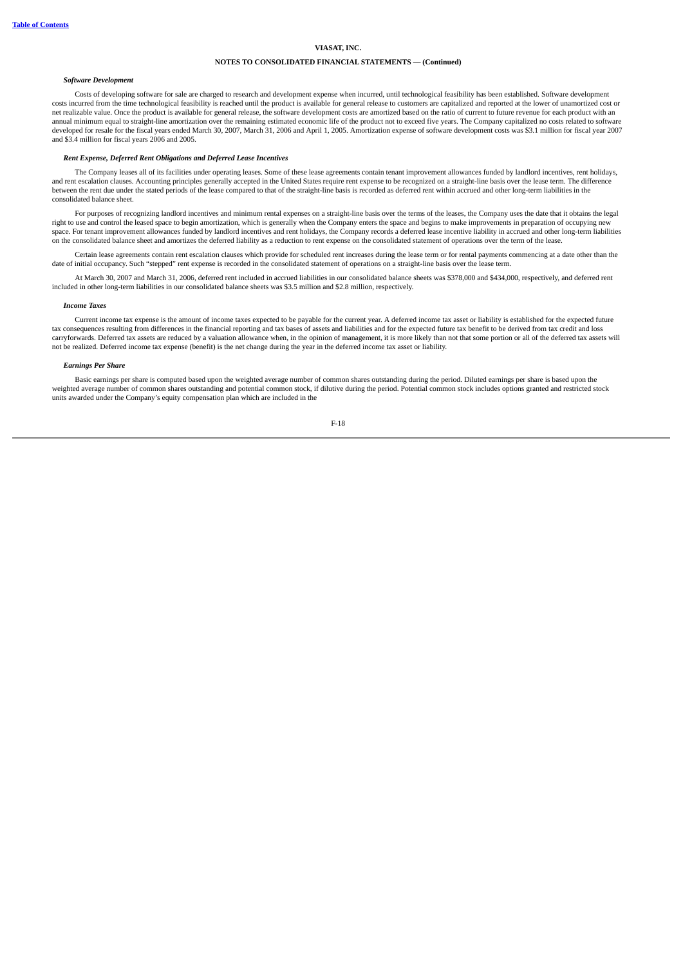## **NOTES TO CONSOLIDATED FINANCIAL STATEMENTS — (Continued)**

## *Software Development*

Costs of developing software for sale are charged to research and development expense when incurred, until technological feasibility has been established. Software development costs incurred from the time technological feasibility is reached until the product is available for general release to customers are capitalized and reported at the lower of unamortized cost or net realizable value. Once the product is available for general release, the software development costs are amortized based on the ratio of current to future revenue for each product with an annual minimum equal to straight-line amortization over the remaining estimated economic life of the product not to exceed five years. The Company capitalized no costs related to software developed for resale for the fiscal years ended March 30, 2007, March 31, 2006 and April 1, 2005. Amortization expense of software development costs was \$3.1 million for fiscal year 2007 and \$3.4 million for fiscal years 2006 and 2005.

# *Rent Expense, Deferred Rent Obligations and Deferred Lease Incentives*

The Company leases all of its facilities under operating leases. Some of these lease agreements contain tenant improvement allowances funded by landlord incentives, rent holidays, and rent escalation clauses. Accounting principles generally accepted in the United States require rent expense to be recognized on a straight-line basis over the lease term. The difference<br>between the rent due under the s consolidated balance sheet.

For purposes of recognizing landlord incentives and minimum rental expenses on a straight-line basis over the terms of the leases, the Company uses the date that it obtains the legal right to use and control the leased space to begin amortization, which is generally when the Company enters the space and begins to make improvements in preparation of occupying new space. For tenant improvement allowances funded by landlord incentives and rent holidays, the Company records a deferred lease incentive liability in accrued and other long-term liabilities on the consolidated balance sheet and amortizes the deferred liability as a reduction to rent expense on the consolidated statement of operations over the term of the lease.

Certain lease agreements contain rent escalation clauses which provide for scheduled rent increases during the lease term or for rental payments commencing at a date other than the date of initial occupancy. Such "stepped" rent expense is recorded in the consolidated statement of operations on a straight-line basis over the lease term.

At March 30, 2007 and March 31, 2006, deferred rent included in accrued liabilities in our consolidated balance sheets was \$378,000 and \$434,000, respectively, and deferred rent included in other long-term liabilities in our consolidated balance sheets was \$3.5 million and \$2.8 million, respectively.

#### *Income Taxes*

Current income tax expense is the amount of income taxes expected to be payable for the current year. A deferred income tax asset or liability is established for the expected future tax consequences resulting from differences in the financial reporting and tax bases of assets and liabilities and for the expected future tax benefit to be derived from tax credit and loss carryforwards. Deferred tax assets are reduced by a valuation allowance when, in the opinion of management, it is more likely than not that some portion or all of the deferred tax assets will not be realized. Deferred income tax expense (benefit) is the net change during the year in the deferred income tax asset or liability.

#### *Earnings Per Share*

Basic earnings per share is computed based upon the weighted average number of common shares outstanding during the period. Diluted earnings per share is based upon the weighted average number of common shares outstanding and potential common stock, if dilutive during the period. Potential common stock includes options granted and restricted stock units awarded under the Company's equity compensation plan which are included in the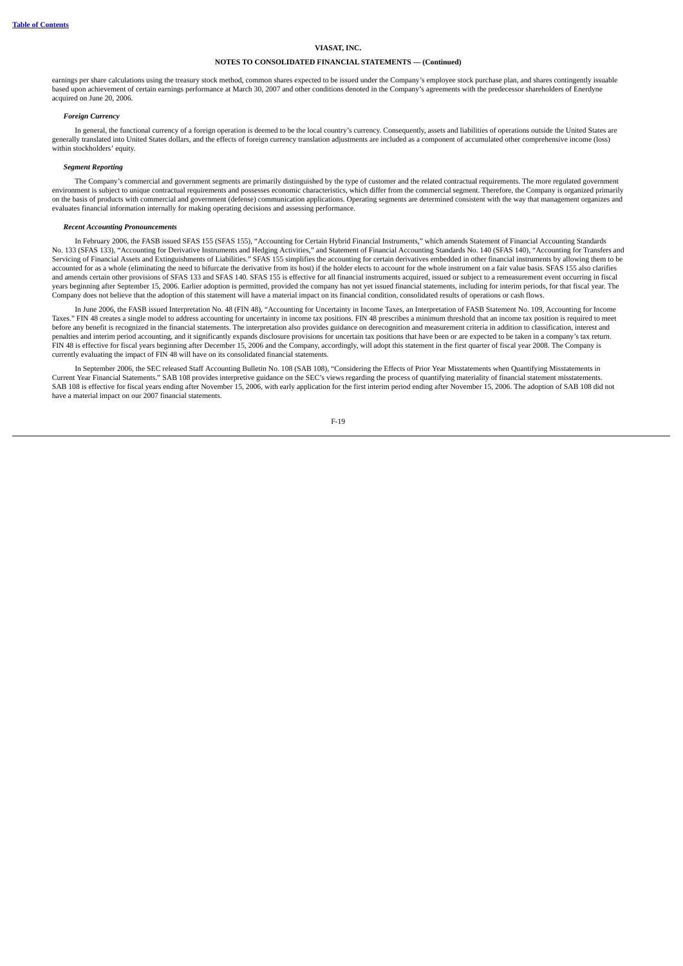### **NOTES TO CONSOLIDATED FINANCIAL STATEMENTS — (Continued)**

earnings per share calculations using the treasury stock method, common shares expected to be issued under the Company's employee stock purchase plan, and shares contingently issuable based upon achievement of certain earnings performance at March 30, 2007 and other conditions denoted in the Company's agreements with the predecessor shareholders of Enerdyne acquired on June 20, 2006.

### *Foreign Currency*

In general, the functional currency of a foreign operation is deemed to be the local country's currency. Consequently, assets and liabilities of operations outside the United States are generally translated into United States dollars, and the effects of foreign currency translation adjustments are included as a component of accumulated other comprehensive income (loss) within stockholders' equity.

### *Segment Reporting*

The Company's commercial and government segments are primarily distinguished by the type of customer and the related contractual requirements. The more regulated government environment is subject to unique contractual requirements and possesses economic characteristics, which differ from the commercial segment. Therefore, the Company is organized primarily on the basis of products with commercial and government (defense) communication applications. Operating segments are determined consistent with the way that management organizes and evaluates financial information internally for making operating decisions and assessing performance.

#### *Recent Accounting Pronouncements*

In February 2006, the FASB issued SFAS 155 (SFAS 155), "Accounting for Certain Hybrid Financial Instruments," which amends Statement of Financial Accounting Standards No. 133 (SFAS 133), "Accounting for Derivative Instruments and Hedging Activities," and Statement of Financial Accounting Standards No. 140 (SFAS 140), "Accounting for Transfers and Servicing of Financial Assets and Extinguishments of Liabilities." SFAS 155 simplifies the accounting for certain derivatives embedded in other financial instruments by allowing them to be accounted for as a whole (eliminating the need to bifurcate the derivative from its host) if the holder elects to account for the whole instrument on a fair value basis. SFAS 155 also clarifies and amends certain other provisions of SFAS 133 and SFAS 140. SFAS 155 is effective for all financial instruments acquired, issued or subject to a remeasurement event occurring in fiscal years beginning after September 15, 2006. Earlier adoption is permitted, provided the company has not yet issued financial statements, including for interim periods, for that fiscal year. The Company does not believe that the adoption of this statement will have a material impact on its financial condition, consolidated results of operations or cash flows.

In June 2006, the FASB issued Interpretation No. 48 (FIN 48), "Accounting for Uncertainty in Income Taxes, an Interpretation of FASB Statement No. 109, Accounting for Income Taxes." FIN 48 creates a single model to address accounting for uncertainty in income tax positions. FIN 48 prescribes a minimum threshold that an income tax position is required to meet before any benefit is recognized in the financial statements. The interpretation also provides guidance on derecognition and measurement criteria in addition to classification, interest and penalties and interim period accounting, and it significantly expands disclosure provisions for uncertain tax positions that have been or are expected to be taken in a company's tax return. FIN 48 is effective for fiscal years beginning after December 15, 2006 and the Company, accordingly, will adopt this statement in the first quarter of fiscal year 2008. The Company is FIN 48 is effective for fiscal year 20 currently evaluating the impact of FIN 48 will have on its consolidated financial statements.

In September 2006, the SEC released Staff Accounting Bulletin No. 108 (SAB 108), "Considering the Effects of Prior Year Misstatements when Quantifying Misstatements in Current Year Financial Statements." SAB 108 provides interpretive guidance on the SEC's views regarding the process of quantifying materiality of financial statement misstatements. SAB 108 is effective for fiscal years ending after November 15, 2006, with early application for the first interim period ending after November 15, 2006. The adoption of SAB 108 did not have a material impact on our 2007 financial statements.

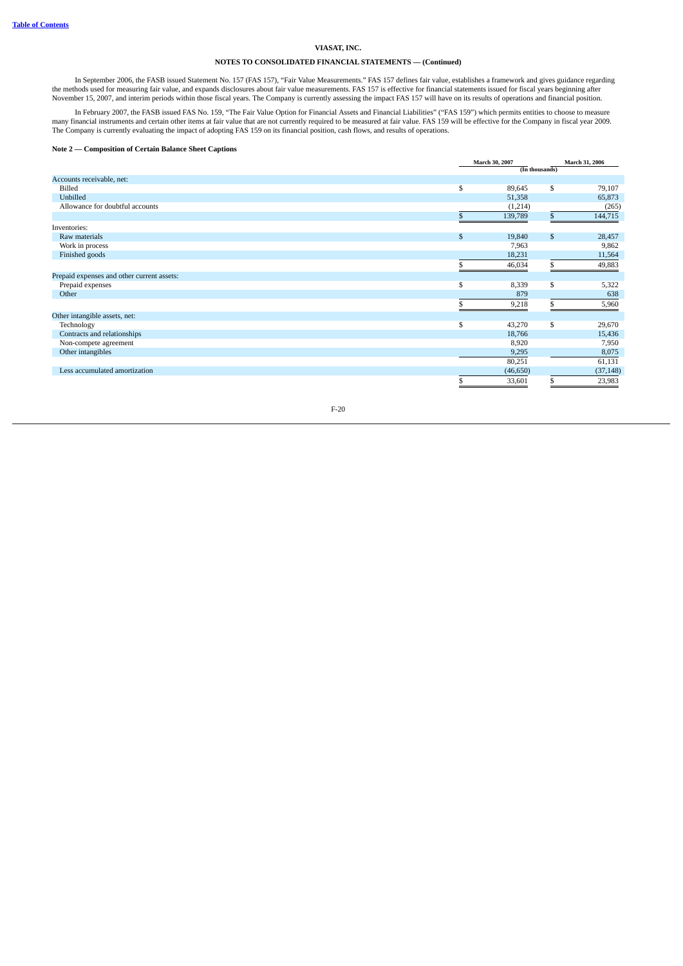# **NOTES TO CONSOLIDATED FINANCIAL STATEMENTS — (Continued)**

In September 2006, the FASB issued Statement No. 157 (FAS 157), "Fair Value Measurements." FAS 157 defines fair value, establishes a framework and gives guidance regarding the methods used for measuring fair value, and expands disclosures about fair value measurements. FAS 157 is effective for financial statements issued for fiscal years beginning after<br>November 15, 2007, and interim periods

In February 2007, the FASB issued FAS No. 159, "The Fair Value Option for Financial Assets and Financial Liabilities" ("FAS 159") which permits entities to choose to measure<br>.many financial instruments and certain other it The Company is currently evaluating the impact of adopting FAS 159 on its financial position, cash flows, and results of operations.

# **Note 2 — Composition of Certain Balance Sheet Captions**

|                                            | March 30, 2007       |              | <b>March 31, 2006</b> |  |  |
|--------------------------------------------|----------------------|--------------|-----------------------|--|--|
|                                            | $($ In thousands $)$ |              |                       |  |  |
| Accounts receivable, net:                  |                      |              |                       |  |  |
| Billed                                     | \$<br>89,645         | \$           | 79,107                |  |  |
| Unbilled                                   | 51,358               |              | 65,873                |  |  |
| Allowance for doubtful accounts            | (1,214)              |              | (265)                 |  |  |
|                                            | 139,789              | \$           | 144,715               |  |  |
| Inventories:                               |                      |              |                       |  |  |
| Raw materials                              | \$<br>19,840         | $\mathbb{S}$ | 28,457                |  |  |
| Work in process                            | 7,963                |              | 9,862                 |  |  |
| Finished goods                             | 18,231               |              | 11,564                |  |  |
|                                            | 46,034               | \$           | 49,883                |  |  |
| Prepaid expenses and other current assets: |                      |              |                       |  |  |
| Prepaid expenses                           | \$<br>8,339          | \$           | 5,322                 |  |  |
| Other                                      | 879                  |              | 638                   |  |  |
|                                            | 9,218                | \$           | 5,960                 |  |  |
| Other intangible assets, net:              |                      |              |                       |  |  |
| Technology                                 | \$<br>43,270         | \$           | 29,670                |  |  |
| Contracts and relationships                | 18,766               |              | 15,436                |  |  |
| Non-compete agreement                      | 8,920                |              | 7,950                 |  |  |
| Other intangibles                          | 9,295                |              | 8,075                 |  |  |
|                                            | 80,251               |              | 61,131                |  |  |
| Less accumulated amortization              | (46, 650)            |              | (37, 148)             |  |  |
|                                            | 33,601               | \$           | 23,983                |  |  |
|                                            |                      |              |                       |  |  |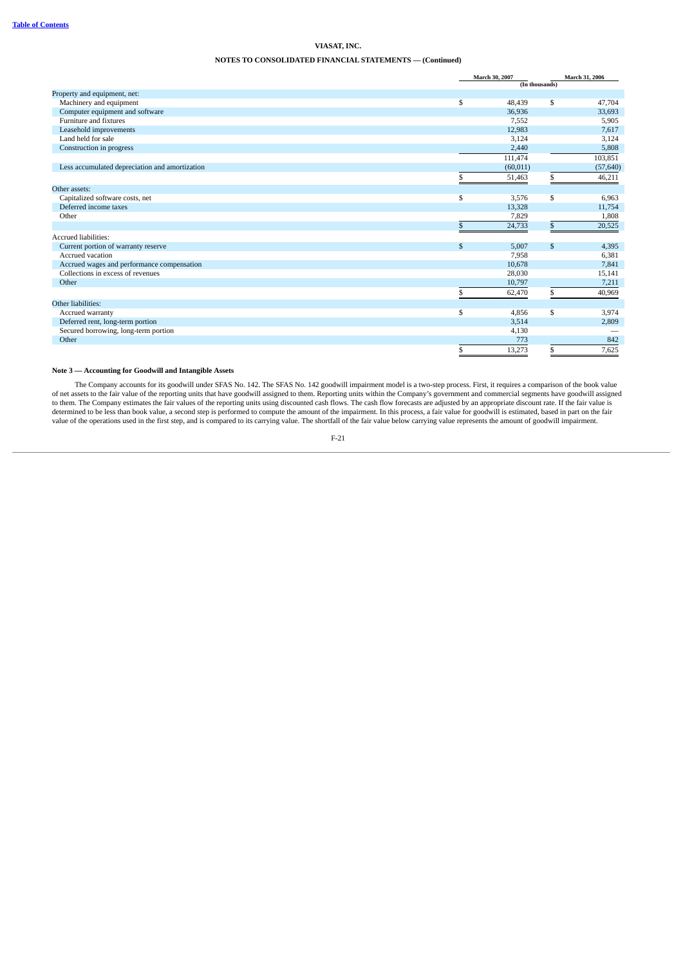# **NOTES TO CONSOLIDATED FINANCIAL STATEMENTS — (Continued)**

|                                                |    | March 30, 2007 |                      | March 31, 2006 |  |
|------------------------------------------------|----|----------------|----------------------|----------------|--|
|                                                |    |                | $($ In thousands $)$ |                |  |
| Property and equipment, net:                   |    |                |                      |                |  |
| Machinery and equipment                        | \$ | 48,439         | S                    | 47,704         |  |
| Computer equipment and software                |    | 36,936         |                      | 33,693         |  |
| Furniture and fixtures                         |    | 7,552          |                      | 5,905          |  |
| Leasehold improvements                         |    | 12,983         |                      | 7,617          |  |
| Land held for sale                             |    | 3,124          |                      | 3,124          |  |
| Construction in progress                       |    | 2,440          |                      | 5,808          |  |
|                                                |    | 111,474        |                      | 103,851        |  |
| Less accumulated depreciation and amortization |    | (60, 011)      |                      | (57, 640)      |  |
|                                                |    | 51,463         | \$.                  | 46,211         |  |
| Other assets:                                  |    |                |                      |                |  |
| Capitalized software costs, net                | \$ | 3,576          | \$                   | 6,963          |  |
| Deferred income taxes                          |    | 13,328         |                      | 11,754         |  |
| Other                                          |    | 7,829          |                      | 1,808          |  |
|                                                | S. | 24,733         | S.                   | 20,525         |  |
| Accrued liabilities:                           |    |                |                      |                |  |
| Current portion of warranty reserve            | \$ | 5,007          | \$                   | 4,395          |  |
| Accrued vacation                               |    | 7,958          |                      | 6,381          |  |
| Accrued wages and performance compensation     |    | 10,678         |                      | 7,841          |  |
| Collections in excess of revenues              |    | 28,030         |                      | 15,141         |  |
| Other                                          |    | 10,797         |                      | 7,211          |  |
|                                                | \$ | 62,470         | \$.                  | 40,969         |  |
| Other liabilities:                             |    |                |                      |                |  |
| Accrued warranty                               | \$ | 4,856          | S                    | 3,974          |  |
| Deferred rent, long-term portion               |    | 3,514          |                      | 2,809          |  |
| Secured borrowing, long-term portion           |    | 4,130          |                      |                |  |
| Other                                          |    | 773            |                      | 842            |  |
|                                                | \$ | 13,273         | S                    | 7,625          |  |

# **Note 3 — Accounting for Goodwill and Intangible Assets**

The Company accounts for its goodwill under SFAS No. 142. The SFAS No. 142 goodwill impairment model is a two-step process. First, it requires a comparison of the book value<br>of net assets to the fair value of the reporting determined to be less than book value, a second step is performed to compute the amount of the impairment. In this process, a fair value for goodwill is estimated, based in part on the fair value of the operations used in the first step, and is compared to its carrying value. The shortfall of the fair value below carrying value represents the amount of goodwill impairment.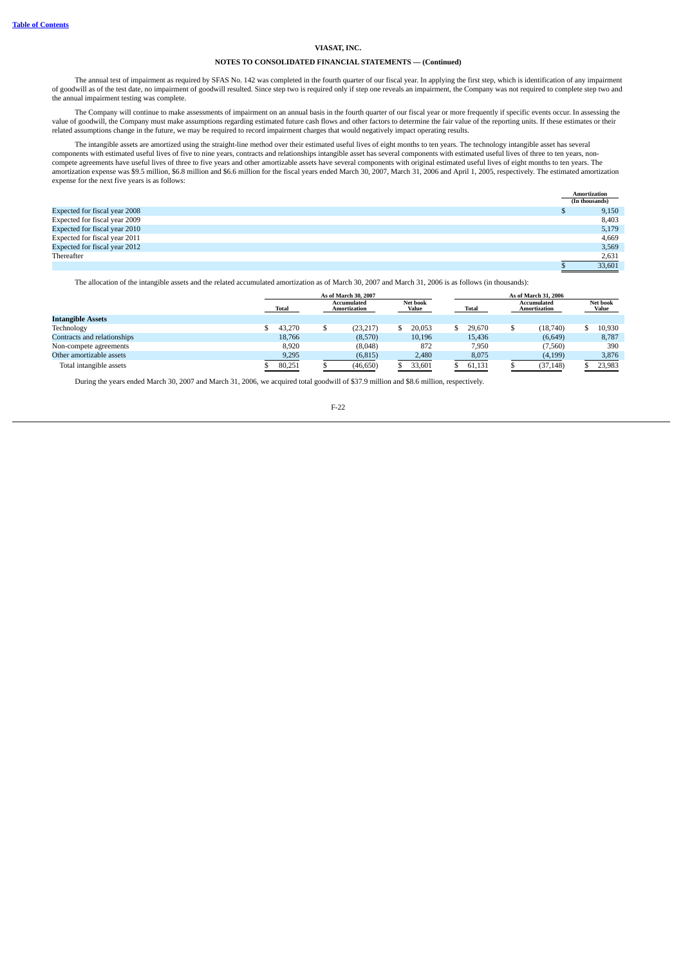# **NOTES TO CONSOLIDATED FINANCIAL STATEMENTS — (Continued)**

The annual test of impairment as required by SFAS No. 142 was completed in the fourth quarter of our fiscal year. In applying the first step, which is identification of any impairment of goodwill as of the test date, no impairment of goodwill resulted. Since step two is required only if step one reveals an impairment, the Company was not required to complete step two and the annual impairment testing was complete.

The Company will continue to make assessments of impairment on an annual basis in the fourth quarter of our fiscal year or more frequently if specific events occur. In assessing the value of goodwill, the Company must make assumptions regarding estimated future cash flows and other factors to determine the fair value of the reporting units. If these estimates or their related assumptions change in the future, we may be required to record impairment charges that would negatively impact operating results.

The intangible assets are amortized using the straight-line method over their estimated useful lives of eight months to ten years. The technology intangible asset has several components with estimated useful lives of five to nine years, contracts and relationships intangible asset has several components with estimated useful lives of three to ten years, noncompete agreements have useful lives of three to five years and other amortizable assets have several components with original estimated useful lives of eight months to ten years. The amortization expense was \$9.5 million, \$6.8 million and \$6.6 million for the fiscal years ended March 30, 2007, March 31, 2006 and April 1, 2005, respectively. The estimated amortization expense for the next five years is as follows:

|                               | <b>Amortization</b><br>(In thousands) |
|-------------------------------|---------------------------------------|
| Expected for fiscal year 2008 | 9,150                                 |
| Expected for fiscal year 2009 | 8,403                                 |
| Expected for fiscal year 2010 | 5,179                                 |
| Expected for fiscal year 2011 | 4,669                                 |
| Expected for fiscal year 2012 | 3,569                                 |
| Thereafter                    | 2,631                                 |
|                               | 33.601                                |

The allocation of the intangible assets and the related accumulated amortization as of March 30, 2007 and March 31, 2006 is as follows (in thousands):

|                             | As of March 30, 2007 |  |                                    |          | As of March 31, 2006     |  |        |   |                             |  |                          |
|-----------------------------|----------------------|--|------------------------------------|----------|--------------------------|--|--------|---|-----------------------------|--|--------------------------|
|                             | Total                |  | <b>Accumulated</b><br>Amortization |          | <b>Net book</b><br>Value |  | Total  |   | Accumulated<br>Amortization |  | <b>Net book</b><br>Value |
| <b>Intangible Assets</b>    |                      |  |                                    |          |                          |  |        |   |                             |  |                          |
| Technology                  | 43.270               |  | (23,217)                           |          | 20.053                   |  | 29.670 | £ | (18,740)                    |  | 10,930                   |
| Contracts and relationships | 18,766               |  |                                    | (8,570)  | 10,196                   |  | 15.436 |   | (6,649)                     |  | 8,787                    |
| Non-compete agreements      | 8,920                |  |                                    | (8,048)  | 872                      |  | 7.950  |   | (7,560)                     |  | 390                      |
| Other amortizable assets    | 9,295                |  |                                    | (6, 815) | 2,480                    |  | 8,075  |   | (4, 199)                    |  | 3,876                    |
| Total intangible assets     | 80,251               |  | (46, 650)                          |          | 33,601                   |  | 61,131 |   | (37, 148)                   |  | 23,983                   |

During the years ended March 30, 2007 and March 31, 2006, we acquired total goodwill of \$37.9 million and \$8.6 million, respectively.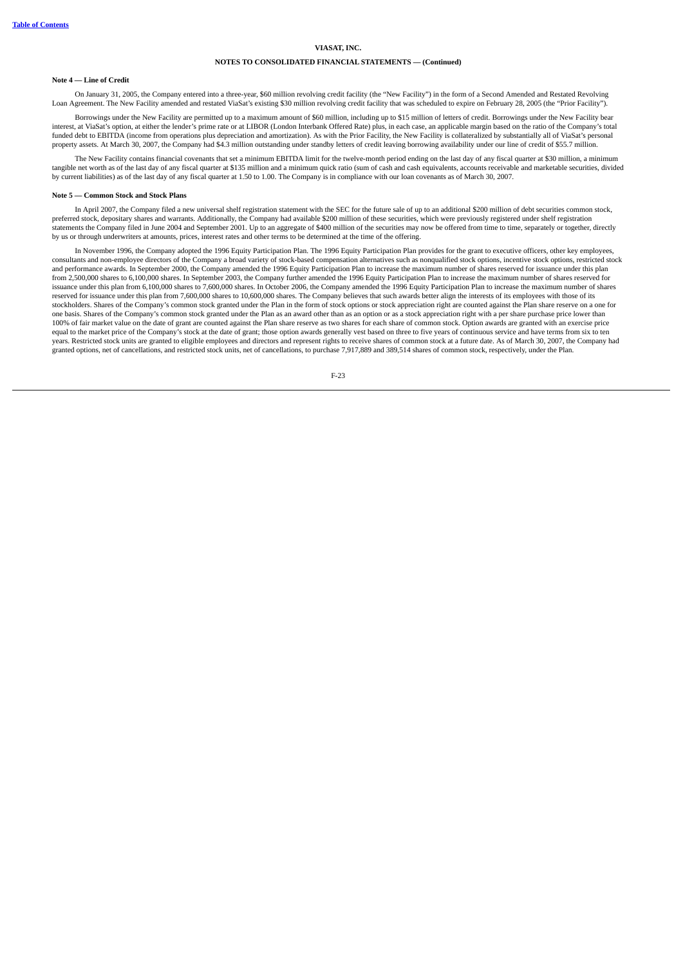# **NOTES TO CONSOLIDATED FINANCIAL STATEMENTS — (Continued)**

### **Note 4 — Line of Credit**

On January 31, 2005, the Company entered into a three-year, \$60 million revolving credit facility (the "New Facility") in the form of a Second Amended and Restated Revolving Loan Agreement. The New Facility amended and restated ViaSat's existing \$30 million revolving credit facility that was scheduled to expire on February 28, 2005 (the "Prior Facility").

Borrowings under the New Facility are permitted up to a maximum amount of \$60 million, including up to \$15 million of letters of credit. Borrowings under the New Facility bear interest, at ViaSat's option, at either the lender's prime rate or at LIBOR (London Interbank Offered Rate) plus, in each case, an applicable margin based on the ratio of the Company's total funded debt to EBITDA (income from operations plus depreciation and amortization). As with the Prior Facility, the New Facility is collateralized by substantially all of ViaSat's personal property assets. At March 30, 2007, the Company had \$4.3 million outstanding under standby letters of credit leaving borrowing availability under our line of credit of \$55.7 million.

The New Facility contains financial covenants that set a minimum EBITDA limit for the twelve-month period ending on the last day of any fiscal quarter at \$30 million, a minimum tangible net worth as of the last day of any fiscal quarter at \$135 million and a minimum quick ratio (sum of cash and cash equivalents, accounts receivable and marketable securities, divided by current liabilities) as of the last day of any fiscal quarter at 1.50 to 1.00. The Company is in compliance with our loan covenants as of March 30, 2007.

#### **Note 5 — Common Stock and Stock Plans**

In April 2007, the Company filed a new universal shelf registration statement with the SEC for the future sale of up to an additional \$200 million of debt securities common stock, preferred stock, depositary shares and warrants. Additionally, the Company had available \$200 million of these securities, which were previously registered under shelf registration statements the Company filed in June 2004 and September 2001. Up to an aggregate of \$400 million of the securities may now be offered from time to time, separately or together, directly by us or through underwriters at amounts, prices, interest rates and other terms to be determined at the time of the offering.

In November 1996, the Company adopted the 1996 Equity Participation Plan. The 1996 Equity Participation Plan provides for the grant to executive officers, other key employees, consultants and non-employee directors of the Company a broad variety of stock-based compensation alternatives such as nonqualified stock options, incentive stock options, restricted stock and performance awards. In September 2000, the Company amended the 1996 Equity Participation Plan to increase the maximum number of shares reserved for issuance under this plan from 2,500,000 shares to 6,100,000 shares. In September 2003, the Company further amended the 1996 Equity Participation Plan to increase the maximum number of shares reserved for issuance under this plan from 6,100,000 shares to 7,600,000 shares. In October 2006, the Company amended the 1996 Equity Participation Plan to increase the maximum number of shares reserved for issuance under this plan from 7,600,000 shares to 10,600,000 shares. The Company believes that such awards better align the interests of its employees with those of its stockholders. Shares of the Company's common stock granted under the Plan in the form of stock options or stock appreciation right are counted against the Plan share reserve on a one for one basis. Shares of the Company's common stock granted under the Plan as an award other than as an option or as a stock appreciation right with a per share purchase price lower than 100% of fair market value on the date of grant are counted against the Plan share reserve as two shares for each share of common stock. Option awards are granted with an exercise price equal to the market price of the Company's stock at the date of grant; those option awards generally vest based on three to five years of continuous service and have terms from six to ten years. Restricted stock units are granted to eligible employees and directors and represent rights to receive shares of common stock at a future date. As of March 30, 2007, the Company had granted options, net of cancellations, and restricted stock units, net of cancellations, to purchase 7,917,889 and 389,514 shares of common stock, respectively, under the Plan.

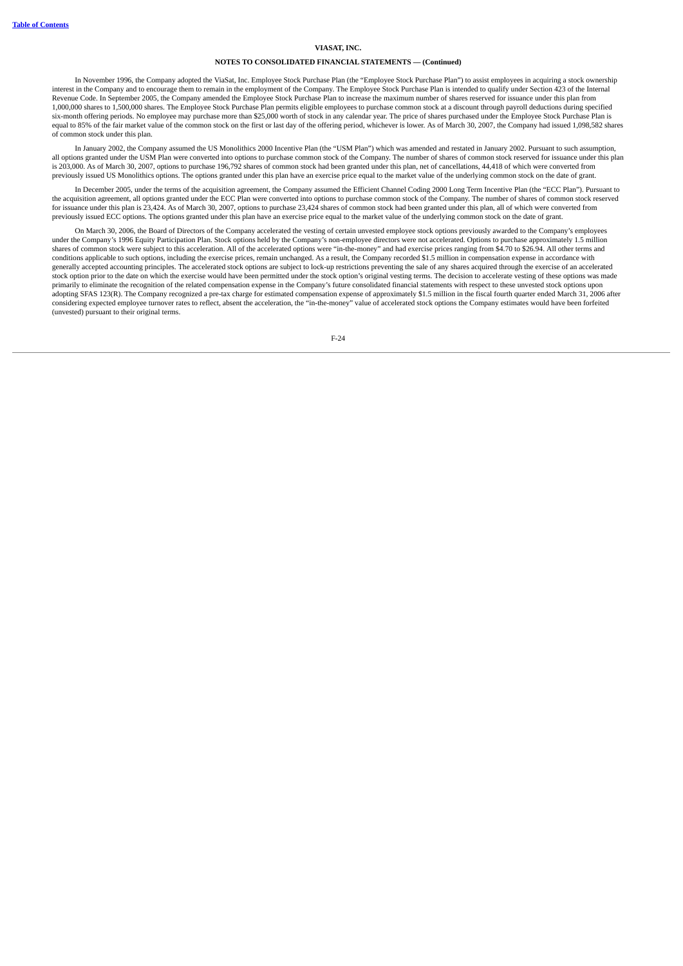### **NOTES TO CONSOLIDATED FINANCIAL STATEMENTS — (Continued)**

In November 1996, the Company adopted the ViaSat, Inc. Employee Stock Purchase Plan (the "Employee Stock Purchase Plan") to assist employees in acquiring a stock ownership interest in the Company and to encourage them to remain in the employment of the Company. The Employee Stock Purchase Plan is intended to qualify under Section 423 of the Internal Revenue Code. In September 2005, the Company amended the Employee Stock Purchase Plan to increase the maximum number of shares reserved for issuance under this plan from 1,000,000 shares to 1,500,000 shares. The Employee Stock Purchase Plan permits eligible employees to purchase common stock at a discount through payroll deductions during specified six-month offering periods. No employee may purchase more than \$25,000 worth of stock in any calendar year. The price of shares purchased under the Employee Stock Purchase Plan is equal to 85% of the fair market value of the common stock on the first or last day of the offering period, whichever is lower. As of March 30, 2007, the Company had issued 1,098,582 shares of common stock under this plan.

In January 2002, the Company assumed the US Monolithics 2000 Incentive Plan (the "USM Plan") which was amended and restated in January 2002. Pursuant to such assumption, all options granted under the USM Plan were converted into options to purchase common stock of the Company. The number of shares of common stock reserved for issuance under this plan all options to purchase common stock of is 203,000. As of March 30, 2007, options to purchase 196,792 shares of common stock had been granted under this plan, net of cancellations, 44,418 of which were converted from previously issued US Monolithics options. The options granted under this plan have an exercise price equal to the market value of the underlying common stock on the date of grant.

In December 2005, under the terms of the acquisition agreement, the Company assumed the Efficient Channel Coding 2000 Long Term Incentive Plan (the "ECC Plan"). Pursuant to the acquisition agreement, all options granted under the ECC Plan were converted into options to purchase common stock of the Company. The number of shares of common stock reserved for issuance under this plan is 23,424. As of March 30, 2007, options to purchase 23,424 shares of common stock had been granted under this plan, all of which were converted from previously issued ECC options. The options granted under this plan have an exercise price equal to the market value of the underlying common stock on the date of grant.

On March 30, 2006, the Board of Directors of the Company accelerated the vesting of certain unvested employee stock options previously awarded to the Company's employees under the Company's 1996 Equity Participation Plan. Stock options held by the Company's non-employee directors were not accelerated. Options to purchase approximately 1.5 million difference common stock were subject to this acceleration. All of the accelerated options were "in-the-money" and had exercise prices ranging from \$4.70 to \$26.94. All other terms and shares of common stock were subject to conditions applicable to such options, including the exercise prices, remain unchanged. As a result, the Company recorded \$1.5 million in compensation expense in accordance with generally accepted accounting principles. The accelerated stock options are subject to lock-up restrictions preventing the sale of any shares acquired through the exercise of an accelerated stock option prior to the date on which the exercise would have been permitted under the stock option's original vesting terms. The decision to accelerate vesting of these options was made primarily to eliminate the recognition of the related compensation expense in the Company's future consolidated financial statements with respect to these unvested stock options upon adopting SFAS 123(R). The Company recognized a pre-tax charge for estimated compensation expense of approximately \$1.5 million in the fiscal fourth quarter ended March 31, 2006 after considering expected employee turnover rates to reflect, absent the acceleration, the "in-the-money" value of accelerated stock options the Company estimates would have been forfeited (unvested) pursuant to their original terms.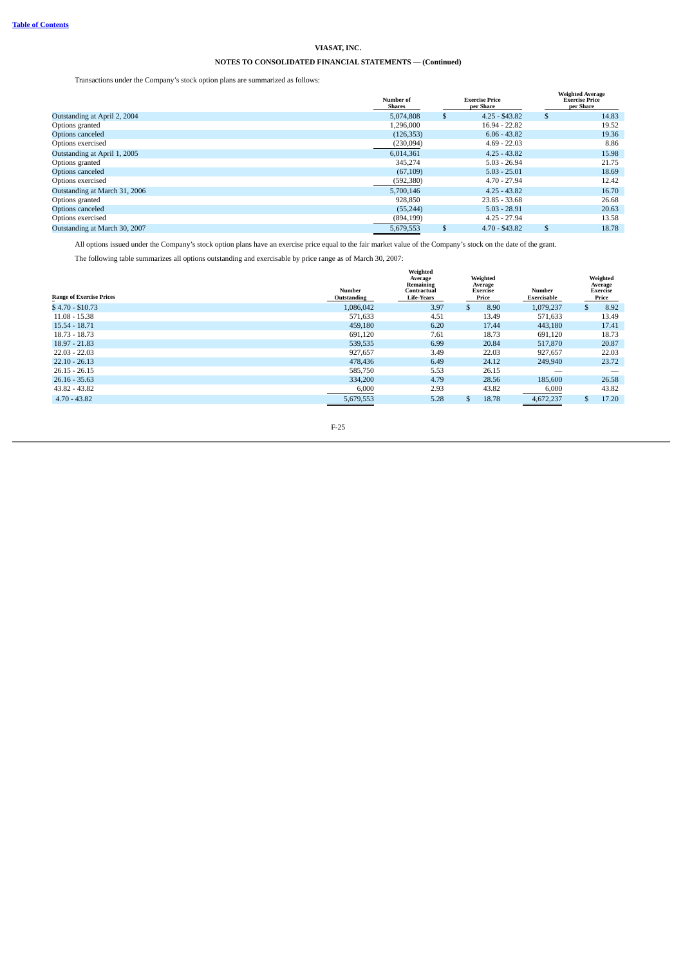# **NOTES TO CONSOLIDATED FINANCIAL STATEMENTS — (Continued)**

Transactions under the Company's stock option plans are summarized as follows:

| Number of<br>Shares |    | <b>Exercise Price</b><br>per Share | <b>Weighted Average</b><br><b>Exercise Price</b><br>per Share |       |  |
|---------------------|----|------------------------------------|---------------------------------------------------------------|-------|--|
| 5,074,808           | S  | $4.25 - $43.82$                    | S                                                             | 14.83 |  |
| 1,296,000           |    | 16.94 - 22.82                      |                                                               | 19.52 |  |
| (126, 353)          |    | $6.06 - 43.82$                     |                                                               | 19.36 |  |
| (230,094)           |    | $4.69 - 22.03$                     |                                                               | 8.86  |  |
| 6.014.361           |    | $4.25 - 43.82$                     |                                                               | 15.98 |  |
| 345,274             |    | $5.03 - 26.94$                     |                                                               | 21.75 |  |
| (67, 109)           |    | $5.03 - 25.01$                     |                                                               | 18.69 |  |
| (592, 380)          |    | $4.70 - 27.94$                     |                                                               | 12.42 |  |
| 5.700.146           |    | $4.25 - 43.82$                     |                                                               | 16.70 |  |
| 928,850             |    | 23.85 - 33.68                      |                                                               | 26.68 |  |
| (55, 244)           |    | $5.03 - 28.91$                     |                                                               | 20.63 |  |
| (894, 199)          |    | $4.25 - 27.94$                     |                                                               | 13.58 |  |
| 5,679,553           | \$ | $4.70 - $43.82$                    | \$                                                            | 18.78 |  |
|                     |    |                                    |                                                               |       |  |

All options issued under the Company's stock option plans have an exercise price equal to the fair market value of the Company's stock on the date of the grant.

The following table summarizes all options outstanding and exercisable by price range as of March 30, 2007:

| <b>Range of Exercise Prices</b> | Number<br>Outstanding | Weighted<br>Average<br>Remaining<br>Contractual<br><b>Life-Years</b> | Weighted<br>Average<br><b>Exercise</b><br>Price | Number<br>Exercisable |    | Weighted<br>Average<br><b>Exercise</b><br>Price |
|---------------------------------|-----------------------|----------------------------------------------------------------------|-------------------------------------------------|-----------------------|----|-------------------------------------------------|
| $$4.70 - $10.73$                | 1,086,042             | 3.97                                                                 | 8.90<br>S.                                      | 1,079,237             | Эħ | 8.92                                            |
| $11.08 - 15.38$                 | 571.633               | 4.51                                                                 | 13.49                                           | 571,633               |    | 13.49                                           |
| $15.54 - 18.71$                 | 459,180               | 6.20                                                                 | 17.44                                           | 443,180               |    | 17.41                                           |
| $18.73 - 18.73$                 | 691,120               | 7.61                                                                 | 18.73                                           | 691,120               |    | 18.73                                           |
| 18.97 - 21.83                   | 539.535               | 6.99                                                                 | 20.84                                           | 517,870               |    | 20.87                                           |
| $22.03 - 22.03$                 | 927.657               | 3.49                                                                 | 22.03                                           | 927.657               |    | 22.03                                           |
| $22.10 - 26.13$                 | 478,436               | 6.49                                                                 | 24.12                                           | 249,940               |    | 23.72                                           |
| $26.15 - 26.15$                 | 585,750               | 5.53                                                                 | 26.15                                           | —                     |    |                                                 |
| $26.16 - 35.63$                 | 334,200               | 4.79                                                                 | 28.56                                           | 185,600               |    | 26.58                                           |
| $43.82 - 43.82$                 | 6,000                 | 2.93                                                                 | 43.82                                           | 6,000                 |    | 43.82                                           |
| $4.70 - 43.82$                  | 5,679,553             | 5.28                                                                 | \$<br>18.78                                     | 4,672,237             | £. | 17.20                                           |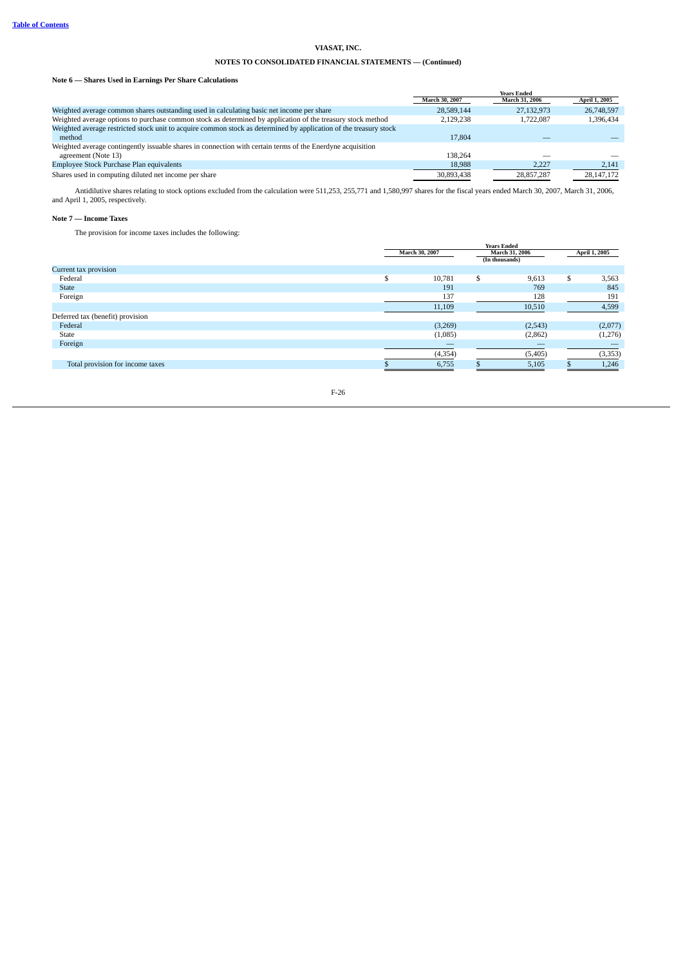# **NOTES TO CONSOLIDATED FINANCIAL STATEMENTS — (Continued)**

# **Note 6 — Shares Used in Earnings Per Share Calculations**

|                                                                                                                   |                       | <b>Years Ended</b> |                      |
|-------------------------------------------------------------------------------------------------------------------|-----------------------|--------------------|----------------------|
|                                                                                                                   | <b>March 30, 2007</b> | March 31, 2006     | <b>April 1, 2005</b> |
| Weighted average common shares outstanding used in calculating basic net income per share                         | 28,589,144            | 27,132,973         | 26,748,597           |
| Weighted average options to purchase common stock as determined by application of the treasury stock method       | 2.129.238             | 1.722.087          | 1,396,434            |
| Weighted average restricted stock unit to acquire common stock as determined by application of the treasury stock |                       |                    |                      |
| method                                                                                                            | 17,804                |                    |                      |
| Weighted average contingently issuable shares in connection with certain terms of the Enerdyne acquisition        |                       |                    |                      |
| agreement (Note 13)                                                                                               | 138.264               |                    |                      |
| Employee Stock Purchase Plan equivalents                                                                          | 18.988                | 2.227              | 2,141                |
| Shares used in computing diluted net income per share                                                             | 30,893,438            | 28,857,287         | 28,147,172           |

Antidilutive shares relating to stock options excluded from the calculation were 511,253, 255,771 and 1,580,997 shares for the fiscal years ended March 30, 2007, March 31, 2006, and April 1, 2005, respectively.

# **Note 7 — Income Taxes**

The provision for income taxes includes the following:

|                                  |               | March 30, 2007 | (In thousands) | March 31, 2006 | April 1, 2005 |
|----------------------------------|---------------|----------------|----------------|----------------|---------------|
| Current tax provision            |               |                |                |                |               |
| Federal                          | <b>A</b><br>э | 10,781         | \$             | 9,613          | \$<br>3,563   |
| State                            |               | 191            |                | 769            | 845           |
| Foreign                          |               | 137            |                | 128            | 191           |
|                                  |               | 11,109         |                | 10,510         | 4,599         |
| Deferred tax (benefit) provision |               |                |                |                |               |
| Federal                          |               | (3,269)        |                | (2,543)        | (2,077)       |
| State                            |               | (1,085)        |                | (2,862)        | (1,276)       |
| Foreign                          |               |                |                |                |               |
|                                  |               | (4, 354)       |                | (5,405)        | (3, 353)      |
| Total provision for income taxes |               | 6,755          |                | 5,105          | 1,246         |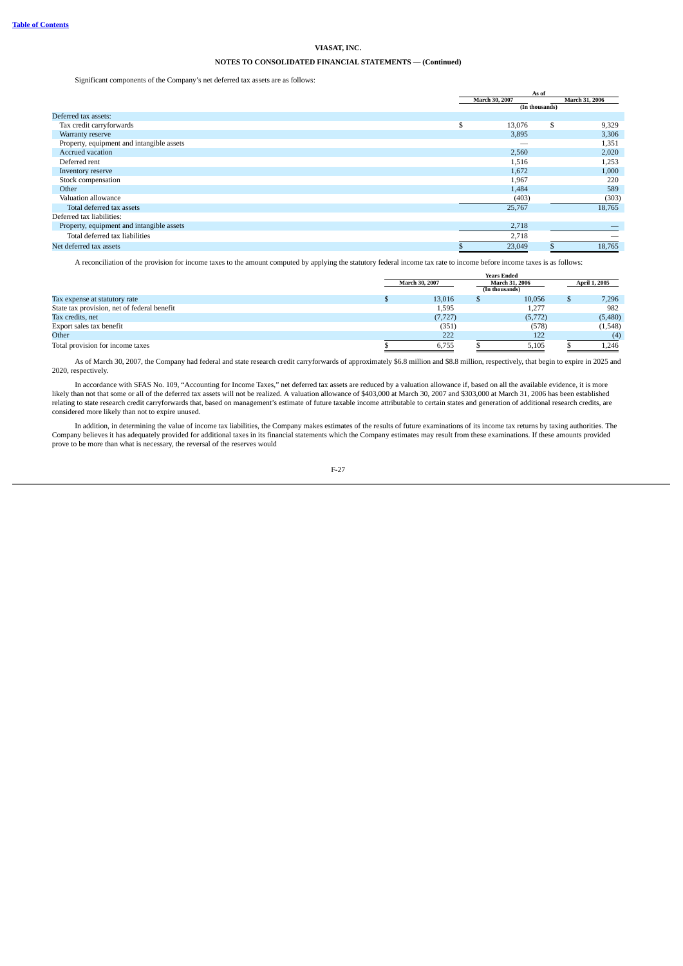# **NOTES TO CONSOLIDATED FINANCIAL STATEMENTS — (Continued)**

Significant components of the Company's net deferred tax assets are as follows:

|                                           | As of          |   |                |  |
|-------------------------------------------|----------------|---|----------------|--|
|                                           | March 30, 2007 |   | March 31, 2006 |  |
|                                           | (In thousands) |   |                |  |
| Deferred tax assets:                      |                |   |                |  |
| Tax credit carryforwards                  | \$<br>13,076   | S | 9,329          |  |
| Warranty reserve                          | 3,895          |   | 3,306          |  |
| Property, equipment and intangible assets | --             |   | 1,351          |  |
| Accrued vacation                          | 2,560          |   | 2,020          |  |
| Deferred rent                             | 1,516          |   | 1,253          |  |
| Inventory reserve                         | 1,672          |   | 1,000          |  |
| Stock compensation                        | 1,967          |   | 220            |  |
| Other                                     | 1,484          |   | 589            |  |
| Valuation allowance                       | (403)          |   | (303)          |  |
| Total deferred tax assets                 | 25,767         |   | 18,765         |  |
| Deferred tax liabilities:                 |                |   |                |  |
| Property, equipment and intangible assets | 2,718          |   |                |  |
| Total deferred tax liabilities            | 2,718          |   |                |  |
| Net deferred tax assets                   | 23,049         |   | 18,765         |  |
|                                           |                |   |                |  |

A reconciliation of the provision for income taxes to the amount computed by applying the statutory federal income tax rate to income before income taxes is as follows:

|                                             | <b>Years Ended</b> |          |  |                                  |  |               |  |  |
|---------------------------------------------|--------------------|----------|--|----------------------------------|--|---------------|--|--|
|                                             | March 30, 2007     |          |  | March 31, 2006<br>(In thousands) |  | April 1, 2005 |  |  |
| Tax expense at statutory rate               |                    | 13,016   |  | 10.056                           |  | 7,296         |  |  |
| State tax provision, net of federal benefit |                    | 1,595    |  | 1,277                            |  | 982           |  |  |
| Tax credits, net                            |                    | (7, 727) |  | (5,772)                          |  | (5,480)       |  |  |
| Export sales tax benefit                    |                    | (351)    |  | (578)                            |  | (1,548)       |  |  |
| Other                                       |                    | 222      |  | 122                              |  | (4)           |  |  |
| Total provision for income taxes            |                    | 6,755    |  | 5,105                            |  | 1,246         |  |  |

As of March 30, 2007, the Company had federal and state research credit carryforwards of approximately \$6.8 million and \$8.8 million, respectively, that begin to expire in 2025 and 2020, respectively.

In accordance with SFAS No. 109, "Accounting for Income Taxes," net deferred tax assets are reduced by a valuation allowance if, based on all the available evidence, it is more is more of Steparted tax assets will not be r relating to state research credit carryforwards that, based on management's estimate of future taxable income attributable to certain states and generation of additional research credits, are considered more likely than not to expire unused.

In addition, in determining the value of income tax liabilities, the Company makes estimates of the results of future examinations of its income tax returns by taxing authorities. The Company believes it has adequately provided for additional taxes in its financial statements which the Company estimates may result from these examinations. If these amounts provided prove to be more than what is necessary, the reversal of the reserves would

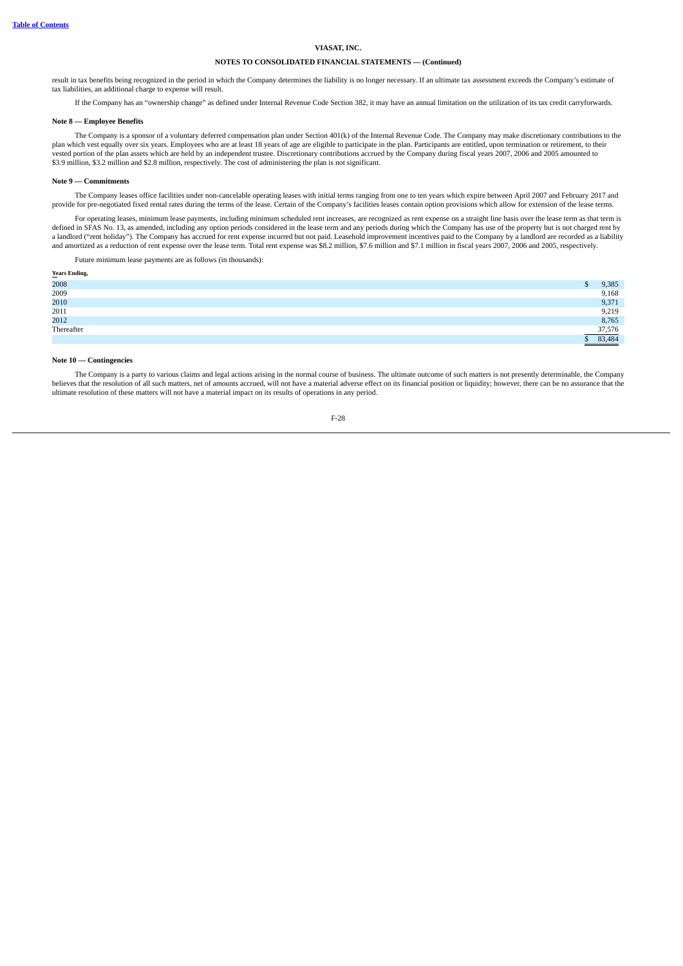### **NOTES TO CONSOLIDATED FINANCIAL STATEMENTS — (Continued)**

result in tax benefits being recognized in the period in which the Company determines the liability is no longer necessary. If an ultimate tax assessment exceeds the Company's estimate of tax liabilities, an additional charge to expense will result.

If the Company has an "ownership change" as defined under Internal Revenue Code Section 382, it may have an annual limitation on the utilization of its tax credit carryforwards.

#### **Note 8 — Employee Benefits**

The Company is a sponsor of a voluntary deferred compensation plan under Section 401(k) of the Internal Revenue Code. The Company may make discretionary contributions to the plan which vest equally over six years. Employees who are at least 18 years of age are eligible to participate in the plan. Participants are entitled, upon termination or retirement, to their vested portion of the plan assets which are held by an independent trustee. Discretionary contributions accrued by the Company during fiscal years 2007, 2006 and 2005 amounted to \$3.9 million, \$3.2 million and \$2.8 million, respectively. The cost of administering the plan is not significant.

#### **Note 9 — Commitments**

The Company leases office facilities under non-cancelable operating leases with initial terms ranging from one to ten years which expire between April 2007 and February 2017 and provide for pre-negotiated fixed rental rates during the terms of the lease. Certain of the Company's facilities leases contain option provisions which allow for extension of the lease terms.

For operating leases, minimum lease payments, including minimum scheduled rent increases, are recognized as rent expense on a straight line basis over the lease term as that term is defined in SFAS No. 13, as amended, including any option periods considered in the lease term and any periods during which the Company has use of the property but is not charged rent by a landlord ("rent holiday"). The Company has accrued for rent expense incurred but not paid. Leasehold improvement incentives paid to the Company by a landlord are recorded as a liability and amortized as a reduction of rent expense over the lease term. Total rent expense was \$8.2 million, \$7.6 million and \$7.1 million in fiscal years 2007, 2006 and 2005, respectively.

Future minimum lease payments are as follows (in thousands):

| <b>Years Ending,</b><br>$\overline{\phantom{0}}$ |        |
|--------------------------------------------------|--------|
| 2008                                             | 9,385  |
| 2009                                             | 9,168  |
| 2010                                             | 9,371  |
| 2011                                             | 9,219  |
| 2012                                             | 8,765  |
| Thereafter                                       | 37,576 |
|                                                  | 83,484 |

### **Note 10 — Contingencies**

The Company is a party to various claims and legal actions arising in the normal course of business. The ultimate outcome of such matters is not presently determinable, the Company believes that the resolution of all such matters, net of amounts accrued, will not have a material adverse effect on its financial position or liquidity; however, there can be no assurance that the ultimate resolution of these matters will not have a material impact on its results of operations in any period.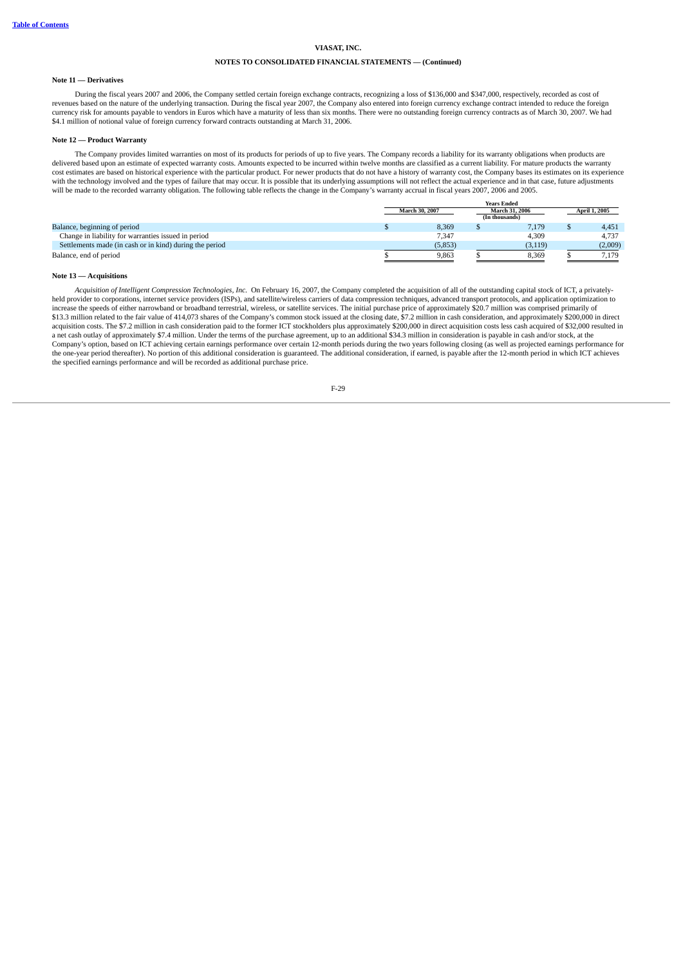## **NOTES TO CONSOLIDATED FINANCIAL STATEMENTS — (Continued)**

## **Note 11 — Derivatives**

During the fiscal years 2007 and 2006, the Company settled certain foreign exchange contracts, recognizing a loss of \$136,000 and \$347,000, respectively, recorded as cost of revenues based on the nature of the underlying transaction. During the fiscal year 2007, the Company also entered into foreign currency exchange contract intended to reduce the foreign currency risk for amounts payable to vendors in Euros which have a maturity of less than six months. There were no outstanding foreign currency contracts as of March 30, 2007. We had \$4.1 million of notional value of foreign currency forward contracts outstanding at March 31, 2006.

#### **Note 12 — Product Warranty**

The Company provides limited warranties on most of its products for periods of up to five years. The Company records a liability for its warranty obligations when products are delivered based upon an estimate of expected warranty costs. Amounts expected to be incurred within twelve months are classified as a current liability. For mature products the warranty cost estimates are based on historical experience with the particular product. For newer products that do not have a history of warranty cost, the Company bases its estimates on its experience with the technology involved and the types of failure that may occur. It is possible that its underlying assumptions will not reflect the actual experience and in that case, future adjustments<br>will be made to the recorded

|                                                         | <b>Years Ended</b>                                        |         |  |         |               |         |  |  |
|---------------------------------------------------------|-----------------------------------------------------------|---------|--|---------|---------------|---------|--|--|
|                                                         | March 31, 2006<br><b>March 30, 2007</b><br>(In thousands) |         |  |         | April 1, 2005 |         |  |  |
| Balance, beginning of period                            |                                                           | 8,369   |  | 7.179   | <b>D</b>      | 4,451   |  |  |
| Change in liability for warranties issued in period     |                                                           | 7.347   |  | 4.309   |               | 4.737   |  |  |
| Settlements made (in cash or in kind) during the period |                                                           | (5.853) |  | (3.119) |               | (2,009) |  |  |
| Balance, end of period                                  |                                                           | 9,863   |  | 8,369   |               | 7.179   |  |  |

### **Note 13 — Acquisitions**

*Acquisition of Intelligent Compression Technologies, Inc.* On February 16, 2007, the Company completed the acquisition of all of the outstanding capital stock of ICT, a privatelyheld provider to corporations, internet service providers (ISPs), and satellite/wireless carriers of data compression techniques, advanced transport protocols, and application optimization to increase the speeds of either narrowband or broadband terrestrial, wireless, or satellite services. The initial purchase price of approximately \$20.7 million was comprised primarily of \$13.3 million related to the fair value of 414,073 shares of the Company's common stock issued at the closing date, \$7.2 million in cash consideration, and approximately \$200,000 in direct<br>acquisition costs. The \$7.2 milli a net cash outlay of approximately \$7.4 million. Under the terms of the purchase agreement, up to an additional \$34.3 million in consideration is payable in cash and/or stock, at the Company's option, based on ICT achieving certain earnings performance over certain 12-month periods during the two years following closing (as well as projected earnings performance for the one-year period thereafter). No portion of this additional consideration is guaranteed. The additional consideration, if earned, is payable after the 12-month period in which ICT achieves the specified earnings performance and will be recorded as additional purchase price.

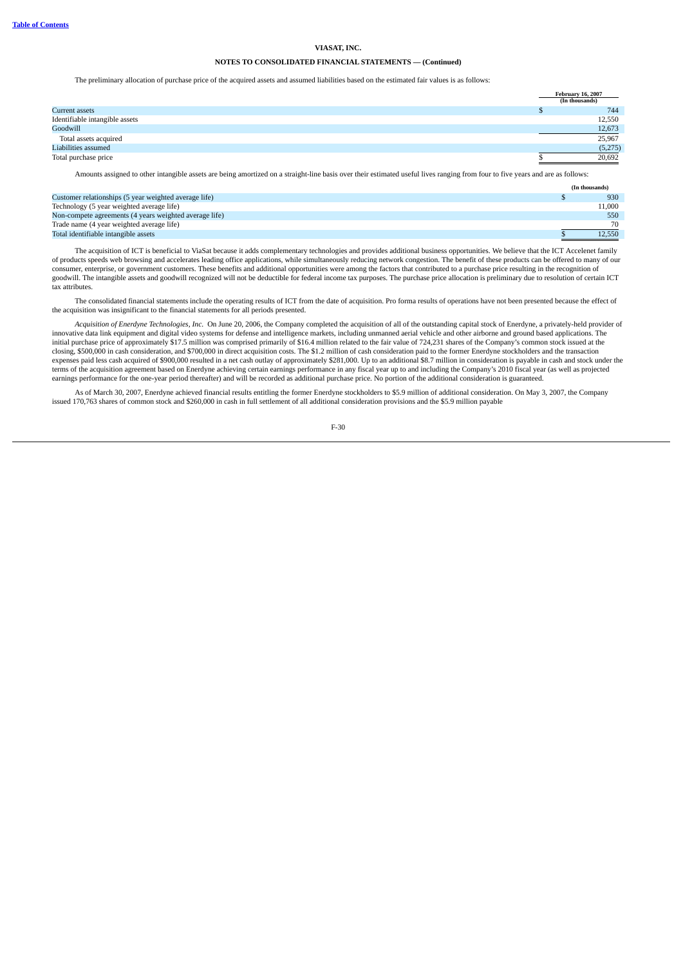# **NOTES TO CONSOLIDATED FINANCIAL STATEMENTS — (Continued)**

The preliminary allocation of purchase price of the acquired assets and assumed liabilities based on the estimated fair values is as follows:

|                                | <b>February 16, 2007</b> |                |
|--------------------------------|--------------------------|----------------|
|                                |                          | (In thousands) |
| Current assets                 |                          | 744            |
| Identifiable intangible assets |                          | 12,550         |
| Goodwill                       |                          | 12,673         |
| Total assets acquired          |                          | 25,967         |
| Liabilities assumed            |                          | (5,275)        |
| Total purchase price           |                          | 20,692         |

Amounts assigned to other intangible assets are being amortized on a straight-line basis over their estimated useful lives ranging from four to five years and are as follows:

|                                                        | (In thousands) |
|--------------------------------------------------------|----------------|
| Customer relationships (5 year weighted average life)  | 930            |
| Technology (5 year weighted average life)              | 11.000         |
| Non-compete agreements (4 years weighted average life) | 550            |
| Trade name (4 year weighted average life)              | 70             |
| Total identifiable intangible assets                   | 12.550         |

The acquisition of ICT is beneficial to ViaSat because it adds complementary technologies and provides additional business opportunities. We believe that the ICT Accelenet family of products speeds web browsing and accelerates leading office applications, while simultaneously reducing network congestion. The benefit of these products can be offered to many of our consumer, enterprise, or government customers. These benefits and additional opportunities were among the factors that contributed to a purchase price resulting in the recognition of goodwill. The intangible assets and goodwill recognized will not be deductible for federal income tax purposes. The purchase price allocation is preliminary due to resolution of certain ICT tax attributes.

The consolidated financial statements include the operating results of ICT from the date of acquisition. Pro forma results of operations have not been presented because the effect of the acquisition was insignificant to the financial statements for all periods presented.

*Acquisition of Enerdyne Technologies, Inc.* On June 20, 2006, the Company completed the acquisition of all of the outstanding capital stock of Enerdyne, a privately-held provider of innovative data link equipment and digital video systems for defense and intelligence markets, including unmanned aerial vehicle and other airborne and ground based applications. The initial purchase price of approximately \$17.5 million was comprised primarily of \$16.4 million related to the fair value of 724,231 shares of the Company's common stock issued at the closing, \$500,000 in cash consideration, and \$700,000 in direct acquisition costs. The \$1.2 million of cash consideration paid to the former Enerdyne stockholders and the transaction expenses paid less cash acquired of \$900,000 resulted in a net cash outlay of approximately \$281,000. Up to an additional \$8.7 million in consideration is payable in cash and stock under the terms of the acquisition agreement based on Enerdyne achieving certain earnings performance in any fiscal year up to and including the Company's 2010 fiscal year (as well as projected earnings performance for the one-year period thereafter) and will be recorded as additional purchase price. No portion of the additional consideration is guaranteed.

As of March 30, 2007, Enerdyne achieved financial results entitling the former Enerdyne stockholders to \$5.9 million of additional consideration. On May 3, 2007, the Company issued 170,763 shares of common stock and \$260,000 in cash in full settlement of all additional consideration provisions and the \$5.9 million payable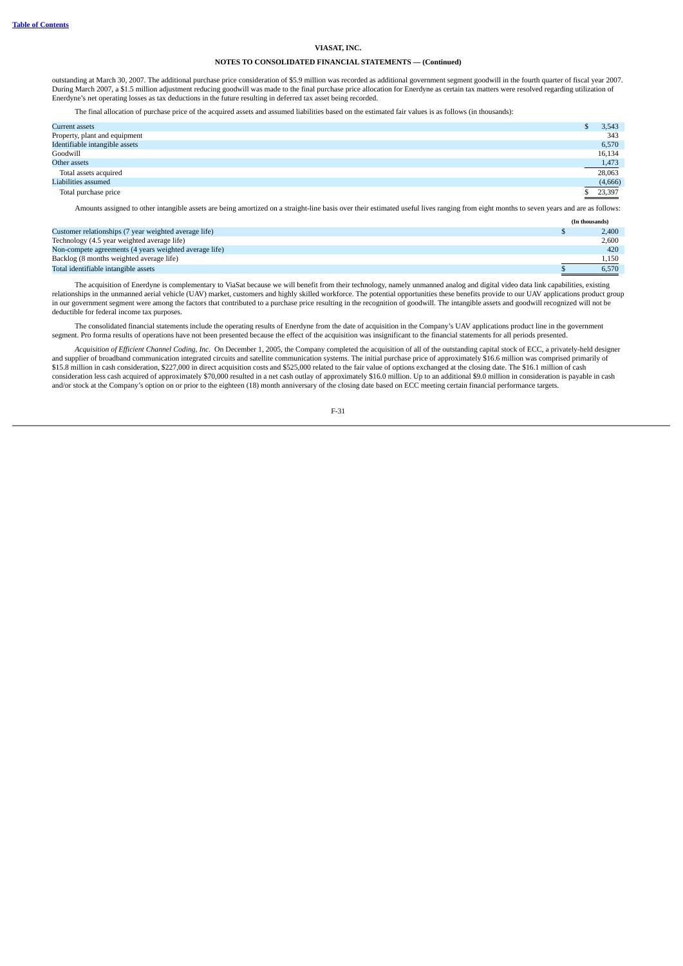## **NOTES TO CONSOLIDATED FINANCIAL STATEMENTS — (Continued)**

outstanding at March 30, 2007. The additional purchase price consideration of \$5.9 million was recorded as additional government segment goodwill in the fourth quarter of fiscal year 2007. During March 2007, a \$1.5 million adjustment reducing goodwill was made to the final purchase price allocation for Enerdyne as certain tax matters were resolved regarding utilization of Enerdyne's net operating losses as tax deductions in the future resulting in deferred tax asset being recorded.

The final allocation of purchase price of the acquired assets and assumed liabilities based on the estimated fair values is as follows (in thousands):

| Current assets                 | 3,543   |
|--------------------------------|---------|
| Property, plant and equipment  | 343     |
| Identifiable intangible assets | 6,570   |
| Goodwill                       | 16,134  |
| Other assets                   | 1,473   |
| Total assets acquired          | 28,063  |
| Liabilities assumed            | (4,666) |
| Total purchase price           | 23,397  |

Amounts assigned to other intangible assets are being amortized on a straight-line basis over their estimated useful lives ranging from eight months to seven years and are as follows:

|                                                        | (In thousands) |
|--------------------------------------------------------|----------------|
| Customer relationships (7 year weighted average life)  | 2.400          |
| Technology (4.5 year weighted average life)            | 2.600          |
| Non-compete agreements (4 years weighted average life) | 420            |
| Backlog (8 months weighted average life)               | 1.150          |
| Total identifiable intangible assets                   | 6.570          |

The acquisition of Enerdyne is complementary to ViaSat because we will benefit from their technology, namely unmanned analog and digital video data link capabilities, existing relationships in the unmanned aerial vehicle (UAV) market, customers and highly skilled workforce. The potential opportunities these benefits provide to our UAV applications product group in our government segment were among the factors that contributed to a purchase price resulting in the recognition of goodwill. The intangible assets and goodwill recognized will not be deductible for federal income tax purposes.

The consolidated financial statements include the operating results of Enerdyne from the date of acquisition in the Company's UAV applications product line in the government segment. Pro forma results of operations have not been presented because the effect of the acquisition was insignificant to the financial statements for all periods presented.

*Acquisition of Efficient Channel Coding, Inc.* On December 1, 2005, the Company completed the acquisition of all of the outstanding capital stock of ECC, a privately-held designer and supplier of broadband communication integrated circuits and satellite communication systems. The initial purchase price of approximately \$16.6 million was comprised primarily of<br>\$15.8 million in cash consideration, \$22 consideration less cash acquired of approximately \$70,000 resulted in a net cash outlay of approximately \$16.0 million. Up to an additional \$9.0 million in consideration is payable in cash and/or stock at the Company's option on or prior to the eighteen (18) month anniversary of the closing date based on ECC meeting certain financial performance targets.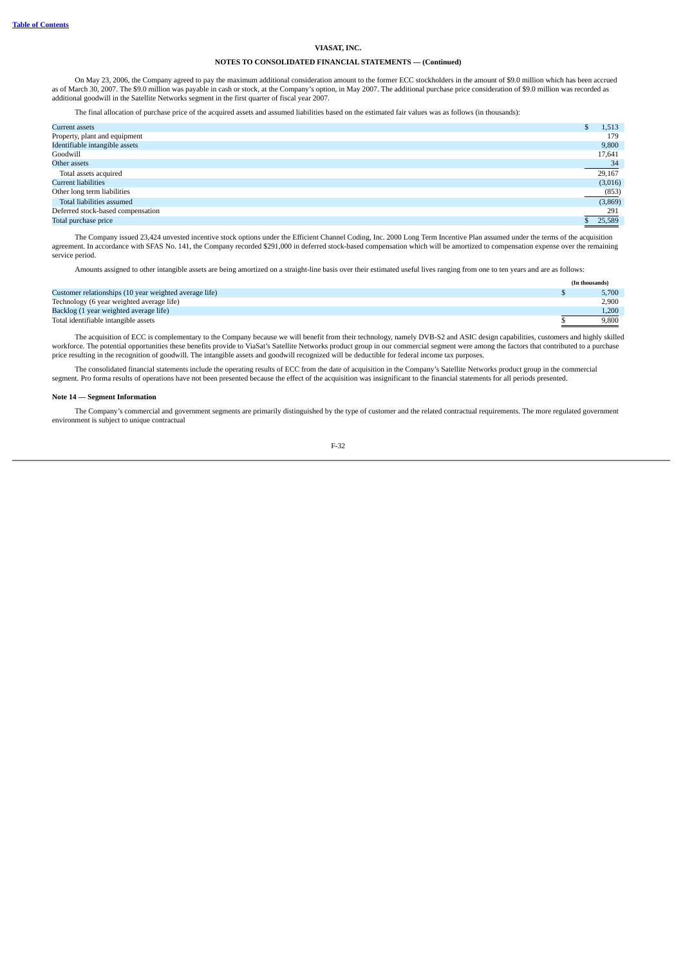### **NOTES TO CONSOLIDATED FINANCIAL STATEMENTS — (Continued)**

On May 23, 2006, the Company agreed to pay the maximum additional consideration amount to the former ECC stockholders in the amount of \$9.0 million which has been accrued as of March 30, 2007. The \$9.0 million was payable in cash or stock, at the Company's option, in May 2007. The additional purchase price consideration of \$9.0 million was recorded as<br>additional goodwill in the Satellite Ne

The final allocation of purchase price of the acquired assets and assumed liabilities based on the estimated fair values was as follows (in thousands):

| <b>Current assets</b>             | 1,513   |
|-----------------------------------|---------|
| Property, plant and equipment     | 179     |
| Identifiable intangible assets    | 9,800   |
| Goodwill                          | 17,641  |
| Other assets                      | 34      |
| Total assets acquired             | 29,167  |
| <b>Current liabilities</b>        | (3,016) |
| Other long term liabilities       | (853)   |
| Total liabilities assumed         | (3,869) |
| Deferred stock-based compensation | 291     |
| Total purchase price              | 25,589  |
|                                   |         |

The Company issued 23,424 unvested incentive stock options under the Efficient Channel Coding, Inc. 2000 Long Term Incentive Plan assumed under the terms of the acquisition<br>agreement. In accordance with SFAS No. 141, the C service period.

Amounts assigned to other intangible assets are being amortized on a straight-line basis over their estimated useful lives ranging from one to ten years and are as follows:

|                                                        | (In thousands) |
|--------------------------------------------------------|----------------|
| Customer relationships (10 year weighted average life) | 5.700          |
| Technology (6 year weighted average life)              | 2,900          |
| Backlog (1 year weighted average life)                 | 1.200          |
| Total identifiable intangible assets                   | 9,800          |

The acquisition of ECC is complementary to the Company because we will benefit from their technology, namely DVB-S2 and ASIC design capabilities, customers and highly skilled workforce. The potential opportunities these benefits provide to ViaSat's Satellite Networks product group in our commercial segment were among the factors that contributed to a purchase price resulting in the recognition of goodwill. The intangible assets and goodwill recognized will be deductible for federal income tax purposes.

The consolidated financial statements include the operating results of ECC from the date of acquisition in the Company's Satellite Networks product group in the commercial segment. Pro forma results of operations have not been presented because the effect of the acquisition was insignificant to the financial statements for all periods presented.

#### **Note 14 — Segment Information**

The Company's commercial and government segments are primarily distinguished by the type of customer and the related contractual requirements. The more regulated government environment is subject to unique contractual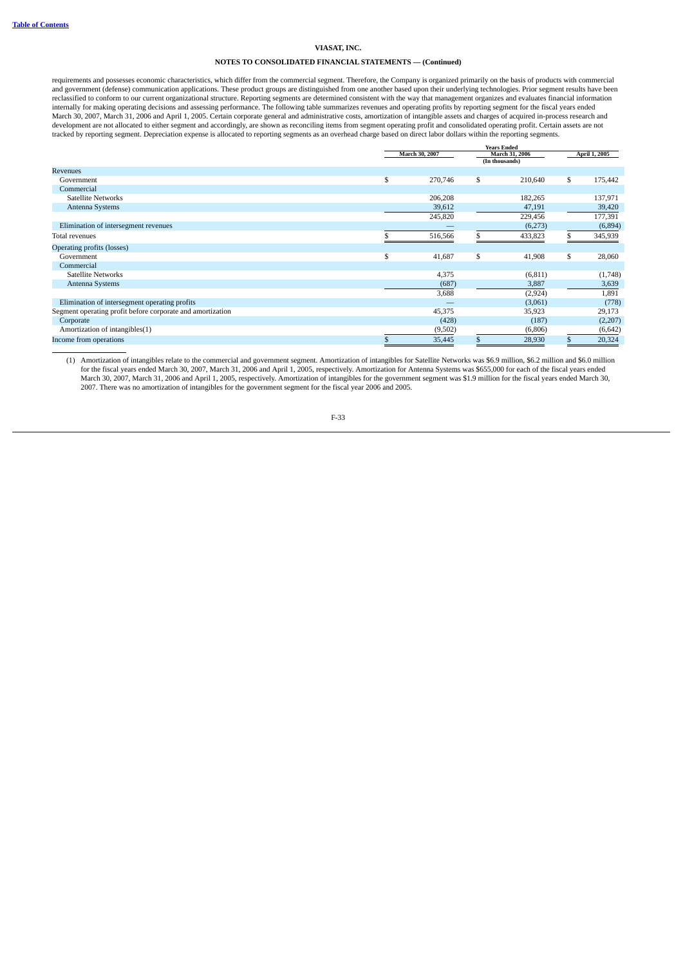# **NOTES TO CONSOLIDATED FINANCIAL STATEMENTS — (Continued)**

requirements and possesses economic characteristics, which differ from the commercial segment. Therefore, the Company is organized primarily on the basis of products with commercial and government (defense) communication applications. These product groups are distinguished from one another based upon their underlying technologies. Prior segment results have been reclassified to conform to our current organizational structure. Reporting segments are determined consistent with the way that management organizes and evaluates financial information<br>internally for making operating decis March 30, 2007, March 31, 2006 and April 1, 2005. Certain corporate general and administrative costs, amortization of intangible assets and charges of acquired in-process research and development are not allocated to either segment and accordingly, are shown as reconciling items from segment operating profit and consolidated operating profit. Certain assets are not tracked by reporting segment. Depreciation expense is allocated to reporting segments as an overhead charge based on direct labor dollars within the reporting segments.

|                                                            |    | <b>Years Ended</b> |    |          |    |                |  |                |  |                |  |               |
|------------------------------------------------------------|----|--------------------|----|----------|----|----------------|--|----------------|--|----------------|--|---------------|
|                                                            |    |                    |    |          |    | March 30, 2007 |  | March 31, 2006 |  | (In thousands) |  | April 1, 2005 |
| Revenues                                                   |    |                    |    |          |    |                |  |                |  |                |  |               |
| Government                                                 | \$ | 270,746            | \$ | 210,640  | \$ | 175,442        |  |                |  |                |  |               |
| Commercial                                                 |    |                    |    |          |    |                |  |                |  |                |  |               |
| <b>Satellite Networks</b>                                  |    | 206,208            |    | 182,265  |    | 137,971        |  |                |  |                |  |               |
| Antenna Systems                                            |    | 39,612             |    | 47,191   |    | 39,420         |  |                |  |                |  |               |
|                                                            |    | 245,820            |    | 229,456  |    | 177,391        |  |                |  |                |  |               |
| Elimination of intersegment revenues                       |    |                    |    | (6,273)  |    | (6,894)        |  |                |  |                |  |               |
| Total revenues                                             |    | 516,566            |    | 433,823  |    | 345,939        |  |                |  |                |  |               |
| Operating profits (losses)                                 |    |                    |    |          |    |                |  |                |  |                |  |               |
| Government                                                 | \$ | 41,687             | \$ | 41,908   | \$ | 28,060         |  |                |  |                |  |               |
| Commercial                                                 |    |                    |    |          |    |                |  |                |  |                |  |               |
| <b>Satellite Networks</b>                                  |    | 4,375              |    | (6, 811) |    | (1,748)        |  |                |  |                |  |               |
| Antenna Systems                                            |    | (687)              |    | 3,887    |    | 3,639          |  |                |  |                |  |               |
|                                                            |    | 3,688              |    | (2, 924) |    | 1,891          |  |                |  |                |  |               |
| Elimination of intersegment operating profits              |    |                    |    | (3,061)  |    | (778)          |  |                |  |                |  |               |
| Segment operating profit before corporate and amortization |    | 45,375             |    | 35,923   |    | 29,173         |  |                |  |                |  |               |
| Corporate                                                  |    | (428)              |    | (187)    |    | (2,207)        |  |                |  |                |  |               |
| Amortization of intangibles(1)                             |    | (9,502)            |    | (6,806)  |    | (6, 642)       |  |                |  |                |  |               |
| Income from operations                                     |    | 35,445             |    | 28,930   |    | 20,324         |  |                |  |                |  |               |
|                                                            |    |                    |    |          |    |                |  |                |  |                |  |               |

(1) Amortization of intangibles relate to the commercial and government segment. Amortization of intangibles for Satellite Networks was \$6.9 million, \$6.2 million and \$6.0 million for the fiscal years ended March 30, 2007, March 31, 2006 and April 1, 2005, respectively. Amortization for Antenna Systems was \$655,000 for each of the fiscal years ended March 30, 2007, March 31, 2006 and April 1, 2005, respectively. Amortization of intangibles for the government segment was \$1.9 million for the fiscal years ended March 30,<br>2007. There was no amortization of intangibles fo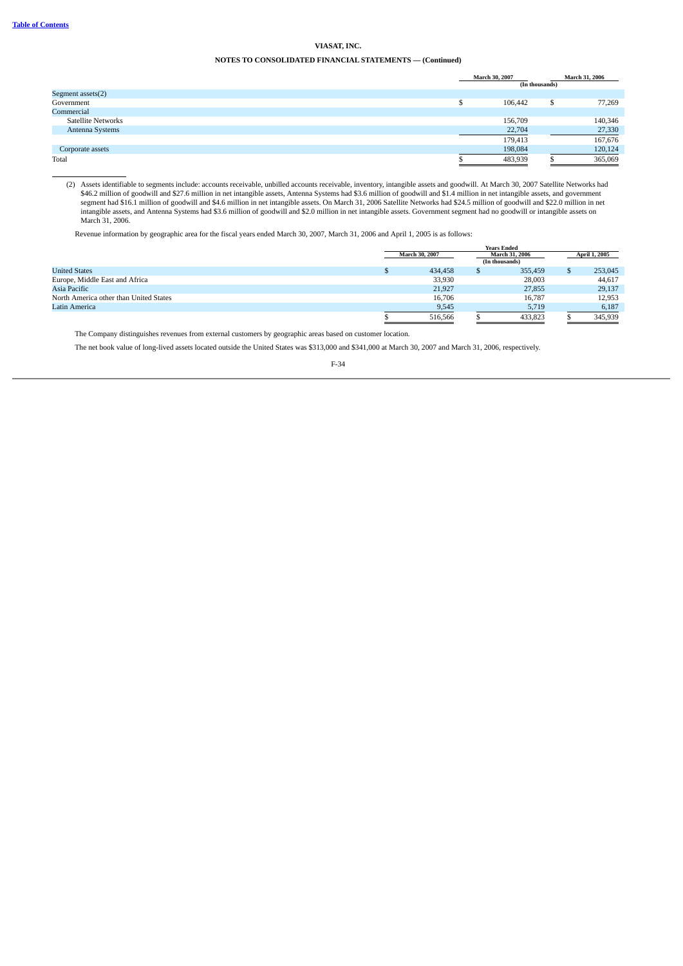# **NOTES TO CONSOLIDATED FINANCIAL STATEMENTS — (Continued)**

|                           |   | <b>March 30, 2007</b> | <b>March 31, 2006</b> |         |
|---------------------------|---|-----------------------|-----------------------|---------|
|                           |   | (In thousands)        |                       |         |
| Segment assets $(2)$      |   |                       |                       |         |
| Government                | ъ | 106,442               | Ф                     | 77,269  |
| Commercial                |   |                       |                       |         |
| <b>Satellite Networks</b> |   | 156,709               |                       | 140,346 |
| Antenna Systems           |   | 22,704                |                       | 27,330  |
|                           |   | 179,413               |                       | 167,676 |
| Corporate assets          |   | 198,084               |                       | 120,124 |
| Total                     |   | 483,939               |                       | 365,069 |

(2) Assets identifiable to segments include: accounts receivable, unbilled accounts receivable, inventory, intangible assets and goodwill. At March 30, 2007 Satellite Networks had \$46.2 million of goodwill and \$27.6 million in net intangible assets, Antenna Systems had \$3.6 million of goodwill and \$1.4 million in net intangible assets, and government<br>segment had \$16.1 million of goodwill and \$4.6 mi intangible assets, and Antenna Systems had \$3.6 million of goodwill and \$2.0 million in net intangible assets. Government segment had no goodwill or intangible assets on<br>March 31, 2006.

Revenue information by geographic area for the fiscal years ended March 30, 2007, March 31, 2006 and April 1, 2005 is as follows:

|                                        | <b>Years Ended</b>    |    |                                         |  |               |
|----------------------------------------|-----------------------|----|-----------------------------------------|--|---------------|
|                                        | <b>March 30, 2007</b> |    | <b>March 31, 2006</b><br>(In thousands) |  | April 1, 2005 |
| <b>United States</b>                   | 434,458               | ۰D | 355,459                                 |  | 253,045       |
| Europe, Middle East and Africa         | 33,930                |    | 28,003                                  |  | 44,617        |
| Asia Pacific                           | 21,927                |    | 27,855                                  |  | 29,137        |
| North America other than United States | 16,706                |    | 16.787                                  |  | 12.953        |
| Latin America                          | 9,545                 |    | 5,719                                   |  | 6,187         |
|                                        | 516,566               |    | 433,823                                 |  | 345.939       |

The Company distinguishes revenues from external customers by geographic areas based on customer location.

The net book value of long-lived assets located outside the United States was \$313,000 and \$341,000 at March 30, 2007 and March 31, 2006, respectively.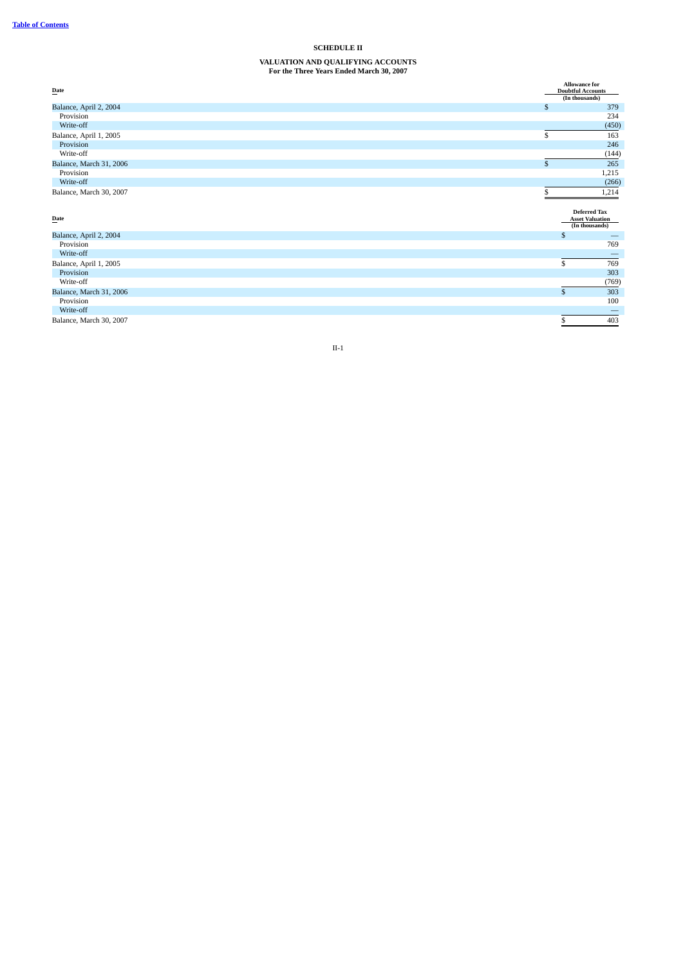### **SCHEDULE II**

# VALUATION AND QUALIFYING ACCOUNTS<br>For the Three Years Ended March 30, 2007

| $_{\text{Date}}$        |              | <b>Allowance for</b><br><b>Doubtful Accounts</b><br>(In thousands) |                                                                 |
|-------------------------|--------------|--------------------------------------------------------------------|-----------------------------------------------------------------|
| Balance, April 2, 2004  | $\mathbb{S}$ |                                                                    | 379                                                             |
| Provision               |              |                                                                    | 234                                                             |
| Write-off               |              |                                                                    | (450)                                                           |
| Balance, April 1, 2005  | \$           |                                                                    | 163                                                             |
| Provision               |              |                                                                    | 246                                                             |
| Write-off               |              |                                                                    | (144)                                                           |
| Balance, March 31, 2006 | \$           |                                                                    | 265                                                             |
| Provision               |              |                                                                    | 1,215                                                           |
| Write-off               |              |                                                                    | (266)                                                           |
| Balance, March 30, 2007 | \$           |                                                                    | 1,214                                                           |
| Date                    |              |                                                                    | <b>Deferred Tax</b><br><b>Asset Valuation</b><br>(In thousands) |
| Balance, April 2, 2004  |              | \$                                                                 |                                                                 |
| Provision               |              |                                                                    | 769                                                             |
| Write-off               |              |                                                                    |                                                                 |
| Balance, April 1, 2005  |              | \$                                                                 | 769                                                             |
| Provision               |              |                                                                    | 303                                                             |
| Write-off               |              |                                                                    | (769)                                                           |
| Balance, March 31, 2006 |              | $\mathbb{S}$                                                       | 303                                                             |
| Provision               |              |                                                                    | 100                                                             |
| Write-off               |              |                                                                    |                                                                 |
| Balance, March 30, 2007 |              | \$                                                                 | 403                                                             |

 $II-1$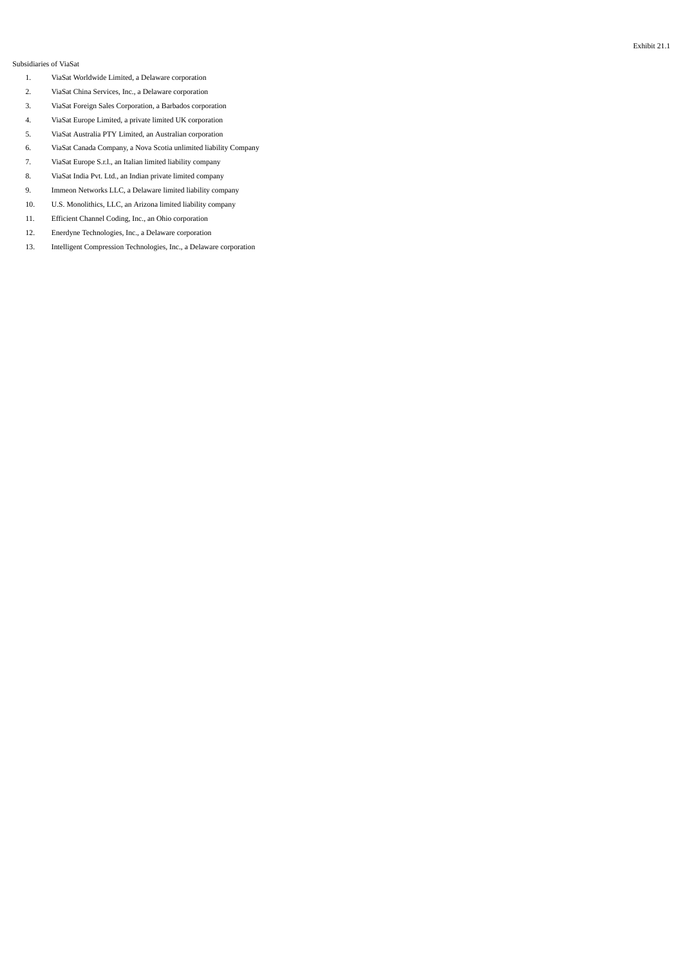Subsidiaries of ViaSat

- 1. ViaSat Worldwide Limited, a Delaware corporation
- 2. ViaSat China Services, Inc., a Delaware corporation
- 3. ViaSat Foreign Sales Corporation, a Barbados corporation
- 4. ViaSat Europe Limited, a private limited UK corporation
- 5. ViaSat Australia PTY Limited, an Australian corporation
- 6. ViaSat Canada Company, a Nova Scotia unlimited liability Company
- 7. ViaSat Europe S.r.l., an Italian limited liability company
- 8. ViaSat India Pvt. Ltd., an Indian private limited company
- 9. Immeon Networks LLC, a Delaware limited liability company
- $10. \,$ 0. U.S. Monolithics, LLC, an Arizona limited liability company
- $11. \,$ 1. Efficient Channel Coding, Inc., an Ohio corporation
- 12. 2. Enerdyne Technologies, Inc., a Delaware corporation
- 13. 3. Intelligent Compression Technologies, Inc., a Delaware corporation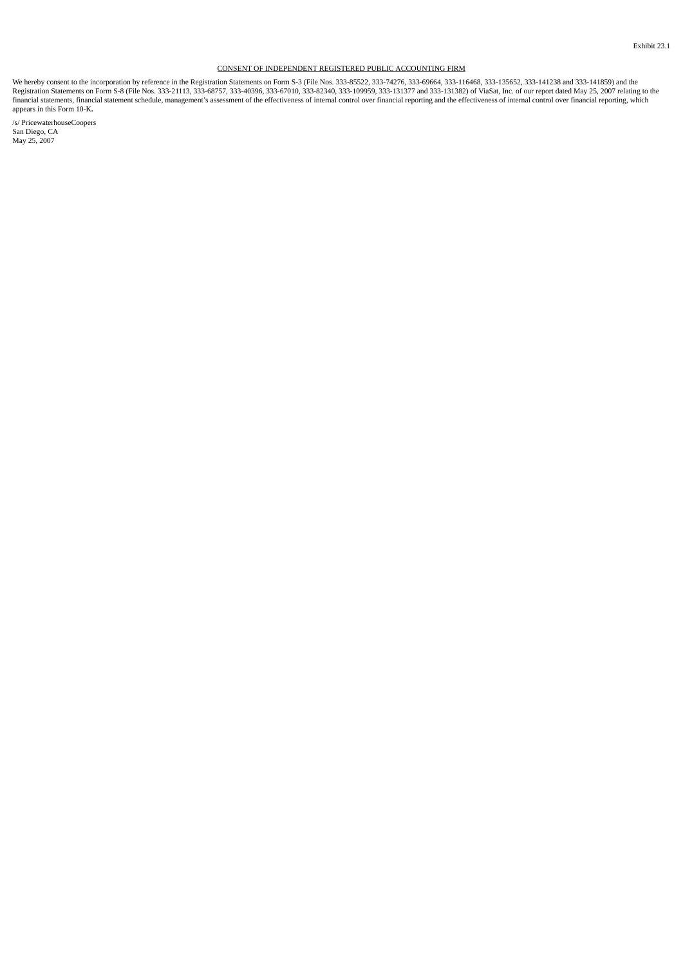# CONSENT OF INDEPENDENT REGISTERED PUBLIC ACCOUNTING FIRM

We hereby consent to the incorporation by reference in the Registration Statements on Form S-3 (File Nos. 333-5552, 333-74276, 333-69664, 333-116468, 333-135652, 333-141238 and 333-141859) and the<br>Registration Statements o appears in this Form 10-K**.**

/s/ PricewaterhouseCoopers San Diego, CA<br>May 25, 2007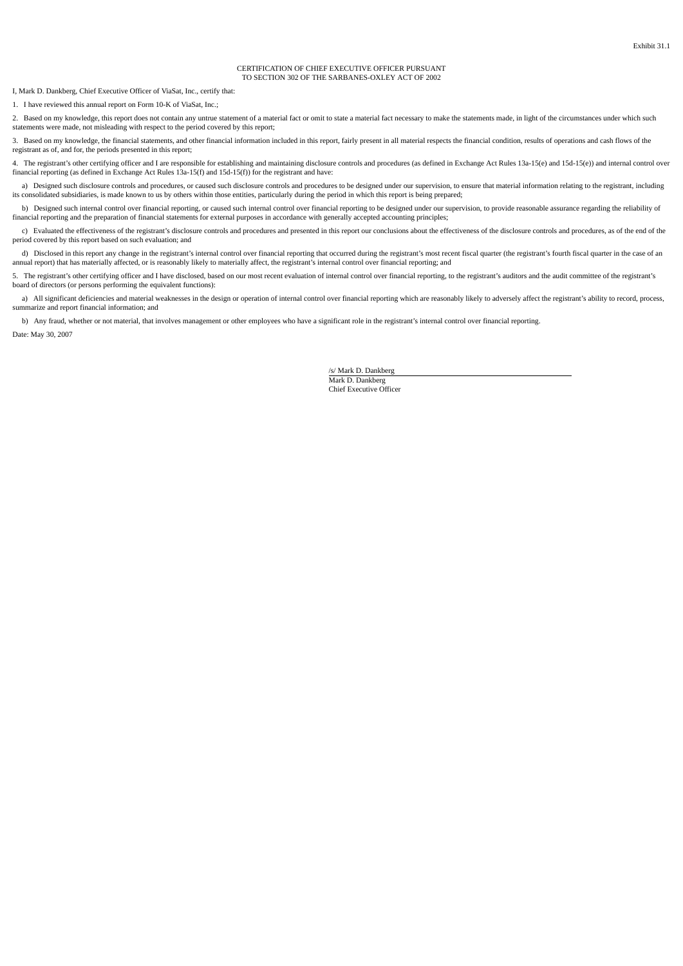### CERTIFICATION OF CHIEF EXECUTIVE OFFICER PURSUANT TO SECTION 302 OF THE SARBANES-OXLEY ACT OF 2002

I, Mark D. Dankberg, Chief Executive Officer of ViaSat, Inc., certify that:

1. I have reviewed this annual report on Form 10-K of ViaSat, Inc.;

2. Based on my knowledge, this report does not contain any untrue statement of a material fact or omit to state a material fact necessary to make the statements made, in light of the circumstances under which such statements were made, not misleading with respect to the period covered by this report;

3. Based on my knowledge, the financial statements, and other financial information included in this report, fairly present in all material respects the financial condition, results of operations and cash flows of the registrant as of, and for, the periods presented in this report;

4. The registrant's other certifying officer and I are responsible for establishing and maintaining disclosure controls and procedures (as defined in Exchange Act Rules 13a-15(e) and 15d-15(e)) and internal control over financial reporting (as defined in Exchange Act Rules 13a-15(f) and 15d-15(f)) for the registrant and have:

a) Designed such disclosure controls and procedures, or caused such disclosure controls and procedures to be designed under our supervision, to ensure that material information relating to the registrant, including its consolidated subsidiaries, is made known to us by others within those entities, particularly during the period in which this report is being prepared;

b) Designed such internal control over financial reporting, or caused such internal control over financial reporting to be designed under our supervision, to provide reasonable assurance regarding the reliability of financial reporting and the preparation of financial statements for external purposes in accordance with generally accepted accounting principles;

c) Evaluated the effectiveness of the registrant's disclosure controls and procedures and presented in this report our conclusions about the effectiveness of the disclosure controls and procedures, as of the end of the period covered by this report based on such evaluation; and

d) Disclosed in this report any change in the registrant's internal control over financial reporting that occurred during the registrant's most recent fiscal quarter (the registrant's fourth fiscal quarter in the case of an annual report) that has materially affected, or is reasonably likely to materially affect, the registrant's internal control over financial reporting; and

5. The registrant's other certifying officer and I have disclosed, based on our most recent evaluation of internal control over financial reporting, to the registrant's auditors and the audit committee of the registrant's board of directors (or persons performing the equivalent functions):

a) All significant deficiencies and material weaknesses in the design or operation of internal control over financial reporting which are reasonably likely to adversely affect the registrant's ability to record, process, summarize and report financial information; and

b) Any fraud, whether or not material, that involves management or other employees who have a significant role in the registrant's internal control over financial reporting.

Date: May 30, 2007

/s/ Mark D. Dankberg Mark D. Dankberg Chief Executive Officer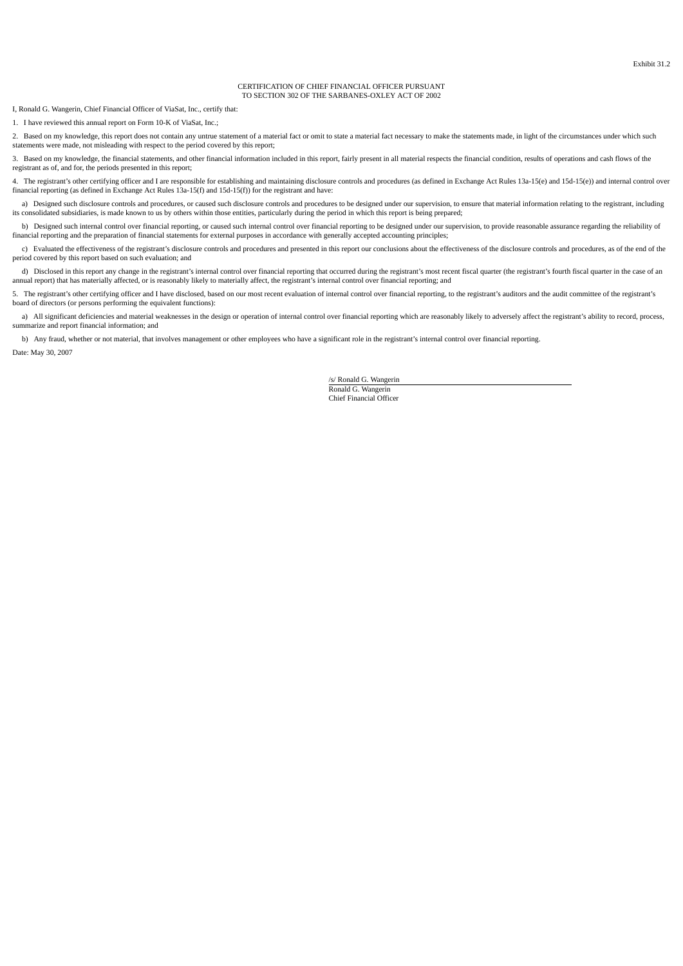#### CERTIFICATION OF CHIEF FINANCIAL OFFICER PURSUANT TO SECTION 302 OF THE SARBANES-OXLEY ACT OF 2002

I, Ronald G. Wangerin, Chief Financial Officer of ViaSat, Inc., certify that:

1. I have reviewed this annual report on Form 10-K of ViaSat, Inc.;

2. Based on my knowledge, this report does not contain any untrue statement of a material fact or omit to state a material fact necessary to make the statements made, in light of the circumstances under which such statements were made, not misleading with respect to the period covered by this report;

3. Based on my knowledge, the financial statements, and other financial information included in this report, fairly present in all material respects the financial condition, results of operations and cash flows of the registrant as of, and for, the periods presented in this report;

4. The registrant's other certifying officer and I are responsible for establishing and maintaining disclosure controls and procedures (as defined in Exchange Act Rules 13a-15(e) and 15d-15(e)) and internal control over financial reporting (as defined in Exchange Act Rules 13a-15(f) and 15d-15(f)) for the registrant and have:

a) Designed such disclosure controls and procedures, or caused such disclosure controls and procedures to be designed under our supervision, to ensure that material information relating to the registrant, including its consolidated subsidiaries, is made known to us by others within those entities, particularly during the period in which this report is being prepared;

b) Designed such internal control over financial reporting, or caused such internal control over financial reporting to be designed under our supervision, to provide reasonable assurance regarding the reliability of financial reporting and the preparation of financial statements for external purposes in accordance with generally accepted accounting principles;

c) Evaluated the effectiveness of the registrant's disclosure controls and procedures and presented in this report our conclusions about the effectiveness of the disclosure controls and procedures, as of the end of the period covered by this report based on such evaluation; and

d) Disclosed in this report any change in the registrant's internal control over financial reporting that occurred during the registrant's most recent fiscal quarter (the registrant's fourth fiscal quarter in the case of a

5. The registrant's other certifying officer and I have disclosed, based on our most recent evaluation of internal control over financial reporting, to the registrant's auditors and the audit committee of the registrant's board of directors (or persons performing the equivalent functions):

a) All significant deficiencies and material weaknesses in the design or operation of internal control over financial reporting which are reasonably likely to adversely affect the registrant's ability to record, process, summarize and report financial information; and

b) Any fraud, whether or not material, that involves management or other employees who have a significant role in the registrant's internal control over financial reporting.

Date: May 30, 2007

/s/ Ronald G. Wangerin Ronald G. Wangerin Chief Financial Officer